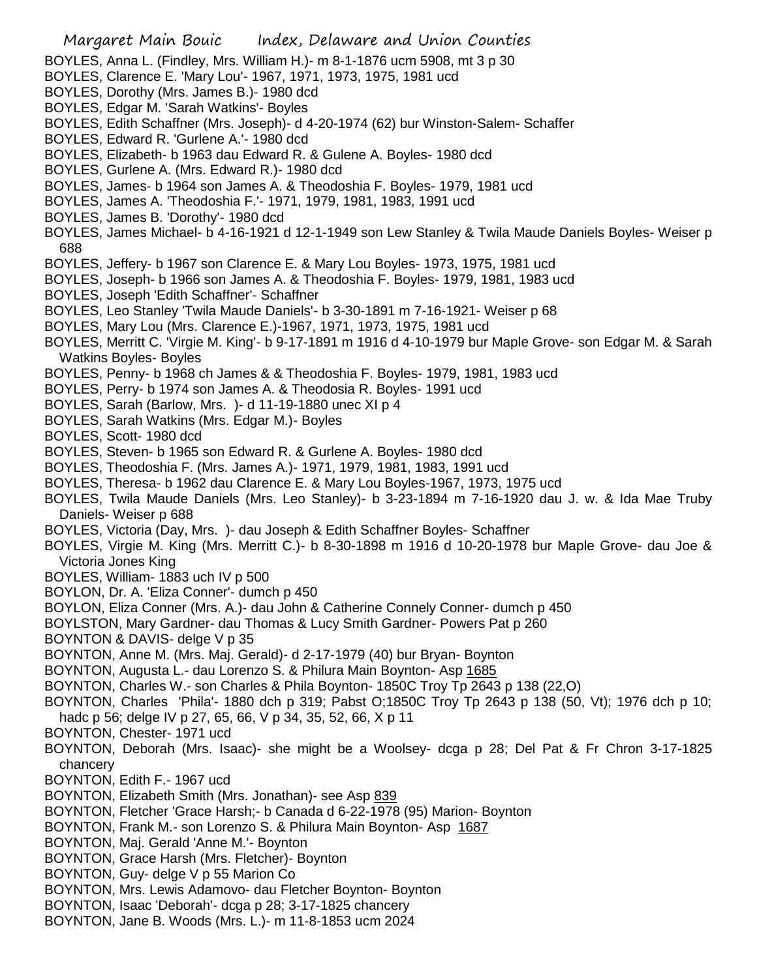- BOYLES, Anna L. (Findley, Mrs. William H.)- m 8-1-1876 ucm 5908, mt 3 p 30
- BOYLES, Clarence E. 'Mary Lou'- 1967, 1971, 1973, 1975, 1981 ucd
- BOYLES, Dorothy (Mrs. James B.)- 1980 dcd
- BOYLES, Edgar M. 'Sarah Watkins'- Boyles
- BOYLES, Edith Schaffner (Mrs. Joseph)- d 4-20-1974 (62) bur Winston-Salem- Schaffer
- BOYLES, Edward R. 'Gurlene A.'- 1980 dcd
- BOYLES, Elizabeth- b 1963 dau Edward R. & Gulene A. Boyles- 1980 dcd
- BOYLES, Gurlene A. (Mrs. Edward R.)- 1980 dcd
- BOYLES, James- b 1964 son James A. & Theodoshia F. Boyles- 1979, 1981 ucd
- BOYLES, James A. 'Theodoshia F.'- 1971, 1979, 1981, 1983, 1991 ucd
- BOYLES, James B. 'Dorothy'- 1980 dcd
- BOYLES, James Michael- b 4-16-1921 d 12-1-1949 son Lew Stanley & Twila Maude Daniels Boyles- Weiser p 688
- BOYLES, Jeffery- b 1967 son Clarence E. & Mary Lou Boyles- 1973, 1975, 1981 ucd
- BOYLES, Joseph- b 1966 son James A. & Theodoshia F. Boyles- 1979, 1981, 1983 ucd
- BOYLES, Joseph 'Edith Schaffner'- Schaffner
- BOYLES, Leo Stanley 'Twila Maude Daniels'- b 3-30-1891 m 7-16-1921- Weiser p 68
- BOYLES, Mary Lou (Mrs. Clarence E.)-1967, 1971, 1973, 1975, 1981 ucd
- BOYLES, Merritt C. 'Virgie M. King'- b 9-17-1891 m 1916 d 4-10-1979 bur Maple Grove- son Edgar M. & Sarah Watkins Boyles- Boyles
- BOYLES, Penny- b 1968 ch James & & Theodoshia F. Boyles- 1979, 1981, 1983 ucd
- BOYLES, Perry- b 1974 son James A. & Theodosia R. Boyles- 1991 ucd
- BOYLES, Sarah (Barlow, Mrs. )- d 11-19-1880 unec XI p 4
- BOYLES, Sarah Watkins (Mrs. Edgar M.)- Boyles
- BOYLES, Scott- 1980 dcd
- BOYLES, Steven- b 1965 son Edward R. & Gurlene A. Boyles- 1980 dcd
- BOYLES, Theodoshia F. (Mrs. James A.)- 1971, 1979, 1981, 1983, 1991 ucd
- BOYLES, Theresa- b 1962 dau Clarence E. & Mary Lou Boyles-1967, 1973, 1975 ucd
- BOYLES, Twila Maude Daniels (Mrs. Leo Stanley)- b 3-23-1894 m 7-16-1920 dau J. w. & Ida Mae Truby Daniels- Weiser p 688
- BOYLES, Victoria (Day, Mrs. )- dau Joseph & Edith Schaffner Boyles- Schaffner
- BOYLES, Virgie M. King (Mrs. Merritt C.)- b 8-30-1898 m 1916 d 10-20-1978 bur Maple Grove- dau Joe & Victoria Jones King
- BOYLES, William- 1883 uch IV p 500
- BOYLON, Dr. A. 'Eliza Conner'- dumch p 450
- BOYLON, Eliza Conner (Mrs. A.)- dau John & Catherine Connely Conner- dumch p 450
- BOYLSTON, Mary Gardner- dau Thomas & Lucy Smith Gardner- Powers Pat p 260
- BOYNTON & DAVIS- delge V p 35
- BOYNTON, Anne M. (Mrs. Maj. Gerald)- d 2-17-1979 (40) bur Bryan- Boynton
- BOYNTON, Augusta L.- dau Lorenzo S. & Philura Main Boynton- Asp 1685
- BOYNTON, Charles W.- son Charles & Phila Boynton- 1850C Troy Tp 2643 p 138 (22,O)
- BOYNTON, Charles 'Phila'- 1880 dch p 319; Pabst O;1850C Troy Tp 2643 p 138 (50, Vt); 1976 dch p 10; hadc p 56; delge IV p 27, 65, 66, V p 34, 35, 52, 66, X p 11
- BOYNTON, Chester- 1971 ucd
- BOYNTON, Deborah (Mrs. Isaac)- she might be a Woolsey- dcga p 28; Del Pat & Fr Chron 3-17-1825 chancery
- BOYNTON, Edith F.- 1967 ucd
- BOYNTON, Elizabeth Smith (Mrs. Jonathan)- see Asp 839
- BOYNTON, Fletcher 'Grace Harsh;- b Canada d 6-22-1978 (95) Marion- Boynton
- BOYNTON, Frank M.- son Lorenzo S. & Philura Main Boynton- Asp 1687
- BOYNTON, Maj. Gerald 'Anne M.'- Boynton
- BOYNTON, Grace Harsh (Mrs. Fletcher)- Boynton
- BOYNTON, Guy- delge V p 55 Marion Co
- BOYNTON, Mrs. Lewis Adamovo- dau Fletcher Boynton- Boynton
- BOYNTON, Isaac 'Deborah'- dcga p 28; 3-17-1825 chancery
- BOYNTON, Jane B. Woods (Mrs. L.)- m 11-8-1853 ucm 2024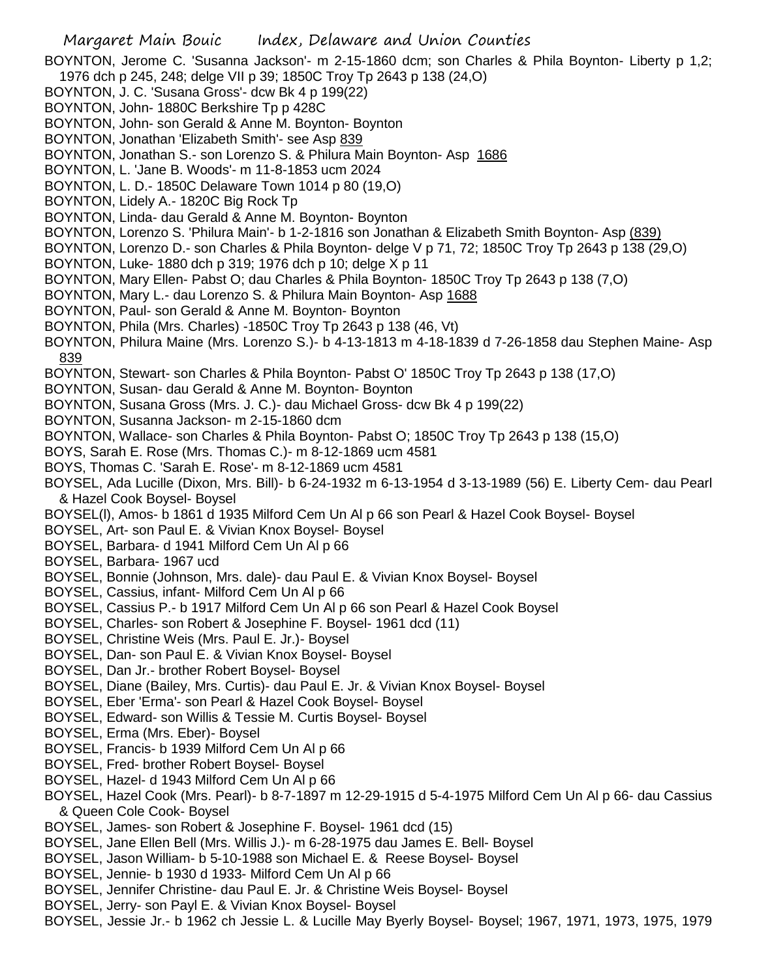BOYNTON, Jerome C. 'Susanna Jackson'- m 2-15-1860 dcm; son Charles & Phila Boynton- Liberty p 1,2; 1976 dch p 245, 248; delge VII p 39; 1850C Troy Tp 2643 p 138 (24,O)

- BOYNTON, J. C. 'Susana Gross'- dcw Bk 4 p 199(22)
- BOYNTON, John- 1880C Berkshire Tp p 428C
- BOYNTON, John- son Gerald & Anne M. Boynton- Boynton
- BOYNTON, Jonathan 'Elizabeth Smith'- see Asp 839
- BOYNTON, Jonathan S.- son Lorenzo S. & Philura Main Boynton- Asp 1686
- BOYNTON, L. 'Jane B. Woods'- m 11-8-1853 ucm 2024
- BOYNTON, L. D.- 1850C Delaware Town 1014 p 80 (19,O)
- BOYNTON, Lidely A.- 1820C Big Rock Tp
- BOYNTON, Linda- dau Gerald & Anne M. Boynton- Boynton
- BOYNTON, Lorenzo S. 'Philura Main'- b 1-2-1816 son Jonathan & Elizabeth Smith Boynton- Asp (839)
- BOYNTON, Lorenzo D.- son Charles & Phila Boynton- delge V p 71, 72; 1850C Troy Tp 2643 p 138 (29,O)
- BOYNTON, Luke- 1880 dch p 319; 1976 dch p 10; delge X p 11
- BOYNTON, Mary Ellen- Pabst O; dau Charles & Phila Boynton- 1850C Troy Tp 2643 p 138 (7,O)
- BOYNTON, Mary L.- dau Lorenzo S. & Philura Main Boynton- Asp 1688
- BOYNTON, Paul- son Gerald & Anne M. Boynton- Boynton
- BOYNTON, Phila (Mrs. Charles) -1850C Troy Tp 2643 p 138 (46, Vt)
- BOYNTON, Philura Maine (Mrs. Lorenzo S.)- b 4-13-1813 m 4-18-1839 d 7-26-1858 dau Stephen Maine- Asp 839
- BOYNTON, Stewart- son Charles & Phila Boynton- Pabst O' 1850C Troy Tp 2643 p 138 (17,O)
- BOYNTON, Susan- dau Gerald & Anne M. Boynton- Boynton
- BOYNTON, Susana Gross (Mrs. J. C.)- dau Michael Gross- dcw Bk 4 p 199(22)
- BOYNTON, Susanna Jackson- m 2-15-1860 dcm
- BOYNTON, Wallace- son Charles & Phila Boynton- Pabst O; 1850C Troy Tp 2643 p 138 (15,O)
- BOYS, Sarah E. Rose (Mrs. Thomas C.)- m 8-12-1869 ucm 4581
- BOYS, Thomas C. 'Sarah E. Rose'- m 8-12-1869 ucm 4581
- BOYSEL, Ada Lucille (Dixon, Mrs. Bill)- b 6-24-1932 m 6-13-1954 d 3-13-1989 (56) E. Liberty Cem- dau Pearl & Hazel Cook Boysel- Boysel
- BOYSEL(l), Amos- b 1861 d 1935 Milford Cem Un Al p 66 son Pearl & Hazel Cook Boysel- Boysel
- BOYSEL, Art- son Paul E. & Vivian Knox Boysel- Boysel
- BOYSEL, Barbara- d 1941 Milford Cem Un Al p 66
- BOYSEL, Barbara- 1967 ucd
- BOYSEL, Bonnie (Johnson, Mrs. dale)- dau Paul E. & Vivian Knox Boysel- Boysel
- BOYSEL, Cassius, infant- Milford Cem Un Al p 66
- BOYSEL, Cassius P.- b 1917 Milford Cem Un Al p 66 son Pearl & Hazel Cook Boysel
- BOYSEL, Charles- son Robert & Josephine F. Boysel- 1961 dcd (11)
- BOYSEL, Christine Weis (Mrs. Paul E. Jr.)- Boysel
- BOYSEL, Dan- son Paul E. & Vivian Knox Boysel- Boysel
- BOYSEL, Dan Jr.- brother Robert Boysel- Boysel
- BOYSEL, Diane (Bailey, Mrs. Curtis)- dau Paul E. Jr. & Vivian Knox Boysel- Boysel
- BOYSEL, Eber 'Erma'- son Pearl & Hazel Cook Boysel- Boysel
- BOYSEL, Edward- son Willis & Tessie M. Curtis Boysel- Boysel
- BOYSEL, Erma (Mrs. Eber)- Boysel
- BOYSEL, Francis- b 1939 Milford Cem Un Al p 66
- BOYSEL, Fred- brother Robert Boysel- Boysel
- BOYSEL, Hazel- d 1943 Milford Cem Un Al p 66
- BOYSEL, Hazel Cook (Mrs. Pearl)- b 8-7-1897 m 12-29-1915 d 5-4-1975 Milford Cem Un Al p 66- dau Cassius & Queen Cole Cook- Boysel
- BOYSEL, James- son Robert & Josephine F. Boysel- 1961 dcd (15)
- BOYSEL, Jane Ellen Bell (Mrs. Willis J.)- m 6-28-1975 dau James E. Bell- Boysel
- BOYSEL, Jason William- b 5-10-1988 son Michael E. & Reese Boysel- Boysel
- BOYSEL, Jennie- b 1930 d 1933- Milford Cem Un Al p 66
- BOYSEL, Jennifer Christine- dau Paul E. Jr. & Christine Weis Boysel- Boysel
- BOYSEL, Jerry- son Payl E. & Vivian Knox Boysel- Boysel
- BOYSEL, Jessie Jr.- b 1962 ch Jessie L. & Lucille May Byerly Boysel- Boysel; 1967, 1971, 1973, 1975, 1979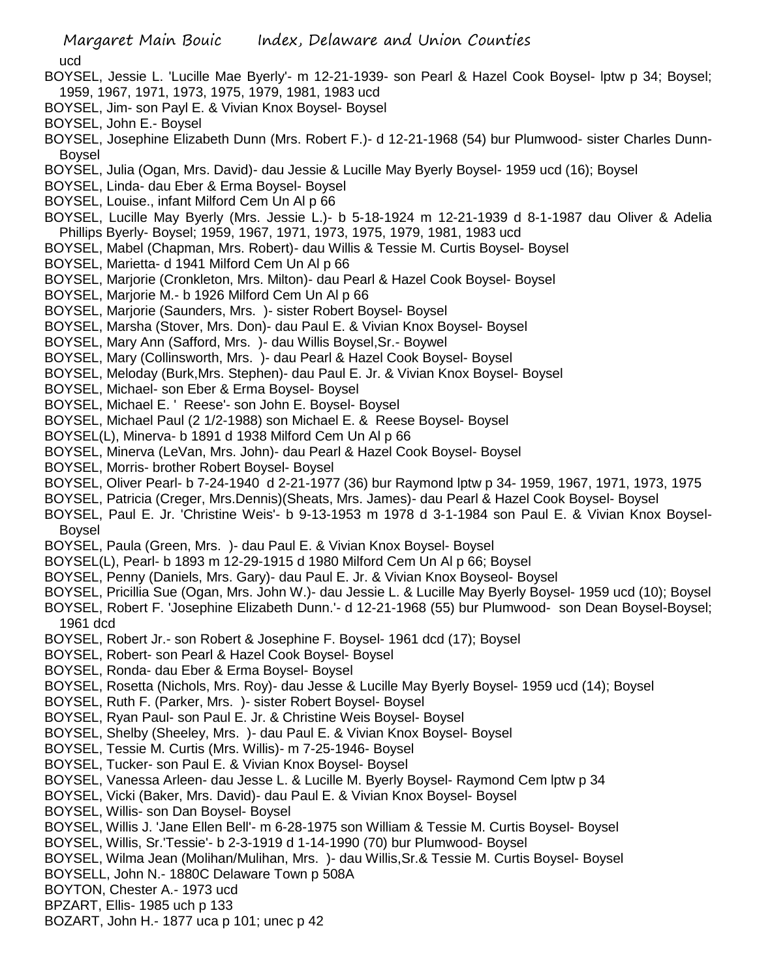Margaret Main Bouic Index, Delaware and Union Counties ucd BOYSEL, Jessie L. 'Lucille Mae Byerly'- m 12-21-1939- son Pearl & Hazel Cook Boysel- lptw p 34; Boysel; 1959, 1967, 1971, 1973, 1975, 1979, 1981, 1983 ucd BOYSEL, Jim- son Payl E. & Vivian Knox Boysel- Boysel BOYSEL, John E.- Boysel BOYSEL, Josephine Elizabeth Dunn (Mrs. Robert F.)- d 12-21-1968 (54) bur Plumwood- sister Charles Dunn-Boysel BOYSEL, Julia (Ogan, Mrs. David)- dau Jessie & Lucille May Byerly Boysel- 1959 ucd (16); Boysel BOYSEL, Linda- dau Eber & Erma Boysel- Boysel BOYSEL, Louise., infant Milford Cem Un Al p 66 BOYSEL, Lucille May Byerly (Mrs. Jessie L.)- b 5-18-1924 m 12-21-1939 d 8-1-1987 dau Oliver & Adelia Phillips Byerly- Boysel; 1959, 1967, 1971, 1973, 1975, 1979, 1981, 1983 ucd BOYSEL, Mabel (Chapman, Mrs. Robert)- dau Willis & Tessie M. Curtis Boysel- Boysel BOYSEL, Marietta- d 1941 Milford Cem Un Al p 66 BOYSEL, Marjorie (Cronkleton, Mrs. Milton)- dau Pearl & Hazel Cook Boysel- Boysel BOYSEL, Marjorie M.- b 1926 Milford Cem Un Al p 66 BOYSEL, Marjorie (Saunders, Mrs. )- sister Robert Boysel- Boysel BOYSEL, Marsha (Stover, Mrs. Don)- dau Paul E. & Vivian Knox Boysel- Boysel BOYSEL, Mary Ann (Safford, Mrs. )- dau Willis Boysel,Sr.- Boywel BOYSEL, Mary (Collinsworth, Mrs. )- dau Pearl & Hazel Cook Boysel- Boysel BOYSEL, Meloday (Burk,Mrs. Stephen)- dau Paul E. Jr. & Vivian Knox Boysel- Boysel BOYSEL, Michael- son Eber & Erma Boysel- Boysel BOYSEL, Michael E. ' Reese'- son John E. Boysel- Boysel BOYSEL, Michael Paul (2 1/2-1988) son Michael E. & Reese Boysel- Boysel BOYSEL(L), Minerva- b 1891 d 1938 Milford Cem Un Al p 66 BOYSEL, Minerva (LeVan, Mrs. John)- dau Pearl & Hazel Cook Boysel- Boysel BOYSEL, Morris- brother Robert Boysel- Boysel BOYSEL, Oliver Pearl- b 7-24-1940 d 2-21-1977 (36) bur Raymond lptw p 34- 1959, 1967, 1971, 1973, 1975 BOYSEL, Patricia (Creger, Mrs.Dennis)(Sheats, Mrs. James)- dau Pearl & Hazel Cook Boysel- Boysel BOYSEL, Paul E. Jr. 'Christine Weis'- b 9-13-1953 m 1978 d 3-1-1984 son Paul E. & Vivian Knox Boysel-Boysel BOYSEL, Paula (Green, Mrs. )- dau Paul E. & Vivian Knox Boysel- Boysel BOYSEL(L), Pearl- b 1893 m 12-29-1915 d 1980 Milford Cem Un Al p 66; Boysel BOYSEL, Penny (Daniels, Mrs. Gary)- dau Paul E. Jr. & Vivian Knox Boyseol- Boysel BOYSEL, Pricillia Sue (Ogan, Mrs. John W.)- dau Jessie L. & Lucille May Byerly Boysel- 1959 ucd (10); Boysel BOYSEL, Robert F. 'Josephine Elizabeth Dunn.'- d 12-21-1968 (55) bur Plumwood- son Dean Boysel-Boysel; 1961 dcd BOYSEL, Robert Jr.- son Robert & Josephine F. Boysel- 1961 dcd (17); Boysel BOYSEL, Robert- son Pearl & Hazel Cook Boysel- Boysel BOYSEL, Ronda- dau Eber & Erma Boysel- Boysel BOYSEL, Rosetta (Nichols, Mrs. Roy)- dau Jesse & Lucille May Byerly Boysel- 1959 ucd (14); Boysel BOYSEL, Ruth F. (Parker, Mrs. )- sister Robert Boysel- Boysel BOYSEL, Ryan Paul- son Paul E. Jr. & Christine Weis Boysel- Boysel BOYSEL, Shelby (Sheeley, Mrs. )- dau Paul E. & Vivian Knox Boysel- Boysel BOYSEL, Tessie M. Curtis (Mrs. Willis)- m 7-25-1946- Boysel BOYSEL, Tucker- son Paul E. & Vivian Knox Boysel- Boysel BOYSEL, Vanessa Arleen- dau Jesse L. & Lucille M. Byerly Boysel- Raymond Cem lptw p 34 BOYSEL, Vicki (Baker, Mrs. David)- dau Paul E. & Vivian Knox Boysel- Boysel BOYSEL, Willis- son Dan Boysel- Boysel BOYSEL, Willis J. 'Jane Ellen Bell'- m 6-28-1975 son William & Tessie M. Curtis Boysel- Boysel BOYSEL, Willis, Sr.'Tessie'- b 2-3-1919 d 1-14-1990 (70) bur Plumwood- Boysel BOYSEL, Wilma Jean (Molihan/Mulihan, Mrs. )- dau Willis,Sr.& Tessie M. Curtis Boysel- Boysel BOYSELL, John N.- 1880C Delaware Town p 508A BOYTON, Chester A.- 1973 ucd BPZART, Ellis- 1985 uch p 133 BOZART, John H.- 1877 uca p 101; unec p 42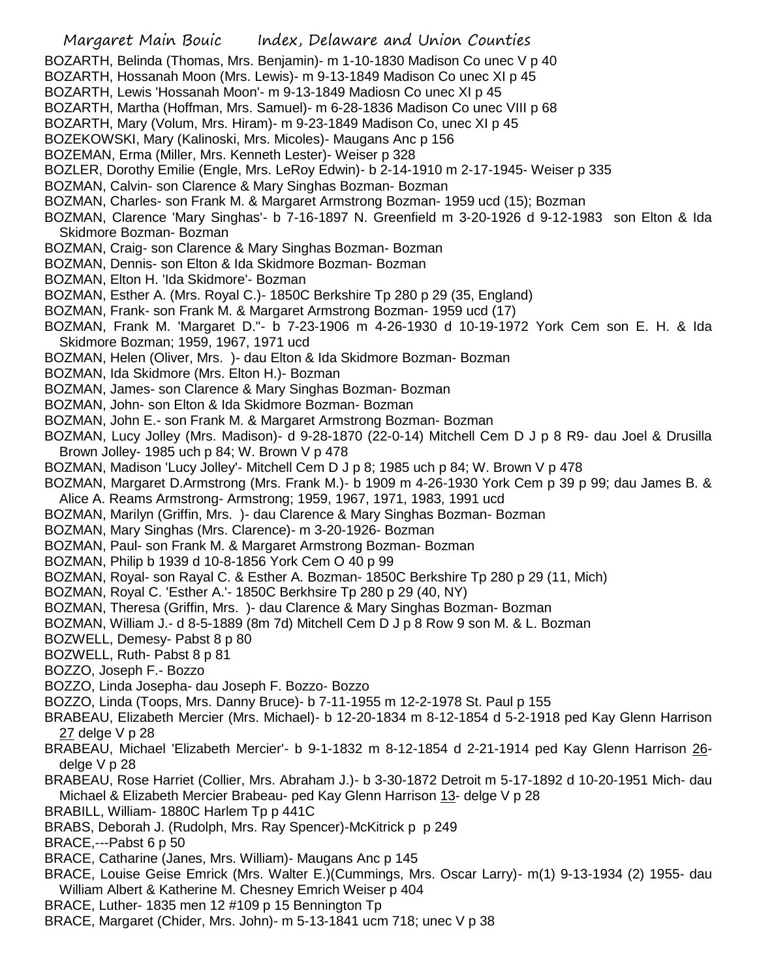- Margaret Main Bouic Index, Delaware and Union Counties BOZARTH, Belinda (Thomas, Mrs. Benjamin)- m 1-10-1830 Madison Co unec V p 40 BOZARTH, Hossanah Moon (Mrs. Lewis)- m 9-13-1849 Madison Co unec XI p 45 BOZARTH, Lewis 'Hossanah Moon'- m 9-13-1849 Madiosn Co unec XI p 45 BOZARTH, Martha (Hoffman, Mrs. Samuel)- m 6-28-1836 Madison Co unec VIII p 68 BOZARTH, Mary (Volum, Mrs. Hiram)- m 9-23-1849 Madison Co, unec XI p 45 BOZEKOWSKI, Mary (Kalinoski, Mrs. Micoles)- Maugans Anc p 156 BOZEMAN, Erma (Miller, Mrs. Kenneth Lester)- Weiser p 328 BOZLER, Dorothy Emilie (Engle, Mrs. LeRoy Edwin)- b 2-14-1910 m 2-17-1945- Weiser p 335 BOZMAN, Calvin- son Clarence & Mary Singhas Bozman- Bozman BOZMAN, Charles- son Frank M. & Margaret Armstrong Bozman- 1959 ucd (15); Bozman BOZMAN, Clarence 'Mary Singhas'- b 7-16-1897 N. Greenfield m 3-20-1926 d 9-12-1983 son Elton & Ida Skidmore Bozman- Bozman BOZMAN, Craig- son Clarence & Mary Singhas Bozman- Bozman BOZMAN, Dennis- son Elton & Ida Skidmore Bozman- Bozman BOZMAN, Elton H. 'Ida Skidmore'- Bozman BOZMAN, Esther A. (Mrs. Royal C.)- 1850C Berkshire Tp 280 p 29 (35, England) BOZMAN, Frank- son Frank M. & Margaret Armstrong Bozman- 1959 ucd (17) BOZMAN, Frank M. 'Margaret D."- b 7-23-1906 m 4-26-1930 d 10-19-1972 York Cem son E. H. & Ida Skidmore Bozman; 1959, 1967, 1971 ucd BOZMAN, Helen (Oliver, Mrs. )- dau Elton & Ida Skidmore Bozman- Bozman BOZMAN, Ida Skidmore (Mrs. Elton H.)- Bozman BOZMAN, James- son Clarence & Mary Singhas Bozman- Bozman BOZMAN, John- son Elton & Ida Skidmore Bozman- Bozman BOZMAN, John E.- son Frank M. & Margaret Armstrong Bozman- Bozman BOZMAN, Lucy Jolley (Mrs. Madison)- d 9-28-1870 (22-0-14) Mitchell Cem D J p 8 R9- dau Joel & Drusilla Brown Jolley- 1985 uch p 84; W. Brown V p 478 BOZMAN, Madison 'Lucy Jolley'- Mitchell Cem D J p 8; 1985 uch p 84; W. Brown V p 478 BOZMAN, Margaret D.Armstrong (Mrs. Frank M.)- b 1909 m 4-26-1930 York Cem p 39 p 99; dau James B. & Alice A. Reams Armstrong- Armstrong; 1959, 1967, 1971, 1983, 1991 ucd BOZMAN, Marilyn (Griffin, Mrs. )- dau Clarence & Mary Singhas Bozman- Bozman BOZMAN, Mary Singhas (Mrs. Clarence)- m 3-20-1926- Bozman BOZMAN, Paul- son Frank M. & Margaret Armstrong Bozman- Bozman BOZMAN, Philip b 1939 d 10-8-1856 York Cem O 40 p 99 BOZMAN, Royal- son Rayal C. & Esther A. Bozman- 1850C Berkshire Tp 280 p 29 (11, Mich) BOZMAN, Royal C. 'Esther A.'- 1850C Berkhsire Tp 280 p 29 (40, NY) BOZMAN, Theresa (Griffin, Mrs. )- dau Clarence & Mary Singhas Bozman- Bozman BOZMAN, William J.- d 8-5-1889 (8m 7d) Mitchell Cem D J p 8 Row 9 son M. & L. Bozman BOZWELL, Demesy- Pabst 8 p 80 BOZWELL, Ruth- Pabst 8 p 81 BOZZO, Joseph F.- Bozzo BOZZO, Linda Josepha- dau Joseph F. Bozzo- Bozzo BOZZO, Linda (Toops, Mrs. Danny Bruce)- b 7-11-1955 m 12-2-1978 St. Paul p 155 BRABEAU, Elizabeth Mercier (Mrs. Michael)- b 12-20-1834 m 8-12-1854 d 5-2-1918 ped Kay Glenn Harrison 27 delge V p 28 BRABEAU, Michael 'Elizabeth Mercier'- b 9-1-1832 m 8-12-1854 d 2-21-1914 ped Kay Glenn Harrison 26 delge V p 28 BRABEAU, Rose Harriet (Collier, Mrs. Abraham J.)- b 3-30-1872 Detroit m 5-17-1892 d 10-20-1951 Mich- dau Michael & Elizabeth Mercier Brabeau- ped Kay Glenn Harrison 13- delge V p 28 BRABILL, William- 1880C Harlem Tp p 441C BRABS, Deborah J. (Rudolph, Mrs. Ray Spencer)-McKitrick p p 249 BRACE,---Pabst 6 p 50 BRACE, Catharine (Janes, Mrs. William)- Maugans Anc p 145
- BRACE, Louise Geise Emrick (Mrs. Walter E.)(Cummings, Mrs. Oscar Larry)- m(1) 9-13-1934 (2) 1955- dau William Albert & Katherine M. Chesney Emrich Weiser p 404
- BRACE, Luther- 1835 men 12 #109 p 15 Bennington Tp
- BRACE, Margaret (Chider, Mrs. John)- m 5-13-1841 ucm 718; unec V p 38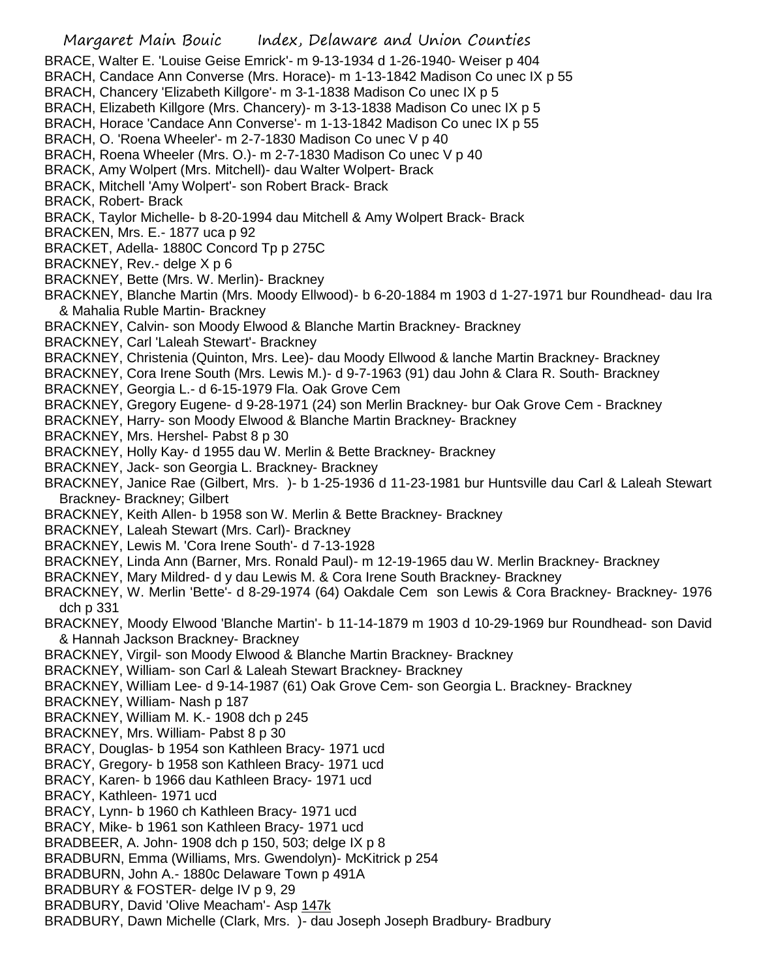Margaret Main Bouic Index, Delaware and Union Counties BRACE, Walter E. 'Louise Geise Emrick'- m 9-13-1934 d 1-26-1940- Weiser p 404 BRACH, Candace Ann Converse (Mrs. Horace)- m 1-13-1842 Madison Co unec IX p 55 BRACH, Chancery 'Elizabeth Killgore'- m 3-1-1838 Madison Co unec IX p 5 BRACH, Elizabeth Killgore (Mrs. Chancery)- m 3-13-1838 Madison Co unec IX p 5 BRACH, Horace 'Candace Ann Converse'- m 1-13-1842 Madison Co unec IX p 55 BRACH, O. 'Roena Wheeler'- m 2-7-1830 Madison Co unec V p 40 BRACH, Roena Wheeler (Mrs. O.)- m 2-7-1830 Madison Co unec V p 40 BRACK, Amy Wolpert (Mrs. Mitchell)- dau Walter Wolpert- Brack BRACK, Mitchell 'Amy Wolpert'- son Robert Brack- Brack BRACK, Robert- Brack BRACK, Taylor Michelle- b 8-20-1994 dau Mitchell & Amy Wolpert Brack- Brack BRACKEN, Mrs. E.- 1877 uca p 92 BRACKET, Adella- 1880C Concord Tp p 275C BRACKNEY, Rev.- delge X p 6 BRACKNEY, Bette (Mrs. W. Merlin)- Brackney BRACKNEY, Blanche Martin (Mrs. Moody Ellwood)- b 6-20-1884 m 1903 d 1-27-1971 bur Roundhead- dau Ira & Mahalia Ruble Martin- Brackney BRACKNEY, Calvin- son Moody Elwood & Blanche Martin Brackney- Brackney BRACKNEY, Carl 'Laleah Stewart'- Brackney BRACKNEY, Christenia (Quinton, Mrs. Lee)- dau Moody Ellwood & lanche Martin Brackney- Brackney BRACKNEY, Cora Irene South (Mrs. Lewis M.)- d 9-7-1963 (91) dau John & Clara R. South- Brackney BRACKNEY, Georgia L.- d 6-15-1979 Fla. Oak Grove Cem BRACKNEY, Gregory Eugene- d 9-28-1971 (24) son Merlin Brackney- bur Oak Grove Cem - Brackney BRACKNEY, Harry- son Moody Elwood & Blanche Martin Brackney- Brackney BRACKNEY, Mrs. Hershel- Pabst 8 p 30 BRACKNEY, Holly Kay- d 1955 dau W. Merlin & Bette Brackney- Brackney BRACKNEY, Jack- son Georgia L. Brackney- Brackney BRACKNEY, Janice Rae (Gilbert, Mrs. )- b 1-25-1936 d 11-23-1981 bur Huntsville dau Carl & Laleah Stewart Brackney- Brackney; Gilbert BRACKNEY, Keith Allen- b 1958 son W. Merlin & Bette Brackney- Brackney BRACKNEY, Laleah Stewart (Mrs. Carl)- Brackney BRACKNEY, Lewis M. 'Cora Irene South'- d 7-13-1928 BRACKNEY, Linda Ann (Barner, Mrs. Ronald Paul)- m 12-19-1965 dau W. Merlin Brackney- Brackney BRACKNEY, Mary Mildred- d y dau Lewis M. & Cora Irene South Brackney- Brackney BRACKNEY, W. Merlin 'Bette'- d 8-29-1974 (64) Oakdale Cem son Lewis & Cora Brackney- Brackney- 1976 dch p 331 BRACKNEY, Moody Elwood 'Blanche Martin'- b 11-14-1879 m 1903 d 10-29-1969 bur Roundhead- son David & Hannah Jackson Brackney- Brackney BRACKNEY, Virgil- son Moody Elwood & Blanche Martin Brackney- Brackney BRACKNEY, William- son Carl & Laleah Stewart Brackney- Brackney BRACKNEY, William Lee- d 9-14-1987 (61) Oak Grove Cem- son Georgia L. Brackney- Brackney BRACKNEY, William- Nash p 187 BRACKNEY, William M. K.- 1908 dch p 245 BRACKNEY, Mrs. William- Pabst 8 p 30 BRACY, Douglas- b 1954 son Kathleen Bracy- 1971 ucd BRACY, Gregory- b 1958 son Kathleen Bracy- 1971 ucd BRACY, Karen- b 1966 dau Kathleen Bracy- 1971 ucd BRACY, Kathleen- 1971 ucd BRACY, Lynn- b 1960 ch Kathleen Bracy- 1971 ucd BRACY, Mike- b 1961 son Kathleen Bracy- 1971 ucd BRADBEER, A. John- 1908 dch p 150, 503; delge IX p 8 BRADBURN, Emma (Williams, Mrs. Gwendolyn)- McKitrick p 254 BRADBURN, John A.- 1880c Delaware Town p 491A BRADBURY & FOSTER- delge IV p 9, 29 BRADBURY, David 'Olive Meacham'- Asp 147k BRADBURY, Dawn Michelle (Clark, Mrs. )- dau Joseph Joseph Bradbury- Bradbury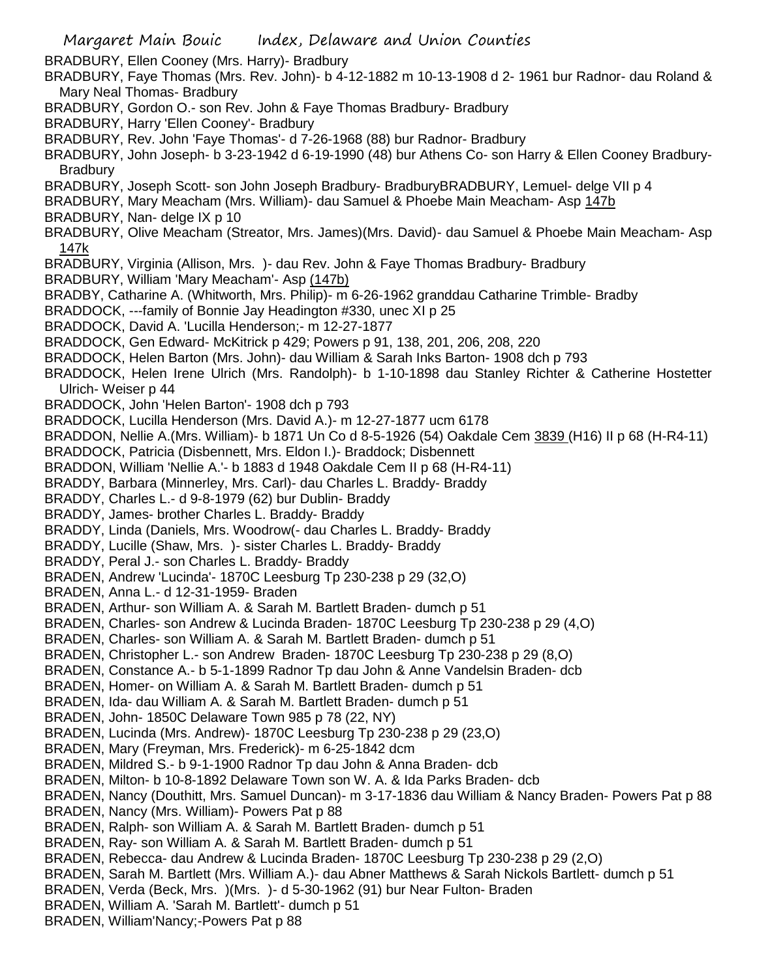Margaret Main Bouic Index, Delaware and Union Counties BRADBURY, Ellen Cooney (Mrs. Harry)- Bradbury BRADBURY, Faye Thomas (Mrs. Rev. John)- b 4-12-1882 m 10-13-1908 d 2- 1961 bur Radnor- dau Roland & Mary Neal Thomas- Bradbury BRADBURY, Gordon O.- son Rev. John & Faye Thomas Bradbury- Bradbury BRADBURY, Harry 'Ellen Cooney'- Bradbury BRADBURY, Rev. John 'Faye Thomas'- d 7-26-1968 (88) bur Radnor- Bradbury BRADBURY, John Joseph- b 3-23-1942 d 6-19-1990 (48) bur Athens Co- son Harry & Ellen Cooney Bradbury-**Bradbury** BRADBURY, Joseph Scott- son John Joseph Bradbury- BradburyBRADBURY, Lemuel- delge VII p 4 BRADBURY, Mary Meacham (Mrs. William)- dau Samuel & Phoebe Main Meacham- Asp 147b BRADBURY, Nan- delge IX p 10 BRADBURY, Olive Meacham (Streator, Mrs. James)(Mrs. David)- dau Samuel & Phoebe Main Meacham- Asp 147k BRADBURY, Virginia (Allison, Mrs. )- dau Rev. John & Faye Thomas Bradbury- Bradbury BRADBURY, William 'Mary Meacham'- Asp (147b) BRADBY, Catharine A. (Whitworth, Mrs. Philip)- m 6-26-1962 granddau Catharine Trimble- Bradby BRADDOCK, ---family of Bonnie Jay Headington #330, unec XI p 25 BRADDOCK, David A. 'Lucilla Henderson;- m 12-27-1877 BRADDOCK, Gen Edward- McKitrick p 429; Powers p 91, 138, 201, 206, 208, 220 BRADDOCK, Helen Barton (Mrs. John)- dau William & Sarah Inks Barton- 1908 dch p 793 BRADDOCK, Helen Irene Ulrich (Mrs. Randolph)- b 1-10-1898 dau Stanley Richter & Catherine Hostetter Ulrich- Weiser p 44 BRADDOCK, John 'Helen Barton'- 1908 dch p 793 BRADDOCK, Lucilla Henderson (Mrs. David A.)- m 12-27-1877 ucm 6178 BRADDON, Nellie A.(Mrs. William)- b 1871 Un Co d 8-5-1926 (54) Oakdale Cem 3839 (H16) II p 68 (H-R4-11) BRADDOCK, Patricia (Disbennett, Mrs. Eldon I.)- Braddock; Disbennett BRADDON, William 'Nellie A.'- b 1883 d 1948 Oakdale Cem II p 68 (H-R4-11) BRADDY, Barbara (Minnerley, Mrs. Carl)- dau Charles L. Braddy- Braddy BRADDY, Charles L.- d 9-8-1979 (62) bur Dublin- Braddy BRADDY, James- brother Charles L. Braddy- Braddy BRADDY, Linda (Daniels, Mrs. Woodrow(- dau Charles L. Braddy- Braddy BRADDY, Lucille (Shaw, Mrs. )- sister Charles L. Braddy- Braddy BRADDY, Peral J.- son Charles L. Braddy- Braddy BRADEN, Andrew 'Lucinda'- 1870C Leesburg Tp 230-238 p 29 (32,O) BRADEN, Anna L.- d 12-31-1959- Braden BRADEN, Arthur- son William A. & Sarah M. Bartlett Braden- dumch p 51 BRADEN, Charles- son Andrew & Lucinda Braden- 1870C Leesburg Tp 230-238 p 29 (4,O) BRADEN, Charles- son William A. & Sarah M. Bartlett Braden- dumch p 51 BRADEN, Christopher L.- son Andrew Braden- 1870C Leesburg Tp 230-238 p 29 (8,O) BRADEN, Constance A.- b 5-1-1899 Radnor Tp dau John & Anne Vandelsin Braden- dcb BRADEN, Homer- on William A. & Sarah M. Bartlett Braden- dumch p 51 BRADEN, Ida- dau William A. & Sarah M. Bartlett Braden- dumch p 51 BRADEN, John- 1850C Delaware Town 985 p 78 (22, NY) BRADEN, Lucinda (Mrs. Andrew)- 1870C Leesburg Tp 230-238 p 29 (23,O) BRADEN, Mary (Freyman, Mrs. Frederick)- m 6-25-1842 dcm BRADEN, Mildred S.- b 9-1-1900 Radnor Tp dau John & Anna Braden- dcb BRADEN, Milton- b 10-8-1892 Delaware Town son W. A. & Ida Parks Braden- dcb BRADEN, Nancy (Douthitt, Mrs. Samuel Duncan)- m 3-17-1836 dau William & Nancy Braden- Powers Pat p 88 BRADEN, Nancy (Mrs. William)- Powers Pat p 88 BRADEN, Ralph- son William A. & Sarah M. Bartlett Braden- dumch p 51 BRADEN, Ray- son William A. & Sarah M. Bartlett Braden- dumch p 51 BRADEN, Rebecca- dau Andrew & Lucinda Braden- 1870C Leesburg Tp 230-238 p 29 (2,O) BRADEN, Sarah M. Bartlett (Mrs. William A.)- dau Abner Matthews & Sarah Nickols Bartlett- dumch p 51 BRADEN, Verda (Beck, Mrs. )(Mrs. )- d 5-30-1962 (91) bur Near Fulton- Braden BRADEN, William A. 'Sarah M. Bartlett'- dumch p 51 BRADEN, William'Nancy;-Powers Pat p 88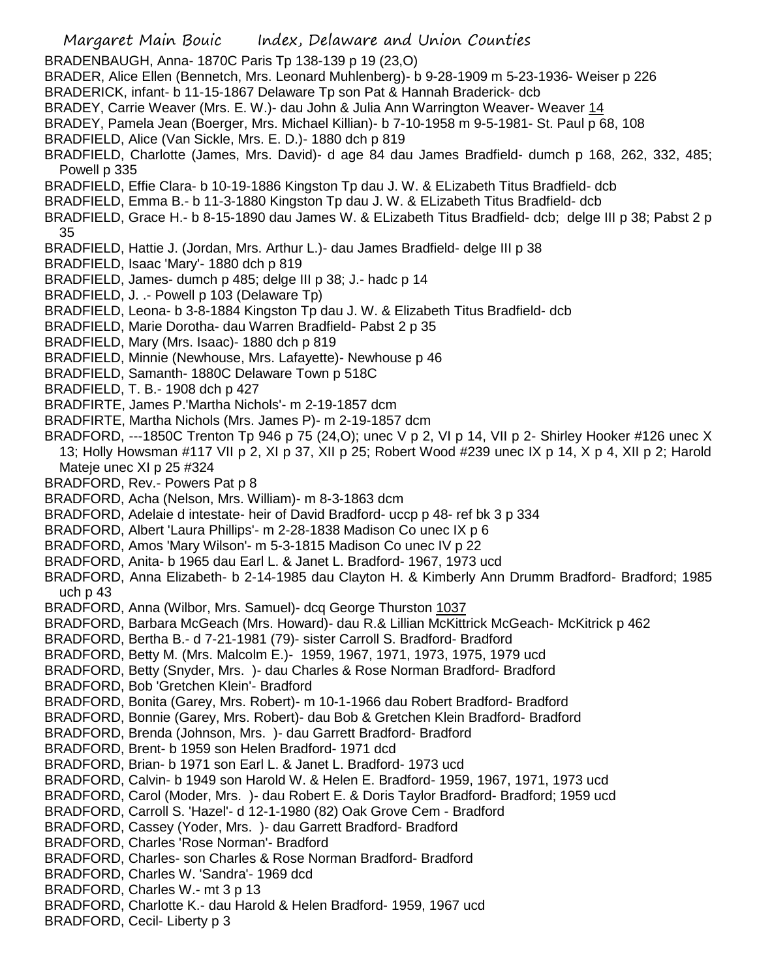Margaret Main Bouic Index, Delaware and Union Counties BRADENBAUGH, Anna- 1870C Paris Tp 138-139 p 19 (23,O) BRADER, Alice Ellen (Bennetch, Mrs. Leonard Muhlenberg)- b 9-28-1909 m 5-23-1936- Weiser p 226 BRADERICK, infant- b 11-15-1867 Delaware Tp son Pat & Hannah Braderick- dcb BRADEY, Carrie Weaver (Mrs. E. W.)- dau John & Julia Ann Warrington Weaver- Weaver 14 BRADEY, Pamela Jean (Boerger, Mrs. Michael Killian)- b 7-10-1958 m 9-5-1981- St. Paul p 68, 108 BRADFIELD, Alice (Van Sickle, Mrs. E. D.)- 1880 dch p 819 BRADFIELD, Charlotte (James, Mrs. David)- d age 84 dau James Bradfield- dumch p 168, 262, 332, 485; Powell p 335 BRADFIELD, Effie Clara- b 10-19-1886 Kingston Tp dau J. W. & ELizabeth Titus Bradfield- dcb BRADFIELD, Emma B.- b 11-3-1880 Kingston Tp dau J. W. & ELizabeth Titus Bradfield- dcb BRADFIELD, Grace H.- b 8-15-1890 dau James W. & ELizabeth Titus Bradfield- dcb; delge III p 38; Pabst 2 p 35 BRADFIELD, Hattie J. (Jordan, Mrs. Arthur L.)- dau James Bradfield- delge III p 38 BRADFIELD, Isaac 'Mary'- 1880 dch p 819 BRADFIELD, James- dumch p 485; delge III p 38; J.- hadc p 14 BRADFIELD, J. .- Powell p 103 (Delaware Tp) BRADFIELD, Leona- b 3-8-1884 Kingston Tp dau J. W. & Elizabeth Titus Bradfield- dcb BRADFIELD, Marie Dorotha- dau Warren Bradfield- Pabst 2 p 35 BRADFIELD, Mary (Mrs. Isaac)- 1880 dch p 819 BRADFIELD, Minnie (Newhouse, Mrs. Lafayette)- Newhouse p 46 BRADFIELD, Samanth- 1880C Delaware Town p 518C BRADFIELD, T. B.- 1908 dch p 427 BRADFIRTE, James P.'Martha Nichols'- m 2-19-1857 dcm BRADFIRTE, Martha Nichols (Mrs. James P)- m 2-19-1857 dcm BRADFORD, ---1850C Trenton Tp 946 p 75 (24, O); unec V p 2, VI p 14, VII p 2- Shirley Hooker #126 unec X 13; Holly Howsman #117 VII p 2, XI p 37, XII p 25; Robert Wood #239 unec IX p 14, X p 4, XII p 2; Harold Mateje unec XI p 25 #324 BRADFORD, Rev.- Powers Pat p 8 BRADFORD, Acha (Nelson, Mrs. William)- m 8-3-1863 dcm BRADFORD, Adelaie d intestate- heir of David Bradford- uccp p 48- ref bk 3 p 334 BRADFORD, Albert 'Laura Phillips'- m 2-28-1838 Madison Co unec IX p 6 BRADFORD, Amos 'Mary Wilson'- m 5-3-1815 Madison Co unec IV p 22 BRADFORD, Anita- b 1965 dau Earl L. & Janet L. Bradford- 1967, 1973 ucd BRADFORD, Anna Elizabeth- b 2-14-1985 dau Clayton H. & Kimberly Ann Drumm Bradford- Bradford; 1985 uch p 43 BRADFORD, Anna (Wilbor, Mrs. Samuel)- dcq George Thurston 1037 BRADFORD, Barbara McGeach (Mrs. Howard)- dau R.& Lillian McKittrick McGeach- McKitrick p 462 BRADFORD, Bertha B.- d 7-21-1981 (79)- sister Carroll S. Bradford- Bradford BRADFORD, Betty M. (Mrs. Malcolm E.)- 1959, 1967, 1971, 1973, 1975, 1979 ucd BRADFORD, Betty (Snyder, Mrs. )- dau Charles & Rose Norman Bradford- Bradford BRADFORD, Bob 'Gretchen Klein'- Bradford BRADFORD, Bonita (Garey, Mrs. Robert)- m 10-1-1966 dau Robert Bradford- Bradford BRADFORD, Bonnie (Garey, Mrs. Robert)- dau Bob & Gretchen Klein Bradford- Bradford BRADFORD, Brenda (Johnson, Mrs. )- dau Garrett Bradford- Bradford BRADFORD, Brent- b 1959 son Helen Bradford- 1971 dcd BRADFORD, Brian- b 1971 son Earl L. & Janet L. Bradford- 1973 ucd BRADFORD, Calvin- b 1949 son Harold W. & Helen E. Bradford- 1959, 1967, 1971, 1973 ucd BRADFORD, Carol (Moder, Mrs. )- dau Robert E. & Doris Taylor Bradford- Bradford; 1959 ucd BRADFORD, Carroll S. 'Hazel'- d 12-1-1980 (82) Oak Grove Cem - Bradford BRADFORD, Cassey (Yoder, Mrs. )- dau Garrett Bradford- Bradford BRADFORD, Charles 'Rose Norman'- Bradford BRADFORD, Charles- son Charles & Rose Norman Bradford- Bradford BRADFORD, Charles W. 'Sandra'- 1969 dcd BRADFORD, Charles W.- mt 3 p 13 BRADFORD, Charlotte K.- dau Harold & Helen Bradford- 1959, 1967 ucd BRADFORD, Cecil- Liberty p 3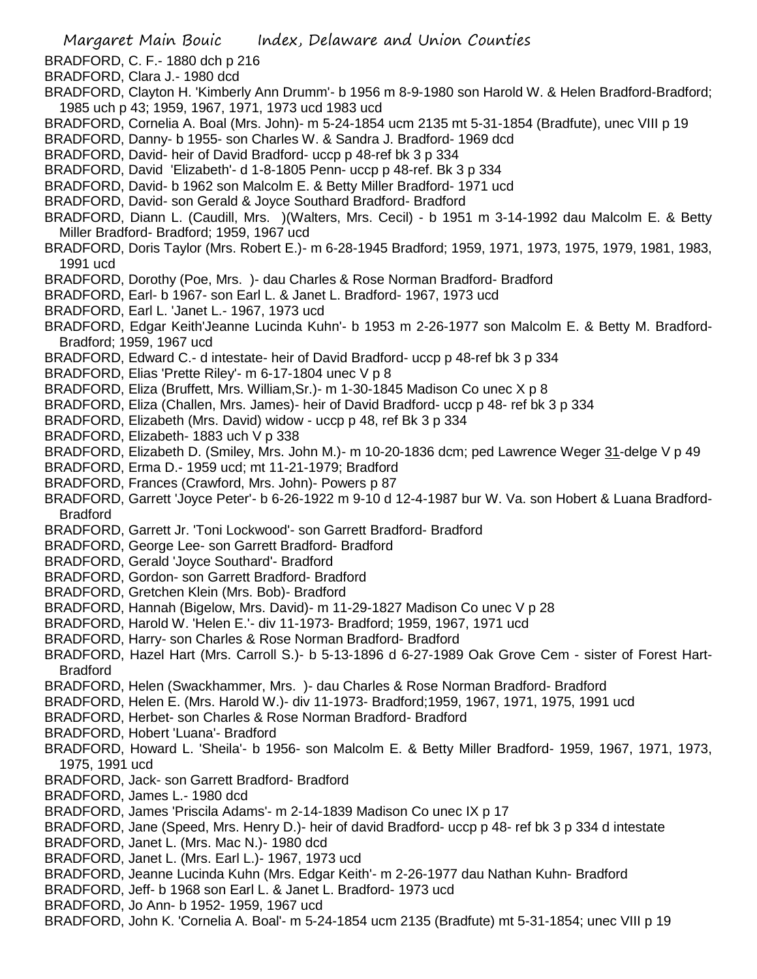Margaret Main Bouic Index, Delaware and Union Counties BRADFORD, C. F.- 1880 dch p 216 BRADFORD, Clara J.- 1980 dcd BRADFORD, Clayton H. 'Kimberly Ann Drumm'- b 1956 m 8-9-1980 son Harold W. & Helen Bradford-Bradford; 1985 uch p 43; 1959, 1967, 1971, 1973 ucd 1983 ucd BRADFORD, Cornelia A. Boal (Mrs. John)- m 5-24-1854 ucm 2135 mt 5-31-1854 (Bradfute), unec VIII p 19 BRADFORD, Danny- b 1955- son Charles W. & Sandra J. Bradford- 1969 dcd BRADFORD, David- heir of David Bradford- uccp p 48-ref bk 3 p 334 BRADFORD, David 'Elizabeth'- d 1-8-1805 Penn- uccp p 48-ref. Bk 3 p 334 BRADFORD, David- b 1962 son Malcolm E. & Betty Miller Bradford- 1971 ucd BRADFORD, David- son Gerald & Joyce Southard Bradford- Bradford BRADFORD, Diann L. (Caudill, Mrs. )(Walters, Mrs. Cecil) - b 1951 m 3-14-1992 dau Malcolm E. & Betty Miller Bradford- Bradford; 1959, 1967 ucd BRADFORD, Doris Taylor (Mrs. Robert E.)- m 6-28-1945 Bradford; 1959, 1971, 1973, 1975, 1979, 1981, 1983, 1991 ucd BRADFORD, Dorothy (Poe, Mrs. )- dau Charles & Rose Norman Bradford- Bradford BRADFORD, Earl- b 1967- son Earl L. & Janet L. Bradford- 1967, 1973 ucd BRADFORD, Earl L. 'Janet L.- 1967, 1973 ucd BRADFORD, Edgar Keith'Jeanne Lucinda Kuhn'- b 1953 m 2-26-1977 son Malcolm E. & Betty M. Bradford-Bradford; 1959, 1967 ucd BRADFORD, Edward C.- d intestate- heir of David Bradford- uccp p 48-ref bk 3 p 334 BRADFORD, Elias 'Prette Riley'- m 6-17-1804 unec V p 8 BRADFORD, Eliza (Bruffett, Mrs. William,Sr.)- m 1-30-1845 Madison Co unec X p 8 BRADFORD, Eliza (Challen, Mrs. James)- heir of David Bradford- uccp p 48- ref bk 3 p 334 BRADFORD, Elizabeth (Mrs. David) widow - uccp p 48, ref Bk 3 p 334 BRADFORD, Elizabeth- 1883 uch V p 338 BRADFORD, Elizabeth D. (Smiley, Mrs. John M.)- m 10-20-1836 dcm; ped Lawrence Weger 31-delge V p 49 BRADFORD, Erma D.- 1959 ucd; mt 11-21-1979; Bradford BRADFORD, Frances (Crawford, Mrs. John)- Powers p 87 BRADFORD, Garrett 'Joyce Peter'- b 6-26-1922 m 9-10 d 12-4-1987 bur W. Va. son Hobert & Luana Bradford-Bradford BRADFORD, Garrett Jr. 'Toni Lockwood'- son Garrett Bradford- Bradford BRADFORD, George Lee- son Garrett Bradford- Bradford BRADFORD, Gerald 'Joyce Southard'- Bradford BRADFORD, Gordon- son Garrett Bradford- Bradford BRADFORD, Gretchen Klein (Mrs. Bob)- Bradford BRADFORD, Hannah (Bigelow, Mrs. David)- m 11-29-1827 Madison Co unec V p 28 BRADFORD, Harold W. 'Helen E.'- div 11-1973- Bradford; 1959, 1967, 1971 ucd BRADFORD, Harry- son Charles & Rose Norman Bradford- Bradford BRADFORD, Hazel Hart (Mrs. Carroll S.)- b 5-13-1896 d 6-27-1989 Oak Grove Cem - sister of Forest Hart-Bradford BRADFORD, Helen (Swackhammer, Mrs. )- dau Charles & Rose Norman Bradford- Bradford BRADFORD, Helen E. (Mrs. Harold W.)- div 11-1973- Bradford;1959, 1967, 1971, 1975, 1991 ucd BRADFORD, Herbet- son Charles & Rose Norman Bradford- Bradford BRADFORD, Hobert 'Luana'- Bradford BRADFORD, Howard L. 'Sheila'- b 1956- son Malcolm E. & Betty Miller Bradford- 1959, 1967, 1971, 1973, 1975, 1991 ucd BRADFORD, Jack- son Garrett Bradford- Bradford BRADFORD, James L.- 1980 dcd BRADFORD, James 'Priscila Adams'- m 2-14-1839 Madison Co unec IX p 17 BRADFORD, Jane (Speed, Mrs. Henry D.)- heir of david Bradford- uccp p 48- ref bk 3 p 334 d intestate BRADFORD, Janet L. (Mrs. Mac N.)- 1980 dcd BRADFORD, Janet L. (Mrs. Earl L.)- 1967, 1973 ucd BRADFORD, Jeanne Lucinda Kuhn (Mrs. Edgar Keith'- m 2-26-1977 dau Nathan Kuhn- Bradford BRADFORD, Jeff- b 1968 son Earl L. & Janet L. Bradford- 1973 ucd BRADFORD, Jo Ann- b 1952- 1959, 1967 ucd BRADFORD, John K. 'Cornelia A. Boal'- m 5-24-1854 ucm 2135 (Bradfute) mt 5-31-1854; unec VIII p 19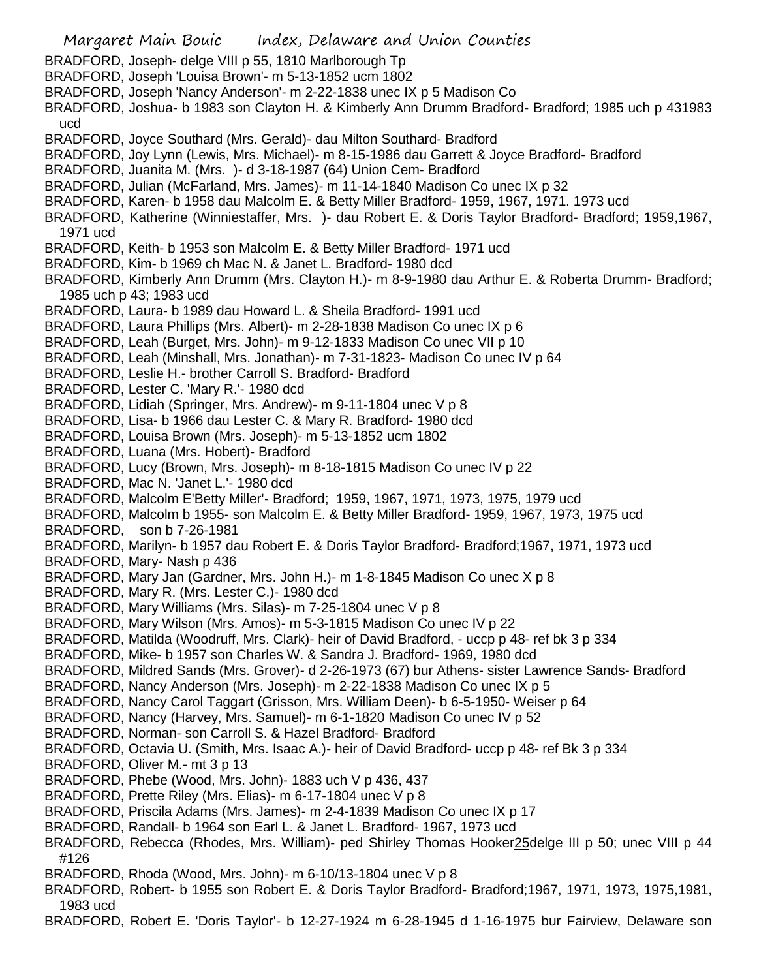Margaret Main Bouic Index, Delaware and Union Counties BRADFORD, Joseph- delge VIII p 55, 1810 Marlborough Tp BRADFORD, Joseph 'Louisa Brown'- m 5-13-1852 ucm 1802 BRADFORD, Joseph 'Nancy Anderson'- m 2-22-1838 unec IX p 5 Madison Co BRADFORD, Joshua- b 1983 son Clayton H. & Kimberly Ann Drumm Bradford- Bradford; 1985 uch p 431983 ucd BRADFORD, Joyce Southard (Mrs. Gerald)- dau Milton Southard- Bradford BRADFORD, Joy Lynn (Lewis, Mrs. Michael)- m 8-15-1986 dau Garrett & Joyce Bradford- Bradford BRADFORD, Juanita M. (Mrs. )- d 3-18-1987 (64) Union Cem- Bradford BRADFORD, Julian (McFarland, Mrs. James)- m 11-14-1840 Madison Co unec IX p 32 BRADFORD, Karen- b 1958 dau Malcolm E. & Betty Miller Bradford- 1959, 1967, 1971. 1973 ucd BRADFORD, Katherine (Winniestaffer, Mrs. )- dau Robert E. & Doris Taylor Bradford- Bradford; 1959,1967, 1971 ucd BRADFORD, Keith- b 1953 son Malcolm E. & Betty Miller Bradford- 1971 ucd BRADFORD, Kim- b 1969 ch Mac N. & Janet L. Bradford- 1980 dcd BRADFORD, Kimberly Ann Drumm (Mrs. Clayton H.)- m 8-9-1980 dau Arthur E. & Roberta Drumm- Bradford; 1985 uch p 43; 1983 ucd BRADFORD, Laura- b 1989 dau Howard L. & Sheila Bradford- 1991 ucd BRADFORD, Laura Phillips (Mrs. Albert)- m 2-28-1838 Madison Co unec IX p 6 BRADFORD, Leah (Burget, Mrs. John)- m 9-12-1833 Madison Co unec VII p 10 BRADFORD, Leah (Minshall, Mrs. Jonathan)- m 7-31-1823- Madison Co unec IV p 64 BRADFORD, Leslie H.- brother Carroll S. Bradford- Bradford BRADFORD, Lester C. 'Mary R.'- 1980 dcd BRADFORD, Lidiah (Springer, Mrs. Andrew)- m 9-11-1804 unec V p 8 BRADFORD, Lisa- b 1966 dau Lester C. & Mary R. Bradford- 1980 dcd BRADFORD, Louisa Brown (Mrs. Joseph)- m 5-13-1852 ucm 1802 BRADFORD, Luana (Mrs. Hobert)- Bradford BRADFORD, Lucy (Brown, Mrs. Joseph)- m 8-18-1815 Madison Co unec IV p 22 BRADFORD, Mac N. 'Janet L.'- 1980 dcd BRADFORD, Malcolm E'Betty Miller'- Bradford; 1959, 1967, 1971, 1973, 1975, 1979 ucd BRADFORD, Malcolm b 1955- son Malcolm E. & Betty Miller Bradford- 1959, 1967, 1973, 1975 ucd BRADFORD, son b 7-26-1981 BRADFORD, Marilyn- b 1957 dau Robert E. & Doris Taylor Bradford- Bradford;1967, 1971, 1973 ucd BRADFORD, Mary- Nash p 436 BRADFORD, Mary Jan (Gardner, Mrs. John H.)- m 1-8-1845 Madison Co unec X p 8 BRADFORD, Mary R. (Mrs. Lester C.)- 1980 dcd BRADFORD, Mary Williams (Mrs. Silas)- m 7-25-1804 unec V p 8 BRADFORD, Mary Wilson (Mrs. Amos)- m 5-3-1815 Madison Co unec IV p 22 BRADFORD, Matilda (Woodruff, Mrs. Clark)- heir of David Bradford, - uccp p 48- ref bk 3 p 334 BRADFORD, Mike- b 1957 son Charles W. & Sandra J. Bradford- 1969, 1980 dcd BRADFORD, Mildred Sands (Mrs. Grover)- d 2-26-1973 (67) bur Athens- sister Lawrence Sands- Bradford BRADFORD, Nancy Anderson (Mrs. Joseph)- m 2-22-1838 Madison Co unec IX p 5 BRADFORD, Nancy Carol Taggart (Grisson, Mrs. William Deen)- b 6-5-1950- Weiser p 64 BRADFORD, Nancy (Harvey, Mrs. Samuel)- m 6-1-1820 Madison Co unec IV p 52 BRADFORD, Norman- son Carroll S. & Hazel Bradford- Bradford BRADFORD, Octavia U. (Smith, Mrs. Isaac A.)- heir of David Bradford- uccp p 48- ref Bk 3 p 334 BRADFORD, Oliver M.- mt 3 p 13 BRADFORD, Phebe (Wood, Mrs. John)- 1883 uch V p 436, 437 BRADFORD, Prette Riley (Mrs. Elias)- m 6-17-1804 unec V p 8 BRADFORD, Priscila Adams (Mrs. James)- m 2-4-1839 Madison Co unec IX p 17 BRADFORD, Randall- b 1964 son Earl L. & Janet L. Bradford- 1967, 1973 ucd BRADFORD, Rebecca (Rhodes, Mrs. William)- ped Shirley Thomas Hooker25delge III p 50; unec VIII p 44 #126 BRADFORD, Rhoda (Wood, Mrs. John)- m 6-10/13-1804 unec V p 8 BRADFORD, Robert- b 1955 son Robert E. & Doris Taylor Bradford- Bradford;1967, 1971, 1973, 1975,1981, 1983 ucd BRADFORD, Robert E. 'Doris Taylor'- b 12-27-1924 m 6-28-1945 d 1-16-1975 bur Fairview, Delaware son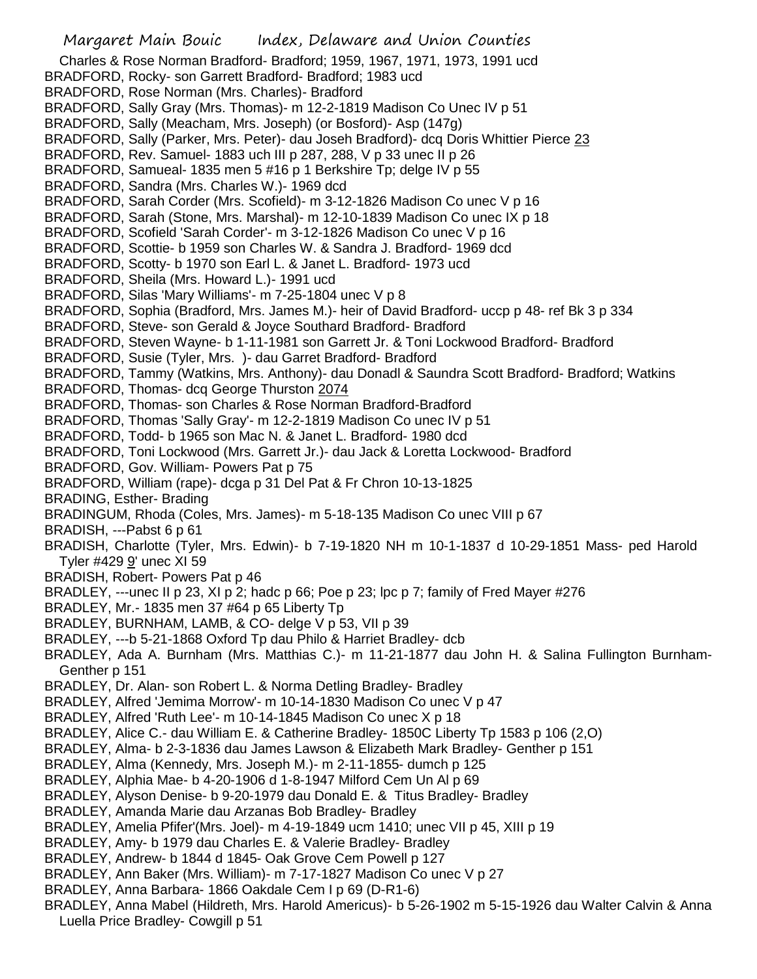Margaret Main Bouic Index, Delaware and Union Counties Charles & Rose Norman Bradford- Bradford; 1959, 1967, 1971, 1973, 1991 ucd BRADFORD, Rocky- son Garrett Bradford- Bradford; 1983 ucd BRADFORD, Rose Norman (Mrs. Charles)- Bradford BRADFORD, Sally Gray (Mrs. Thomas)- m 12-2-1819 Madison Co Unec IV p 51 BRADFORD, Sally (Meacham, Mrs. Joseph) (or Bosford)- Asp (147g) BRADFORD, Sally (Parker, Mrs. Peter)- dau Joseh Bradford)- dcq Doris Whittier Pierce 23 BRADFORD, Rev. Samuel- 1883 uch III p 287, 288, V p 33 unec II p 26 BRADFORD, Samueal- 1835 men 5 #16 p 1 Berkshire Tp; delge IV p 55 BRADFORD, Sandra (Mrs. Charles W.)- 1969 dcd BRADFORD, Sarah Corder (Mrs. Scofield)- m 3-12-1826 Madison Co unec V p 16 BRADFORD, Sarah (Stone, Mrs. Marshal)- m 12-10-1839 Madison Co unec IX p 18 BRADFORD, Scofield 'Sarah Corder'- m 3-12-1826 Madison Co unec V p 16 BRADFORD, Scottie- b 1959 son Charles W. & Sandra J. Bradford- 1969 dcd BRADFORD, Scotty- b 1970 son Earl L. & Janet L. Bradford- 1973 ucd BRADFORD, Sheila (Mrs. Howard L.)- 1991 ucd BRADFORD, Silas 'Mary Williams'- m 7-25-1804 unec V p 8 BRADFORD, Sophia (Bradford, Mrs. James M.)- heir of David Bradford- uccp p 48- ref Bk 3 p 334 BRADFORD, Steve- son Gerald & Joyce Southard Bradford- Bradford BRADFORD, Steven Wayne- b 1-11-1981 son Garrett Jr. & Toni Lockwood Bradford- Bradford BRADFORD, Susie (Tyler, Mrs. )- dau Garret Bradford- Bradford BRADFORD, Tammy (Watkins, Mrs. Anthony)- dau Donadl & Saundra Scott Bradford- Bradford; Watkins BRADFORD, Thomas- dcq George Thurston 2074 BRADFORD, Thomas- son Charles & Rose Norman Bradford-Bradford BRADFORD, Thomas 'Sally Gray'- m 12-2-1819 Madison Co unec IV p 51 BRADFORD, Todd- b 1965 son Mac N. & Janet L. Bradford- 1980 dcd BRADFORD, Toni Lockwood (Mrs. Garrett Jr.)- dau Jack & Loretta Lockwood- Bradford BRADFORD, Gov. William- Powers Pat p 75 BRADFORD, William (rape)- dcga p 31 Del Pat & Fr Chron 10-13-1825 BRADING, Esther- Brading BRADINGUM, Rhoda (Coles, Mrs. James)- m 5-18-135 Madison Co unec VIII p 67 BRADISH, ---Pabst 6 p 61 BRADISH, Charlotte (Tyler, Mrs. Edwin)- b 7-19-1820 NH m 10-1-1837 d 10-29-1851 Mass- ped Harold Tyler #429 9' unec XI 59 BRADISH, Robert- Powers Pat p 46 BRADLEY, ---unec II p 23, XI p 2; hadc p 66; Poe p 23; lpc p 7; family of Fred Mayer #276 BRADLEY, Mr.- 1835 men 37 #64 p 65 Liberty Tp BRADLEY, BURNHAM, LAMB, & CO- delge V p 53, VII p 39 BRADLEY, ---b 5-21-1868 Oxford Tp dau Philo & Harriet Bradley- dcb BRADLEY, Ada A. Burnham (Mrs. Matthias C.)- m 11-21-1877 dau John H. & Salina Fullington Burnham-Genther p 151 BRADLEY, Dr. Alan- son Robert L. & Norma Detling Bradley- Bradley BRADLEY, Alfred 'Jemima Morrow'- m 10-14-1830 Madison Co unec V p 47 BRADLEY, Alfred 'Ruth Lee'- m 10-14-1845 Madison Co unec X p 18 BRADLEY, Alice C.- dau William E. & Catherine Bradley- 1850C Liberty Tp 1583 p 106 (2,O) BRADLEY, Alma- b 2-3-1836 dau James Lawson & Elizabeth Mark Bradley- Genther p 151 BRADLEY, Alma (Kennedy, Mrs. Joseph M.)- m 2-11-1855- dumch p 125 BRADLEY, Alphia Mae- b 4-20-1906 d 1-8-1947 Milford Cem Un Al p 69 BRADLEY, Alyson Denise- b 9-20-1979 dau Donald E. & Titus Bradley- Bradley BRADLEY, Amanda Marie dau Arzanas Bob Bradley- Bradley BRADLEY, Amelia Pfifer'(Mrs. Joel)- m 4-19-1849 ucm 1410; unec VII p 45, XIII p 19 BRADLEY, Amy- b 1979 dau Charles E. & Valerie Bradley- Bradley BRADLEY, Andrew- b 1844 d 1845- Oak Grove Cem Powell p 127 BRADLEY, Ann Baker (Mrs. William)- m 7-17-1827 Madison Co unec V p 27 BRADLEY, Anna Barbara- 1866 Oakdale Cem I p 69 (D-R1-6) BRADLEY, Anna Mabel (Hildreth, Mrs. Harold Americus)- b 5-26-1902 m 5-15-1926 dau Walter Calvin & Anna Luella Price Bradley- Cowgill p 51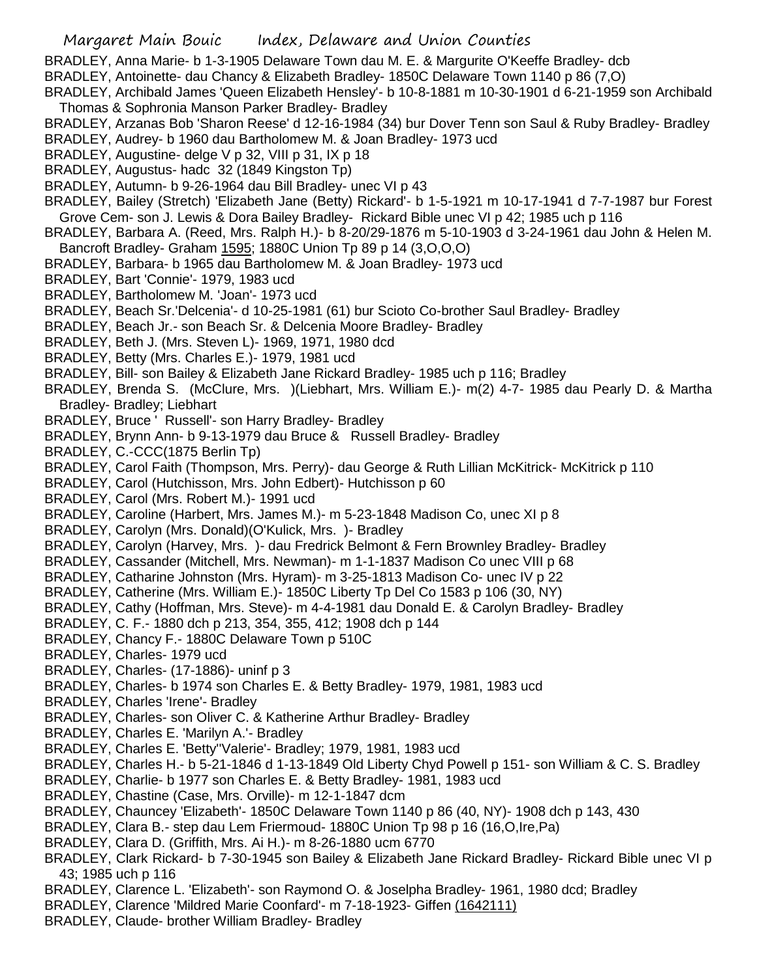BRADLEY, Anna Marie- b 1-3-1905 Delaware Town dau M. E. & Margurite O'Keeffe Bradley- dcb

BRADLEY, Antoinette- dau Chancy & Elizabeth Bradley- 1850C Delaware Town 1140 p 86 (7,O)

- BRADLEY, Archibald James 'Queen Elizabeth Hensley'- b 10-8-1881 m 10-30-1901 d 6-21-1959 son Archibald Thomas & Sophronia Manson Parker Bradley- Bradley
- BRADLEY, Arzanas Bob 'Sharon Reese' d 12-16-1984 (34) bur Dover Tenn son Saul & Ruby Bradley- Bradley
- BRADLEY, Audrey- b 1960 dau Bartholomew M. & Joan Bradley- 1973 ucd
- BRADLEY, Augustine- delge V p 32, VIII p 31, IX p 18
- BRADLEY, Augustus- hadc 32 (1849 Kingston Tp)
- BRADLEY, Autumn- b 9-26-1964 dau Bill Bradley- unec VI p 43
- BRADLEY, Bailey (Stretch) 'Elizabeth Jane (Betty) Rickard'- b 1-5-1921 m 10-17-1941 d 7-7-1987 bur Forest Grove Cem- son J. Lewis & Dora Bailey Bradley- Rickard Bible unec VI p 42; 1985 uch p 116
- BRADLEY, Barbara A. (Reed, Mrs. Ralph H.)- b 8-20/29-1876 m 5-10-1903 d 3-24-1961 dau John & Helen M. Bancroft Bradley- Graham 1595; 1880C Union Tp 89 p 14 (3,O,O,O)
- BRADLEY, Barbara- b 1965 dau Bartholomew M. & Joan Bradley- 1973 ucd
- BRADLEY, Bart 'Connie'- 1979, 1983 ucd
- BRADLEY, Bartholomew M. 'Joan'- 1973 ucd
- BRADLEY, Beach Sr.'Delcenia'- d 10-25-1981 (61) bur Scioto Co-brother Saul Bradley- Bradley
- BRADLEY, Beach Jr.- son Beach Sr. & Delcenia Moore Bradley- Bradley
- BRADLEY, Beth J. (Mrs. Steven L)- 1969, 1971, 1980 dcd
- BRADLEY, Betty (Mrs. Charles E.)- 1979, 1981 ucd
- BRADLEY, Bill- son Bailey & Elizabeth Jane Rickard Bradley- 1985 uch p 116; Bradley
- BRADLEY, Brenda S. (McClure, Mrs. )(Liebhart, Mrs. William E.)- m(2) 4-7- 1985 dau Pearly D. & Martha Bradley- Bradley; Liebhart
- BRADLEY, Bruce ' Russell'- son Harry Bradley- Bradley
- BRADLEY, Brynn Ann- b 9-13-1979 dau Bruce & Russell Bradley- Bradley
- BRADLEY, C.-CCC(1875 Berlin Tp)
- BRADLEY, Carol Faith (Thompson, Mrs. Perry)- dau George & Ruth Lillian McKitrick- McKitrick p 110
- BRADLEY, Carol (Hutchisson, Mrs. John Edbert)- Hutchisson p 60
- BRADLEY, Carol (Mrs. Robert M.)- 1991 ucd
- BRADLEY, Caroline (Harbert, Mrs. James M.)- m 5-23-1848 Madison Co, unec XI p 8
- BRADLEY, Carolyn (Mrs. Donald)(O'Kulick, Mrs. )- Bradley
- BRADLEY, Carolyn (Harvey, Mrs. )- dau Fredrick Belmont & Fern Brownley Bradley- Bradley
- BRADLEY, Cassander (Mitchell, Mrs. Newman)- m 1-1-1837 Madison Co unec VIII p 68
- BRADLEY, Catharine Johnston (Mrs. Hyram)- m 3-25-1813 Madison Co- unec IV p 22
- BRADLEY, Catherine (Mrs. William E.)- 1850C Liberty Tp Del Co 1583 p 106 (30, NY)
- BRADLEY, Cathy (Hoffman, Mrs. Steve)- m 4-4-1981 dau Donald E. & Carolyn Bradley- Bradley
- BRADLEY, C. F.- 1880 dch p 213, 354, 355, 412; 1908 dch p 144
- BRADLEY, Chancy F.- 1880C Delaware Town p 510C
- BRADLEY, Charles- 1979 ucd
- BRADLEY, Charles- (17-1886)- uninf p 3
- BRADLEY, Charles- b 1974 son Charles E. & Betty Bradley- 1979, 1981, 1983 ucd
- BRADLEY, Charles 'Irene'- Bradley
- BRADLEY, Charles- son Oliver C. & Katherine Arthur Bradley- Bradley
- BRADLEY, Charles E. 'Marilyn A.'- Bradley
- BRADLEY, Charles E. 'Betty''Valerie'- Bradley; 1979, 1981, 1983 ucd
- BRADLEY, Charles H.- b 5-21-1846 d 1-13-1849 Old Liberty Chyd Powell p 151- son William & C. S. Bradley
- BRADLEY, Charlie- b 1977 son Charles E. & Betty Bradley- 1981, 1983 ucd
- BRADLEY, Chastine (Case, Mrs. Orville)- m 12-1-1847 dcm
- BRADLEY, Chauncey 'Elizabeth'- 1850C Delaware Town 1140 p 86 (40, NY)- 1908 dch p 143, 430
- BRADLEY, Clara B.- step dau Lem Friermoud- 1880C Union Tp 98 p 16 (16,O,Ire,Pa)
- BRADLEY, Clara D. (Griffith, Mrs. Ai H.)- m 8-26-1880 ucm 6770
- BRADLEY, Clark Rickard- b 7-30-1945 son Bailey & Elizabeth Jane Rickard Bradley- Rickard Bible unec VI p 43; 1985 uch p 116
- BRADLEY, Clarence L. 'Elizabeth'- son Raymond O. & Joselpha Bradley- 1961, 1980 dcd; Bradley
- BRADLEY, Clarence 'Mildred Marie Coonfard'- m 7-18-1923- Giffen (1642111)
- BRADLEY, Claude- brother William Bradley- Bradley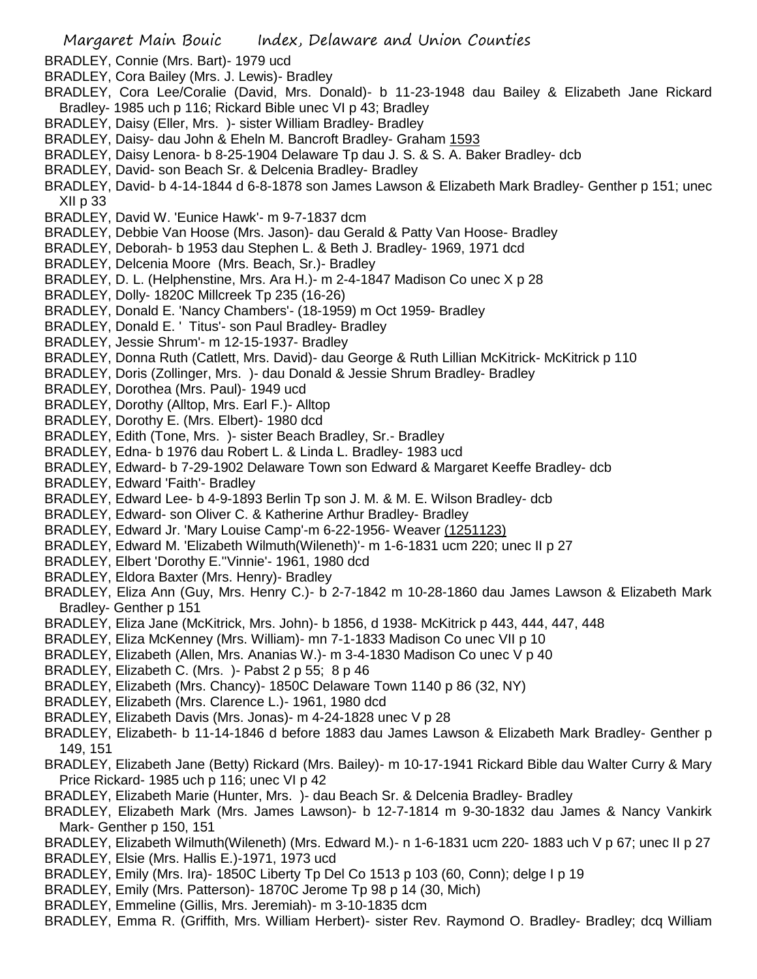BRADLEY, Connie (Mrs. Bart)- 1979 ucd

- BRADLEY, Cora Bailey (Mrs. J. Lewis)- Bradley
- BRADLEY, Cora Lee/Coralie (David, Mrs. Donald)- b 11-23-1948 dau Bailey & Elizabeth Jane Rickard Bradley- 1985 uch p 116; Rickard Bible unec VI p 43; Bradley
- BRADLEY, Daisy (Eller, Mrs. )- sister William Bradley- Bradley
- BRADLEY, Daisy- dau John & Eheln M. Bancroft Bradley- Graham 1593
- BRADLEY, Daisy Lenora- b 8-25-1904 Delaware Tp dau J. S. & S. A. Baker Bradley- dcb
- BRADLEY, David- son Beach Sr. & Delcenia Bradley- Bradley
- BRADLEY, David- b 4-14-1844 d 6-8-1878 son James Lawson & Elizabeth Mark Bradley- Genther p 151; unec XII p 33
- BRADLEY, David W. 'Eunice Hawk'- m 9-7-1837 dcm
- BRADLEY, Debbie Van Hoose (Mrs. Jason)- dau Gerald & Patty Van Hoose- Bradley
- BRADLEY, Deborah- b 1953 dau Stephen L. & Beth J. Bradley- 1969, 1971 dcd
- BRADLEY, Delcenia Moore (Mrs. Beach, Sr.)- Bradley
- BRADLEY, D. L. (Helphenstine, Mrs. Ara H.)- m 2-4-1847 Madison Co unec X p 28
- BRADLEY, Dolly- 1820C Millcreek Tp 235 (16-26)
- BRADLEY, Donald E. 'Nancy Chambers'- (18-1959) m Oct 1959- Bradley
- BRADLEY, Donald E. ' Titus'- son Paul Bradley- Bradley
- BRADLEY, Jessie Shrum'- m 12-15-1937- Bradley
- BRADLEY, Donna Ruth (Catlett, Mrs. David)- dau George & Ruth Lillian McKitrick- McKitrick p 110
- BRADLEY, Doris (Zollinger, Mrs. )- dau Donald & Jessie Shrum Bradley- Bradley
- BRADLEY, Dorothea (Mrs. Paul)- 1949 ucd
- BRADLEY, Dorothy (Alltop, Mrs. Earl F.)- Alltop
- BRADLEY, Dorothy E. (Mrs. Elbert)- 1980 dcd
- BRADLEY, Edith (Tone, Mrs. )- sister Beach Bradley, Sr.- Bradley
- BRADLEY, Edna- b 1976 dau Robert L. & Linda L. Bradley- 1983 ucd
- BRADLEY, Edward- b 7-29-1902 Delaware Town son Edward & Margaret Keeffe Bradley- dcb
- BRADLEY, Edward 'Faith'- Bradley
- BRADLEY, Edward Lee- b 4-9-1893 Berlin Tp son J. M. & M. E. Wilson Bradley- dcb
- BRADLEY, Edward- son Oliver C. & Katherine Arthur Bradley- Bradley
- BRADLEY, Edward Jr. 'Mary Louise Camp'-m 6-22-1956- Weaver (1251123)
- BRADLEY, Edward M. 'Elizabeth Wilmuth(Wileneth)'- m 1-6-1831 ucm 220; unec II p 27
- BRADLEY, Elbert 'Dorothy E.''Vinnie'- 1961, 1980 dcd
- BRADLEY, Eldora Baxter (Mrs. Henry)- Bradley
- BRADLEY, Eliza Ann (Guy, Mrs. Henry C.)- b 2-7-1842 m 10-28-1860 dau James Lawson & Elizabeth Mark Bradley- Genther p 151
- BRADLEY, Eliza Jane (McKitrick, Mrs. John)- b 1856, d 1938- McKitrick p 443, 444, 447, 448
- BRADLEY, Eliza McKenney (Mrs. William)- mn 7-1-1833 Madison Co unec VII p 10
- BRADLEY, Elizabeth (Allen, Mrs. Ananias W.)- m 3-4-1830 Madison Co unec V p 40
- BRADLEY, Elizabeth C. (Mrs. )- Pabst 2 p 55; 8 p 46
- BRADLEY, Elizabeth (Mrs. Chancy)- 1850C Delaware Town 1140 p 86 (32, NY)
- BRADLEY, Elizabeth (Mrs. Clarence L.)- 1961, 1980 dcd
- BRADLEY, Elizabeth Davis (Mrs. Jonas)- m 4-24-1828 unec V p 28
- BRADLEY, Elizabeth- b 11-14-1846 d before 1883 dau James Lawson & Elizabeth Mark Bradley- Genther p 149, 151
- BRADLEY, Elizabeth Jane (Betty) Rickard (Mrs. Bailey)- m 10-17-1941 Rickard Bible dau Walter Curry & Mary Price Rickard- 1985 uch p 116; unec VI p 42
- BRADLEY, Elizabeth Marie (Hunter, Mrs. )- dau Beach Sr. & Delcenia Bradley- Bradley
- BRADLEY, Elizabeth Mark (Mrs. James Lawson)- b 12-7-1814 m 9-30-1832 dau James & Nancy Vankirk Mark- Genther p 150, 151
- BRADLEY, Elizabeth Wilmuth(Wileneth) (Mrs. Edward M.)- n 1-6-1831 ucm 220- 1883 uch V p 67; unec II p 27 BRADLEY, Elsie (Mrs. Hallis E.)-1971, 1973 ucd
- BRADLEY, Emily (Mrs. Ira)- 1850C Liberty Tp Del Co 1513 p 103 (60, Conn); delge I p 19
- BRADLEY, Emily (Mrs. Patterson)- 1870C Jerome Tp 98 p 14 (30, Mich)
- BRADLEY, Emmeline (Gillis, Mrs. Jeremiah)- m 3-10-1835 dcm
- BRADLEY, Emma R. (Griffith, Mrs. William Herbert)- sister Rev. Raymond O. Bradley- Bradley; dcq William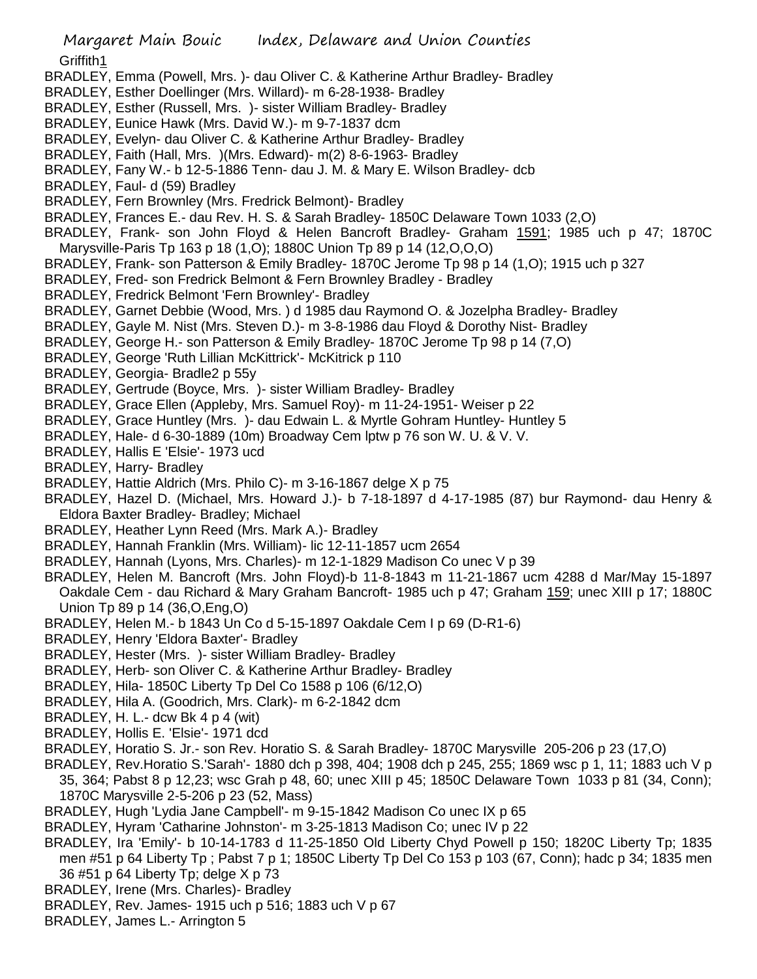Griffith1

- BRADLEY, Emma (Powell, Mrs. )- dau Oliver C. & Katherine Arthur Bradley- Bradley
- BRADLEY, Esther Doellinger (Mrs. Willard)- m 6-28-1938- Bradley
- BRADLEY, Esther (Russell, Mrs. )- sister William Bradley- Bradley
- BRADLEY, Eunice Hawk (Mrs. David W.)- m 9-7-1837 dcm
- BRADLEY, Evelyn- dau Oliver C. & Katherine Arthur Bradley- Bradley
- BRADLEY, Faith (Hall, Mrs. )(Mrs. Edward)- m(2) 8-6-1963- Bradley
- BRADLEY, Fany W.- b 12-5-1886 Tenn- dau J. M. & Mary E. Wilson Bradley- dcb
- BRADLEY, Faul- d (59) Bradley
- BRADLEY, Fern Brownley (Mrs. Fredrick Belmont)- Bradley
- BRADLEY, Frances E.- dau Rev. H. S. & Sarah Bradley- 1850C Delaware Town 1033 (2,O)
- BRADLEY, Frank- son John Floyd & Helen Bancroft Bradley- Graham 1591; 1985 uch p 47; 1870C Marysville-Paris Tp 163 p 18 (1,O); 1880C Union Tp 89 p 14 (12,O,O,O)
- BRADLEY, Frank- son Patterson & Emily Bradley- 1870C Jerome Tp 98 p 14 (1,O); 1915 uch p 327
- BRADLEY, Fred- son Fredrick Belmont & Fern Brownley Bradley Bradley
- BRADLEY, Fredrick Belmont 'Fern Brownley'- Bradley
- BRADLEY, Garnet Debbie (Wood, Mrs. ) d 1985 dau Raymond O. & Jozelpha Bradley- Bradley
- BRADLEY, Gayle M. Nist (Mrs. Steven D.)- m 3-8-1986 dau Floyd & Dorothy Nist- Bradley
- BRADLEY, George H.- son Patterson & Emily Bradley- 1870C Jerome Tp 98 p 14 (7,O)
- BRADLEY, George 'Ruth Lillian McKittrick'- McKitrick p 110
- BRADLEY, Georgia- Bradle2 p 55y
- BRADLEY, Gertrude (Boyce, Mrs. )- sister William Bradley- Bradley
- BRADLEY, Grace Ellen (Appleby, Mrs. Samuel Roy)- m 11-24-1951- Weiser p 22
- BRADLEY, Grace Huntley (Mrs. )- dau Edwain L. & Myrtle Gohram Huntley- Huntley 5
- BRADLEY, Hale- d 6-30-1889 (10m) Broadway Cem lptw p 76 son W. U. & V. V.
- BRADLEY, Hallis E 'Elsie'- 1973 ucd
- BRADLEY, Harry- Bradley
- BRADLEY, Hattie Aldrich (Mrs. Philo C)- m 3-16-1867 delge X p 75
- BRADLEY, Hazel D. (Michael, Mrs. Howard J.)- b 7-18-1897 d 4-17-1985 (87) bur Raymond- dau Henry & Eldora Baxter Bradley- Bradley; Michael
- BRADLEY, Heather Lynn Reed (Mrs. Mark A.)- Bradley
- BRADLEY, Hannah Franklin (Mrs. William)- lic 12-11-1857 ucm 2654
- BRADLEY, Hannah (Lyons, Mrs. Charles)- m 12-1-1829 Madison Co unec V p 39
- BRADLEY, Helen M. Bancroft (Mrs. John Floyd)-b 11-8-1843 m 11-21-1867 ucm 4288 d Mar/May 15-1897 Oakdale Cem - dau Richard & Mary Graham Bancroft- 1985 uch p 47; Graham 159; unec XIII p 17; 1880C Union Tp 89 p 14 (36,O,Eng,O)
- BRADLEY, Helen M.- b 1843 Un Co d 5-15-1897 Oakdale Cem I p 69 (D-R1-6)
- BRADLEY, Henry 'Eldora Baxter'- Bradley
- BRADLEY, Hester (Mrs. )- sister William Bradley- Bradley
- BRADLEY, Herb- son Oliver C. & Katherine Arthur Bradley- Bradley
- BRADLEY, Hila- 1850C Liberty Tp Del Co 1588 p 106 (6/12,O)
- BRADLEY, Hila A. (Goodrich, Mrs. Clark)- m 6-2-1842 dcm
- BRADLEY, H. L.- dcw Bk 4 p 4 (wit)
- BRADLEY, Hollis E. 'Elsie'- 1971 dcd
- BRADLEY, Horatio S. Jr.- son Rev. Horatio S. & Sarah Bradley- 1870C Marysville 205-206 p 23 (17,O)
- BRADLEY, Rev.Horatio S.'Sarah'- 1880 dch p 398, 404; 1908 dch p 245, 255; 1869 wsc p 1, 11; 1883 uch V p 35, 364; Pabst 8 p 12,23; wsc Grah p 48, 60; unec XIII p 45; 1850C Delaware Town 1033 p 81 (34, Conn); 1870C Marysville 2-5-206 p 23 (52, Mass)
- BRADLEY, Hugh 'Lydia Jane Campbell'- m 9-15-1842 Madison Co unec IX p 65
- BRADLEY, Hyram 'Catharine Johnston'- m 3-25-1813 Madison Co; unec IV p 22
- BRADLEY, Ira 'Emily'- b 10-14-1783 d 11-25-1850 Old Liberty Chyd Powell p 150; 1820C Liberty Tp; 1835 men #51 p 64 Liberty Tp ; Pabst 7 p 1; 1850C Liberty Tp Del Co 153 p 103 (67, Conn); hadc p 34; 1835 men 36 #51 p 64 Liberty Tp; delge X p 73
- BRADLEY, Irene (Mrs. Charles)- Bradley
- BRADLEY, Rev. James- 1915 uch p 516; 1883 uch V p 67
- BRADLEY, James L.- Arrington 5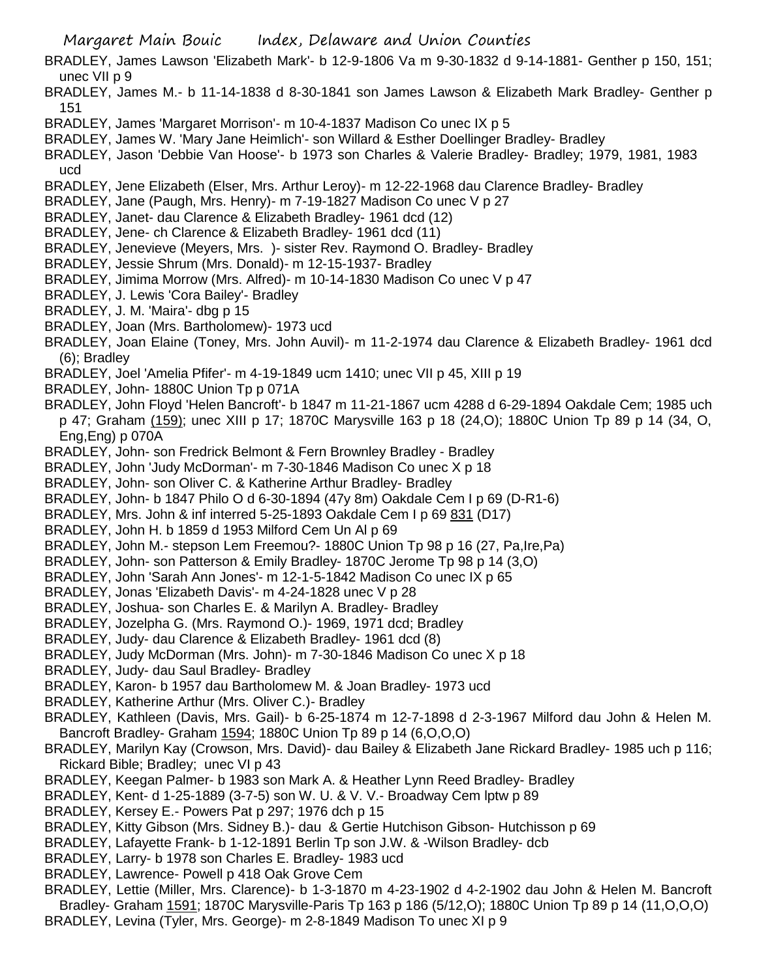- Margaret Main Bouic Index, Delaware and Union Counties
- BRADLEY, James Lawson 'Elizabeth Mark'- b 12-9-1806 Va m 9-30-1832 d 9-14-1881- Genther p 150, 151; unec VII p 9
- BRADLEY, James M.- b 11-14-1838 d 8-30-1841 son James Lawson & Elizabeth Mark Bradley- Genther p 151
- BRADLEY, James 'Margaret Morrison'- m 10-4-1837 Madison Co unec IX p 5
- BRADLEY, James W. 'Mary Jane Heimlich'- son Willard & Esther Doellinger Bradley- Bradley
- BRADLEY, Jason 'Debbie Van Hoose'- b 1973 son Charles & Valerie Bradley- Bradley; 1979, 1981, 1983 ucd
- BRADLEY, Jene Elizabeth (Elser, Mrs. Arthur Leroy)- m 12-22-1968 dau Clarence Bradley- Bradley
- BRADLEY, Jane (Paugh, Mrs. Henry)- m 7-19-1827 Madison Co unec V p 27
- BRADLEY, Janet- dau Clarence & Elizabeth Bradley- 1961 dcd (12)
- BRADLEY, Jene- ch Clarence & Elizabeth Bradley- 1961 dcd (11)
- BRADLEY, Jenevieve (Meyers, Mrs. )- sister Rev. Raymond O. Bradley- Bradley
- BRADLEY, Jessie Shrum (Mrs. Donald)- m 12-15-1937- Bradley
- BRADLEY, Jimima Morrow (Mrs. Alfred)- m 10-14-1830 Madison Co unec V p 47
- BRADLEY, J. Lewis 'Cora Bailey'- Bradley
- BRADLEY, J. M. 'Maira'- dbg p 15
- BRADLEY, Joan (Mrs. Bartholomew)- 1973 ucd
- BRADLEY, Joan Elaine (Toney, Mrs. John Auvil)- m 11-2-1974 dau Clarence & Elizabeth Bradley- 1961 dcd (6); Bradley
- BRADLEY, Joel 'Amelia Pfifer'- m 4-19-1849 ucm 1410; unec VII p 45, XIII p 19
- BRADLEY, John- 1880C Union Tp p 071A
- BRADLEY, John Floyd 'Helen Bancroft'- b 1847 m 11-21-1867 ucm 4288 d 6-29-1894 Oakdale Cem; 1985 uch p 47; Graham (159); unec XIII p 17; 1870C Marysville 163 p 18 (24,O); 1880C Union Tp 89 p 14 (34, O, Eng,Eng) p 070A
- BRADLEY, John- son Fredrick Belmont & Fern Brownley Bradley Bradley
- BRADLEY, John 'Judy McDorman'- m 7-30-1846 Madison Co unec X p 18
- BRADLEY, John- son Oliver C. & Katherine Arthur Bradley- Bradley
- BRADLEY, John- b 1847 Philo O d 6-30-1894 (47y 8m) Oakdale Cem I p 69 (D-R1-6)
- BRADLEY, Mrs. John & inf interred 5-25-1893 Oakdale Cem I p 69 831 (D17)
- BRADLEY, John H. b 1859 d 1953 Milford Cem Un Al p 69
- BRADLEY, John M.- stepson Lem Freemou?- 1880C Union Tp 98 p 16 (27, Pa,Ire,Pa)
- BRADLEY, John- son Patterson & Emily Bradley- 1870C Jerome Tp 98 p 14 (3,O)
- BRADLEY, John 'Sarah Ann Jones'- m 12-1-5-1842 Madison Co unec IX p 65
- BRADLEY, Jonas 'Elizabeth Davis'- m 4-24-1828 unec V p 28
- BRADLEY, Joshua- son Charles E. & Marilyn A. Bradley- Bradley
- BRADLEY, Jozelpha G. (Mrs. Raymond O.)- 1969, 1971 dcd; Bradley
- BRADLEY, Judy- dau Clarence & Elizabeth Bradley- 1961 dcd (8)
- BRADLEY, Judy McDorman (Mrs. John)- m 7-30-1846 Madison Co unec X p 18
- BRADLEY, Judy- dau Saul Bradley- Bradley
- BRADLEY, Karon- b 1957 dau Bartholomew M. & Joan Bradley- 1973 ucd
- BRADLEY, Katherine Arthur (Mrs. Oliver C.)- Bradley
- BRADLEY, Kathleen (Davis, Mrs. Gail)- b 6-25-1874 m 12-7-1898 d 2-3-1967 Milford dau John & Helen M. Bancroft Bradley- Graham 1594; 1880C Union Tp 89 p 14 (6,O,O,O)
- BRADLEY, Marilyn Kay (Crowson, Mrs. David)- dau Bailey & Elizabeth Jane Rickard Bradley- 1985 uch p 116; Rickard Bible; Bradley; unec VI p 43
- BRADLEY, Keegan Palmer- b 1983 son Mark A. & Heather Lynn Reed Bradley- Bradley
- BRADLEY, Kent- d 1-25-1889 (3-7-5) son W. U. & V. V.- Broadway Cem lptw p 89
- BRADLEY, Kersey E.- Powers Pat p 297; 1976 dch p 15
- BRADLEY, Kitty Gibson (Mrs. Sidney B.)- dau & Gertie Hutchison Gibson- Hutchisson p 69
- BRADLEY, Lafayette Frank- b 1-12-1891 Berlin Tp son J.W. & -Wilson Bradley- dcb
- BRADLEY, Larry- b 1978 son Charles E. Bradley- 1983 ucd
- BRADLEY, Lawrence- Powell p 418 Oak Grove Cem
- BRADLEY, Lettie (Miller, Mrs. Clarence)- b 1-3-1870 m 4-23-1902 d 4-2-1902 dau John & Helen M. Bancroft Bradley- Graham 1591; 1870C Marysville-Paris Tp 163 p 186 (5/12,O); 1880C Union Tp 89 p 14 (11,O,O,O)
- BRADLEY, Levina (Tyler, Mrs. George)- m 2-8-1849 Madison To unec XI p 9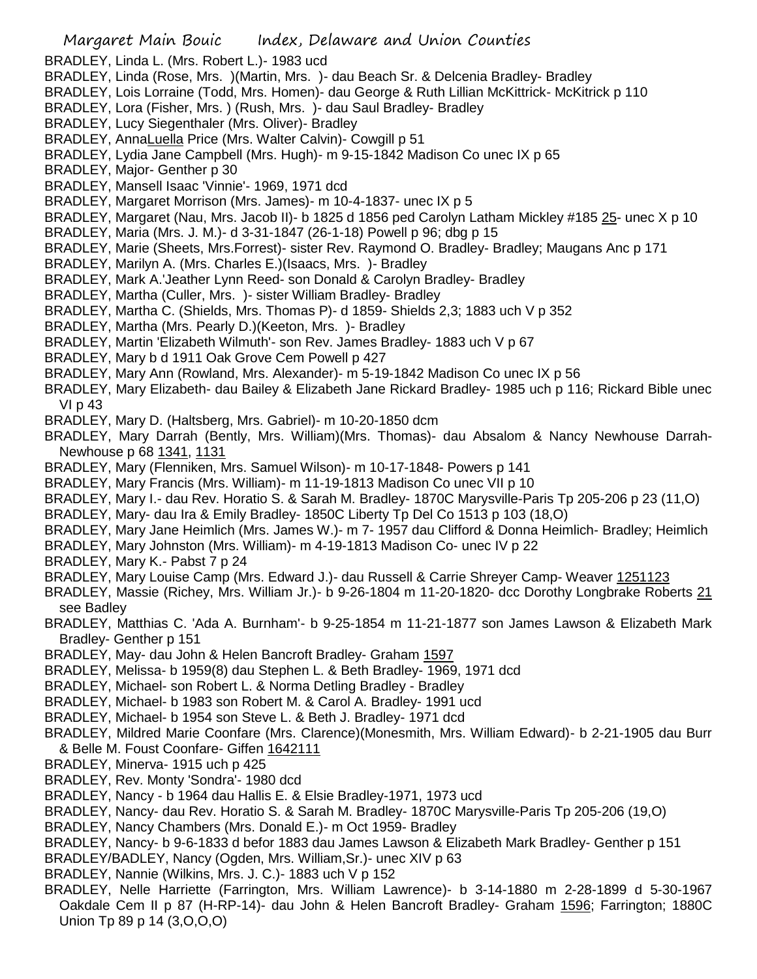BRADLEY, Linda L. (Mrs. Robert L.)- 1983 ucd

- BRADLEY, Linda (Rose, Mrs. )(Martin, Mrs. )- dau Beach Sr. & Delcenia Bradley- Bradley
- BRADLEY, Lois Lorraine (Todd, Mrs. Homen)- dau George & Ruth Lillian McKittrick- McKitrick p 110
- BRADLEY, Lora (Fisher, Mrs. ) (Rush, Mrs. )- dau Saul Bradley- Bradley
- BRADLEY, Lucy Siegenthaler (Mrs. Oliver)- Bradley
- BRADLEY, AnnaLuella Price (Mrs. Walter Calvin)- Cowgill p 51
- BRADLEY, Lydia Jane Campbell (Mrs. Hugh)- m 9-15-1842 Madison Co unec IX p 65
- BRADLEY, Major- Genther p 30
- BRADLEY, Mansell Isaac 'Vinnie'- 1969, 1971 dcd
- BRADLEY, Margaret Morrison (Mrs. James)- m 10-4-1837- unec IX p 5
- BRADLEY, Margaret (Nau, Mrs. Jacob II)- b 1825 d 1856 ped Carolyn Latham Mickley #185 25- unec X p 10
- BRADLEY, Maria (Mrs. J. M.)- d 3-31-1847 (26-1-18) Powell p 96; dbg p 15
- BRADLEY, Marie (Sheets, Mrs.Forrest)- sister Rev. Raymond O. Bradley- Bradley; Maugans Anc p 171
- BRADLEY, Marilyn A. (Mrs. Charles E.)(Isaacs, Mrs. )- Bradley
- BRADLEY, Mark A.'Jeather Lynn Reed- son Donald & Carolyn Bradley- Bradley
- BRADLEY, Martha (Culler, Mrs. )- sister William Bradley- Bradley
- BRADLEY, Martha C. (Shields, Mrs. Thomas P)- d 1859- Shields 2,3; 1883 uch V p 352
- BRADLEY, Martha (Mrs. Pearly D.)(Keeton, Mrs. )- Bradley
- BRADLEY, Martin 'Elizabeth Wilmuth'- son Rev. James Bradley- 1883 uch V p 67
- BRADLEY, Mary b d 1911 Oak Grove Cem Powell p 427
- BRADLEY, Mary Ann (Rowland, Mrs. Alexander)- m 5-19-1842 Madison Co unec IX p 56
- BRADLEY, Mary Elizabeth- dau Bailey & Elizabeth Jane Rickard Bradley- 1985 uch p 116; Rickard Bible unec VI p 43
- BRADLEY, Mary D. (Haltsberg, Mrs. Gabriel)- m 10-20-1850 dcm
- BRADLEY, Mary Darrah (Bently, Mrs. William)(Mrs. Thomas)- dau Absalom & Nancy Newhouse Darrah-Newhouse p 68 1341, 1131
- BRADLEY, Mary (Flenniken, Mrs. Samuel Wilson)- m 10-17-1848- Powers p 141
- BRADLEY, Mary Francis (Mrs. William)- m 11-19-1813 Madison Co unec VII p 10
- BRADLEY, Mary I.- dau Rev. Horatio S. & Sarah M. Bradley- 1870C Marysville-Paris Tp 205-206 p 23 (11,O)
- BRADLEY, Mary- dau Ira & Emily Bradley- 1850C Liberty Tp Del Co 1513 p 103 (18,O)
- BRADLEY, Mary Jane Heimlich (Mrs. James W.)- m 7- 1957 dau Clifford & Donna Heimlich- Bradley; Heimlich
- BRADLEY, Mary Johnston (Mrs. William)- m 4-19-1813 Madison Co- unec IV p 22
- BRADLEY, Mary K.- Pabst 7 p 24
- BRADLEY, Mary Louise Camp (Mrs. Edward J.)- dau Russell & Carrie Shreyer Camp- Weaver 1251123
- BRADLEY, Massie (Richey, Mrs. William Jr.)- b 9-26-1804 m 11-20-1820- dcc Dorothy Longbrake Roberts 21 see Badley
- BRADLEY, Matthias C. 'Ada A. Burnham'- b 9-25-1854 m 11-21-1877 son James Lawson & Elizabeth Mark Bradley- Genther p 151
- BRADLEY, May- dau John & Helen Bancroft Bradley- Graham 1597
- BRADLEY, Melissa- b 1959(8) dau Stephen L. & Beth Bradley- 1969, 1971 dcd
- BRADLEY, Michael- son Robert L. & Norma Detling Bradley Bradley
- BRADLEY, Michael- b 1983 son Robert M. & Carol A. Bradley- 1991 ucd
- BRADLEY, Michael- b 1954 son Steve L. & Beth J. Bradley- 1971 dcd
- BRADLEY, Mildred Marie Coonfare (Mrs. Clarence)(Monesmith, Mrs. William Edward)- b 2-21-1905 dau Burr & Belle M. Foust Coonfare- Giffen 1642111
- BRADLEY, Minerva- 1915 uch p 425
- BRADLEY, Rev. Monty 'Sondra'- 1980 dcd
- BRADLEY, Nancy b 1964 dau Hallis E. & Elsie Bradley-1971, 1973 ucd
- BRADLEY, Nancy- dau Rev. Horatio S. & Sarah M. Bradley- 1870C Marysville-Paris Tp 205-206 (19,O)
- BRADLEY, Nancy Chambers (Mrs. Donald E.)- m Oct 1959- Bradley
- BRADLEY, Nancy- b 9-6-1833 d befor 1883 dau James Lawson & Elizabeth Mark Bradley- Genther p 151
- BRADLEY/BADLEY, Nancy (Ogden, Mrs. William,Sr.)- unec XIV p 63
- BRADLEY, Nannie (Wilkins, Mrs. J. C.)- 1883 uch V p 152
- BRADLEY, Nelle Harriette (Farrington, Mrs. William Lawrence)- b 3-14-1880 m 2-28-1899 d 5-30-1967 Oakdale Cem II p 87 (H-RP-14)- dau John & Helen Bancroft Bradley- Graham 1596; Farrington; 1880C Union Tp 89 p 14 (3,O,O,O)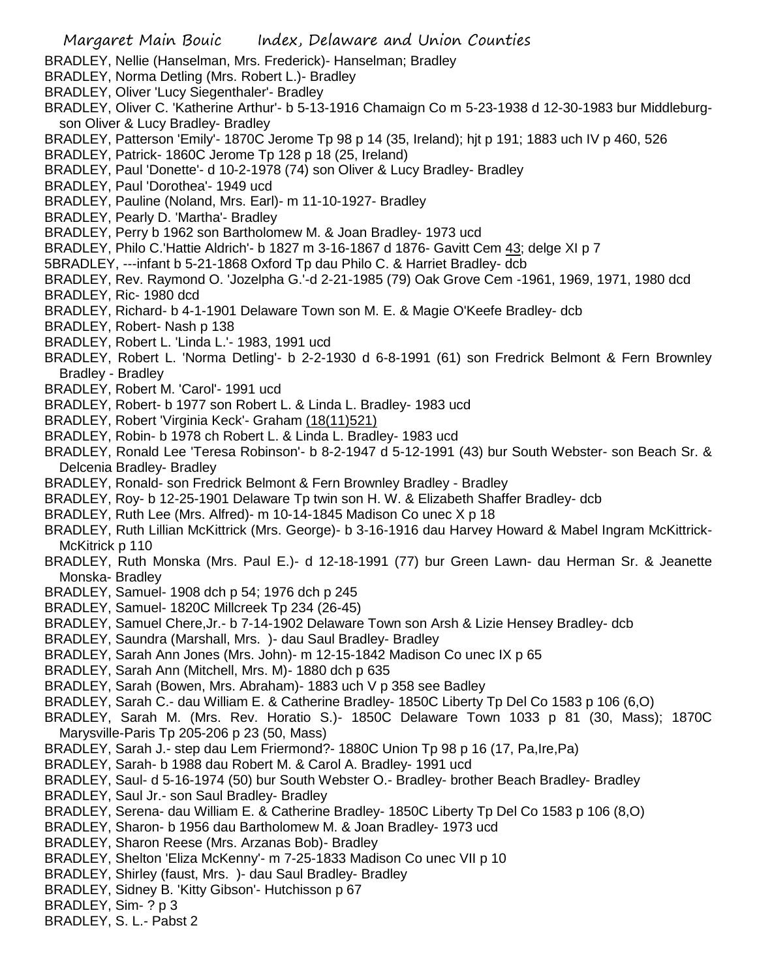- BRADLEY, Nellie (Hanselman, Mrs. Frederick)- Hanselman; Bradley
- BRADLEY, Norma Detling (Mrs. Robert L.)- Bradley
- BRADLEY, Oliver 'Lucy Siegenthaler'- Bradley
- BRADLEY, Oliver C. 'Katherine Arthur'- b 5-13-1916 Chamaign Co m 5-23-1938 d 12-30-1983 bur Middleburgson Oliver & Lucy Bradley- Bradley
- BRADLEY, Patterson 'Emily'- 1870C Jerome Tp 98 p 14 (35, Ireland); hjt p 191; 1883 uch IV p 460, 526
- BRADLEY, Patrick- 1860C Jerome Tp 128 p 18 (25, Ireland)
- BRADLEY, Paul 'Donette'- d 10-2-1978 (74) son Oliver & Lucy Bradley- Bradley
- BRADLEY, Paul 'Dorothea'- 1949 ucd
- BRADLEY, Pauline (Noland, Mrs. Earl)- m 11-10-1927- Bradley
- BRADLEY, Pearly D. 'Martha'- Bradley
- BRADLEY, Perry b 1962 son Bartholomew M. & Joan Bradley- 1973 ucd
- BRADLEY, Philo C.'Hattie Aldrich'- b 1827 m 3-16-1867 d 1876- Gavitt Cem 43; delge XI p 7
- 5BRADLEY, ---infant b 5-21-1868 Oxford Tp dau Philo C. & Harriet Bradley- dcb
- BRADLEY, Rev. Raymond O. 'Jozelpha G.'-d 2-21-1985 (79) Oak Grove Cem -1961, 1969, 1971, 1980 dcd BRADLEY, Ric- 1980 dcd
- BRADLEY, Richard- b 4-1-1901 Delaware Town son M. E. & Magie O'Keefe Bradley- dcb
- BRADLEY, Robert- Nash p 138
- BRADLEY, Robert L. 'Linda L.'- 1983, 1991 ucd
- BRADLEY, Robert L. 'Norma Detling'- b 2-2-1930 d 6-8-1991 (61) son Fredrick Belmont & Fern Brownley Bradley - Bradley
- BRADLEY, Robert M. 'Carol'- 1991 ucd
- BRADLEY, Robert- b 1977 son Robert L. & Linda L. Bradley- 1983 ucd
- BRADLEY, Robert 'Virginia Keck'- Graham (18(11)521)
- BRADLEY, Robin- b 1978 ch Robert L. & Linda L. Bradley- 1983 ucd
- BRADLEY, Ronald Lee 'Teresa Robinson'- b 8-2-1947 d 5-12-1991 (43) bur South Webster- son Beach Sr. & Delcenia Bradley- Bradley
- BRADLEY, Ronald- son Fredrick Belmont & Fern Brownley Bradley Bradley
- BRADLEY, Roy- b 12-25-1901 Delaware Tp twin son H. W. & Elizabeth Shaffer Bradley- dcb
- BRADLEY, Ruth Lee (Mrs. Alfred)- m 10-14-1845 Madison Co unec X p 18
- BRADLEY, Ruth Lillian McKittrick (Mrs. George)- b 3-16-1916 dau Harvey Howard & Mabel Ingram McKittrick-McKitrick p 110
- BRADLEY, Ruth Monska (Mrs. Paul E.)- d 12-18-1991 (77) bur Green Lawn- dau Herman Sr. & Jeanette Monska- Bradley
- BRADLEY, Samuel- 1908 dch p 54; 1976 dch p 245
- BRADLEY, Samuel- 1820C Millcreek Tp 234 (26-45)
- BRADLEY, Samuel Chere,Jr.- b 7-14-1902 Delaware Town son Arsh & Lizie Hensey Bradley- dcb
- BRADLEY, Saundra (Marshall, Mrs. )- dau Saul Bradley- Bradley
- BRADLEY, Sarah Ann Jones (Mrs. John)- m 12-15-1842 Madison Co unec IX p 65
- BRADLEY, Sarah Ann (Mitchell, Mrs. M)- 1880 dch p 635
- BRADLEY, Sarah (Bowen, Mrs. Abraham)- 1883 uch V p 358 see Badley
- BRADLEY, Sarah C.- dau William E. & Catherine Bradley- 1850C Liberty Tp Del Co 1583 p 106 (6,O)
- BRADLEY, Sarah M. (Mrs. Rev. Horatio S.)- 1850C Delaware Town 1033 p 81 (30, Mass); 1870C Marysville-Paris Tp 205-206 p 23 (50, Mass)
- BRADLEY, Sarah J.- step dau Lem Friermond?- 1880C Union Tp 98 p 16 (17, Pa,Ire,Pa)
- BRADLEY, Sarah- b 1988 dau Robert M. & Carol A. Bradley- 1991 ucd
- BRADLEY, Saul- d 5-16-1974 (50) bur South Webster O.- Bradley- brother Beach Bradley- Bradley
- BRADLEY, Saul Jr.- son Saul Bradley- Bradley
- BRADLEY, Serena- dau William E. & Catherine Bradley- 1850C Liberty Tp Del Co 1583 p 106 (8,O)
- BRADLEY, Sharon- b 1956 dau Bartholomew M. & Joan Bradley- 1973 ucd
- BRADLEY, Sharon Reese (Mrs. Arzanas Bob)- Bradley
- BRADLEY, Shelton 'Eliza McKenny'- m 7-25-1833 Madison Co unec VII p 10
- BRADLEY, Shirley (faust, Mrs. )- dau Saul Bradley- Bradley
- BRADLEY, Sidney B. 'Kitty Gibson'- Hutchisson p 67
- BRADLEY, Sim- ? p 3
- BRADLEY, S. L.- Pabst 2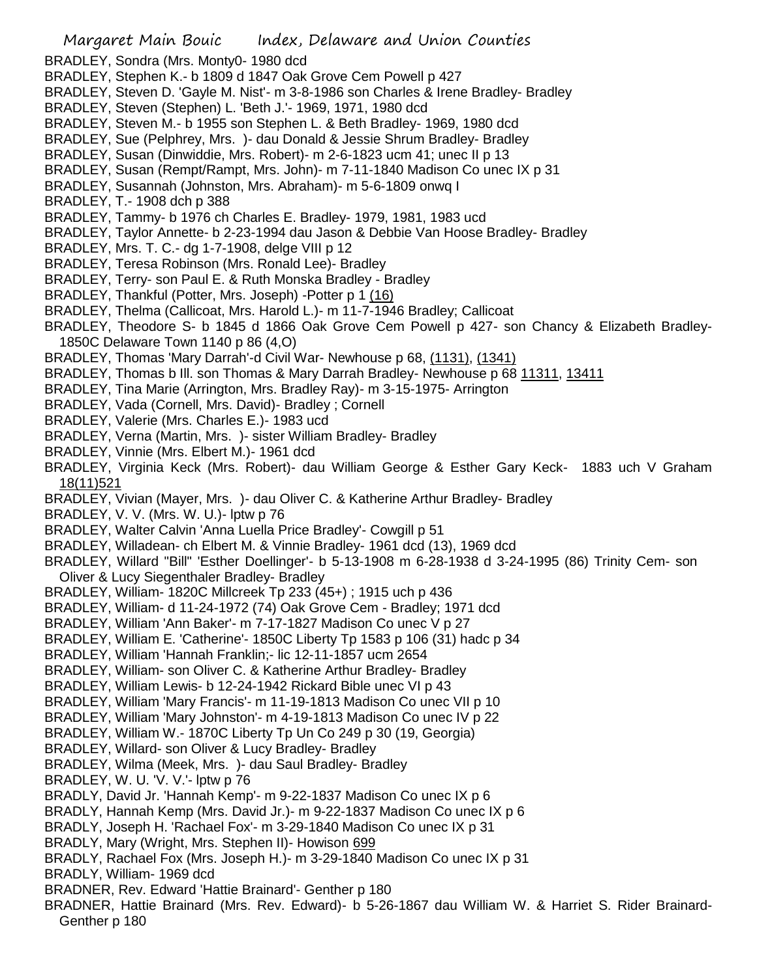Margaret Main Bouic Index, Delaware and Union Counties BRADLEY, Sondra (Mrs. Monty0- 1980 dcd BRADLEY, Stephen K.- b 1809 d 1847 Oak Grove Cem Powell p 427 BRADLEY, Steven D. 'Gayle M. Nist'- m 3-8-1986 son Charles & Irene Bradley- Bradley BRADLEY, Steven (Stephen) L. 'Beth J.'- 1969, 1971, 1980 dcd BRADLEY, Steven M.- b 1955 son Stephen L. & Beth Bradley- 1969, 1980 dcd BRADLEY, Sue (Pelphrey, Mrs. )- dau Donald & Jessie Shrum Bradley- Bradley BRADLEY, Susan (Dinwiddie, Mrs. Robert)- m 2-6-1823 ucm 41; unec II p 13 BRADLEY, Susan (Rempt/Rampt, Mrs. John)- m 7-11-1840 Madison Co unec IX p 31 BRADLEY, Susannah (Johnston, Mrs. Abraham)- m 5-6-1809 onwq I BRADLEY, T.- 1908 dch p 388 BRADLEY, Tammy- b 1976 ch Charles E. Bradley- 1979, 1981, 1983 ucd BRADLEY, Taylor Annette- b 2-23-1994 dau Jason & Debbie Van Hoose Bradley- Bradley BRADLEY, Mrs. T. C.- dg 1-7-1908, delge VIII p 12 BRADLEY, Teresa Robinson (Mrs. Ronald Lee)- Bradley BRADLEY, Terry- son Paul E. & Ruth Monska Bradley - Bradley BRADLEY, Thankful (Potter, Mrs. Joseph) -Potter p 1 (16) BRADLEY, Thelma (Callicoat, Mrs. Harold L.)- m 11-7-1946 Bradley; Callicoat BRADLEY, Theodore S- b 1845 d 1866 Oak Grove Cem Powell p 427- son Chancy & Elizabeth Bradley-1850C Delaware Town 1140 p 86 (4,O) BRADLEY, Thomas 'Mary Darrah'-d Civil War- Newhouse p 68, (1131), (1341) BRADLEY, Thomas b III. son Thomas & Mary Darrah Bradley- Newhouse p 68 11311, 13411 BRADLEY, Tina Marie (Arrington, Mrs. Bradley Ray)- m 3-15-1975- Arrington BRADLEY, Vada (Cornell, Mrs. David)- Bradley ; Cornell BRADLEY, Valerie (Mrs. Charles E.)- 1983 ucd BRADLEY, Verna (Martin, Mrs. )- sister William Bradley- Bradley BRADLEY, Vinnie (Mrs. Elbert M.)- 1961 dcd BRADLEY, Virginia Keck (Mrs. Robert)- dau William George & Esther Gary Keck- 1883 uch V Graham 18(11)521 BRADLEY, Vivian (Mayer, Mrs. )- dau Oliver C. & Katherine Arthur Bradley- Bradley BRADLEY, V. V. (Mrs. W. U.)- lptw p 76 BRADLEY, Walter Calvin 'Anna Luella Price Bradley'- Cowgill p 51 BRADLEY, Willadean- ch Elbert M. & Vinnie Bradley- 1961 dcd (13), 1969 dcd BRADLEY, Willard "Bill" 'Esther Doellinger'- b 5-13-1908 m 6-28-1938 d 3-24-1995 (86) Trinity Cem- son Oliver & Lucy Siegenthaler Bradley- Bradley BRADLEY, William- 1820C Millcreek Tp 233 (45+) ; 1915 uch p 436 BRADLEY, William- d 11-24-1972 (74) Oak Grove Cem - Bradley; 1971 dcd BRADLEY, William 'Ann Baker'- m 7-17-1827 Madison Co unec V p 27 BRADLEY, William E. 'Catherine'- 1850C Liberty Tp 1583 p 106 (31) hadc p 34 BRADLEY, William 'Hannah Franklin;- lic 12-11-1857 ucm 2654 BRADLEY, William- son Oliver C. & Katherine Arthur Bradley- Bradley BRADLEY, William Lewis- b 12-24-1942 Rickard Bible unec VI p 43 BRADLEY, William 'Mary Francis'- m 11-19-1813 Madison Co unec VII p 10 BRADLEY, William 'Mary Johnston'- m 4-19-1813 Madison Co unec IV p 22 BRADLEY, William W.- 1870C Liberty Tp Un Co 249 p 30 (19, Georgia) BRADLEY, Willard- son Oliver & Lucy Bradley- Bradley BRADLEY, Wilma (Meek, Mrs. )- dau Saul Bradley- Bradley BRADLEY, W. U. 'V. V.'- lptw p 76 BRADLY, David Jr. 'Hannah Kemp'- m 9-22-1837 Madison Co unec IX p 6 BRADLY, Hannah Kemp (Mrs. David Jr.)- m 9-22-1837 Madison Co unec IX p 6 BRADLY, Joseph H. 'Rachael Fox'- m 3-29-1840 Madison Co unec IX p 31 BRADLY, Mary (Wright, Mrs. Stephen II)- Howison 699 BRADLY, Rachael Fox (Mrs. Joseph H.)- m 3-29-1840 Madison Co unec IX p 31 BRADLY, William- 1969 dcd BRADNER, Rev. Edward 'Hattie Brainard'- Genther p 180 BRADNER, Hattie Brainard (Mrs. Rev. Edward)- b 5-26-1867 dau William W. & Harriet S. Rider Brainard-Genther p 180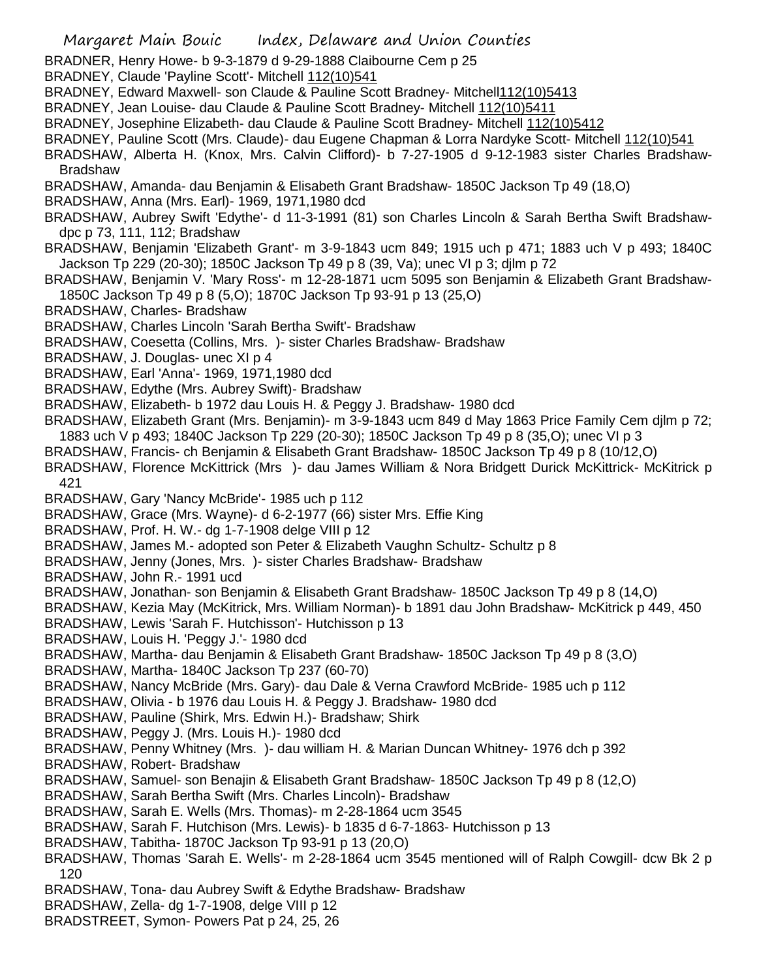Margaret Main Bouic Index, Delaware and Union Counties BRADNER, Henry Howe- b 9-3-1879 d 9-29-1888 Claibourne Cem p 25 BRADNEY, Claude 'Payline Scott'- Mitchell 112(10)541 BRADNEY, Edward Maxwell- son Claude & Pauline Scott Bradney- Mitchell112(10)5413 BRADNEY, Jean Louise- dau Claude & Pauline Scott Bradney- Mitchell 112(10)5411 BRADNEY, Josephine Elizabeth- dau Claude & Pauline Scott Bradney- Mitchell 112(10)5412 BRADNEY, Pauline Scott (Mrs. Claude)- dau Eugene Chapman & Lorra Nardyke Scott- Mitchell 112(10)541 BRADSHAW, Alberta H. (Knox, Mrs. Calvin Clifford)- b 7-27-1905 d 9-12-1983 sister Charles Bradshaw-Bradshaw BRADSHAW, Amanda- dau Benjamin & Elisabeth Grant Bradshaw- 1850C Jackson Tp 49 (18,O) BRADSHAW, Anna (Mrs. Earl)- 1969, 1971,1980 dcd BRADSHAW, Aubrey Swift 'Edythe'- d 11-3-1991 (81) son Charles Lincoln & Sarah Bertha Swift Bradshawdpc p 73, 111, 112; Bradshaw BRADSHAW, Benjamin 'Elizabeth Grant'- m 3-9-1843 ucm 849; 1915 uch p 471; 1883 uch V p 493; 1840C Jackson Tp 229 (20-30); 1850C Jackson Tp 49 p 8 (39, Va); unec VI p 3; djlm p 72 BRADSHAW, Benjamin V. 'Mary Ross'- m 12-28-1871 ucm 5095 son Benjamin & Elizabeth Grant Bradshaw-1850C Jackson Tp 49 p 8 (5,O); 1870C Jackson Tp 93-91 p 13 (25,O) BRADSHAW, Charles- Bradshaw BRADSHAW, Charles Lincoln 'Sarah Bertha Swift'- Bradshaw BRADSHAW, Coesetta (Collins, Mrs. )- sister Charles Bradshaw- Bradshaw BRADSHAW, J. Douglas- unec XI p 4 BRADSHAW, Earl 'Anna'- 1969, 1971,1980 dcd BRADSHAW, Edythe (Mrs. Aubrey Swift)- Bradshaw BRADSHAW, Elizabeth- b 1972 dau Louis H. & Peggy J. Bradshaw- 1980 dcd BRADSHAW, Elizabeth Grant (Mrs. Benjamin)- m 3-9-1843 ucm 849 d May 1863 Price Family Cem djlm p 72; 1883 uch V p 493; 1840C Jackson Tp 229 (20-30); 1850C Jackson Tp 49 p 8 (35,O); unec VI p 3 BRADSHAW, Francis- ch Benjamin & Elisabeth Grant Bradshaw- 1850C Jackson Tp 49 p 8 (10/12,O) BRADSHAW, Florence McKittrick (Mrs )- dau James William & Nora Bridgett Durick McKittrick- McKitrick p 421 BRADSHAW, Gary 'Nancy McBride'- 1985 uch p 112 BRADSHAW, Grace (Mrs. Wayne)- d 6-2-1977 (66) sister Mrs. Effie King BRADSHAW, Prof. H. W.- dg 1-7-1908 delge VIII p 12 BRADSHAW, James M.- adopted son Peter & Elizabeth Vaughn Schultz- Schultz p 8 BRADSHAW, Jenny (Jones, Mrs. )- sister Charles Bradshaw- Bradshaw BRADSHAW, John R.- 1991 ucd BRADSHAW, Jonathan- son Benjamin & Elisabeth Grant Bradshaw- 1850C Jackson Tp 49 p 8 (14,O) BRADSHAW, Kezia May (McKitrick, Mrs. William Norman)- b 1891 dau John Bradshaw- McKitrick p 449, 450 BRADSHAW, Lewis 'Sarah F. Hutchisson'- Hutchisson p 13 BRADSHAW, Louis H. 'Peggy J.'- 1980 dcd BRADSHAW, Martha- dau Benjamin & Elisabeth Grant Bradshaw- 1850C Jackson Tp 49 p 8 (3,O) BRADSHAW, Martha- 1840C Jackson Tp 237 (60-70) BRADSHAW, Nancy McBride (Mrs. Gary)- dau Dale & Verna Crawford McBride- 1985 uch p 112 BRADSHAW, Olivia - b 1976 dau Louis H. & Peggy J. Bradshaw- 1980 dcd BRADSHAW, Pauline (Shirk, Mrs. Edwin H.)- Bradshaw; Shirk BRADSHAW, Peggy J. (Mrs. Louis H.)- 1980 dcd BRADSHAW, Penny Whitney (Mrs. )- dau william H. & Marian Duncan Whitney- 1976 dch p 392 BRADSHAW, Robert- Bradshaw BRADSHAW, Samuel- son Benajin & Elisabeth Grant Bradshaw- 1850C Jackson Tp 49 p 8 (12,O) BRADSHAW, Sarah Bertha Swift (Mrs. Charles Lincoln)- Bradshaw BRADSHAW, Sarah E. Wells (Mrs. Thomas)- m 2-28-1864 ucm 3545 BRADSHAW, Sarah F. Hutchison (Mrs. Lewis)- b 1835 d 6-7-1863- Hutchisson p 13 BRADSHAW, Tabitha- 1870C Jackson Tp 93-91 p 13 (20,O) BRADSHAW, Thomas 'Sarah E. Wells'- m 2-28-1864 ucm 3545 mentioned will of Ralph Cowgill- dcw Bk 2 p 120 BRADSHAW, Tona- dau Aubrey Swift & Edythe Bradshaw- Bradshaw BRADSHAW, Zella- dg 1-7-1908, delge VIII p 12 BRADSTREET, Symon- Powers Pat p 24, 25, 26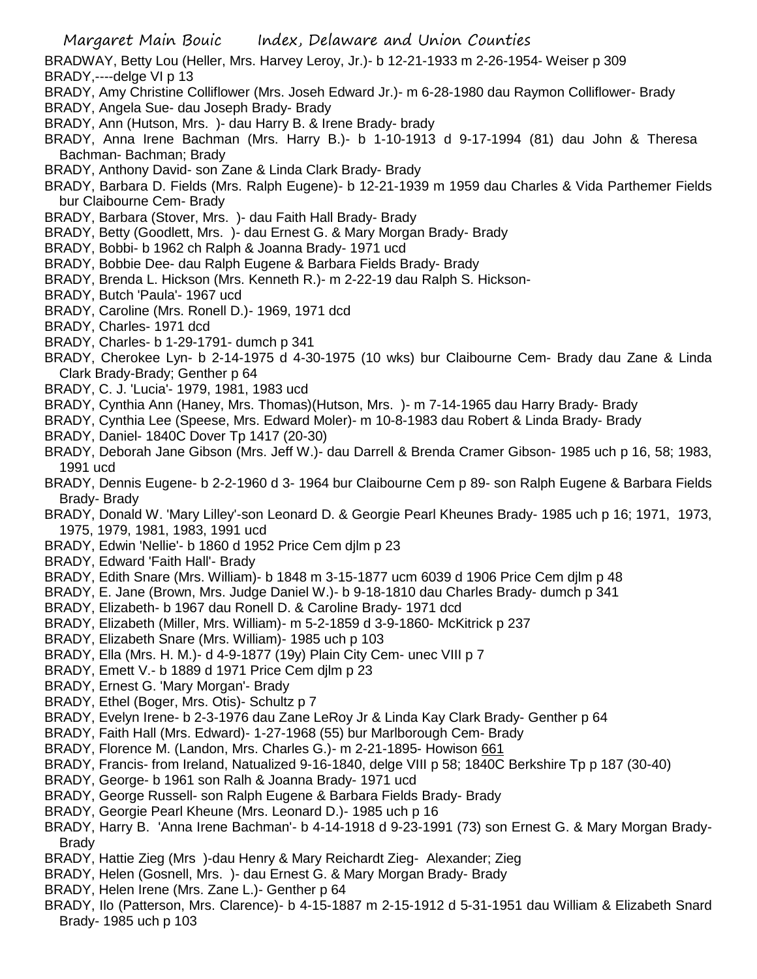- BRADWAY, Betty Lou (Heller, Mrs. Harvey Leroy, Jr.)- b 12-21-1933 m 2-26-1954- Weiser p 309
- BRADY,----delge VI p 13
- BRADY, Amy Christine Colliflower (Mrs. Joseh Edward Jr.)- m 6-28-1980 dau Raymon Colliflower- Brady
- BRADY, Angela Sue- dau Joseph Brady- Brady
- BRADY, Ann (Hutson, Mrs. )- dau Harry B. & Irene Brady- brady
- BRADY, Anna Irene Bachman (Mrs. Harry B.)- b 1-10-1913 d 9-17-1994 (81) dau John & Theresa Bachman- Bachman; Brady
- BRADY, Anthony David- son Zane & Linda Clark Brady- Brady
- BRADY, Barbara D. Fields (Mrs. Ralph Eugene)- b 12-21-1939 m 1959 dau Charles & Vida Parthemer Fields bur Claibourne Cem- Brady
- BRADY, Barbara (Stover, Mrs. )- dau Faith Hall Brady- Brady
- BRADY, Betty (Goodlett, Mrs. )- dau Ernest G. & Mary Morgan Brady- Brady
- BRADY, Bobbi- b 1962 ch Ralph & Joanna Brady- 1971 ucd
- BRADY, Bobbie Dee- dau Ralph Eugene & Barbara Fields Brady- Brady
- BRADY, Brenda L. Hickson (Mrs. Kenneth R.)- m 2-22-19 dau Ralph S. Hickson-
- BRADY, Butch 'Paula'- 1967 ucd
- BRADY, Caroline (Mrs. Ronell D.)- 1969, 1971 dcd
- BRADY, Charles- 1971 dcd
- BRADY, Charles- b 1-29-1791- dumch p 341
- BRADY, Cherokee Lyn- b 2-14-1975 d 4-30-1975 (10 wks) bur Claibourne Cem- Brady dau Zane & Linda Clark Brady-Brady; Genther p 64
- BRADY, C. J. 'Lucia'- 1979, 1981, 1983 ucd
- BRADY, Cynthia Ann (Haney, Mrs. Thomas)(Hutson, Mrs. )- m 7-14-1965 dau Harry Brady- Brady
- BRADY, Cynthia Lee (Speese, Mrs. Edward Moler)- m 10-8-1983 dau Robert & Linda Brady- Brady
- BRADY, Daniel- 1840C Dover Tp 1417 (20-30)
- BRADY, Deborah Jane Gibson (Mrs. Jeff W.)- dau Darrell & Brenda Cramer Gibson- 1985 uch p 16, 58; 1983, 1991 ucd
- BRADY, Dennis Eugene- b 2-2-1960 d 3- 1964 bur Claibourne Cem p 89- son Ralph Eugene & Barbara Fields Brady- Brady
- BRADY, Donald W. 'Mary Lilley'-son Leonard D. & Georgie Pearl Kheunes Brady- 1985 uch p 16; 1971, 1973, 1975, 1979, 1981, 1983, 1991 ucd
- BRADY, Edwin 'Nellie'- b 1860 d 1952 Price Cem djlm p 23
- BRADY, Edward 'Faith Hall'- Brady
- BRADY, Edith Snare (Mrs. William)- b 1848 m 3-15-1877 ucm 6039 d 1906 Price Cem djlm p 48
- BRADY, E. Jane (Brown, Mrs. Judge Daniel W.)- b 9-18-1810 dau Charles Brady- dumch p 341
- BRADY, Elizabeth- b 1967 dau Ronell D. & Caroline Brady- 1971 dcd
- BRADY, Elizabeth (Miller, Mrs. William)- m 5-2-1859 d 3-9-1860- McKitrick p 237
- BRADY, Elizabeth Snare (Mrs. William)- 1985 uch p 103
- BRADY, Ella (Mrs. H. M.)- d 4-9-1877 (19y) Plain City Cem- unec VIII p 7
- BRADY, Emett V.- b 1889 d 1971 Price Cem djlm p 23
- BRADY, Ernest G. 'Mary Morgan'- Brady
- BRADY, Ethel (Boger, Mrs. Otis)- Schultz p 7
- BRADY, Evelyn Irene- b 2-3-1976 dau Zane LeRoy Jr & Linda Kay Clark Brady- Genther p 64
- BRADY, Faith Hall (Mrs. Edward)- 1-27-1968 (55) bur Marlborough Cem- Brady
- BRADY, Florence M. (Landon, Mrs. Charles G.)- m 2-21-1895- Howison 661
- BRADY, Francis- from Ireland, Natualized 9-16-1840, delge VIII p 58; 1840C Berkshire Tp p 187 (30-40)
- BRADY, George- b 1961 son Ralh & Joanna Brady- 1971 ucd
- BRADY, George Russell- son Ralph Eugene & Barbara Fields Brady- Brady
- BRADY, Georgie Pearl Kheune (Mrs. Leonard D.)- 1985 uch p 16
- BRADY, Harry B. 'Anna Irene Bachman'- b 4-14-1918 d 9-23-1991 (73) son Ernest G. & Mary Morgan Brady-Brady
- BRADY, Hattie Zieg (Mrs )-dau Henry & Mary Reichardt Zieg- Alexander; Zieg
- BRADY, Helen (Gosnell, Mrs. )- dau Ernest G. & Mary Morgan Brady- Brady
- BRADY, Helen Irene (Mrs. Zane L.)- Genther p 64
- BRADY, Ilo (Patterson, Mrs. Clarence)- b 4-15-1887 m 2-15-1912 d 5-31-1951 dau William & Elizabeth Snard Brady- 1985 uch p 103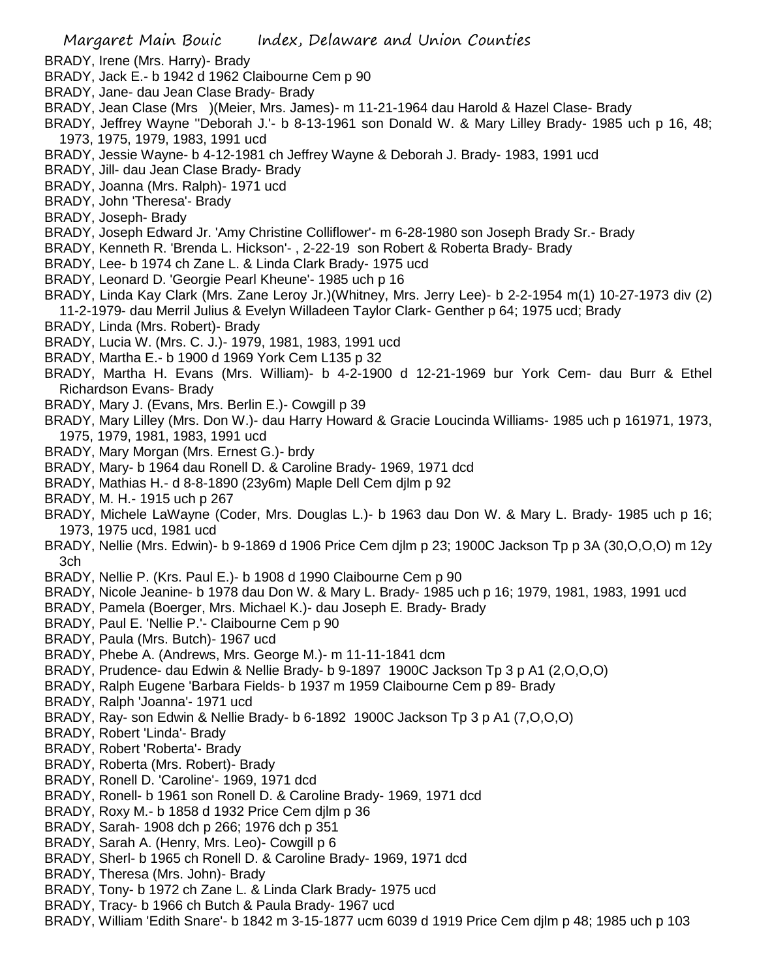- BRADY, Irene (Mrs. Harry)- Brady
- BRADY, Jack E.- b 1942 d 1962 Claibourne Cem p 90
- BRADY, Jane- dau Jean Clase Brady- Brady
- BRADY, Jean Clase (Mrs )(Meier, Mrs. James)- m 11-21-1964 dau Harold & Hazel Clase- Brady
- BRADY, Jeffrey Wayne ''Deborah J.'- b 8-13-1961 son Donald W. & Mary Lilley Brady- 1985 uch p 16, 48; 1973, 1975, 1979, 1983, 1991 ucd
- BRADY, Jessie Wayne- b 4-12-1981 ch Jeffrey Wayne & Deborah J. Brady- 1983, 1991 ucd
- BRADY, Jill- dau Jean Clase Brady- Brady
- BRADY, Joanna (Mrs. Ralph)- 1971 ucd
- BRADY, John 'Theresa'- Brady
- BRADY, Joseph- Brady
- BRADY, Joseph Edward Jr. 'Amy Christine Colliflower'- m 6-28-1980 son Joseph Brady Sr.- Brady
- BRADY, Kenneth R. 'Brenda L. Hickson'- , 2-22-19 son Robert & Roberta Brady- Brady
- BRADY, Lee- b 1974 ch Zane L. & Linda Clark Brady- 1975 ucd
- BRADY, Leonard D. 'Georgie Pearl Kheune'- 1985 uch p 16
- BRADY, Linda Kay Clark (Mrs. Zane Leroy Jr.)(Whitney, Mrs. Jerry Lee)- b 2-2-1954 m(1) 10-27-1973 div (2) 11-2-1979- dau Merril Julius & Evelyn Willadeen Taylor Clark- Genther p 64; 1975 ucd; Brady
- BRADY, Linda (Mrs. Robert)- Brady
- BRADY, Lucia W. (Mrs. C. J.)- 1979, 1981, 1983, 1991 ucd
- BRADY, Martha E.- b 1900 d 1969 York Cem L135 p 32
- BRADY, Martha H. Evans (Mrs. William)- b 4-2-1900 d 12-21-1969 bur York Cem- dau Burr & Ethel Richardson Evans- Brady
- BRADY, Mary J. (Evans, Mrs. Berlin E.)- Cowgill p 39
- BRADY, Mary Lilley (Mrs. Don W.)- dau Harry Howard & Gracie Loucinda Williams- 1985 uch p 161971, 1973, 1975, 1979, 1981, 1983, 1991 ucd
- BRADY, Mary Morgan (Mrs. Ernest G.)- brdy
- BRADY, Mary- b 1964 dau Ronell D. & Caroline Brady- 1969, 1971 dcd
- BRADY, Mathias H.- d 8-8-1890 (23y6m) Maple Dell Cem djlm p 92
- BRADY, M. H.- 1915 uch p 267
- BRADY, Michele LaWayne (Coder, Mrs. Douglas L.)- b 1963 dau Don W. & Mary L. Brady- 1985 uch p 16; 1973, 1975 ucd, 1981 ucd
- BRADY, Nellie (Mrs. Edwin)- b 9-1869 d 1906 Price Cem djlm p 23; 1900C Jackson Tp p 3A (30,O,O,O) m 12y 3ch
- BRADY, Nellie P. (Krs. Paul E.)- b 1908 d 1990 Claibourne Cem p 90
- BRADY, Nicole Jeanine- b 1978 dau Don W. & Mary L. Brady- 1985 uch p 16; 1979, 1981, 1983, 1991 ucd
- BRADY, Pamela (Boerger, Mrs. Michael K.)- dau Joseph E. Brady- Brady
- BRADY, Paul E. 'Nellie P.'- Claibourne Cem p 90
- BRADY, Paula (Mrs. Butch)- 1967 ucd
- BRADY, Phebe A. (Andrews, Mrs. George M.)- m 11-11-1841 dcm
- BRADY, Prudence- dau Edwin & Nellie Brady- b 9-1897 1900C Jackson Tp 3 p A1 (2,O,O,O)
- BRADY, Ralph Eugene 'Barbara Fields- b 1937 m 1959 Claibourne Cem p 89- Brady
- BRADY, Ralph 'Joanna'- 1971 ucd
- BRADY, Ray- son Edwin & Nellie Brady- b 6-1892 1900C Jackson Tp 3 p A1 (7,O,O,O)
- BRADY, Robert 'Linda'- Brady
- BRADY, Robert 'Roberta'- Brady
- BRADY, Roberta (Mrs. Robert)- Brady
- BRADY, Ronell D. 'Caroline'- 1969, 1971 dcd
- BRADY, Ronell- b 1961 son Ronell D. & Caroline Brady- 1969, 1971 dcd
- BRADY, Roxy M.- b 1858 d 1932 Price Cem djlm p 36
- BRADY, Sarah- 1908 dch p 266; 1976 dch p 351
- BRADY, Sarah A. (Henry, Mrs. Leo)- Cowgill p 6
- BRADY, Sherl- b 1965 ch Ronell D. & Caroline Brady- 1969, 1971 dcd
- BRADY, Theresa (Mrs. John)- Brady
- BRADY, Tony- b 1972 ch Zane L. & Linda Clark Brady- 1975 ucd
- BRADY, Tracy- b 1966 ch Butch & Paula Brady- 1967 ucd
- BRADY, William 'Edith Snare'- b 1842 m 3-15-1877 ucm 6039 d 1919 Price Cem djlm p 48; 1985 uch p 103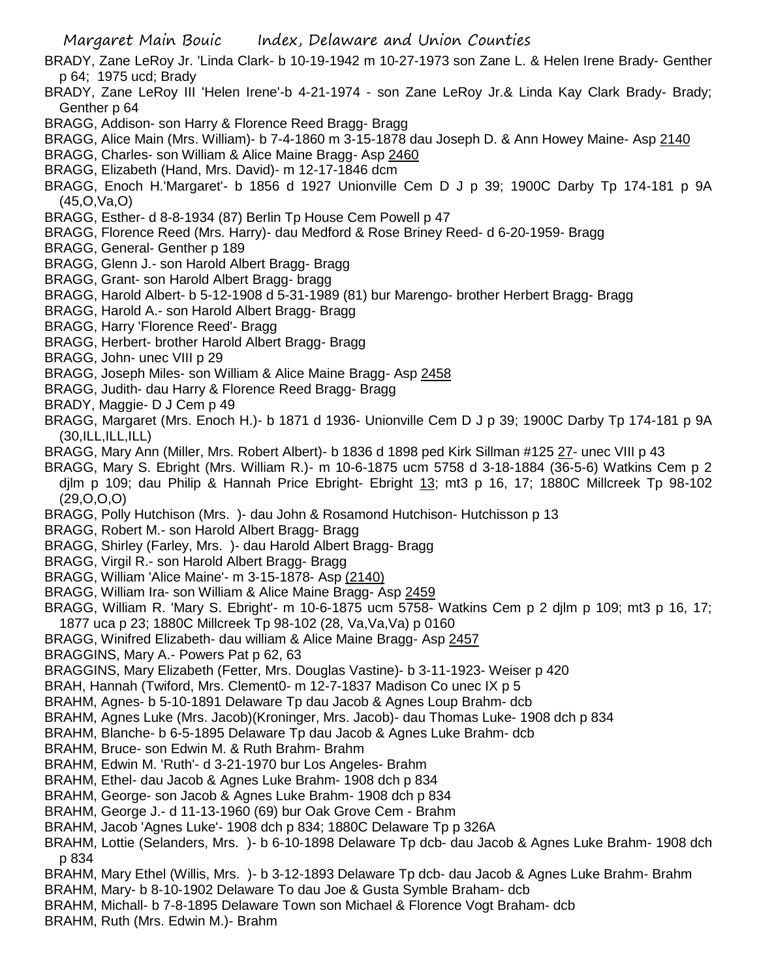- BRADY, Zane LeRoy Jr. 'Linda Clark- b 10-19-1942 m 10-27-1973 son Zane L. & Helen Irene Brady- Genther p 64; 1975 ucd; Brady
- BRADY, Zane LeRoy III 'Helen Irene'-b 4-21-1974 son Zane LeRoy Jr.& Linda Kay Clark Brady- Brady; Genther p 64
- BRAGG, Addison- son Harry & Florence Reed Bragg- Bragg
- BRAGG, Alice Main (Mrs. William)- b 7-4-1860 m 3-15-1878 dau Joseph D. & Ann Howey Maine- Asp 2140
- BRAGG, Charles- son William & Alice Maine Bragg- Asp 2460
- BRAGG, Elizabeth (Hand, Mrs. David)- m 12-17-1846 dcm
- BRAGG, Enoch H.'Margaret'- b 1856 d 1927 Unionville Cem D J p 39; 1900C Darby Tp 174-181 p 9A (45,O,Va,O)
- BRAGG, Esther- d 8-8-1934 (87) Berlin Tp House Cem Powell p 47
- BRAGG, Florence Reed (Mrs. Harry)- dau Medford & Rose Briney Reed- d 6-20-1959- Bragg
- BRAGG, General- Genther p 189
- BRAGG, Glenn J.- son Harold Albert Bragg- Bragg
- BRAGG, Grant- son Harold Albert Bragg- bragg
- BRAGG, Harold Albert- b 5-12-1908 d 5-31-1989 (81) bur Marengo- brother Herbert Bragg- Bragg
- BRAGG, Harold A.- son Harold Albert Bragg- Bragg
- BRAGG, Harry 'Florence Reed'- Bragg
- BRAGG, Herbert- brother Harold Albert Bragg- Bragg
- BRAGG, John- unec VIII p 29
- BRAGG, Joseph Miles- son William & Alice Maine Bragg- Asp 2458
- BRAGG, Judith- dau Harry & Florence Reed Bragg- Bragg
- BRADY, Maggie- D J Cem p 49
- BRAGG, Margaret (Mrs. Enoch H.)- b 1871 d 1936- Unionville Cem D J p 39; 1900C Darby Tp 174-181 p 9A  $(30, ILL, ILL, ILL)$
- BRAGG, Mary Ann (Miller, Mrs. Robert Albert)- b 1836 d 1898 ped Kirk Sillman #125 27- unec VIII p 43
- BRAGG, Mary S. Ebright (Mrs. William R.)- m 10-6-1875 ucm 5758 d 3-18-1884 (36-5-6) Watkins Cem p 2 djlm p 109; dau Philip & Hannah Price Ebright- Ebright 13; mt3 p 16, 17; 1880C Millcreek Tp 98-102 (29,O,O,O)
- BRAGG, Polly Hutchison (Mrs. )- dau John & Rosamond Hutchison- Hutchisson p 13
- BRAGG, Robert M.- son Harold Albert Bragg- Bragg
- BRAGG, Shirley (Farley, Mrs. )- dau Harold Albert Bragg- Bragg
- BRAGG, Virgil R.- son Harold Albert Bragg- Bragg
- BRAGG, William 'Alice Maine'- m 3-15-1878- Asp (2140)
- BRAGG, William Ira- son William & Alice Maine Bragg- Asp 2459
- BRAGG, William R. 'Mary S. Ebright'- m 10-6-1875 ucm 5758- Watkins Cem p 2 djlm p 109; mt3 p 16, 17; 1877 uca p 23; 1880C Millcreek Tp 98-102 (28, Va,Va,Va) p 0160
- BRAGG, Winifred Elizabeth- dau william & Alice Maine Bragg- Asp 2457
- BRAGGINS, Mary A.- Powers Pat p 62, 63
- BRAGGINS, Mary Elizabeth (Fetter, Mrs. Douglas Vastine)- b 3-11-1923- Weiser p 420
- BRAH, Hannah (Twiford, Mrs. Clement0- m 12-7-1837 Madison Co unec IX p 5
- BRAHM, Agnes- b 5-10-1891 Delaware Tp dau Jacob & Agnes Loup Brahm- dcb
- BRAHM, Agnes Luke (Mrs. Jacob)(Kroninger, Mrs. Jacob)- dau Thomas Luke- 1908 dch p 834
- BRAHM, Blanche- b 6-5-1895 Delaware Tp dau Jacob & Agnes Luke Brahm- dcb
- BRAHM, Bruce- son Edwin M. & Ruth Brahm- Brahm
- BRAHM, Edwin M. 'Ruth'- d 3-21-1970 bur Los Angeles- Brahm
- BRAHM, Ethel- dau Jacob & Agnes Luke Brahm- 1908 dch p 834
- BRAHM, George- son Jacob & Agnes Luke Brahm- 1908 dch p 834
- BRAHM, George J.- d 11-13-1960 (69) bur Oak Grove Cem Brahm
- BRAHM, Jacob 'Agnes Luke'- 1908 dch p 834; 1880C Delaware Tp p 326A
- BRAHM, Lottie (Selanders, Mrs. )- b 6-10-1898 Delaware Tp dcb- dau Jacob & Agnes Luke Brahm- 1908 dch p 834
- BRAHM, Mary Ethel (Willis, Mrs. )- b 3-12-1893 Delaware Tp dcb- dau Jacob & Agnes Luke Brahm- Brahm
- BRAHM, Mary- b 8-10-1902 Delaware To dau Joe & Gusta Symble Braham- dcb
- BRAHM, Michall- b 7-8-1895 Delaware Town son Michael & Florence Vogt Braham- dcb
- BRAHM, Ruth (Mrs. Edwin M.)- Brahm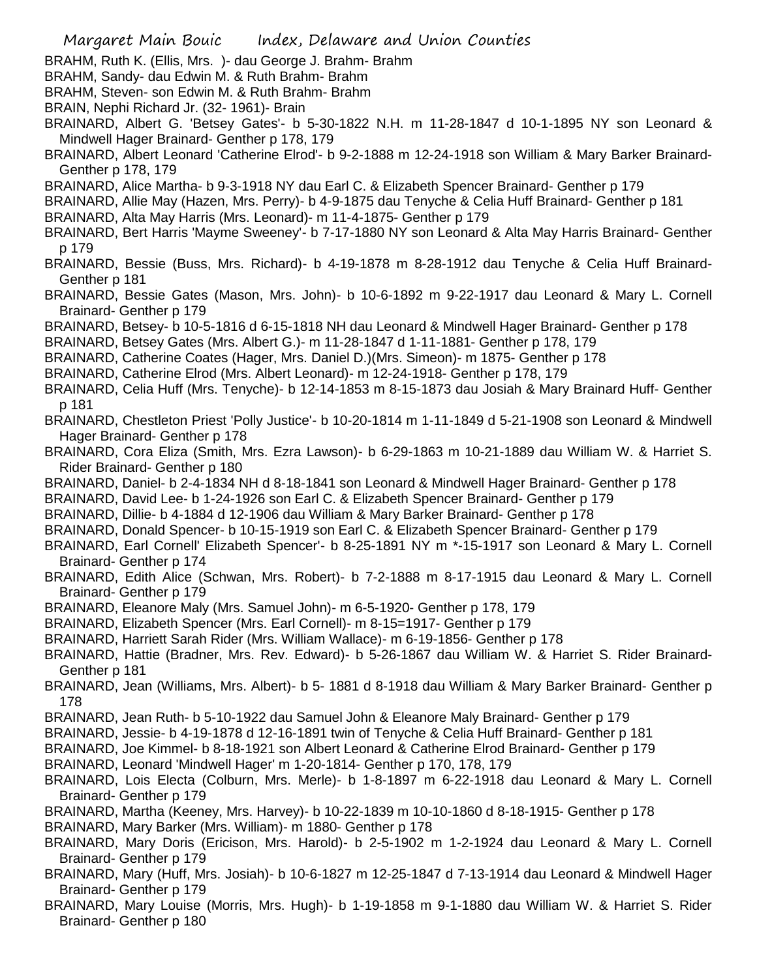- BRAHM, Ruth K. (Ellis, Mrs. )- dau George J. Brahm- Brahm
- BRAHM, Sandy- dau Edwin M. & Ruth Brahm- Brahm
- BRAHM, Steven- son Edwin M. & Ruth Brahm- Brahm
- BRAIN, Nephi Richard Jr. (32- 1961)- Brain
- BRAINARD, Albert G. 'Betsey Gates'- b 5-30-1822 N.H. m 11-28-1847 d 10-1-1895 NY son Leonard & Mindwell Hager Brainard- Genther p 178, 179
- BRAINARD, Albert Leonard 'Catherine Elrod'- b 9-2-1888 m 12-24-1918 son William & Mary Barker Brainard-Genther p 178, 179
- BRAINARD, Alice Martha- b 9-3-1918 NY dau Earl C. & Elizabeth Spencer Brainard- Genther p 179
- BRAINARD, Allie May (Hazen, Mrs. Perry)- b 4-9-1875 dau Tenyche & Celia Huff Brainard- Genther p 181
- BRAINARD, Alta May Harris (Mrs. Leonard)- m 11-4-1875- Genther p 179
- BRAINARD, Bert Harris 'Mayme Sweeney'- b 7-17-1880 NY son Leonard & Alta May Harris Brainard- Genther p 179
- BRAINARD, Bessie (Buss, Mrs. Richard)- b 4-19-1878 m 8-28-1912 dau Tenyche & Celia Huff Brainard-Genther p 181
- BRAINARD, Bessie Gates (Mason, Mrs. John)- b 10-6-1892 m 9-22-1917 dau Leonard & Mary L. Cornell Brainard- Genther p 179
- BRAINARD, Betsey- b 10-5-1816 d 6-15-1818 NH dau Leonard & Mindwell Hager Brainard- Genther p 178
- BRAINARD, Betsey Gates (Mrs. Albert G.)- m 11-28-1847 d 1-11-1881- Genther p 178, 179
- BRAINARD, Catherine Coates (Hager, Mrs. Daniel D.)(Mrs. Simeon)- m 1875- Genther p 178
- BRAINARD, Catherine Elrod (Mrs. Albert Leonard)- m 12-24-1918- Genther p 178, 179
- BRAINARD, Celia Huff (Mrs. Tenyche)- b 12-14-1853 m 8-15-1873 dau Josiah & Mary Brainard Huff- Genther p 181
- BRAINARD, Chestleton Priest 'Polly Justice'- b 10-20-1814 m 1-11-1849 d 5-21-1908 son Leonard & Mindwell Hager Brainard- Genther p 178
- BRAINARD, Cora Eliza (Smith, Mrs. Ezra Lawson)- b 6-29-1863 m 10-21-1889 dau William W. & Harriet S. Rider Brainard- Genther p 180
- BRAINARD, Daniel- b 2-4-1834 NH d 8-18-1841 son Leonard & Mindwell Hager Brainard- Genther p 178
- BRAINARD, David Lee- b 1-24-1926 son Earl C. & Elizabeth Spencer Brainard- Genther p 179
- BRAINARD, Dillie- b 4-1884 d 12-1906 dau William & Mary Barker Brainard- Genther p 178
- BRAINARD, Donald Spencer- b 10-15-1919 son Earl C. & Elizabeth Spencer Brainard- Genther p 179
- BRAINARD, Earl Cornell' Elizabeth Spencer'- b 8-25-1891 NY m \*-15-1917 son Leonard & Mary L. Cornell Brainard- Genther p 174
- BRAINARD, Edith Alice (Schwan, Mrs. Robert)- b 7-2-1888 m 8-17-1915 dau Leonard & Mary L. Cornell Brainard- Genther p 179
- BRAINARD, Eleanore Maly (Mrs. Samuel John)- m 6-5-1920- Genther p 178, 179
- BRAINARD, Elizabeth Spencer (Mrs. Earl Cornell)- m 8-15=1917- Genther p 179
- BRAINARD, Harriett Sarah Rider (Mrs. William Wallace)- m 6-19-1856- Genther p 178
- BRAINARD, Hattie (Bradner, Mrs. Rev. Edward)- b 5-26-1867 dau William W. & Harriet S. Rider Brainard-Genther p 181
- BRAINARD, Jean (Williams, Mrs. Albert)- b 5- 1881 d 8-1918 dau William & Mary Barker Brainard- Genther p 178
- BRAINARD, Jean Ruth- b 5-10-1922 dau Samuel John & Eleanore Maly Brainard- Genther p 179
- BRAINARD, Jessie- b 4-19-1878 d 12-16-1891 twin of Tenyche & Celia Huff Brainard- Genther p 181
- BRAINARD, Joe Kimmel- b 8-18-1921 son Albert Leonard & Catherine Elrod Brainard- Genther p 179
- BRAINARD, Leonard 'Mindwell Hager' m 1-20-1814- Genther p 170, 178, 179
- BRAINARD, Lois Electa (Colburn, Mrs. Merle)- b 1-8-1897 m 6-22-1918 dau Leonard & Mary L. Cornell Brainard- Genther p 179
- BRAINARD, Martha (Keeney, Mrs. Harvey)- b 10-22-1839 m 10-10-1860 d 8-18-1915- Genther p 178
- BRAINARD, Mary Barker (Mrs. William)- m 1880- Genther p 178
- BRAINARD, Mary Doris (Ericison, Mrs. Harold)- b 2-5-1902 m 1-2-1924 dau Leonard & Mary L. Cornell Brainard- Genther p 179
- BRAINARD, Mary (Huff, Mrs. Josiah)- b 10-6-1827 m 12-25-1847 d 7-13-1914 dau Leonard & Mindwell Hager Brainard- Genther p 179
- BRAINARD, Mary Louise (Morris, Mrs. Hugh)- b 1-19-1858 m 9-1-1880 dau William W. & Harriet S. Rider Brainard- Genther p 180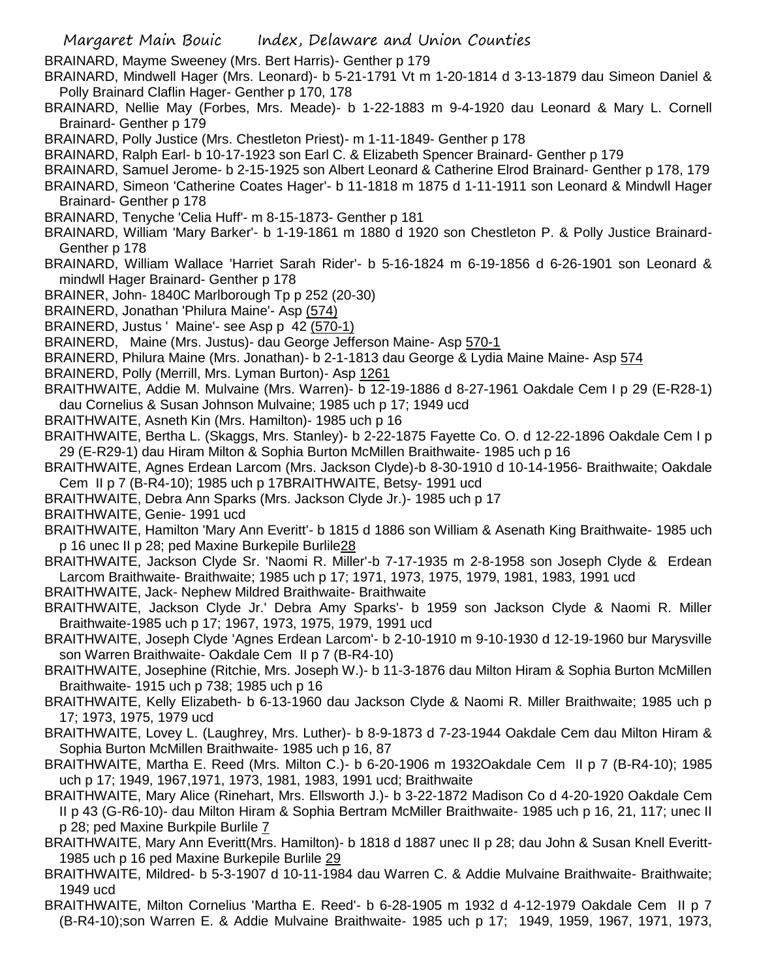- BRAINARD, Mayme Sweeney (Mrs. Bert Harris)- Genther p 179
- BRAINARD, Mindwell Hager (Mrs. Leonard)- b 5-21-1791 Vt m 1-20-1814 d 3-13-1879 dau Simeon Daniel & Polly Brainard Claflin Hager- Genther p 170, 178
- BRAINARD, Nellie May (Forbes, Mrs. Meade)- b 1-22-1883 m 9-4-1920 dau Leonard & Mary L. Cornell Brainard- Genther p 179
- BRAINARD, Polly Justice (Mrs. Chestleton Priest)- m 1-11-1849- Genther p 178
- BRAINARD, Ralph Earl- b 10-17-1923 son Earl C. & Elizabeth Spencer Brainard- Genther p 179
- BRAINARD, Samuel Jerome- b 2-15-1925 son Albert Leonard & Catherine Elrod Brainard- Genther p 178, 179
- BRAINARD, Simeon 'Catherine Coates Hager'- b 11-1818 m 1875 d 1-11-1911 son Leonard & Mindwll Hager Brainard- Genther p 178
- BRAINARD, Tenyche 'Celia Huff'- m 8-15-1873- Genther p 181
- BRAINARD, William 'Mary Barker'- b 1-19-1861 m 1880 d 1920 son Chestleton P. & Polly Justice Brainard-Genther p 178
- BRAINARD, William Wallace 'Harriet Sarah Rider'- b 5-16-1824 m 6-19-1856 d 6-26-1901 son Leonard & mindwll Hager Brainard- Genther p 178
- BRAINER, John- 1840C Marlborough Tp p 252 (20-30)
- BRAINERD, Jonathan 'Philura Maine'- Asp (574)
- BRAINERD, Justus ' Maine'- see Asp p 42 (570-1)
- BRAINERD, Maine (Mrs. Justus)- dau George Jefferson Maine- Asp 570-1
- BRAINERD, Philura Maine (Mrs. Jonathan)- b 2-1-1813 dau George & Lydia Maine Maine- Asp 574
- BRAINERD, Polly (Merrill, Mrs. Lyman Burton)- Asp 1261
- BRAITHWAITE, Addie M. Mulvaine (Mrs. Warren)- b 12-19-1886 d 8-27-1961 Oakdale Cem I p 29 (E-R28-1) dau Cornelius & Susan Johnson Mulvaine; 1985 uch p 17; 1949 ucd
- BRAITHWAITE, Asneth Kin (Mrs. Hamilton)- 1985 uch p 16
- BRAITHWAITE, Bertha L. (Skaggs, Mrs. Stanley)- b 2-22-1875 Fayette Co. O. d 12-22-1896 Oakdale Cem I p 29 (E-R29-1) dau Hiram Milton & Sophia Burton McMillen Braithwaite- 1985 uch p 16
- BRAITHWAITE, Agnes Erdean Larcom (Mrs. Jackson Clyde)-b 8-30-1910 d 10-14-1956- Braithwaite; Oakdale Cem II p 7 (B-R4-10); 1985 uch p 17BRAITHWAITE, Betsy- 1991 ucd
- BRAITHWAITE, Debra Ann Sparks (Mrs. Jackson Clyde Jr.)- 1985 uch p 17
- BRAITHWAITE, Genie- 1991 ucd
- BRAITHWAITE, Hamilton 'Mary Ann Everitt'- b 1815 d 1886 son William & Asenath King Braithwaite- 1985 uch p 16 unec II p 28; ped Maxine Burkepile Burlile28
- BRAITHWAITE, Jackson Clyde Sr. 'Naomi R. Miller'-b 7-17-1935 m 2-8-1958 son Joseph Clyde & Erdean Larcom Braithwaite- Braithwaite; 1985 uch p 17; 1971, 1973, 1975, 1979, 1981, 1983, 1991 ucd
- BRAITHWAITE, Jack- Nephew Mildred Braithwaite- Braithwaite
- BRAITHWAITE, Jackson Clyde Jr.' Debra Amy Sparks'- b 1959 son Jackson Clyde & Naomi R. Miller Braithwaite-1985 uch p 17; 1967, 1973, 1975, 1979, 1991 ucd
- BRAITHWAITE, Joseph Clyde 'Agnes Erdean Larcom'- b 2-10-1910 m 9-10-1930 d 12-19-1960 bur Marysville son Warren Braithwaite- Oakdale Cem II p 7 (B-R4-10)
- BRAITHWAITE, Josephine (Ritchie, Mrs. Joseph W.)- b 11-3-1876 dau Milton Hiram & Sophia Burton McMillen Braithwaite- 1915 uch p 738; 1985 uch p 16
- BRAITHWAITE, Kelly Elizabeth- b 6-13-1960 dau Jackson Clyde & Naomi R. Miller Braithwaite; 1985 uch p 17; 1973, 1975, 1979 ucd
- BRAITHWAITE, Lovey L. (Laughrey, Mrs. Luther)- b 8-9-1873 d 7-23-1944 Oakdale Cem dau Milton Hiram & Sophia Burton McMillen Braithwaite- 1985 uch p 16, 87
- BRAITHWAITE, Martha E. Reed (Mrs. Milton C.)- b 6-20-1906 m 1932Oakdale Cem II p 7 (B-R4-10); 1985 uch p 17; 1949, 1967,1971, 1973, 1981, 1983, 1991 ucd; Braithwaite
- BRAITHWAITE, Mary Alice (Rinehart, Mrs. Ellsworth J.)- b 3-22-1872 Madison Co d 4-20-1920 Oakdale Cem II p 43 (G-R6-10)- dau Milton Hiram & Sophia Bertram McMiller Braithwaite- 1985 uch p 16, 21, 117; unec II p 28; ped Maxine Burkpile Burlile 7
- BRAITHWAITE, Mary Ann Everitt(Mrs. Hamilton)- b 1818 d 1887 unec II p 28; dau John & Susan Knell Everitt-1985 uch p 16 ped Maxine Burkepile Burlile 29
- BRAITHWAITE, Mildred- b 5-3-1907 d 10-11-1984 dau Warren C. & Addie Mulvaine Braithwaite- Braithwaite; 1949 ucd
- BRAITHWAITE, Milton Cornelius 'Martha E. Reed'- b 6-28-1905 m 1932 d 4-12-1979 Oakdale Cem II p 7 (B-R4-10);son Warren E. & Addie Mulvaine Braithwaite- 1985 uch p 17; 1949, 1959, 1967, 1971, 1973,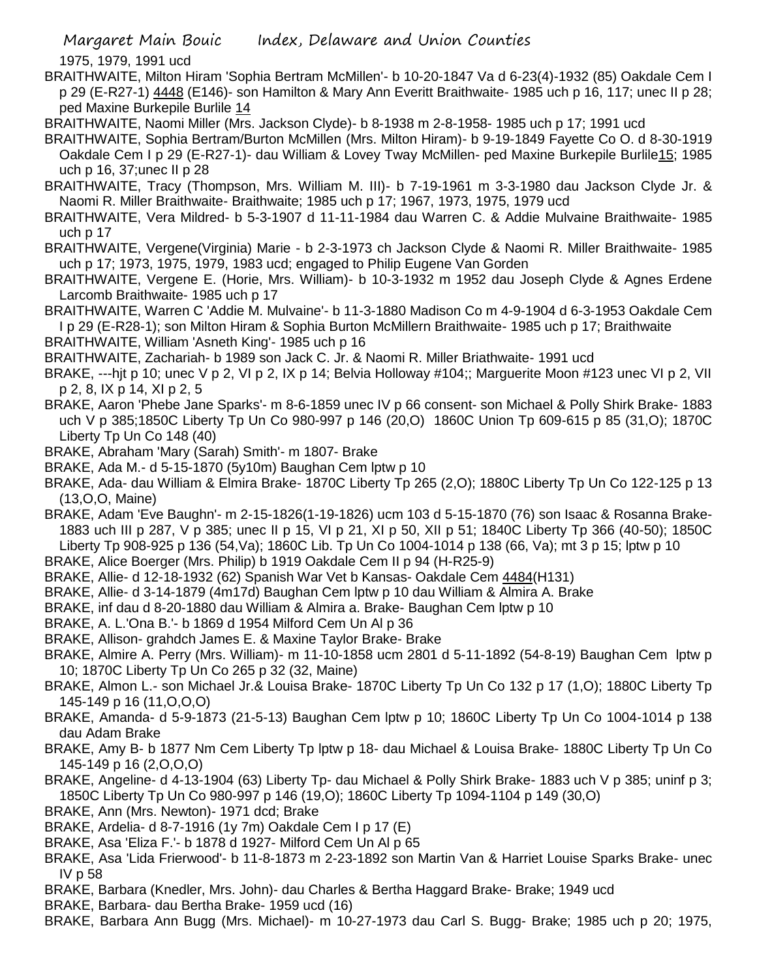1975, 1979, 1991 ucd

- BRAITHWAITE, Milton Hiram 'Sophia Bertram McMillen'- b 10-20-1847 Va d 6-23(4)-1932 (85) Oakdale Cem I p 29 (E-R27-1) 4448 (E146)- son Hamilton & Mary Ann Everitt Braithwaite- 1985 uch p 16, 117; unec II p 28; ped Maxine Burkepile Burlile 14
- BRAITHWAITE, Naomi Miller (Mrs. Jackson Clyde)- b 8-1938 m 2-8-1958- 1985 uch p 17; 1991 ucd
- BRAITHWAITE, Sophia Bertram/Burton McMillen (Mrs. Milton Hiram)- b 9-19-1849 Fayette Co O. d 8-30-1919 Oakdale Cem I p 29 (E-R27-1)- dau William & Lovey Tway McMillen- ped Maxine Burkepile Burlile15; 1985 uch p 16, 37;unec II p 28
- BRAITHWAITE, Tracy (Thompson, Mrs. William M. III)- b 7-19-1961 m 3-3-1980 dau Jackson Clyde Jr. & Naomi R. Miller Braithwaite- Braithwaite; 1985 uch p 17; 1967, 1973, 1975, 1979 ucd
- BRAITHWAITE, Vera Mildred- b 5-3-1907 d 11-11-1984 dau Warren C. & Addie Mulvaine Braithwaite- 1985 uch p 17
- BRAITHWAITE, Vergene(Virginia) Marie b 2-3-1973 ch Jackson Clyde & Naomi R. Miller Braithwaite- 1985 uch p 17; 1973, 1975, 1979, 1983 ucd; engaged to Philip Eugene Van Gorden
- BRAITHWAITE, Vergene E. (Horie, Mrs. William)- b 10-3-1932 m 1952 dau Joseph Clyde & Agnes Erdene Larcomb Braithwaite- 1985 uch p 17
- BRAITHWAITE, Warren C 'Addie M. Mulvaine'- b 11-3-1880 Madison Co m 4-9-1904 d 6-3-1953 Oakdale Cem I p 29 (E-R28-1); son Milton Hiram & Sophia Burton McMillern Braithwaite- 1985 uch p 17; Braithwaite
- BRAITHWAITE, William 'Asneth King'- 1985 uch p 16
- BRAITHWAITE, Zachariah- b 1989 son Jack C. Jr. & Naomi R. Miller Briathwaite- 1991 ucd
- BRAKE, ---hjt p 10; unec V p 2, VI p 2, IX p 14; Belvia Holloway #104;; Marguerite Moon #123 unec VI p 2, VII p 2, 8, IX p 14, XI p 2, 5
- BRAKE, Aaron 'Phebe Jane Sparks'- m 8-6-1859 unec IV p 66 consent- son Michael & Polly Shirk Brake- 1883 uch V p 385;1850C Liberty Tp Un Co 980-997 p 146 (20,O) 1860C Union Tp 609-615 p 85 (31,O); 1870C Liberty Tp Un Co 148 (40)
- BRAKE, Abraham 'Mary (Sarah) Smith'- m 1807- Brake
- BRAKE, Ada M.- d 5-15-1870 (5y10m) Baughan Cem lptw p 10
- BRAKE, Ada- dau William & Elmira Brake- 1870C Liberty Tp 265 (2,O); 1880C Liberty Tp Un Co 122-125 p 13 (13,O,O, Maine)
- BRAKE, Adam 'Eve Baughn'- m 2-15-1826(1-19-1826) ucm 103 d 5-15-1870 (76) son Isaac & Rosanna Brake-1883 uch III p 287, V p 385; unec II p 15, VI p 21, XI p 50, XII p 51; 1840C Liberty Tp 366 (40-50); 1850C Liberty Tp 908-925 p 136 (54,Va); 1860C Lib. Tp Un Co 1004-1014 p 138 (66, Va); mt 3 p 15; lptw p 10
- BRAKE, Alice Boerger (Mrs. Philip) b 1919 Oakdale Cem II p 94 (H-R25-9)
- BRAKE, Allie- d 12-18-1932 (62) Spanish War Vet b Kansas- Oakdale Cem 4484(H131)
- BRAKE, Allie- d 3-14-1879 (4m17d) Baughan Cem lptw p 10 dau William & Almira A. Brake
- BRAKE, inf dau d 8-20-1880 dau William & Almira a. Brake- Baughan Cem lptw p 10
- BRAKE, A. L.'Ona B.'- b 1869 d 1954 Milford Cem Un Al p 36
- BRAKE, Allison- grahdch James E. & Maxine Taylor Brake- Brake
- BRAKE, Almire A. Perry (Mrs. William)- m 11-10-1858 ucm 2801 d 5-11-1892 (54-8-19) Baughan Cem lptw p 10; 1870C Liberty Tp Un Co 265 p 32 (32, Maine)
- BRAKE, Almon L.- son Michael Jr.& Louisa Brake- 1870C Liberty Tp Un Co 132 p 17 (1,O); 1880C Liberty Tp 145-149 p 16 (11,O,O,O)
- BRAKE, Amanda- d 5-9-1873 (21-5-13) Baughan Cem lptw p 10; 1860C Liberty Tp Un Co 1004-1014 p 138 dau Adam Brake
- BRAKE, Amy B- b 1877 Nm Cem Liberty Tp lptw p 18- dau Michael & Louisa Brake- 1880C Liberty Tp Un Co 145-149 p 16 (2,O,O,O)
- BRAKE, Angeline- d 4-13-1904 (63) Liberty Tp- dau Michael & Polly Shirk Brake- 1883 uch V p 385; uninf p 3; 1850C Liberty Tp Un Co 980-997 p 146 (19,O); 1860C Liberty Tp 1094-1104 p 149 (30,O)
- BRAKE, Ann (Mrs. Newton)- 1971 dcd; Brake
- BRAKE, Ardelia- d 8-7-1916 (1y 7m) Oakdale Cem I p 17 (E)
- BRAKE, Asa 'Eliza F.'- b 1878 d 1927- Milford Cem Un Al p 65
- BRAKE, Asa 'Lida Frierwood'- b 11-8-1873 m 2-23-1892 son Martin Van & Harriet Louise Sparks Brake- unec IV p 58
- BRAKE, Barbara (Knedler, Mrs. John)- dau Charles & Bertha Haggard Brake- Brake; 1949 ucd
- BRAKE, Barbara- dau Bertha Brake- 1959 ucd (16)
- BRAKE, Barbara Ann Bugg (Mrs. Michael)- m 10-27-1973 dau Carl S. Bugg- Brake; 1985 uch p 20; 1975,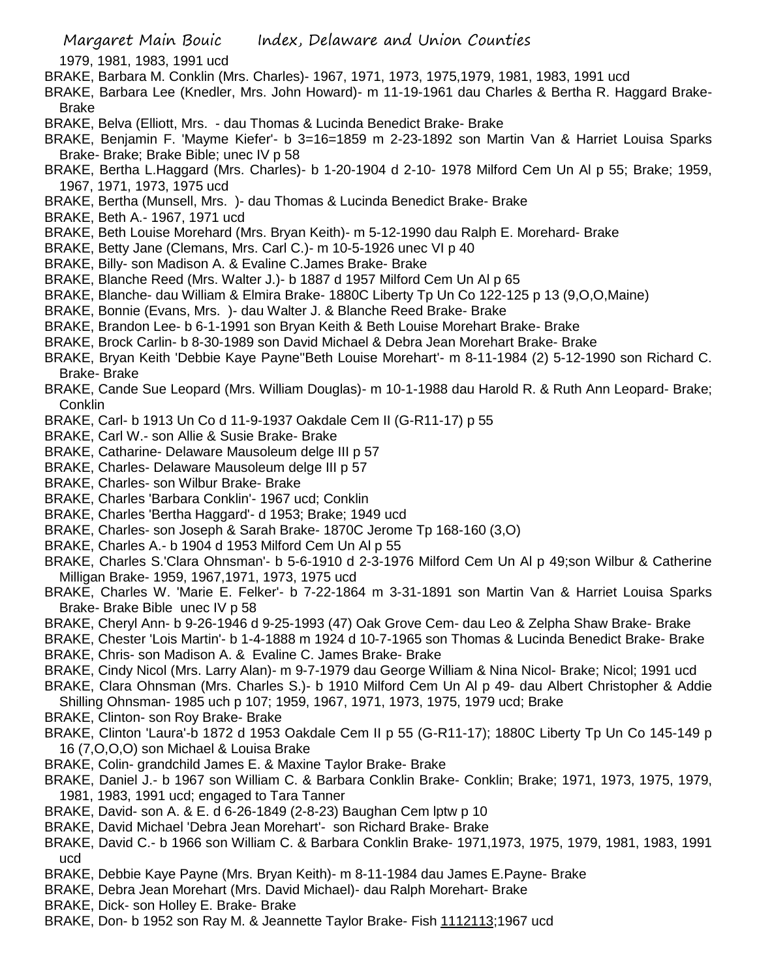1979, 1981, 1983, 1991 ucd

- BRAKE, Barbara M. Conklin (Mrs. Charles)- 1967, 1971, 1973, 1975,1979, 1981, 1983, 1991 ucd
- BRAKE, Barbara Lee (Knedler, Mrs. John Howard)- m 11-19-1961 dau Charles & Bertha R. Haggard Brake-Brake
- BRAKE, Belva (Elliott, Mrs. dau Thomas & Lucinda Benedict Brake- Brake
- BRAKE, Benjamin F. 'Mayme Kiefer'- b 3=16=1859 m 2-23-1892 son Martin Van & Harriet Louisa Sparks Brake- Brake; Brake Bible; unec IV p 58
- BRAKE, Bertha L.Haggard (Mrs. Charles)- b 1-20-1904 d 2-10- 1978 Milford Cem Un Al p 55; Brake; 1959, 1967, 1971, 1973, 1975 ucd
- BRAKE, Bertha (Munsell, Mrs. )- dau Thomas & Lucinda Benedict Brake- Brake
- BRAKE, Beth A.- 1967, 1971 ucd
- BRAKE, Beth Louise Morehard (Mrs. Bryan Keith)- m 5-12-1990 dau Ralph E. Morehard- Brake
- BRAKE, Betty Jane (Clemans, Mrs. Carl C.)- m 10-5-1926 unec VI p 40
- BRAKE, Billy- son Madison A. & Evaline C.James Brake- Brake
- BRAKE, Blanche Reed (Mrs. Walter J.)- b 1887 d 1957 Milford Cem Un Al p 65
- BRAKE, Blanche- dau William & Elmira Brake- 1880C Liberty Tp Un Co 122-125 p 13 (9,O,O,Maine)
- BRAKE, Bonnie (Evans, Mrs. )- dau Walter J. & Blanche Reed Brake- Brake
- BRAKE, Brandon Lee- b 6-1-1991 son Bryan Keith & Beth Louise Morehart Brake- Brake
- BRAKE, Brock Carlin- b 8-30-1989 son David Michael & Debra Jean Morehart Brake- Brake
- BRAKE, Bryan Keith 'Debbie Kaye Payne''Beth Louise Morehart'- m 8-11-1984 (2) 5-12-1990 son Richard C. Brake- Brake
- BRAKE, Cande Sue Leopard (Mrs. William Douglas)- m 10-1-1988 dau Harold R. & Ruth Ann Leopard- Brake; Conklin
- BRAKE, Carl- b 1913 Un Co d 11-9-1937 Oakdale Cem II (G-R11-17) p 55
- BRAKE, Carl W.- son Allie & Susie Brake- Brake
- BRAKE, Catharine- Delaware Mausoleum delge III p 57
- BRAKE, Charles- Delaware Mausoleum delge III p 57
- BRAKE, Charles- son Wilbur Brake- Brake
- BRAKE, Charles 'Barbara Conklin'- 1967 ucd; Conklin
- BRAKE, Charles 'Bertha Haggard'- d 1953; Brake; 1949 ucd
- BRAKE, Charles- son Joseph & Sarah Brake- 1870C Jerome Tp 168-160 (3,O)
- BRAKE, Charles A.- b 1904 d 1953 Milford Cem Un Al p 55
- BRAKE, Charles S.'Clara Ohnsman'- b 5-6-1910 d 2-3-1976 Milford Cem Un Al p 49;son Wilbur & Catherine Milligan Brake- 1959, 1967,1971, 1973, 1975 ucd
- BRAKE, Charles W. 'Marie E. Felker'- b 7-22-1864 m 3-31-1891 son Martin Van & Harriet Louisa Sparks Brake- Brake Bible unec IV p 58
- BRAKE, Cheryl Ann- b 9-26-1946 d 9-25-1993 (47) Oak Grove Cem- dau Leo & Zelpha Shaw Brake- Brake
- BRAKE, Chester 'Lois Martin'- b 1-4-1888 m 1924 d 10-7-1965 son Thomas & Lucinda Benedict Brake- Brake BRAKE, Chris- son Madison A. & Evaline C. James Brake- Brake
- BRAKE, Cindy Nicol (Mrs. Larry Alan)- m 9-7-1979 dau George William & Nina Nicol- Brake; Nicol; 1991 ucd
- BRAKE, Clara Ohnsman (Mrs. Charles S.)- b 1910 Milford Cem Un Al p 49- dau Albert Christopher & Addie Shilling Ohnsman- 1985 uch p 107; 1959, 1967, 1971, 1973, 1975, 1979 ucd; Brake
- BRAKE, Clinton- son Roy Brake- Brake
- BRAKE, Clinton 'Laura'-b 1872 d 1953 Oakdale Cem II p 55 (G-R11-17); 1880C Liberty Tp Un Co 145-149 p 16 (7,O,O,O) son Michael & Louisa Brake
- BRAKE, Colin- grandchild James E. & Maxine Taylor Brake- Brake
- BRAKE, Daniel J.- b 1967 son William C. & Barbara Conklin Brake- Conklin; Brake; 1971, 1973, 1975, 1979, 1981, 1983, 1991 ucd; engaged to Tara Tanner
- BRAKE, David- son A. & E. d 6-26-1849 (2-8-23) Baughan Cem lptw p 10
- BRAKE, David Michael 'Debra Jean Morehart'- son Richard Brake- Brake
- BRAKE, David C.- b 1966 son William C. & Barbara Conklin Brake- 1971,1973, 1975, 1979, 1981, 1983, 1991 ucd
- BRAKE, Debbie Kaye Payne (Mrs. Bryan Keith)- m 8-11-1984 dau James E.Payne- Brake
- BRAKE, Debra Jean Morehart (Mrs. David Michael)- dau Ralph Morehart- Brake
- BRAKE, Dick- son Holley E. Brake- Brake
- BRAKE, Don- b 1952 son Ray M. & Jeannette Taylor Brake- Fish 1112113;1967 ucd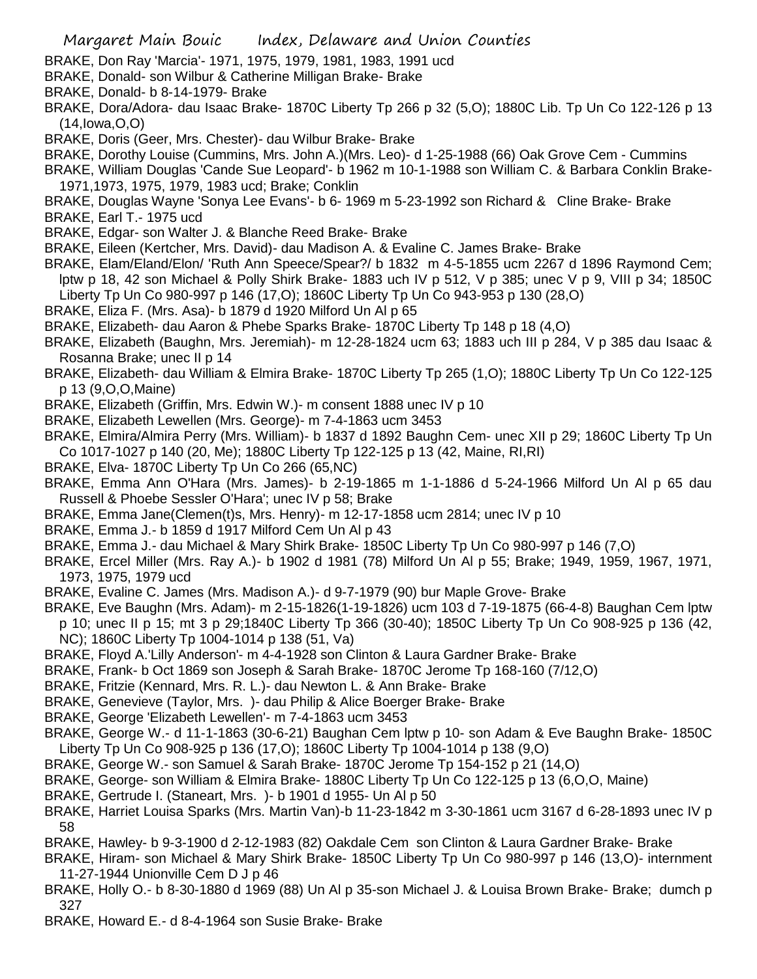- BRAKE, Don Ray 'Marcia'- 1971, 1975, 1979, 1981, 1983, 1991 ucd
- BRAKE, Donald- son Wilbur & Catherine Milligan Brake- Brake
- BRAKE, Donald- b 8-14-1979- Brake
- BRAKE, Dora/Adora- dau Isaac Brake- 1870C Liberty Tp 266 p 32 (5,O); 1880C Lib. Tp Un Co 122-126 p 13 (14,Iowa,O,O)
- BRAKE, Doris (Geer, Mrs. Chester)- dau Wilbur Brake- Brake
- BRAKE, Dorothy Louise (Cummins, Mrs. John A.)(Mrs. Leo)- d 1-25-1988 (66) Oak Grove Cem Cummins
- BRAKE, William Douglas 'Cande Sue Leopard'- b 1962 m 10-1-1988 son William C. & Barbara Conklin Brake-1971,1973, 1975, 1979, 1983 ucd; Brake; Conklin
- BRAKE, Douglas Wayne 'Sonya Lee Evans'- b 6- 1969 m 5-23-1992 son Richard & Cline Brake- Brake
- BRAKE, Earl T.- 1975 ucd
- BRAKE, Edgar- son Walter J. & Blanche Reed Brake- Brake
- BRAKE, Eileen (Kertcher, Mrs. David)- dau Madison A. & Evaline C. James Brake- Brake
- BRAKE, Elam/Eland/Elon/ 'Ruth Ann Speece/Spear?/ b 1832 m 4-5-1855 ucm 2267 d 1896 Raymond Cem; lptw p 18, 42 son Michael & Polly Shirk Brake- 1883 uch IV p 512, V p 385; unec V p 9, VIII p 34; 1850C Liberty Tp Un Co 980-997 p 146 (17,O); 1860C Liberty Tp Un Co 943-953 p 130 (28,O)
- BRAKE, Eliza F. (Mrs. Asa)- b 1879 d 1920 Milford Un Al p 65
- BRAKE, Elizabeth- dau Aaron & Phebe Sparks Brake- 1870C Liberty Tp 148 p 18 (4,O)
- BRAKE, Elizabeth (Baughn, Mrs. Jeremiah)- m 12-28-1824 ucm 63; 1883 uch III p 284, V p 385 dau Isaac & Rosanna Brake; unec II p 14
- BRAKE, Elizabeth- dau William & Elmira Brake- 1870C Liberty Tp 265 (1,O); 1880C Liberty Tp Un Co 122-125 p 13 (9,O,O,Maine)
- BRAKE, Elizabeth (Griffin, Mrs. Edwin W.)- m consent 1888 unec IV p 10
- BRAKE, Elizabeth Lewellen (Mrs. George)- m 7-4-1863 ucm 3453
- BRAKE, Elmira/Almira Perry (Mrs. William)- b 1837 d 1892 Baughn Cem- unec XII p 29; 1860C Liberty Tp Un Co 1017-1027 p 140 (20, Me); 1880C Liberty Tp 122-125 p 13 (42, Maine, RI,RI)
- BRAKE, Elva- 1870C Liberty Tp Un Co 266 (65,NC)
- BRAKE, Emma Ann O'Hara (Mrs. James)- b 2-19-1865 m 1-1-1886 d 5-24-1966 Milford Un Al p 65 dau Russell & Phoebe Sessler O'Hara'; unec IV p 58; Brake
- BRAKE, Emma Jane(Clemen(t)s, Mrs. Henry)- m 12-17-1858 ucm 2814; unec IV p 10
- BRAKE, Emma J.- b 1859 d 1917 Milford Cem Un Al p 43
- BRAKE, Emma J.- dau Michael & Mary Shirk Brake- 1850C Liberty Tp Un Co 980-997 p 146 (7,O)
- BRAKE, Ercel Miller (Mrs. Ray A.)- b 1902 d 1981 (78) Milford Un Al p 55; Brake; 1949, 1959, 1967, 1971, 1973, 1975, 1979 ucd
- BRAKE, Evaline C. James (Mrs. Madison A.)- d 9-7-1979 (90) bur Maple Grove- Brake
- BRAKE, Eve Baughn (Mrs. Adam)- m 2-15-1826(1-19-1826) ucm 103 d 7-19-1875 (66-4-8) Baughan Cem lptw
- p 10; unec II p 15; mt 3 p 29;1840C Liberty Tp 366 (30-40); 1850C Liberty Tp Un Co 908-925 p 136 (42, NC); 1860C Liberty Tp 1004-1014 p 138 (51, Va)
- BRAKE, Floyd A.'Lilly Anderson'- m 4-4-1928 son Clinton & Laura Gardner Brake- Brake
- BRAKE, Frank- b Oct 1869 son Joseph & Sarah Brake- 1870C Jerome Tp 168-160 (7/12,O)
- BRAKE, Fritzie (Kennard, Mrs. R. L.)- dau Newton L. & Ann Brake- Brake
- BRAKE, Genevieve (Taylor, Mrs. )- dau Philip & Alice Boerger Brake- Brake
- BRAKE, George 'Elizabeth Lewellen'- m 7-4-1863 ucm 3453
- BRAKE, George W.- d 11-1-1863 (30-6-21) Baughan Cem lptw p 10- son Adam & Eve Baughn Brake- 1850C Liberty Tp Un Co 908-925 p 136 (17,O); 1860C Liberty Tp 1004-1014 p 138 (9,O)
- BRAKE, George W.- son Samuel & Sarah Brake- 1870C Jerome Tp 154-152 p 21 (14,O)
- BRAKE, George- son William & Elmira Brake- 1880C Liberty Tp Un Co 122-125 p 13 (6,O,O, Maine)
- BRAKE, Gertrude I. (Staneart, Mrs. )- b 1901 d 1955- Un Al p 50
- BRAKE, Harriet Louisa Sparks (Mrs. Martin Van)-b 11-23-1842 m 3-30-1861 ucm 3167 d 6-28-1893 unec IV p 58
- BRAKE, Hawley- b 9-3-1900 d 2-12-1983 (82) Oakdale Cem son Clinton & Laura Gardner Brake- Brake
- BRAKE, Hiram- son Michael & Mary Shirk Brake- 1850C Liberty Tp Un Co 980-997 p 146 (13,O)- internment 11-27-1944 Unionville Cem D J p 46
- BRAKE, Holly O.- b 8-30-1880 d 1969 (88) Un Al p 35-son Michael J. & Louisa Brown Brake- Brake; dumch p 327
- BRAKE, Howard E.- d 8-4-1964 son Susie Brake- Brake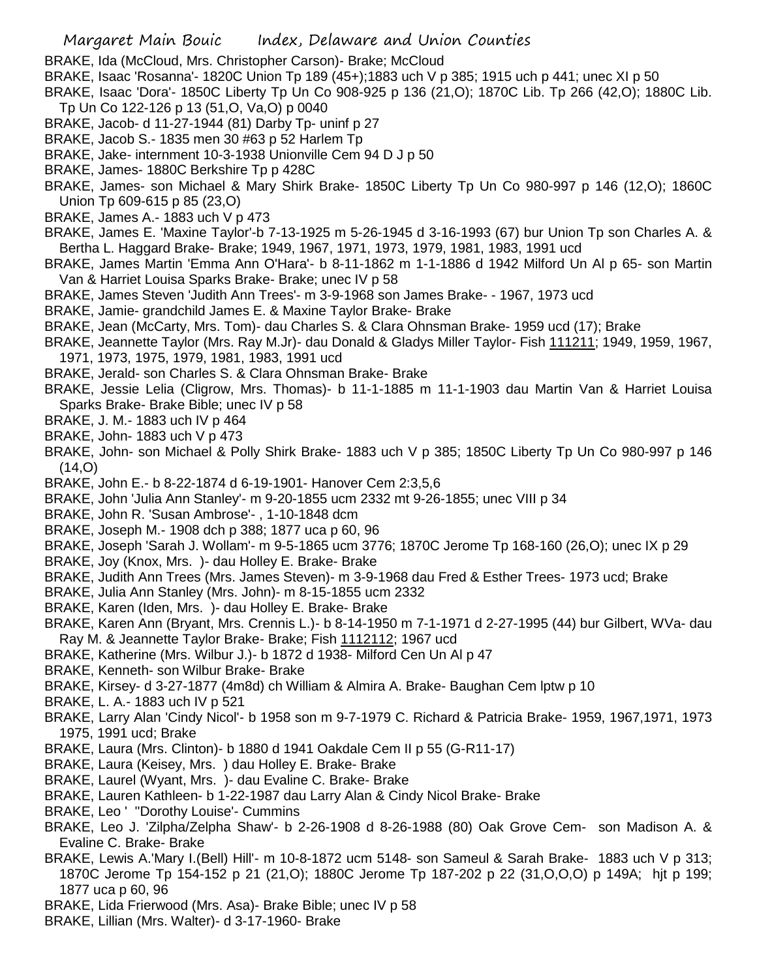- BRAKE, Ida (McCloud, Mrs. Christopher Carson)- Brake; McCloud
- BRAKE, Isaac 'Rosanna'- 1820C Union Tp 189 (45+);1883 uch V p 385; 1915 uch p 441; unec XI p 50
- BRAKE, Isaac 'Dora'- 1850C Liberty Tp Un Co 908-925 p 136 (21,O); 1870C Lib. Tp 266 (42,O); 1880C Lib. Tp Un Co 122-126 p 13 (51,O, Va,O) p 0040
- BRAKE, Jacob- d 11-27-1944 (81) Darby Tp- uninf p 27
- BRAKE, Jacob S.- 1835 men 30 #63 p 52 Harlem Tp
- BRAKE, Jake- internment 10-3-1938 Unionville Cem 94 D J p 50
- BRAKE, James- 1880C Berkshire Tp p 428C
- BRAKE, James- son Michael & Mary Shirk Brake- 1850C Liberty Tp Un Co 980-997 p 146 (12,O); 1860C Union Tp 609-615 p 85 (23,O)
- BRAKE, James A.- 1883 uch V p 473
- BRAKE, James E. 'Maxine Taylor'-b 7-13-1925 m 5-26-1945 d 3-16-1993 (67) bur Union Tp son Charles A. & Bertha L. Haggard Brake- Brake; 1949, 1967, 1971, 1973, 1979, 1981, 1983, 1991 ucd
- BRAKE, James Martin 'Emma Ann O'Hara'- b 8-11-1862 m 1-1-1886 d 1942 Milford Un Al p 65- son Martin Van & Harriet Louisa Sparks Brake- Brake; unec IV p 58
- BRAKE, James Steven 'Judith Ann Trees'- m 3-9-1968 son James Brake- 1967, 1973 ucd
- BRAKE, Jamie- grandchild James E. & Maxine Taylor Brake- Brake
- BRAKE, Jean (McCarty, Mrs. Tom)- dau Charles S. & Clara Ohnsman Brake- 1959 ucd (17); Brake
- BRAKE, Jeannette Taylor (Mrs. Ray M.Jr)- dau Donald & Gladys Miller Taylor- Fish 111211; 1949, 1959, 1967, 1971, 1973, 1975, 1979, 1981, 1983, 1991 ucd
- BRAKE, Jerald- son Charles S. & Clara Ohnsman Brake- Brake
- BRAKE, Jessie Lelia (Cligrow, Mrs. Thomas)- b 11-1-1885 m 11-1-1903 dau Martin Van & Harriet Louisa Sparks Brake- Brake Bible; unec IV p 58
- BRAKE, J. M.- 1883 uch IV p 464
- BRAKE, John- 1883 uch V p 473
- BRAKE, John- son Michael & Polly Shirk Brake- 1883 uch V p 385; 1850C Liberty Tp Un Co 980-997 p 146  $(14, 0)$
- BRAKE, John E.- b 8-22-1874 d 6-19-1901- Hanover Cem 2:3,5,6
- BRAKE, John 'Julia Ann Stanley'- m 9-20-1855 ucm 2332 mt 9-26-1855; unec VIII p 34
- BRAKE, John R. 'Susan Ambrose'- , 1-10-1848 dcm
- BRAKE, Joseph M.- 1908 dch p 388; 1877 uca p 60, 96
- BRAKE, Joseph 'Sarah J. Wollam'- m 9-5-1865 ucm 3776; 1870C Jerome Tp 168-160 (26,O); unec IX p 29
- BRAKE, Joy (Knox, Mrs. )- dau Holley E. Brake- Brake
- BRAKE, Judith Ann Trees (Mrs. James Steven)- m 3-9-1968 dau Fred & Esther Trees- 1973 ucd; Brake
- BRAKE, Julia Ann Stanley (Mrs. John)- m 8-15-1855 ucm 2332
- BRAKE, Karen (Iden, Mrs. )- dau Holley E. Brake- Brake
- BRAKE, Karen Ann (Bryant, Mrs. Crennis L.)- b 8-14-1950 m 7-1-1971 d 2-27-1995 (44) bur Gilbert, WVa- dau Ray M. & Jeannette Taylor Brake- Brake; Fish 1112112; 1967 ucd
- BRAKE, Katherine (Mrs. Wilbur J.)- b 1872 d 1938- Milford Cen Un Al p 47
- BRAKE, Kenneth- son Wilbur Brake- Brake
- BRAKE, Kirsey- d 3-27-1877 (4m8d) ch William & Almira A. Brake- Baughan Cem lptw p 10
- BRAKE, L. A.- 1883 uch IV p 521
- BRAKE, Larry Alan 'Cindy Nicol'- b 1958 son m 9-7-1979 C. Richard & Patricia Brake- 1959, 1967,1971, 1973 1975, 1991 ucd; Brake
- BRAKE, Laura (Mrs. Clinton)- b 1880 d 1941 Oakdale Cem II p 55 (G-R11-17)
- BRAKE, Laura (Keisey, Mrs. ) dau Holley E. Brake- Brake
- BRAKE, Laurel (Wyant, Mrs. )- dau Evaline C. Brake- Brake
- BRAKE, Lauren Kathleen- b 1-22-1987 dau Larry Alan & Cindy Nicol Brake- Brake
- BRAKE, Leo ' ''Dorothy Louise'- Cummins
- BRAKE, Leo J. 'Zilpha/Zelpha Shaw'- b 2-26-1908 d 8-26-1988 (80) Oak Grove Cem- son Madison A. & Evaline C. Brake- Brake
- BRAKE, Lewis A.'Mary I.(Bell) Hill'- m 10-8-1872 ucm 5148- son Sameul & Sarah Brake- 1883 uch V p 313; 1870C Jerome Tp 154-152 p 21 (21,O); 1880C Jerome Tp 187-202 p 22 (31,O,O,O) p 149A; hjt p 199; 1877 uca p 60, 96
- BRAKE, Lida Frierwood (Mrs. Asa)- Brake Bible; unec IV p 58
- BRAKE, Lillian (Mrs. Walter)- d 3-17-1960- Brake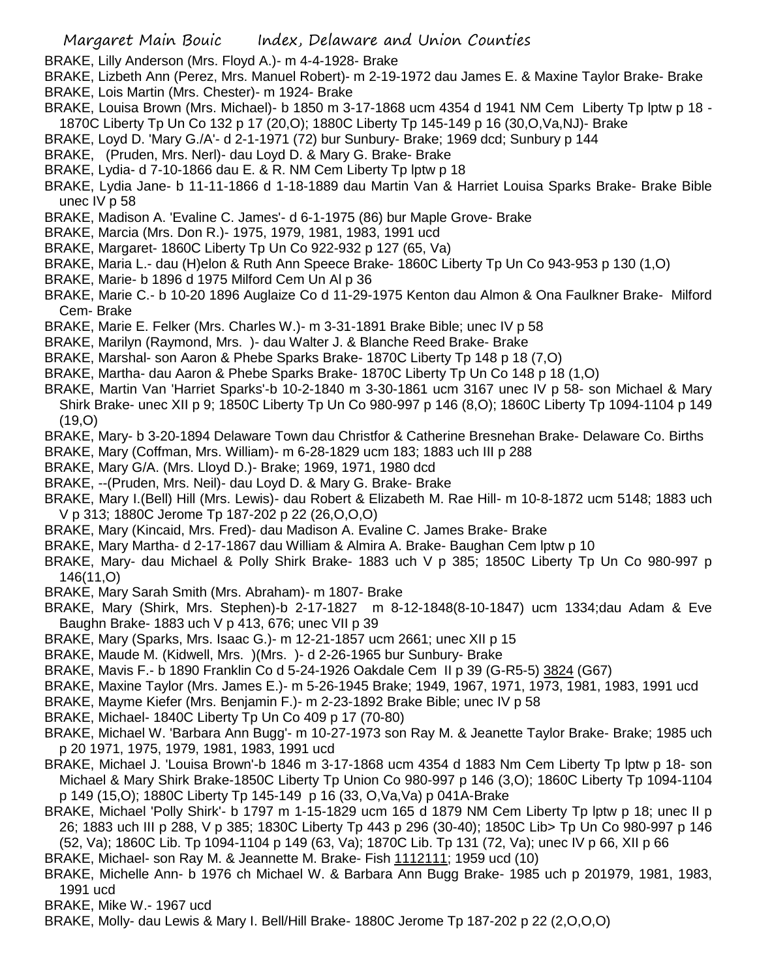- BRAKE, Lilly Anderson (Mrs. Floyd A.)- m 4-4-1928- Brake
- BRAKE, Lizbeth Ann (Perez, Mrs. Manuel Robert)- m 2-19-1972 dau James E. & Maxine Taylor Brake- Brake BRAKE, Lois Martin (Mrs. Chester)- m 1924- Brake
- BRAKE, Louisa Brown (Mrs. Michael)- b 1850 m 3-17-1868 ucm 4354 d 1941 NM Cem Liberty Tp lptw p 18 1870C Liberty Tp Un Co 132 p 17 (20,O); 1880C Liberty Tp 145-149 p 16 (30,O,Va,NJ)- Brake
- BRAKE, Loyd D. 'Mary G./A'- d 2-1-1971 (72) bur Sunbury- Brake; 1969 dcd; Sunbury p 144
- BRAKE, (Pruden, Mrs. Nerl)- dau Loyd D. & Mary G. Brake- Brake
- BRAKE, Lydia- d 7-10-1866 dau E. & R. NM Cem Liberty Tp lptw p 18
- BRAKE, Lydia Jane- b 11-11-1866 d 1-18-1889 dau Martin Van & Harriet Louisa Sparks Brake- Brake Bible unec IV p 58
- BRAKE, Madison A. 'Evaline C. James'- d 6-1-1975 (86) bur Maple Grove- Brake
- BRAKE, Marcia (Mrs. Don R.)- 1975, 1979, 1981, 1983, 1991 ucd
- BRAKE, Margaret- 1860C Liberty Tp Un Co 922-932 p 127 (65, Va)
- BRAKE, Maria L.- dau (H)elon & Ruth Ann Speece Brake- 1860C Liberty Tp Un Co 943-953 p 130 (1,O)
- BRAKE, Marie- b 1896 d 1975 Milford Cem Un Al p 36
- BRAKE, Marie C.- b 10-20 1896 Auglaize Co d 11-29-1975 Kenton dau Almon & Ona Faulkner Brake- Milford Cem- Brake
- BRAKE, Marie E. Felker (Mrs. Charles W.)- m 3-31-1891 Brake Bible; unec IV p 58
- BRAKE, Marilyn (Raymond, Mrs. )- dau Walter J. & Blanche Reed Brake- Brake
- BRAKE, Marshal- son Aaron & Phebe Sparks Brake- 1870C Liberty Tp 148 p 18 (7,O)
- BRAKE, Martha- dau Aaron & Phebe Sparks Brake- 1870C Liberty Tp Un Co 148 p 18 (1,O)
- BRAKE, Martin Van 'Harriet Sparks'-b 10-2-1840 m 3-30-1861 ucm 3167 unec IV p 58- son Michael & Mary Shirk Brake- unec XII p 9; 1850C Liberty Tp Un Co 980-997 p 146 (8,O); 1860C Liberty Tp 1094-1104 p 149 (19,O)
- BRAKE, Mary- b 3-20-1894 Delaware Town dau Christfor & Catherine Bresnehan Brake- Delaware Co. Births
- BRAKE, Mary (Coffman, Mrs. William)- m 6-28-1829 ucm 183; 1883 uch III p 288
- BRAKE, Mary G/A. (Mrs. Lloyd D.)- Brake; 1969, 1971, 1980 dcd
- BRAKE, --(Pruden, Mrs. Neil)- dau Loyd D. & Mary G. Brake- Brake
- BRAKE, Mary I.(Bell) Hill (Mrs. Lewis)- dau Robert & Elizabeth M. Rae Hill- m 10-8-1872 ucm 5148; 1883 uch V p 313; 1880C Jerome Tp 187-202 p 22 (26,O,O,O)
- BRAKE, Mary (Kincaid, Mrs. Fred)- dau Madison A. Evaline C. James Brake- Brake
- BRAKE, Mary Martha- d 2-17-1867 dau William & Almira A. Brake- Baughan Cem lptw p 10
- BRAKE, Mary- dau Michael & Polly Shirk Brake- 1883 uch V p 385; 1850C Liberty Tp Un Co 980-997 p 146(11,O)
- BRAKE, Mary Sarah Smith (Mrs. Abraham)- m 1807- Brake
- BRAKE, Mary (Shirk, Mrs. Stephen)-b 2-17-1827 m 8-12-1848(8-10-1847) ucm 1334;dau Adam & Eve Baughn Brake- 1883 uch V p 413, 676; unec VII p 39
- BRAKE, Mary (Sparks, Mrs. Isaac G.)- m 12-21-1857 ucm 2661; unec XII p 15
- BRAKE, Maude M. (Kidwell, Mrs. )(Mrs. )- d 2-26-1965 bur Sunbury- Brake
- BRAKE, Mavis F.- b 1890 Franklin Co d 5-24-1926 Oakdale Cem II p 39 (G-R5-5) 3824 (G67)
- BRAKE, Maxine Taylor (Mrs. James E.)- m 5-26-1945 Brake; 1949, 1967, 1971, 1973, 1981, 1983, 1991 ucd
- BRAKE, Mayme Kiefer (Mrs. Benjamin F.)- m 2-23-1892 Brake Bible; unec IV p 58
- BRAKE, Michael- 1840C Liberty Tp Un Co 409 p 17 (70-80)
- BRAKE, Michael W. 'Barbara Ann Bugg'- m 10-27-1973 son Ray M. & Jeanette Taylor Brake- Brake; 1985 uch p 20 1971, 1975, 1979, 1981, 1983, 1991 ucd
- BRAKE, Michael J. 'Louisa Brown'-b 1846 m 3-17-1868 ucm 4354 d 1883 Nm Cem Liberty Tp lptw p 18- son Michael & Mary Shirk Brake-1850C Liberty Tp Union Co 980-997 p 146 (3,O); 1860C Liberty Tp 1094-1104 p 149 (15,O); 1880C Liberty Tp 145-149 p 16 (33, O,Va,Va) p 041A-Brake
- BRAKE, Michael 'Polly Shirk'- b 1797 m 1-15-1829 ucm 165 d 1879 NM Cem Liberty Tp lptw p 18; unec II p 26; 1883 uch III p 288, V p 385; 1830C Liberty Tp 443 p 296 (30-40); 1850C Lib> Tp Un Co 980-997 p 146 (52, Va); 1860C Lib. Tp 1094-1104 p 149 (63, Va); 1870C Lib. Tp 131 (72, Va); unec IV p 66, XII p 66
- BRAKE, Michael- son Ray M. & Jeannette M. Brake- Fish 1112111; 1959 ucd (10)
- BRAKE, Michelle Ann- b 1976 ch Michael W. & Barbara Ann Bugg Brake- 1985 uch p 201979, 1981, 1983, 1991 ucd
- BRAKE, Mike W.- 1967 ucd
- BRAKE, Molly- dau Lewis & Mary I. Bell/Hill Brake- 1880C Jerome Tp 187-202 p 22 (2,O,O,O)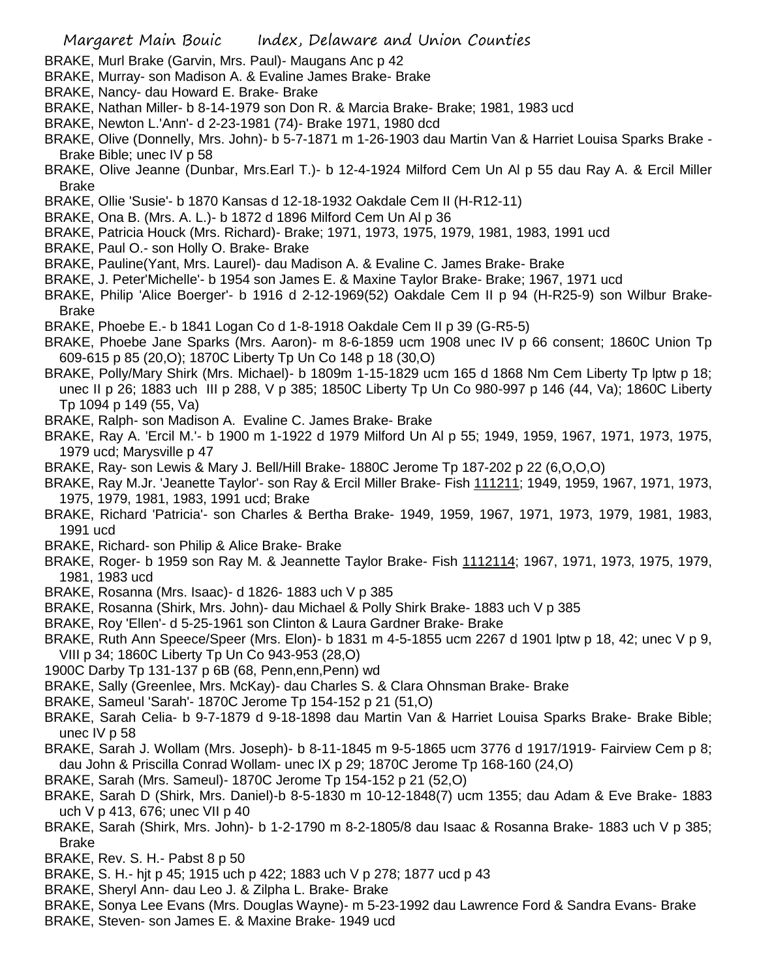- BRAKE, Murl Brake (Garvin, Mrs. Paul)- Maugans Anc p 42
- BRAKE, Murray- son Madison A. & Evaline James Brake- Brake
- BRAKE, Nancy- dau Howard E. Brake- Brake
- BRAKE, Nathan Miller- b 8-14-1979 son Don R. & Marcia Brake- Brake; 1981, 1983 ucd
- BRAKE, Newton L.'Ann'- d 2-23-1981 (74)- Brake 1971, 1980 dcd
- BRAKE, Olive (Donnelly, Mrs. John)- b 5-7-1871 m 1-26-1903 dau Martin Van & Harriet Louisa Sparks Brake Brake Bible; unec IV p 58
- BRAKE, Olive Jeanne (Dunbar, Mrs.Earl T.)- b 12-4-1924 Milford Cem Un Al p 55 dau Ray A. & Ercil Miller Brake
- BRAKE, Ollie 'Susie'- b 1870 Kansas d 12-18-1932 Oakdale Cem II (H-R12-11)
- BRAKE, Ona B. (Mrs. A. L.)- b 1872 d 1896 Milford Cem Un Al p 36
- BRAKE, Patricia Houck (Mrs. Richard)- Brake; 1971, 1973, 1975, 1979, 1981, 1983, 1991 ucd
- BRAKE, Paul O.- son Holly O. Brake- Brake
- BRAKE, Pauline(Yant, Mrs. Laurel)- dau Madison A. & Evaline C. James Brake- Brake
- BRAKE, J. Peter'Michelle'- b 1954 son James E. & Maxine Taylor Brake- Brake; 1967, 1971 ucd
- BRAKE, Philip 'Alice Boerger'- b 1916 d 2-12-1969(52) Oakdale Cem II p 94 (H-R25-9) son Wilbur Brake-Brake
- BRAKE, Phoebe E.- b 1841 Logan Co d 1-8-1918 Oakdale Cem II p 39 (G-R5-5)
- BRAKE, Phoebe Jane Sparks (Mrs. Aaron)- m 8-6-1859 ucm 1908 unec IV p 66 consent; 1860C Union Tp 609-615 p 85 (20,O); 1870C Liberty Tp Un Co 148 p 18 (30,O)
- BRAKE, Polly/Mary Shirk (Mrs. Michael)- b 1809m 1-15-1829 ucm 165 d 1868 Nm Cem Liberty Tp lptw p 18; unec II p 26; 1883 uch III p 288, V p 385; 1850C Liberty Tp Un Co 980-997 p 146 (44, Va); 1860C Liberty Tp 1094 p 149 (55, Va)
- BRAKE, Ralph- son Madison A. Evaline C. James Brake- Brake
- BRAKE, Ray A. 'Ercil M.'- b 1900 m 1-1922 d 1979 Milford Un Al p 55; 1949, 1959, 1967, 1971, 1973, 1975, 1979 ucd; Marysville p 47
- BRAKE, Ray- son Lewis & Mary J. Bell/Hill Brake- 1880C Jerome Tp 187-202 p 22 (6,O,O,O)
- BRAKE, Ray M.Jr. 'Jeanette Taylor'- son Ray & Ercil Miller Brake- Fish 111211; 1949, 1959, 1967, 1971, 1973, 1975, 1979, 1981, 1983, 1991 ucd; Brake
- BRAKE, Richard 'Patricia'- son Charles & Bertha Brake- 1949, 1959, 1967, 1971, 1973, 1979, 1981, 1983, 1991 ucd
- BRAKE, Richard- son Philip & Alice Brake- Brake
- BRAKE, Roger- b 1959 son Ray M. & Jeannette Taylor Brake- Fish 1112114; 1967, 1971, 1973, 1975, 1979, 1981, 1983 ucd
- BRAKE, Rosanna (Mrs. Isaac)- d 1826- 1883 uch V p 385
- BRAKE, Rosanna (Shirk, Mrs. John)- dau Michael & Polly Shirk Brake- 1883 uch V p 385
- BRAKE, Roy 'Ellen'- d 5-25-1961 son Clinton & Laura Gardner Brake- Brake
- BRAKE, Ruth Ann Speece/Speer (Mrs. Elon)- b 1831 m 4-5-1855 ucm 2267 d 1901 lptw p 18, 42; unec V p 9, VIII p 34; 1860C Liberty Tp Un Co 943-953 (28,O)
- 1900C Darby Tp 131-137 p 6B (68, Penn,enn,Penn) wd
- BRAKE, Sally (Greenlee, Mrs. McKay)- dau Charles S. & Clara Ohnsman Brake- Brake
- BRAKE, Sameul 'Sarah'- 1870C Jerome Tp 154-152 p 21 (51,O)
- BRAKE, Sarah Celia- b 9-7-1879 d 9-18-1898 dau Martin Van & Harriet Louisa Sparks Brake- Brake Bible; unec IV p 58
- BRAKE, Sarah J. Wollam (Mrs. Joseph)- b 8-11-1845 m 9-5-1865 ucm 3776 d 1917/1919- Fairview Cem p 8; dau John & Priscilla Conrad Wollam- unec IX p 29; 1870C Jerome Tp 168-160 (24,O)
- BRAKE, Sarah (Mrs. Sameul)- 1870C Jerome Tp 154-152 p 21 (52,O)
- BRAKE, Sarah D (Shirk, Mrs. Daniel)-b 8-5-1830 m 10-12-1848(7) ucm 1355; dau Adam & Eve Brake- 1883 uch V p 413, 676; unec VII p 40
- BRAKE, Sarah (Shirk, Mrs. John)- b 1-2-1790 m 8-2-1805/8 dau Isaac & Rosanna Brake- 1883 uch V p 385; Brake
- BRAKE, Rev. S. H.- Pabst 8 p 50
- BRAKE, S. H.- hjt p 45; 1915 uch p 422; 1883 uch V p 278; 1877 ucd p 43
- BRAKE, Sheryl Ann- dau Leo J. & Zilpha L. Brake- Brake
- BRAKE, Sonya Lee Evans (Mrs. Douglas Wayne)- m 5-23-1992 dau Lawrence Ford & Sandra Evans- Brake
- BRAKE, Steven- son James E. & Maxine Brake- 1949 ucd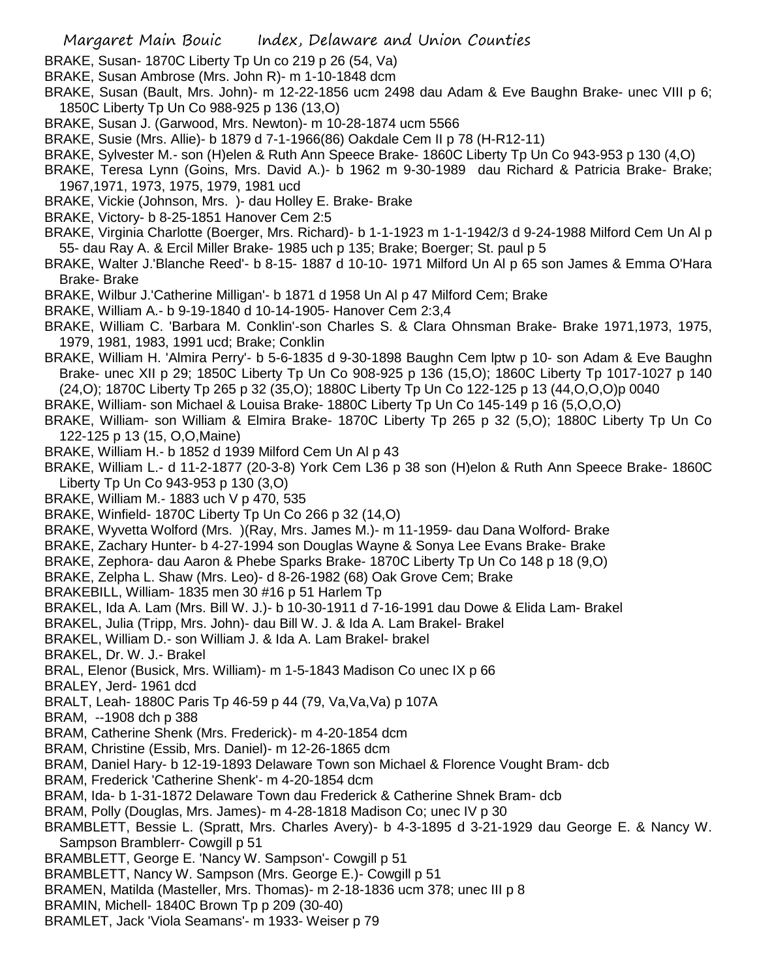- BRAKE, Susan- 1870C Liberty Tp Un co 219 p 26 (54, Va)
- BRAKE, Susan Ambrose (Mrs. John R)- m 1-10-1848 dcm
- BRAKE, Susan (Bault, Mrs. John)- m 12-22-1856 ucm 2498 dau Adam & Eve Baughn Brake- unec VIII p 6; 1850C Liberty Tp Un Co 988-925 p 136 (13,O)
- BRAKE, Susan J. (Garwood, Mrs. Newton)- m 10-28-1874 ucm 5566
- BRAKE, Susie (Mrs. Allie)- b 1879 d 7-1-1966(86) Oakdale Cem II p 78 (H-R12-11)
- BRAKE, Sylvester M.- son (H)elen & Ruth Ann Speece Brake- 1860C Liberty Tp Un Co 943-953 p 130 (4,O)
- BRAKE, Teresa Lynn (Goins, Mrs. David A.)- b 1962 m 9-30-1989 dau Richard & Patricia Brake- Brake; 1967,1971, 1973, 1975, 1979, 1981 ucd
- BRAKE, Vickie (Johnson, Mrs. )- dau Holley E. Brake- Brake
- BRAKE, Victory- b 8-25-1851 Hanover Cem 2:5
- BRAKE, Virginia Charlotte (Boerger, Mrs. Richard)- b 1-1-1923 m 1-1-1942/3 d 9-24-1988 Milford Cem Un Al p 55- dau Ray A. & Ercil Miller Brake- 1985 uch p 135; Brake; Boerger; St. paul p 5
- BRAKE, Walter J.'Blanche Reed'- b 8-15- 1887 d 10-10- 1971 Milford Un Al p 65 son James & Emma O'Hara Brake- Brake
- BRAKE, Wilbur J.'Catherine Milligan'- b 1871 d 1958 Un Al p 47 Milford Cem; Brake
- BRAKE, William A.- b 9-19-1840 d 10-14-1905- Hanover Cem 2:3,4
- BRAKE, William C. 'Barbara M. Conklin'-son Charles S. & Clara Ohnsman Brake- Brake 1971,1973, 1975, 1979, 1981, 1983, 1991 ucd; Brake; Conklin
- BRAKE, William H. 'Almira Perry'- b 5-6-1835 d 9-30-1898 Baughn Cem lptw p 10- son Adam & Eve Baughn Brake- unec XII p 29; 1850C Liberty Tp Un Co 908-925 p 136 (15,O); 1860C Liberty Tp 1017-1027 p 140 (24,O); 1870C Liberty Tp 265 p 32 (35,O); 1880C Liberty Tp Un Co 122-125 p 13 (44,O,O,O)p 0040
- BRAKE, William- son Michael & Louisa Brake- 1880C Liberty Tp Un Co 145-149 p 16 (5,O,O,O)
- BRAKE, William- son William & Elmira Brake- 1870C Liberty Tp 265 p 32 (5,O); 1880C Liberty Tp Un Co 122-125 p 13 (15, O,O,Maine)
- BRAKE, William H.- b 1852 d 1939 Milford Cem Un Al p 43
- BRAKE, William L.- d 11-2-1877 (20-3-8) York Cem L36 p 38 son (H)elon & Ruth Ann Speece Brake- 1860C Liberty Tp Un Co 943-953 p 130 (3,O)
- BRAKE, William M.- 1883 uch V p 470, 535
- BRAKE, Winfield- 1870C Liberty Tp Un Co 266 p 32 (14,O)
- BRAKE, Wyvetta Wolford (Mrs. )(Ray, Mrs. James M.)- m 11-1959- dau Dana Wolford- Brake
- BRAKE, Zachary Hunter- b 4-27-1994 son Douglas Wayne & Sonya Lee Evans Brake- Brake
- BRAKE, Zephora- dau Aaron & Phebe Sparks Brake- 1870C Liberty Tp Un Co 148 p 18 (9,O)
- BRAKE, Zelpha L. Shaw (Mrs. Leo)- d 8-26-1982 (68) Oak Grove Cem; Brake
- BRAKEBILL, William- 1835 men 30 #16 p 51 Harlem Tp
- BRAKEL, Ida A. Lam (Mrs. Bill W. J.)- b 10-30-1911 d 7-16-1991 dau Dowe & Elida Lam- Brakel
- BRAKEL, Julia (Tripp, Mrs. John)- dau Bill W. J. & Ida A. Lam Brakel- Brakel
- BRAKEL, William D.- son William J. & Ida A. Lam Brakel- brakel
- BRAKEL, Dr. W. J.- Brakel
- BRAL, Elenor (Busick, Mrs. William)- m 1-5-1843 Madison Co unec IX p 66
- BRALEY, Jerd- 1961 dcd
- BRALT, Leah- 1880C Paris Tp 46-59 p 44 (79, Va,Va,Va) p 107A
- BRAM, --1908 dch p 388
- BRAM, Catherine Shenk (Mrs. Frederick)- m 4-20-1854 dcm
- BRAM, Christine (Essib, Mrs. Daniel)- m 12-26-1865 dcm
- BRAM, Daniel Hary- b 12-19-1893 Delaware Town son Michael & Florence Vought Bram- dcb
- BRAM, Frederick 'Catherine Shenk'- m 4-20-1854 dcm
- BRAM, Ida- b 1-31-1872 Delaware Town dau Frederick & Catherine Shnek Bram- dcb
- BRAM, Polly (Douglas, Mrs. James)- m 4-28-1818 Madison Co; unec IV p 30
- BRAMBLETT, Bessie L. (Spratt, Mrs. Charles Avery)- b 4-3-1895 d 3-21-1929 dau George E. & Nancy W. Sampson Bramblerr- Cowgill p 51
- BRAMBLETT, George E. 'Nancy W. Sampson'- Cowgill p 51
- BRAMBLETT, Nancy W. Sampson (Mrs. George E.)- Cowgill p 51
- BRAMEN, Matilda (Masteller, Mrs. Thomas)- m 2-18-1836 ucm 378; unec III p 8
- BRAMIN, Michell- 1840C Brown Tp p 209 (30-40)
- BRAMLET, Jack 'Viola Seamans'- m 1933- Weiser p 79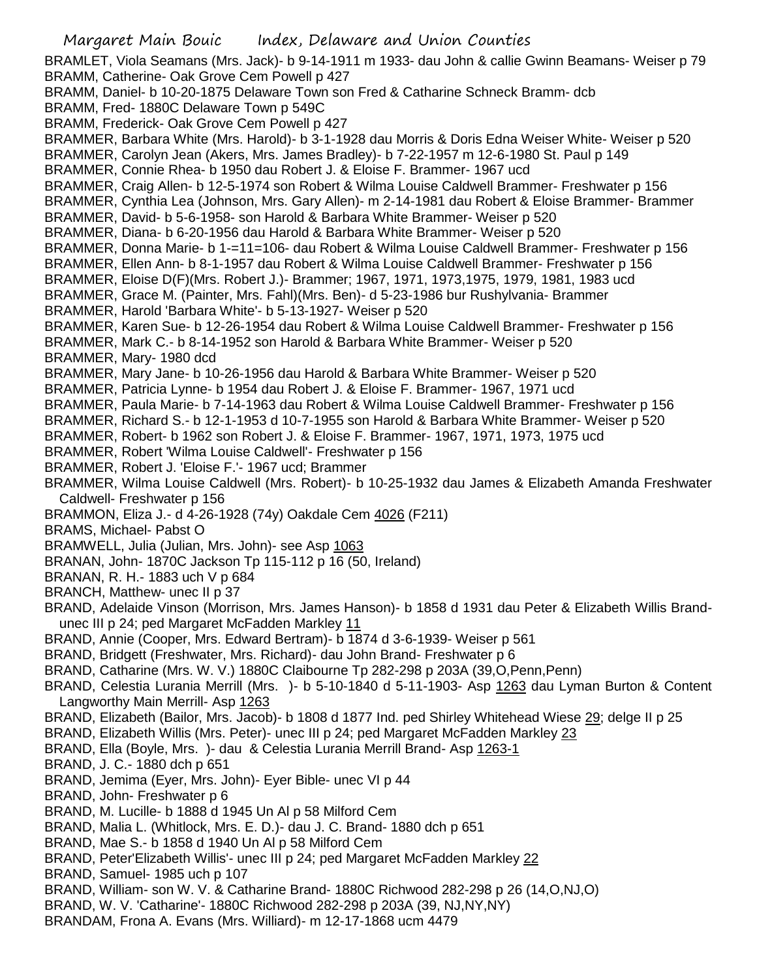BRAMLET, Viola Seamans (Mrs. Jack)- b 9-14-1911 m 1933- dau John & callie Gwinn Beamans- Weiser p 79 BRAMM, Catherine- Oak Grove Cem Powell p 427 BRAMM, Daniel- b 10-20-1875 Delaware Town son Fred & Catharine Schneck Bramm- dcb BRAMM, Fred- 1880C Delaware Town p 549C BRAMM, Frederick- Oak Grove Cem Powell p 427 BRAMMER, Barbara White (Mrs. Harold)- b 3-1-1928 dau Morris & Doris Edna Weiser White- Weiser p 520 BRAMMER, Carolyn Jean (Akers, Mrs. James Bradley)- b 7-22-1957 m 12-6-1980 St. Paul p 149 BRAMMER, Connie Rhea- b 1950 dau Robert J. & Eloise F. Brammer- 1967 ucd BRAMMER, Craig Allen- b 12-5-1974 son Robert & Wilma Louise Caldwell Brammer- Freshwater p 156 BRAMMER, Cynthia Lea (Johnson, Mrs. Gary Allen)- m 2-14-1981 dau Robert & Eloise Brammer- Brammer BRAMMER, David- b 5-6-1958- son Harold & Barbara White Brammer- Weiser p 520 BRAMMER, Diana- b 6-20-1956 dau Harold & Barbara White Brammer- Weiser p 520 BRAMMER, Donna Marie- b 1-=11=106- dau Robert & Wilma Louise Caldwell Brammer- Freshwater p 156 BRAMMER, Ellen Ann- b 8-1-1957 dau Robert & Wilma Louise Caldwell Brammer- Freshwater p 156 BRAMMER, Eloise D(F)(Mrs. Robert J.)- Brammer; 1967, 1971, 1973,1975, 1979, 1981, 1983 ucd BRAMMER, Grace M. (Painter, Mrs. Fahl)(Mrs. Ben)- d 5-23-1986 bur Rushylvania- Brammer BRAMMER, Harold 'Barbara White'- b 5-13-1927- Weiser p 520 BRAMMER, Karen Sue- b 12-26-1954 dau Robert & Wilma Louise Caldwell Brammer- Freshwater p 156 BRAMMER, Mark C.- b 8-14-1952 son Harold & Barbara White Brammer- Weiser p 520 BRAMMER, Mary- 1980 dcd BRAMMER, Mary Jane- b 10-26-1956 dau Harold & Barbara White Brammer- Weiser p 520 BRAMMER, Patricia Lynne- b 1954 dau Robert J. & Eloise F. Brammer- 1967, 1971 ucd BRAMMER, Paula Marie- b 7-14-1963 dau Robert & Wilma Louise Caldwell Brammer- Freshwater p 156 BRAMMER, Richard S.- b 12-1-1953 d 10-7-1955 son Harold & Barbara White Brammer- Weiser p 520 BRAMMER, Robert- b 1962 son Robert J. & Eloise F. Brammer- 1967, 1971, 1973, 1975 ucd BRAMMER, Robert 'Wilma Louise Caldwell'- Freshwater p 156 BRAMMER, Robert J. 'Eloise F.'- 1967 ucd; Brammer BRAMMER, Wilma Louise Caldwell (Mrs. Robert)- b 10-25-1932 dau James & Elizabeth Amanda Freshwater Caldwell- Freshwater p 156 BRAMMON, Eliza J.- d 4-26-1928 (74y) Oakdale Cem 4026 (F211) BRAMS, Michael- Pabst O BRAMWELL, Julia (Julian, Mrs. John)- see Asp 1063 BRANAN, John- 1870C Jackson Tp 115-112 p 16 (50, Ireland) BRANAN, R. H.- 1883 uch V p 684 BRANCH, Matthew- unec II p 37 BRAND, Adelaide Vinson (Morrison, Mrs. James Hanson)- b 1858 d 1931 dau Peter & Elizabeth Willis Brandunec III p 24; ped Margaret McFadden Markley 11 BRAND, Annie (Cooper, Mrs. Edward Bertram)- b 1874 d 3-6-1939- Weiser p 561 BRAND, Bridgett (Freshwater, Mrs. Richard)- dau John Brand- Freshwater p 6 BRAND, Catharine (Mrs. W. V.) 1880C Claibourne Tp 282-298 p 203A (39,O,Penn,Penn) BRAND, Celestia Lurania Merrill (Mrs. )- b 5-10-1840 d 5-11-1903- Asp 1263 dau Lyman Burton & Content Langworthy Main Merrill- Asp 1263 BRAND, Elizabeth (Bailor, Mrs. Jacob)- b 1808 d 1877 Ind. ped Shirley Whitehead Wiese 29; delge II p 25 BRAND, Elizabeth Willis (Mrs. Peter)- unec III p 24; ped Margaret McFadden Markley 23 BRAND, Ella (Boyle, Mrs. )- dau & Celestia Lurania Merrill Brand- Asp 1263-1 BRAND, J. C.- 1880 dch p 651 BRAND, Jemima (Eyer, Mrs. John)- Eyer Bible- unec VI p 44 BRAND, John- Freshwater p 6 BRAND, M. Lucille- b 1888 d 1945 Un Al p 58 Milford Cem BRAND, Malia L. (Whitlock, Mrs. E. D.)- dau J. C. Brand- 1880 dch p 651 BRAND, Mae S.- b 1858 d 1940 Un Al p 58 Milford Cem BRAND, Peter'Elizabeth Willis'- unec III p 24; ped Margaret McFadden Markley 22 BRAND, Samuel- 1985 uch p 107 BRAND, William- son W. V. & Catharine Brand- 1880C Richwood 282-298 p 26 (14,O,NJ,O)

- BRAND, W. V. 'Catharine'- 1880C Richwood 282-298 p 203A (39, NJ,NY,NY)
- BRANDAM, Frona A. Evans (Mrs. Williard)- m 12-17-1868 ucm 4479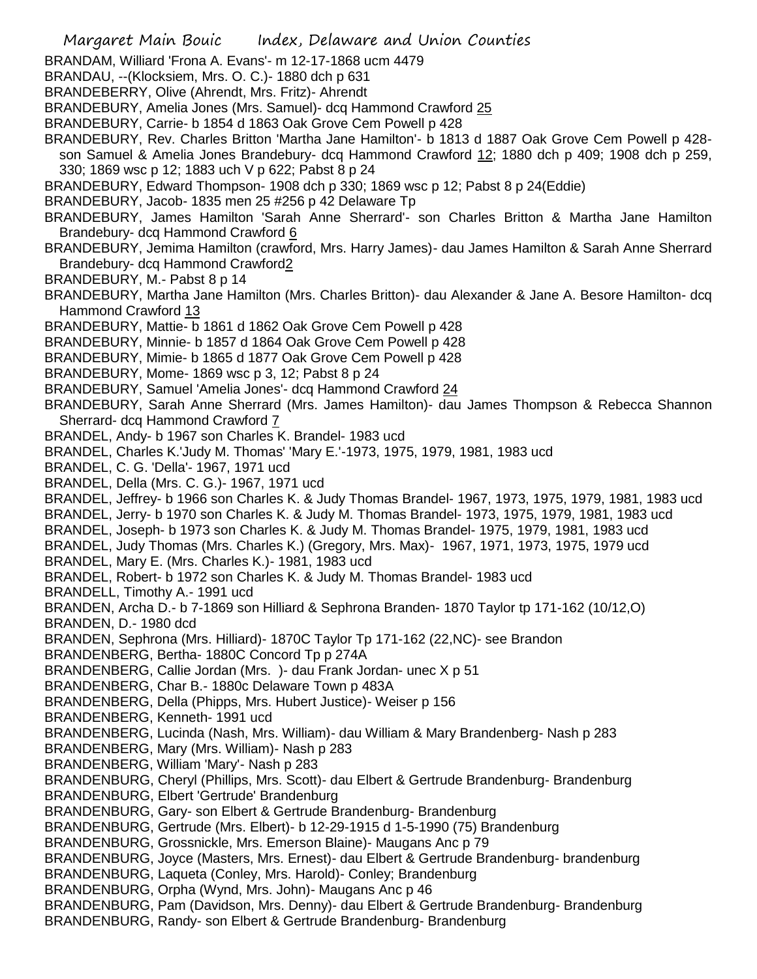- BRANDAM, Williard 'Frona A. Evans'- m 12-17-1868 ucm 4479
- BRANDAU, --(Klocksiem, Mrs. O. C.)- 1880 dch p 631
- BRANDEBERRY, Olive (Ahrendt, Mrs. Fritz)- Ahrendt
- BRANDEBURY, Amelia Jones (Mrs. Samuel)- dcq Hammond Crawford 25
- BRANDEBURY, Carrie- b 1854 d 1863 Oak Grove Cem Powell p 428
- BRANDEBURY, Rev. Charles Britton 'Martha Jane Hamilton'- b 1813 d 1887 Oak Grove Cem Powell p 428 son Samuel & Amelia Jones Brandebury- dcq Hammond Crawford 12; 1880 dch p 409; 1908 dch p 259, 330; 1869 wsc p 12; 1883 uch V p 622; Pabst 8 p 24
- BRANDEBURY, Edward Thompson- 1908 dch p 330; 1869 wsc p 12; Pabst 8 p 24(Eddie)
- BRANDEBURY, Jacob- 1835 men 25 #256 p 42 Delaware Tp
- BRANDEBURY, James Hamilton 'Sarah Anne Sherrard'- son Charles Britton & Martha Jane Hamilton Brandebury- dcq Hammond Crawford 6
- BRANDEBURY, Jemima Hamilton (crawford, Mrs. Harry James)- dau James Hamilton & Sarah Anne Sherrard Brandebury- dcq Hammond Crawford2
- BRANDEBURY, M.- Pabst 8 p 14
- BRANDEBURY, Martha Jane Hamilton (Mrs. Charles Britton)- dau Alexander & Jane A. Besore Hamilton- dcq Hammond Crawford 13
- BRANDEBURY, Mattie- b 1861 d 1862 Oak Grove Cem Powell p 428
- BRANDEBURY, Minnie- b 1857 d 1864 Oak Grove Cem Powell p 428
- BRANDEBURY, Mimie- b 1865 d 1877 Oak Grove Cem Powell p 428
- BRANDEBURY, Mome- 1869 wsc p 3, 12; Pabst 8 p 24
- BRANDEBURY, Samuel 'Amelia Jones'- dcq Hammond Crawford 24
- BRANDEBURY, Sarah Anne Sherrard (Mrs. James Hamilton)- dau James Thompson & Rebecca Shannon Sherrard- dcq Hammond Crawford 7
- BRANDEL, Andy- b 1967 son Charles K. Brandel- 1983 ucd
- BRANDEL, Charles K.'Judy M. Thomas' 'Mary E.'-1973, 1975, 1979, 1981, 1983 ucd
- BRANDEL, C. G. 'Della'- 1967, 1971 ucd
- BRANDEL, Della (Mrs. C. G.)- 1967, 1971 ucd
- BRANDEL, Jeffrey- b 1966 son Charles K. & Judy Thomas Brandel- 1967, 1973, 1975, 1979, 1981, 1983 ucd
- BRANDEL, Jerry- b 1970 son Charles K. & Judy M. Thomas Brandel- 1973, 1975, 1979, 1981, 1983 ucd
- BRANDEL, Joseph- b 1973 son Charles K. & Judy M. Thomas Brandel- 1975, 1979, 1981, 1983 ucd
- BRANDEL, Judy Thomas (Mrs. Charles K.) (Gregory, Mrs. Max)- 1967, 1971, 1973, 1975, 1979 ucd
- BRANDEL, Mary E. (Mrs. Charles K.)- 1981, 1983 ucd
- BRANDEL, Robert- b 1972 son Charles K. & Judy M. Thomas Brandel- 1983 ucd
- BRANDELL, Timothy A.- 1991 ucd
- BRANDEN, Archa D.- b 7-1869 son Hilliard & Sephrona Branden- 1870 Taylor tp 171-162 (10/12,O)
- BRANDEN, D.- 1980 dcd
- BRANDEN, Sephrona (Mrs. Hilliard)- 1870C Taylor Tp 171-162 (22,NC)- see Brandon
- BRANDENBERG, Bertha- 1880C Concord Tp p 274A
- BRANDENBERG, Callie Jordan (Mrs. )- dau Frank Jordan- unec X p 51
- BRANDENBERG, Char B.- 1880c Delaware Town p 483A
- BRANDENBERG, Della (Phipps, Mrs. Hubert Justice)- Weiser p 156
- BRANDENBERG, Kenneth- 1991 ucd
- BRANDENBERG, Lucinda (Nash, Mrs. William)- dau William & Mary Brandenberg- Nash p 283
- BRANDENBERG, Mary (Mrs. William)- Nash p 283
- BRANDENBERG, William 'Mary'- Nash p 283
- BRANDENBURG, Cheryl (Phillips, Mrs. Scott)- dau Elbert & Gertrude Brandenburg- Brandenburg
- BRANDENBURG, Elbert 'Gertrude' Brandenburg
- BRANDENBURG, Gary- son Elbert & Gertrude Brandenburg- Brandenburg
- BRANDENBURG, Gertrude (Mrs. Elbert)- b 12-29-1915 d 1-5-1990 (75) Brandenburg
- BRANDENBURG, Grossnickle, Mrs. Emerson Blaine)- Maugans Anc p 79
- BRANDENBURG, Joyce (Masters, Mrs. Ernest)- dau Elbert & Gertrude Brandenburg- brandenburg
- BRANDENBURG, Laqueta (Conley, Mrs. Harold)- Conley; Brandenburg
- BRANDENBURG, Orpha (Wynd, Mrs. John)- Maugans Anc p 46
- BRANDENBURG, Pam (Davidson, Mrs. Denny)- dau Elbert & Gertrude Brandenburg- Brandenburg BRANDENBURG, Randy- son Elbert & Gertrude Brandenburg- Brandenburg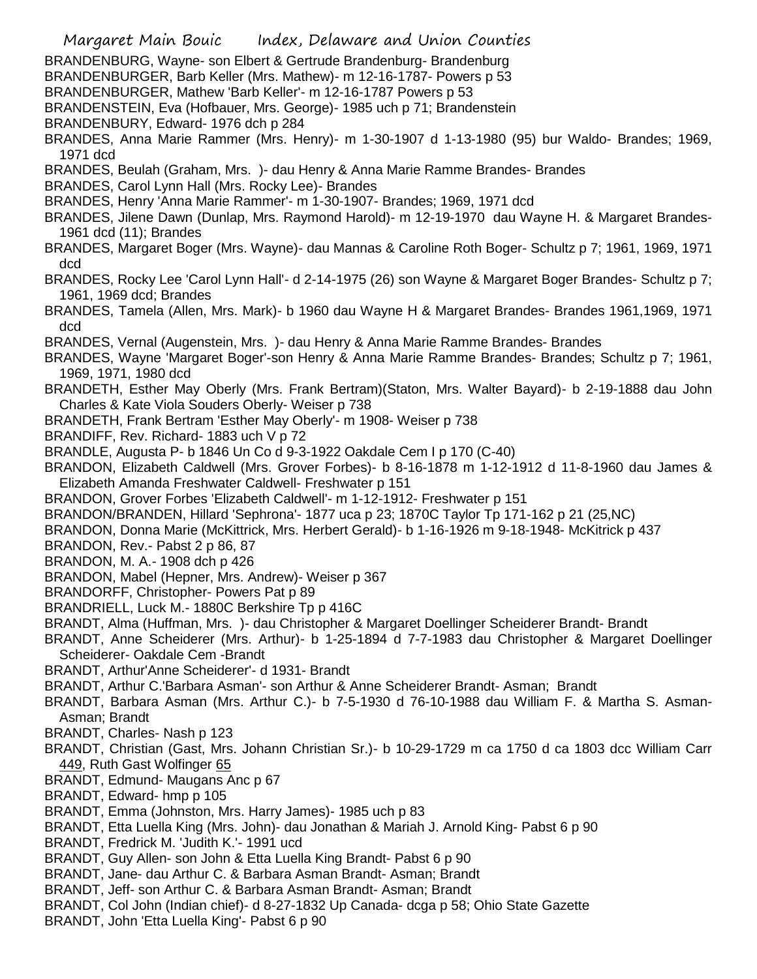Margaret Main Bouic Index, Delaware and Union Counties BRANDENBURG, Wayne- son Elbert & Gertrude Brandenburg- Brandenburg BRANDENBURGER, Barb Keller (Mrs. Mathew)- m 12-16-1787- Powers p 53 BRANDENBURGER, Mathew 'Barb Keller'- m 12-16-1787 Powers p 53 BRANDENSTEIN, Eva (Hofbauer, Mrs. George)- 1985 uch p 71; Brandenstein BRANDENBURY, Edward- 1976 dch p 284 BRANDES, Anna Marie Rammer (Mrs. Henry)- m 1-30-1907 d 1-13-1980 (95) bur Waldo- Brandes; 1969, 1971 dcd BRANDES, Beulah (Graham, Mrs. )- dau Henry & Anna Marie Ramme Brandes- Brandes BRANDES, Carol Lynn Hall (Mrs. Rocky Lee)- Brandes BRANDES, Henry 'Anna Marie Rammer'- m 1-30-1907- Brandes; 1969, 1971 dcd BRANDES, Jilene Dawn (Dunlap, Mrs. Raymond Harold)- m 12-19-1970 dau Wayne H. & Margaret Brandes-1961 dcd (11); Brandes BRANDES, Margaret Boger (Mrs. Wayne)- dau Mannas & Caroline Roth Boger- Schultz p 7; 1961, 1969, 1971 dcd BRANDES, Rocky Lee 'Carol Lynn Hall'- d 2-14-1975 (26) son Wayne & Margaret Boger Brandes- Schultz p 7; 1961, 1969 dcd; Brandes BRANDES, Tamela (Allen, Mrs. Mark)- b 1960 dau Wayne H & Margaret Brandes- Brandes 1961,1969, 1971 dcd BRANDES, Vernal (Augenstein, Mrs. )- dau Henry & Anna Marie Ramme Brandes- Brandes BRANDES, Wayne 'Margaret Boger'-son Henry & Anna Marie Ramme Brandes- Brandes; Schultz p 7; 1961, 1969, 1971, 1980 dcd BRANDETH, Esther May Oberly (Mrs. Frank Bertram)(Staton, Mrs. Walter Bayard)- b 2-19-1888 dau John Charles & Kate Viola Souders Oberly- Weiser p 738 BRANDETH, Frank Bertram 'Esther May Oberly'- m 1908- Weiser p 738 BRANDIFF, Rev. Richard- 1883 uch V p 72 BRANDLE, Augusta P- b 1846 Un Co d 9-3-1922 Oakdale Cem I p 170 (C-40) BRANDON, Elizabeth Caldwell (Mrs. Grover Forbes)- b 8-16-1878 m 1-12-1912 d 11-8-1960 dau James & Elizabeth Amanda Freshwater Caldwell- Freshwater p 151 BRANDON, Grover Forbes 'Elizabeth Caldwell'- m 1-12-1912- Freshwater p 151 BRANDON/BRANDEN, Hillard 'Sephrona'- 1877 uca p 23; 1870C Taylor Tp 171-162 p 21 (25,NC) BRANDON, Donna Marie (McKittrick, Mrs. Herbert Gerald)- b 1-16-1926 m 9-18-1948- McKitrick p 437 BRANDON, Rev.- Pabst 2 p 86, 87 BRANDON, M. A.- 1908 dch p 426 BRANDON, Mabel (Hepner, Mrs. Andrew)- Weiser p 367 BRANDORFF, Christopher- Powers Pat p 89 BRANDRIELL, Luck M.- 1880C Berkshire Tp p 416C BRANDT, Alma (Huffman, Mrs. )- dau Christopher & Margaret Doellinger Scheiderer Brandt- Brandt BRANDT, Anne Scheiderer (Mrs. Arthur)- b 1-25-1894 d 7-7-1983 dau Christopher & Margaret Doellinger Scheiderer- Oakdale Cem -Brandt BRANDT, Arthur'Anne Scheiderer'- d 1931- Brandt BRANDT, Arthur C.'Barbara Asman'- son Arthur & Anne Scheiderer Brandt- Asman; Brandt BRANDT, Barbara Asman (Mrs. Arthur C.)- b 7-5-1930 d 76-10-1988 dau William F. & Martha S. Asman-Asman; Brandt BRANDT, Charles- Nash p 123 BRANDT, Christian (Gast, Mrs. Johann Christian Sr.)- b 10-29-1729 m ca 1750 d ca 1803 dcc William Carr 449, Ruth Gast Wolfinger 65 BRANDT, Edmund- Maugans Anc p 67 BRANDT, Edward- hmp p 105 BRANDT, Emma (Johnston, Mrs. Harry James)- 1985 uch p 83 BRANDT, Etta Luella King (Mrs. John)- dau Jonathan & Mariah J. Arnold King- Pabst 6 p 90 BRANDT, Fredrick M. 'Judith K.'- 1991 ucd BRANDT, Guy Allen- son John & Etta Luella King Brandt- Pabst 6 p 90 BRANDT, Jane- dau Arthur C. & Barbara Asman Brandt- Asman; Brandt BRANDT, Jeff- son Arthur C. & Barbara Asman Brandt- Asman; Brandt BRANDT, Col John (Indian chief)- d 8-27-1832 Up Canada- dcga p 58; Ohio State Gazette BRANDT, John 'Etta Luella King'- Pabst 6 p 90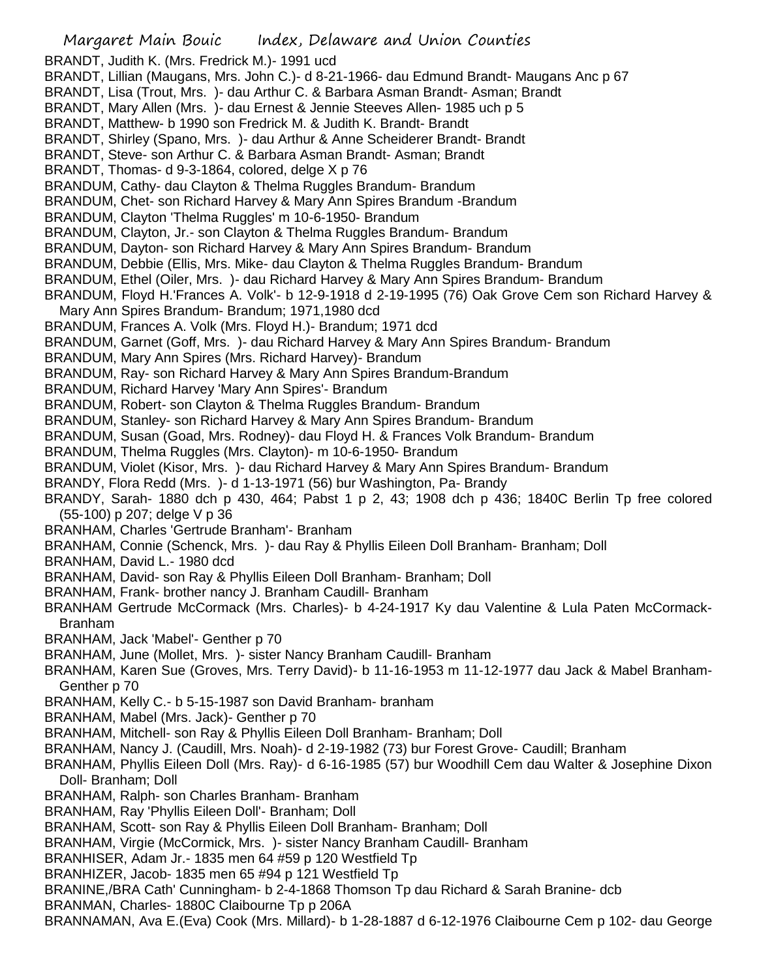Margaret Main Bouic Index, Delaware and Union Counties BRANDT, Judith K. (Mrs. Fredrick M.)- 1991 ucd BRANDT, Lillian (Maugans, Mrs. John C.)- d 8-21-1966- dau Edmund Brandt- Maugans Anc p 67 BRANDT, Lisa (Trout, Mrs. )- dau Arthur C. & Barbara Asman Brandt- Asman; Brandt BRANDT, Mary Allen (Mrs. )- dau Ernest & Jennie Steeves Allen- 1985 uch p 5 BRANDT, Matthew- b 1990 son Fredrick M. & Judith K. Brandt- Brandt BRANDT, Shirley (Spano, Mrs. )- dau Arthur & Anne Scheiderer Brandt- Brandt BRANDT, Steve- son Arthur C. & Barbara Asman Brandt- Asman; Brandt BRANDT, Thomas- d 9-3-1864, colored, delge X p 76 BRANDUM, Cathy- dau Clayton & Thelma Ruggles Brandum- Brandum BRANDUM, Chet- son Richard Harvey & Mary Ann Spires Brandum -Brandum BRANDUM, Clayton 'Thelma Ruggles' m 10-6-1950- Brandum BRANDUM, Clayton, Jr.- son Clayton & Thelma Ruggles Brandum- Brandum BRANDUM, Dayton- son Richard Harvey & Mary Ann Spires Brandum- Brandum BRANDUM, Debbie (Ellis, Mrs. Mike- dau Clayton & Thelma Ruggles Brandum- Brandum BRANDUM, Ethel (Oiler, Mrs. )- dau Richard Harvey & Mary Ann Spires Brandum- Brandum BRANDUM, Floyd H.'Frances A. Volk'- b 12-9-1918 d 2-19-1995 (76) Oak Grove Cem son Richard Harvey & Mary Ann Spires Brandum- Brandum; 1971,1980 dcd BRANDUM, Frances A. Volk (Mrs. Floyd H.)- Brandum; 1971 dcd BRANDUM, Garnet (Goff, Mrs. )- dau Richard Harvey & Mary Ann Spires Brandum- Brandum BRANDUM, Mary Ann Spires (Mrs. Richard Harvey)- Brandum BRANDUM, Ray- son Richard Harvey & Mary Ann Spires Brandum-Brandum BRANDUM, Richard Harvey 'Mary Ann Spires'- Brandum BRANDUM, Robert- son Clayton & Thelma Ruggles Brandum- Brandum BRANDUM, Stanley- son Richard Harvey & Mary Ann Spires Brandum- Brandum BRANDUM, Susan (Goad, Mrs. Rodney)- dau Floyd H. & Frances Volk Brandum- Brandum BRANDUM, Thelma Ruggles (Mrs. Clayton)- m 10-6-1950- Brandum BRANDUM, Violet (Kisor, Mrs. )- dau Richard Harvey & Mary Ann Spires Brandum- Brandum BRANDY, Flora Redd (Mrs. )- d 1-13-1971 (56) bur Washington, Pa- Brandy BRANDY, Sarah- 1880 dch p 430, 464; Pabst 1 p 2, 43; 1908 dch p 436; 1840C Berlin Tp free colored (55-100) p 207; delge V p 36 BRANHAM, Charles 'Gertrude Branham'- Branham BRANHAM, Connie (Schenck, Mrs. )- dau Ray & Phyllis Eileen Doll Branham- Branham; Doll BRANHAM, David L.- 1980 dcd BRANHAM, David- son Ray & Phyllis Eileen Doll Branham- Branham; Doll BRANHAM, Frank- brother nancy J. Branham Caudill- Branham BRANHAM Gertrude McCormack (Mrs. Charles)- b 4-24-1917 Ky dau Valentine & Lula Paten McCormack-Branham BRANHAM, Jack 'Mabel'- Genther p 70 BRANHAM, June (Mollet, Mrs. )- sister Nancy Branham Caudill- Branham BRANHAM, Karen Sue (Groves, Mrs. Terry David)- b 11-16-1953 m 11-12-1977 dau Jack & Mabel Branham-Genther p 70 BRANHAM, Kelly C.- b 5-15-1987 son David Branham- branham BRANHAM, Mabel (Mrs. Jack)- Genther p 70 BRANHAM, Mitchell- son Ray & Phyllis Eileen Doll Branham- Branham; Doll BRANHAM, Nancy J. (Caudill, Mrs. Noah)- d 2-19-1982 (73) bur Forest Grove- Caudill; Branham BRANHAM, Phyllis Eileen Doll (Mrs. Ray)- d 6-16-1985 (57) bur Woodhill Cem dau Walter & Josephine Dixon Doll- Branham; Doll BRANHAM, Ralph- son Charles Branham- Branham BRANHAM, Ray 'Phyllis Eileen Doll'- Branham; Doll BRANHAM, Scott- son Ray & Phyllis Eileen Doll Branham- Branham; Doll BRANHAM, Virgie (McCormick, Mrs. )- sister Nancy Branham Caudill- Branham BRANHISER, Adam Jr.- 1835 men 64 #59 p 120 Westfield Tp BRANHIZER, Jacob- 1835 men 65 #94 p 121 Westfield Tp BRANINE,/BRA Cath' Cunningham- b 2-4-1868 Thomson Tp dau Richard & Sarah Branine- dcb BRANMAN, Charles- 1880C Claibourne Tp p 206A BRANNAMAN, Ava E.(Eva) Cook (Mrs. Millard)- b 1-28-1887 d 6-12-1976 Claibourne Cem p 102- dau George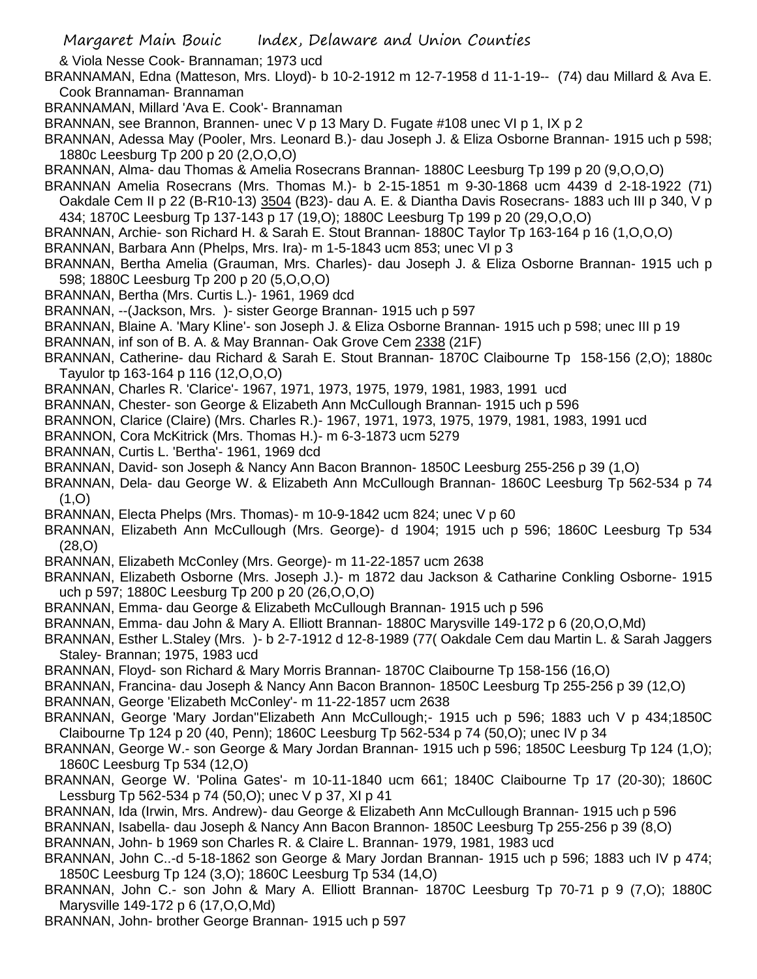& Viola Nesse Cook- Brannaman; 1973 ucd

BRANNAMAN, Edna (Matteson, Mrs. Lloyd)- b 10-2-1912 m 12-7-1958 d 11-1-19-- (74) dau Millard & Ava E. Cook Brannaman- Brannaman

BRANNAMAN, Millard 'Ava E. Cook'- Brannaman

- BRANNAN, see Brannon, Brannen- unec V p 13 Mary D. Fugate #108 unec VI p 1, IX p 2
- BRANNAN, Adessa May (Pooler, Mrs. Leonard B.)- dau Joseph J. & Eliza Osborne Brannan- 1915 uch p 598; 1880c Leesburg Tp 200 p 20 (2,O,O,O)
- BRANNAN, Alma- dau Thomas & Amelia Rosecrans Brannan- 1880C Leesburg Tp 199 p 20 (9,O,O,O)
- BRANNAN Amelia Rosecrans (Mrs. Thomas M.)- b 2-15-1851 m 9-30-1868 ucm 4439 d 2-18-1922 (71) Oakdale Cem II p 22 (B-R10-13) 3504 (B23)- dau A. E. & Diantha Davis Rosecrans- 1883 uch III p 340, V p
- 434; 1870C Leesburg Tp 137-143 p 17 (19,O); 1880C Leesburg Tp 199 p 20 (29,O,O,O)
- BRANNAN, Archie- son Richard H. & Sarah E. Stout Brannan- 1880C Taylor Tp 163-164 p 16 (1,O,O,O)
- BRANNAN, Barbara Ann (Phelps, Mrs. Ira)- m 1-5-1843 ucm 853; unec VI p 3
- BRANNAN, Bertha Amelia (Grauman, Mrs. Charles)- dau Joseph J. & Eliza Osborne Brannan- 1915 uch p 598; 1880C Leesburg Tp 200 p 20 (5,O,O,O)
- BRANNAN, Bertha (Mrs. Curtis L.)- 1961, 1969 dcd
- BRANNAN, --(Jackson, Mrs. )- sister George Brannan- 1915 uch p 597
- BRANNAN, Blaine A. 'Mary Kline'- son Joseph J. & Eliza Osborne Brannan- 1915 uch p 598; unec III p 19
- BRANNAN, inf son of B. A. & May Brannan- Oak Grove Cem 2338 (21F)
- BRANNAN, Catherine- dau Richard & Sarah E. Stout Brannan- 1870C Claibourne Tp 158-156 (2,O); 1880c Tayulor tp 163-164 p 116 (12,O,O,O)
- BRANNAN, Charles R. 'Clarice'- 1967, 1971, 1973, 1975, 1979, 1981, 1983, 1991 ucd
- BRANNAN, Chester- son George & Elizabeth Ann McCullough Brannan- 1915 uch p 596
- BRANNON, Clarice (Claire) (Mrs. Charles R.)- 1967, 1971, 1973, 1975, 1979, 1981, 1983, 1991 ucd
- BRANNON, Cora McKitrick (Mrs. Thomas H.)- m 6-3-1873 ucm 5279
- BRANNAN, Curtis L. 'Bertha'- 1961, 1969 dcd
- BRANNAN, David- son Joseph & Nancy Ann Bacon Brannon- 1850C Leesburg 255-256 p 39 (1,O)
- BRANNAN, Dela- dau George W. & Elizabeth Ann McCullough Brannan- 1860C Leesburg Tp 562-534 p 74  $(1,0)$
- BRANNAN, Electa Phelps (Mrs. Thomas)- m 10-9-1842 ucm 824; unec V p 60
- BRANNAN, Elizabeth Ann McCullough (Mrs. George)- d 1904; 1915 uch p 596; 1860C Leesburg Tp 534 (28,O)
- BRANNAN, Elizabeth McConley (Mrs. George)- m 11-22-1857 ucm 2638
- BRANNAN, Elizabeth Osborne (Mrs. Joseph J.)- m 1872 dau Jackson & Catharine Conkling Osborne- 1915 uch p 597; 1880C Leesburg Tp 200 p 20 (26,O,O,O)
- BRANNAN, Emma- dau George & Elizabeth McCullough Brannan- 1915 uch p 596
- BRANNAN, Emma- dau John & Mary A. Elliott Brannan- 1880C Marysville 149-172 p 6 (20,O,O,Md)
- BRANNAN, Esther L.Staley (Mrs. )- b 2-7-1912 d 12-8-1989 (77( Oakdale Cem dau Martin L. & Sarah Jaggers Staley- Brannan; 1975, 1983 ucd
- BRANNAN, Floyd- son Richard & Mary Morris Brannan- 1870C Claibourne Tp 158-156 (16,O)
- BRANNAN, Francina- dau Joseph & Nancy Ann Bacon Brannon- 1850C Leesburg Tp 255-256 p 39 (12,O)
- BRANNAN, George 'Elizabeth McConley'- m 11-22-1857 ucm 2638
- BRANNAN, George 'Mary Jordan''Elizabeth Ann McCullough;- 1915 uch p 596; 1883 uch V p 434;1850C Claibourne Tp 124 p 20 (40, Penn); 1860C Leesburg Tp 562-534 p 74 (50,O); unec IV p 34
- BRANNAN, George W.- son George & Mary Jordan Brannan- 1915 uch p 596; 1850C Leesburg Tp 124 (1,O); 1860C Leesburg Tp 534 (12,O)
- BRANNAN, George W. 'Polina Gates'- m 10-11-1840 ucm 661; 1840C Claibourne Tp 17 (20-30); 1860C Lessburg Tp 562-534 p 74 (50,O); unec V p 37, XI p 41
- BRANNAN, Ida (Irwin, Mrs. Andrew)- dau George & Elizabeth Ann McCullough Brannan- 1915 uch p 596
- BRANNAN, Isabella- dau Joseph & Nancy Ann Bacon Brannon- 1850C Leesburg Tp 255-256 p 39 (8,O)
- BRANNAN, John- b 1969 son Charles R. & Claire L. Brannan- 1979, 1981, 1983 ucd
- BRANNAN, John C..-d 5-18-1862 son George & Mary Jordan Brannan- 1915 uch p 596; 1883 uch IV p 474; 1850C Leesburg Tp 124 (3,O); 1860C Leesburg Tp 534 (14,O)
- BRANNAN, John C.- son John & Mary A. Elliott Brannan- 1870C Leesburg Tp 70-71 p 9 (7,O); 1880C Marysville 149-172 p 6 (17,O,O,Md)
- BRANNAN, John- brother George Brannan- 1915 uch p 597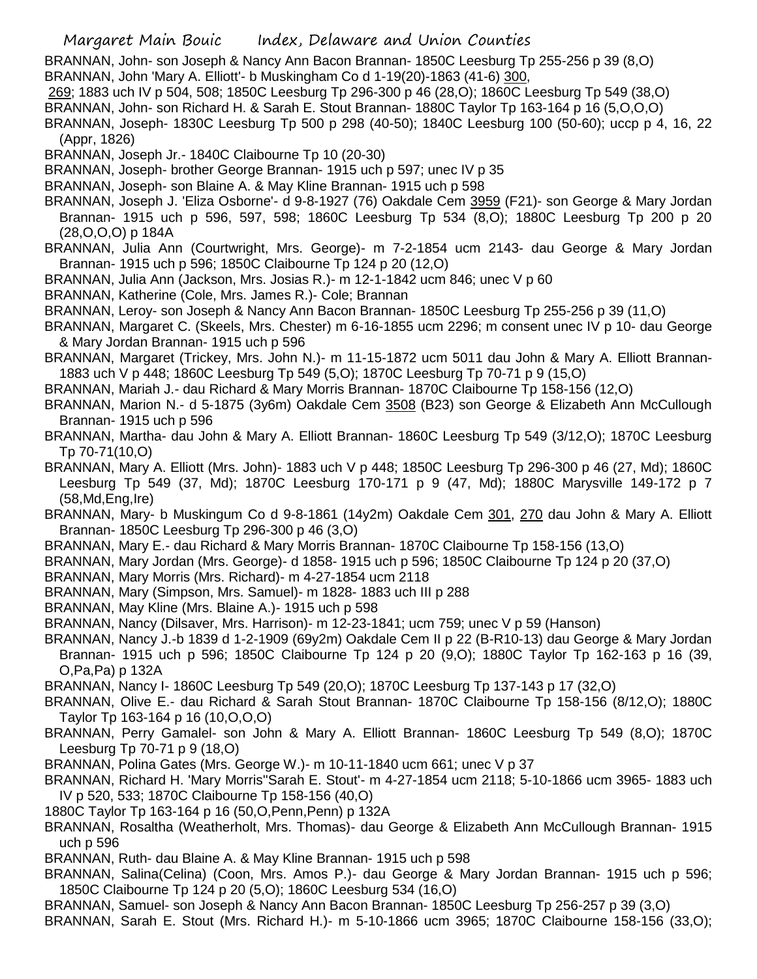BRANNAN, John- son Joseph & Nancy Ann Bacon Brannan- 1850C Leesburg Tp 255-256 p 39 (8,O) BRANNAN, John 'Mary A. Elliott'- b Muskingham Co d 1-19(20)-1863 (41-6) 300,

269; 1883 uch IV p 504, 508; 1850C Leesburg Tp 296-300 p 46 (28,O); 1860C Leesburg Tp 549 (38,O)

BRANNAN, John- son Richard H. & Sarah E. Stout Brannan- 1880C Taylor Tp 163-164 p 16 (5,O,O,O)

BRANNAN, Joseph- 1830C Leesburg Tp 500 p 298 (40-50); 1840C Leesburg 100 (50-60); uccp p 4, 16, 22 (Appr, 1826)

BRANNAN, Joseph Jr.- 1840C Claibourne Tp 10 (20-30)

BRANNAN, Joseph- brother George Brannan- 1915 uch p 597; unec IV p 35

- BRANNAN, Joseph- son Blaine A. & May Kline Brannan- 1915 uch p 598
- BRANNAN, Joseph J. 'Eliza Osborne'- d 9-8-1927 (76) Oakdale Cem 3959 (F21)- son George & Mary Jordan Brannan- 1915 uch p 596, 597, 598; 1860C Leesburg Tp 534 (8,O); 1880C Leesburg Tp 200 p 20 (28,O,O,O) p 184A
- BRANNAN, Julia Ann (Courtwright, Mrs. George)- m 7-2-1854 ucm 2143- dau George & Mary Jordan Brannan- 1915 uch p 596; 1850C Claibourne Tp 124 p 20 (12,O)
- BRANNAN, Julia Ann (Jackson, Mrs. Josias R.)- m 12-1-1842 ucm 846; unec V p 60
- BRANNAN, Katherine (Cole, Mrs. James R.)- Cole; Brannan
- BRANNAN, Leroy- son Joseph & Nancy Ann Bacon Brannan- 1850C Leesburg Tp 255-256 p 39 (11,O)
- BRANNAN, Margaret C. (Skeels, Mrs. Chester) m 6-16-1855 ucm 2296; m consent unec IV p 10- dau George & Mary Jordan Brannan- 1915 uch p 596
- BRANNAN, Margaret (Trickey, Mrs. John N.)- m 11-15-1872 ucm 5011 dau John & Mary A. Elliott Brannan-1883 uch V p 448; 1860C Leesburg Tp 549 (5,O); 1870C Leesburg Tp 70-71 p 9 (15,O)
- BRANNAN, Mariah J.- dau Richard & Mary Morris Brannan- 1870C Claibourne Tp 158-156 (12,O)

BRANNAN, Marion N.- d 5-1875 (3y6m) Oakdale Cem 3508 (B23) son George & Elizabeth Ann McCullough Brannan- 1915 uch p 596

- BRANNAN, Martha- dau John & Mary A. Elliott Brannan- 1860C Leesburg Tp 549 (3/12,O); 1870C Leesburg Tp 70-71(10,O)
- BRANNAN, Mary A. Elliott (Mrs. John)- 1883 uch V p 448; 1850C Leesburg Tp 296-300 p 46 (27, Md); 1860C Leesburg Tp 549 (37, Md); 1870C Leesburg 170-171 p 9 (47, Md); 1880C Marysville 149-172 p 7 (58,Md,Eng,Ire)
- BRANNAN, Mary- b Muskingum Co d 9-8-1861 (14y2m) Oakdale Cem 301, 270 dau John & Mary A. Elliott Brannan- 1850C Leesburg Tp 296-300 p 46 (3,O)
- BRANNAN, Mary E.- dau Richard & Mary Morris Brannan- 1870C Claibourne Tp 158-156 (13,O)
- BRANNAN, Mary Jordan (Mrs. George)- d 1858- 1915 uch p 596; 1850C Claibourne Tp 124 p 20 (37,O)
- BRANNAN, Mary Morris (Mrs. Richard)- m 4-27-1854 ucm 2118
- BRANNAN, Mary (Simpson, Mrs. Samuel)- m 1828- 1883 uch III p 288
- BRANNAN, May Kline (Mrs. Blaine A.)- 1915 uch p 598
- BRANNAN, Nancy (Dilsaver, Mrs. Harrison)- m 12-23-1841; ucm 759; unec V p 59 (Hanson)
- BRANNAN, Nancy J.-b 1839 d 1-2-1909 (69y2m) Oakdale Cem II p 22 (B-R10-13) dau George & Mary Jordan
- Brannan- 1915 uch p 596; 1850C Claibourne Tp 124 p 20 (9,O); 1880C Taylor Tp 162-163 p 16 (39, O,Pa,Pa) p 132A
- BRANNAN, Nancy I- 1860C Leesburg Tp 549 (20,O); 1870C Leesburg Tp 137-143 p 17 (32,O)
- BRANNAN, Olive E.- dau Richard & Sarah Stout Brannan- 1870C Claibourne Tp 158-156 (8/12,O); 1880C Taylor Tp 163-164 p 16 (10,O,O,O)
- BRANNAN, Perry Gamalel- son John & Mary A. Elliott Brannan- 1860C Leesburg Tp 549 (8,O); 1870C Leesburg Tp 70-71 p 9 (18,O)
- BRANNAN, Polina Gates (Mrs. George W.)- m 10-11-1840 ucm 661; unec V p 37
- BRANNAN, Richard H. 'Mary Morris''Sarah E. Stout'- m 4-27-1854 ucm 2118; 5-10-1866 ucm 3965- 1883 uch IV p 520, 533; 1870C Claibourne Tp 158-156 (40,O)
- 1880C Taylor Tp 163-164 p 16 (50,O,Penn,Penn) p 132A
- BRANNAN, Rosaltha (Weatherholt, Mrs. Thomas)- dau George & Elizabeth Ann McCullough Brannan- 1915 uch p 596
- BRANNAN, Ruth- dau Blaine A. & May Kline Brannan- 1915 uch p 598
- BRANNAN, Salina(Celina) (Coon, Mrs. Amos P.)- dau George & Mary Jordan Brannan- 1915 uch p 596; 1850C Claibourne Tp 124 p 20 (5,O); 1860C Leesburg 534 (16,O)
- BRANNAN, Samuel- son Joseph & Nancy Ann Bacon Brannan- 1850C Leesburg Tp 256-257 p 39 (3,O)
- BRANNAN, Sarah E. Stout (Mrs. Richard H.)- m 5-10-1866 ucm 3965; 1870C Claibourne 158-156 (33,O);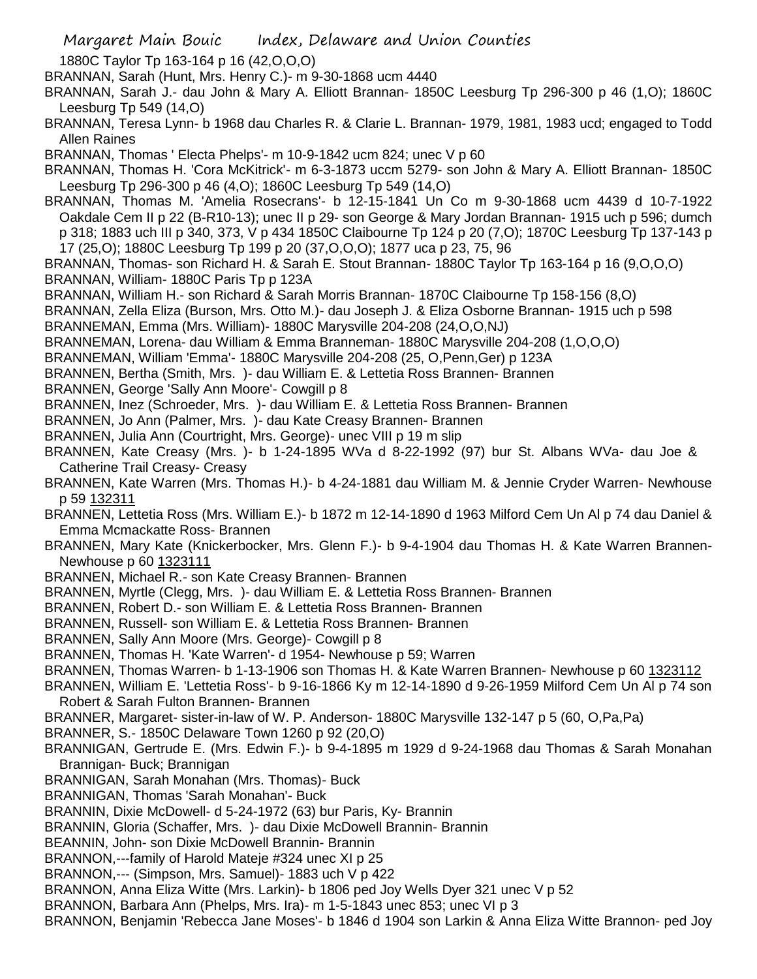1880C Taylor Tp 163-164 p 16 (42,O,O,O)

- BRANNAN, Sarah (Hunt, Mrs. Henry C.)- m 9-30-1868 ucm 4440
- BRANNAN, Sarah J.- dau John & Mary A. Elliott Brannan- 1850C Leesburg Tp 296-300 p 46 (1,O); 1860C Leesburg Tp 549 (14,O)
- BRANNAN, Teresa Lynn- b 1968 dau Charles R. & Clarie L. Brannan- 1979, 1981, 1983 ucd; engaged to Todd Allen Raines
- BRANNAN, Thomas ' Electa Phelps'- m 10-9-1842 ucm 824; unec V p 60
- BRANNAN, Thomas H. 'Cora McKitrick'- m 6-3-1873 uccm 5279- son John & Mary A. Elliott Brannan- 1850C Leesburg Tp 296-300 p 46 (4,O); 1860C Leesburg Tp 549 (14,O)
- BRANNAN, Thomas M. 'Amelia Rosecrans'- b 12-15-1841 Un Co m 9-30-1868 ucm 4439 d 10-7-1922 Oakdale Cem II p 22 (B-R10-13); unec II p 29- son George & Mary Jordan Brannan- 1915 uch p 596; dumch p 318; 1883 uch III p 340, 373, V p 434 1850C Claibourne Tp 124 p 20 (7,O); 1870C Leesburg Tp 137-143 p 17 (25,O); 1880C Leesburg Tp 199 p 20 (37,O,O,O); 1877 uca p 23, 75, 96
- BRANNAN, Thomas- son Richard H. & Sarah E. Stout Brannan- 1880C Taylor Tp 163-164 p 16 (9,O,O,O) BRANNAN, William- 1880C Paris Tp p 123A
- BRANNAN, William H.- son Richard & Sarah Morris Brannan- 1870C Claibourne Tp 158-156 (8,O)
- BRANNAN, Zella Eliza (Burson, Mrs. Otto M.)- dau Joseph J. & Eliza Osborne Brannan- 1915 uch p 598 BRANNEMAN, Emma (Mrs. William)- 1880C Marysville 204-208 (24,O,O,NJ)
- BRANNEMAN, Lorena- dau William & Emma Branneman- 1880C Marysville 204-208 (1,O,O,O)
- BRANNEMAN, William 'Emma'- 1880C Marysville 204-208 (25, O,Penn,Ger) p 123A
- BRANNEN, Bertha (Smith, Mrs. )- dau William E. & Lettetia Ross Brannen- Brannen
- BRANNEN, George 'Sally Ann Moore'- Cowgill p 8
- BRANNEN, Inez (Schroeder, Mrs. )- dau William E. & Lettetia Ross Brannen- Brannen
- BRANNEN, Jo Ann (Palmer, Mrs. )- dau Kate Creasy Brannen- Brannen
- BRANNEN, Julia Ann (Courtright, Mrs. George)- unec VIII p 19 m slip
- BRANNEN, Kate Creasy (Mrs. )- b 1-24-1895 WVa d 8-22-1992 (97) bur St. Albans WVa- dau Joe & Catherine Trail Creasy- Creasy
- BRANNEN, Kate Warren (Mrs. Thomas H.)- b 4-24-1881 dau William M. & Jennie Cryder Warren- Newhouse p 59 132311
- BRANNEN, Lettetia Ross (Mrs. William E.)- b 1872 m 12-14-1890 d 1963 Milford Cem Un Al p 74 dau Daniel & Emma Mcmackatte Ross- Brannen
- BRANNEN, Mary Kate (Knickerbocker, Mrs. Glenn F.)- b 9-4-1904 dau Thomas H. & Kate Warren Brannen-Newhouse p 60 1323111
- BRANNEN, Michael R.- son Kate Creasy Brannen- Brannen
- BRANNEN, Myrtle (Clegg, Mrs. )- dau William E. & Lettetia Ross Brannen- Brannen
- BRANNEN, Robert D.- son William E. & Lettetia Ross Brannen- Brannen
- BRANNEN, Russell- son William E. & Lettetia Ross Brannen- Brannen
- BRANNEN, Sally Ann Moore (Mrs. George)- Cowgill p 8
- BRANNEN, Thomas H. 'Kate Warren'- d 1954- Newhouse p 59; Warren
- BRANNEN, Thomas Warren- b 1-13-1906 son Thomas H. & Kate Warren Brannen- Newhouse p 60 1323112
- BRANNEN, William E. 'Lettetia Ross'- b 9-16-1866 Ky m 12-14-1890 d 9-26-1959 Milford Cem Un Al p 74 son Robert & Sarah Fulton Brannen- Brannen
- BRANNER, Margaret- sister-in-law of W. P. Anderson- 1880C Marysville 132-147 p 5 (60, O,Pa,Pa)
- BRANNER, S.- 1850C Delaware Town 1260 p 92 (20,O)
- BRANNIGAN, Gertrude E. (Mrs. Edwin F.)- b 9-4-1895 m 1929 d 9-24-1968 dau Thomas & Sarah Monahan Brannigan- Buck; Brannigan
- BRANNIGAN, Sarah Monahan (Mrs. Thomas)- Buck
- BRANNIGAN, Thomas 'Sarah Monahan'- Buck
- BRANNIN, Dixie McDowell- d 5-24-1972 (63) bur Paris, Ky- Brannin
- BRANNIN, Gloria (Schaffer, Mrs. )- dau Dixie McDowell Brannin- Brannin
- BEANNIN, John- son Dixie McDowell Brannin- Brannin
- BRANNON,---family of Harold Mateje #324 unec XI p 25
- BRANNON,--- (Simpson, Mrs. Samuel)- 1883 uch V p 422
- BRANNON, Anna Eliza Witte (Mrs. Larkin)- b 1806 ped Joy Wells Dyer 321 unec V p 52
- BRANNON, Barbara Ann (Phelps, Mrs. Ira)- m 1-5-1843 unec 853; unec VI p 3
- BRANNON, Benjamin 'Rebecca Jane Moses'- b 1846 d 1904 son Larkin & Anna Eliza Witte Brannon- ped Joy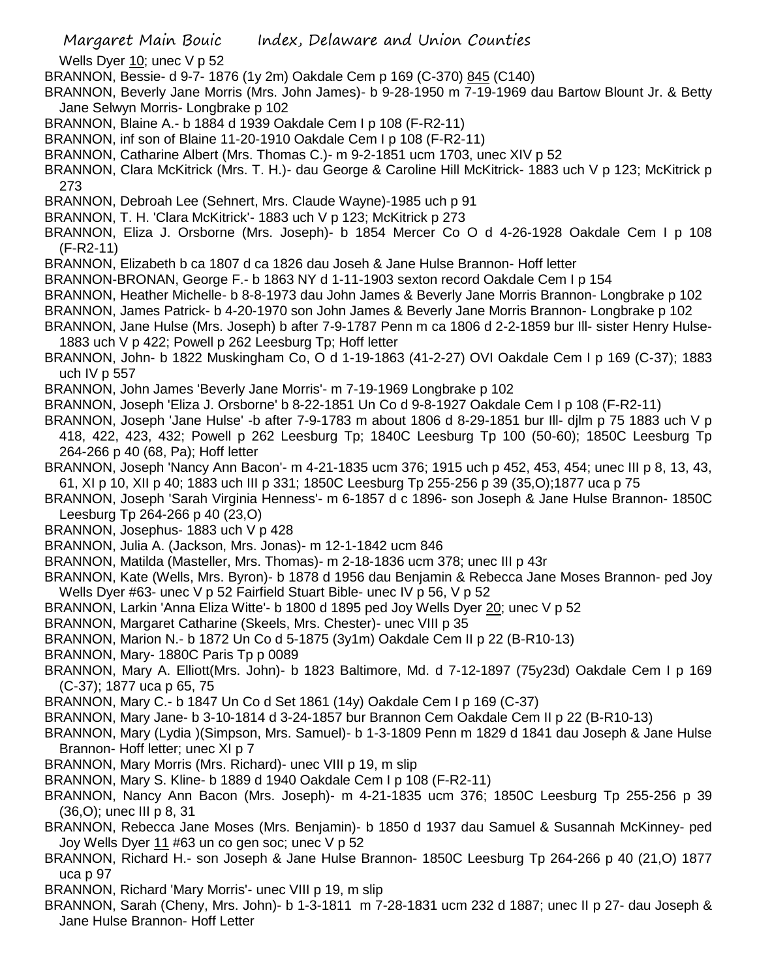- Wells Dyer 10; unec V p 52
- BRANNON, Bessie- d 9-7- 1876 (1y 2m) Oakdale Cem p 169 (C-370) 845 (C140)
- BRANNON, Beverly Jane Morris (Mrs. John James)- b 9-28-1950 m 7-19-1969 dau Bartow Blount Jr. & Betty Jane Selwyn Morris- Longbrake p 102
- BRANNON, Blaine A.- b 1884 d 1939 Oakdale Cem I p 108 (F-R2-11)
- BRANNON, inf son of Blaine 11-20-1910 Oakdale Cem I p 108 (F-R2-11)
- BRANNON, Catharine Albert (Mrs. Thomas C.)- m 9-2-1851 ucm 1703, unec XIV p 52
- BRANNON, Clara McKitrick (Mrs. T. H.)- dau George & Caroline Hill McKitrick- 1883 uch V p 123; McKitrick p 273
- BRANNON, Debroah Lee (Sehnert, Mrs. Claude Wayne)-1985 uch p 91
- BRANNON, T. H. 'Clara McKitrick'- 1883 uch V p 123; McKitrick p 273
- BRANNON, Eliza J. Orsborne (Mrs. Joseph)- b 1854 Mercer Co O d 4-26-1928 Oakdale Cem I p 108 (F-R2-11)
- BRANNON, Elizabeth b ca 1807 d ca 1826 dau Joseh & Jane Hulse Brannon- Hoff letter
- BRANNON-BRONAN, George F.- b 1863 NY d 1-11-1903 sexton record Oakdale Cem I p 154
- BRANNON, Heather Michelle- b 8-8-1973 dau John James & Beverly Jane Morris Brannon- Longbrake p 102
- BRANNON, James Patrick- b 4-20-1970 son John James & Beverly Jane Morris Brannon- Longbrake p 102
- BRANNON, Jane Hulse (Mrs. Joseph) b after 7-9-1787 Penn m ca 1806 d 2-2-1859 bur Ill- sister Henry Hulse-1883 uch V p 422; Powell p 262 Leesburg Tp; Hoff letter
- BRANNON, John- b 1822 Muskingham Co, O d 1-19-1863 (41-2-27) OVI Oakdale Cem I p 169 (C-37); 1883 uch IV p 557
- BRANNON, John James 'Beverly Jane Morris'- m 7-19-1969 Longbrake p 102
- BRANNON, Joseph 'Eliza J. Orsborne' b 8-22-1851 Un Co d 9-8-1927 Oakdale Cem I p 108 (F-R2-11)
- BRANNON, Joseph 'Jane Hulse' -b after 7-9-1783 m about 1806 d 8-29-1851 bur Ill- djlm p 75 1883 uch V p 418, 422, 423, 432; Powell p 262 Leesburg Tp; 1840C Leesburg Tp 100 (50-60); 1850C Leesburg Tp 264-266 p 40 (68, Pa); Hoff letter
- BRANNON, Joseph 'Nancy Ann Bacon'- m 4-21-1835 ucm 376; 1915 uch p 452, 453, 454; unec III p 8, 13, 43, 61, XI p 10, XII p 40; 1883 uch III p 331; 1850C Leesburg Tp 255-256 p 39 (35,O);1877 uca p 75
- BRANNON, Joseph 'Sarah Virginia Henness'- m 6-1857 d c 1896- son Joseph & Jane Hulse Brannon- 1850C Leesburg Tp 264-266 p 40 (23,O)
- BRANNON, Josephus- 1883 uch V p 428
- BRANNON, Julia A. (Jackson, Mrs. Jonas)- m 12-1-1842 ucm 846
- BRANNON, Matilda (Masteller, Mrs. Thomas)- m 2-18-1836 ucm 378; unec III p 43r
- BRANNON, Kate (Wells, Mrs. Byron)- b 1878 d 1956 dau Benjamin & Rebecca Jane Moses Brannon- ped Joy Wells Dyer #63- unec V p 52 Fairfield Stuart Bible- unec IV p 56, V p 52
- BRANNON, Larkin 'Anna Eliza Witte'- b 1800 d 1895 ped Joy Wells Dyer 20; unec V p 52
- BRANNON, Margaret Catharine (Skeels, Mrs. Chester)- unec VIII p 35
- BRANNON, Marion N.- b 1872 Un Co d 5-1875 (3y1m) Oakdale Cem II p 22 (B-R10-13)
- BRANNON, Mary-1880C Paris Tp p 0089
- BRANNON, Mary A. Elliott(Mrs. John)- b 1823 Baltimore, Md. d 7-12-1897 (75y23d) Oakdale Cem I p 169 (C-37); 1877 uca p 65, 75
- BRANNON, Mary C.- b 1847 Un Co d Set 1861 (14y) Oakdale Cem I p 169 (C-37)
- BRANNON, Mary Jane- b 3-10-1814 d 3-24-1857 bur Brannon Cem Oakdale Cem II p 22 (B-R10-13)
- BRANNON, Mary (Lydia )(Simpson, Mrs. Samuel)- b 1-3-1809 Penn m 1829 d 1841 dau Joseph & Jane Hulse Brannon- Hoff letter; unec XI p 7
- BRANNON, Mary Morris (Mrs. Richard)- unec VIII p 19, m slip
- BRANNON, Mary S. Kline- b 1889 d 1940 Oakdale Cem I p 108 (F-R2-11)
- BRANNON, Nancy Ann Bacon (Mrs. Joseph)- m 4-21-1835 ucm 376; 1850C Leesburg Tp 255-256 p 39 (36,O); unec III p 8, 31
- BRANNON, Rebecca Jane Moses (Mrs. Benjamin)- b 1850 d 1937 dau Samuel & Susannah McKinney- ped Joy Wells Dyer  $11$  #63 un co gen soc; unec V p 52
- BRANNON, Richard H.- son Joseph & Jane Hulse Brannon- 1850C Leesburg Tp 264-266 p 40 (21,O) 1877 uca p 97
- BRANNON, Richard 'Mary Morris'- unec VIII p 19, m slip
- BRANNON, Sarah (Cheny, Mrs. John)- b 1-3-1811 m 7-28-1831 ucm 232 d 1887; unec II p 27- dau Joseph & Jane Hulse Brannon- Hoff Letter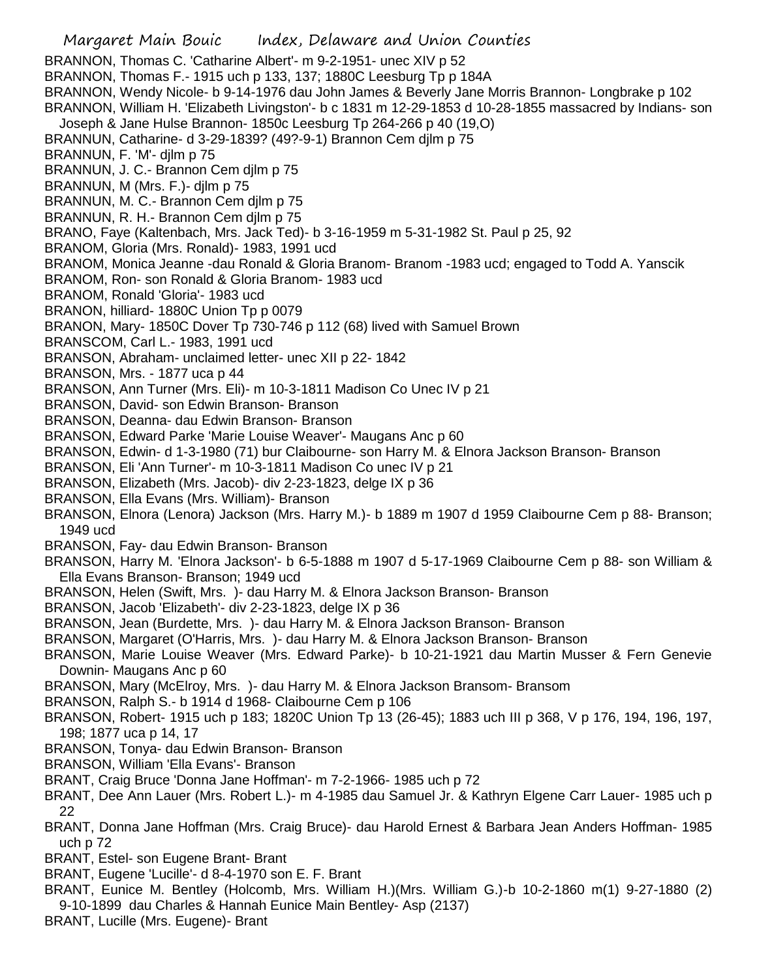Margaret Main Bouic Index, Delaware and Union Counties BRANNON, Thomas C. 'Catharine Albert'- m 9-2-1951- unec XIV p 52 BRANNON, Thomas F.- 1915 uch p 133, 137; 1880C Leesburg Tp p 184A BRANNON, Wendy Nicole- b 9-14-1976 dau John James & Beverly Jane Morris Brannon- Longbrake p 102 BRANNON, William H. 'Elizabeth Livingston'- b c 1831 m 12-29-1853 d 10-28-1855 massacred by Indians- son Joseph & Jane Hulse Brannon- 1850c Leesburg Tp 264-266 p 40 (19,O) BRANNUN, Catharine- d 3-29-1839? (49?-9-1) Brannon Cem djlm p 75 BRANNUN, F. 'M'- djlm p 75 BRANNUN, J. C.- Brannon Cem djlm p 75 BRANNUN, M (Mrs. F.)- djlm p 75 BRANNUN, M. C.- Brannon Cem djlm p 75 BRANNUN, R. H.- Brannon Cem djlm p 75 BRANO, Faye (Kaltenbach, Mrs. Jack Ted)- b 3-16-1959 m 5-31-1982 St. Paul p 25, 92 BRANOM, Gloria (Mrs. Ronald)- 1983, 1991 ucd BRANOM, Monica Jeanne -dau Ronald & Gloria Branom- Branom -1983 ucd; engaged to Todd A. Yanscik BRANOM, Ron- son Ronald & Gloria Branom- 1983 ucd BRANOM, Ronald 'Gloria'- 1983 ucd BRANON, hilliard- 1880C Union Tp p 0079 BRANON, Mary- 1850C Dover Tp 730-746 p 112 (68) lived with Samuel Brown BRANSCOM, Carl L.- 1983, 1991 ucd BRANSON, Abraham- unclaimed letter- unec XII p 22- 1842 BRANSON, Mrs. - 1877 uca p 44 BRANSON, Ann Turner (Mrs. Eli)- m 10-3-1811 Madison Co Unec IV p 21 BRANSON, David- son Edwin Branson- Branson BRANSON, Deanna- dau Edwin Branson- Branson BRANSON, Edward Parke 'Marie Louise Weaver'- Maugans Anc p 60 BRANSON, Edwin- d 1-3-1980 (71) bur Claibourne- son Harry M. & Elnora Jackson Branson- Branson BRANSON, Eli 'Ann Turner'- m 10-3-1811 Madison Co unec IV p 21 BRANSON, Elizabeth (Mrs. Jacob)- div 2-23-1823, delge IX p 36 BRANSON, Ella Evans (Mrs. William)- Branson BRANSON, Elnora (Lenora) Jackson (Mrs. Harry M.)- b 1889 m 1907 d 1959 Claibourne Cem p 88- Branson; 1949 ucd BRANSON, Fay- dau Edwin Branson- Branson BRANSON, Harry M. 'Elnora Jackson'- b 6-5-1888 m 1907 d 5-17-1969 Claibourne Cem p 88- son William & Ella Evans Branson- Branson; 1949 ucd BRANSON, Helen (Swift, Mrs. )- dau Harry M. & Elnora Jackson Branson- Branson BRANSON, Jacob 'Elizabeth'- div 2-23-1823, delge IX p 36 BRANSON, Jean (Burdette, Mrs. )- dau Harry M. & Elnora Jackson Branson- Branson BRANSON, Margaret (O'Harris, Mrs. )- dau Harry M. & Elnora Jackson Branson- Branson BRANSON, Marie Louise Weaver (Mrs. Edward Parke)- b 10-21-1921 dau Martin Musser & Fern Genevie Downin- Maugans Anc p 60 BRANSON, Mary (McElroy, Mrs. )- dau Harry M. & Elnora Jackson Bransom- Bransom BRANSON, Ralph S.- b 1914 d 1968- Claibourne Cem p 106 BRANSON, Robert- 1915 uch p 183; 1820C Union Tp 13 (26-45); 1883 uch III p 368, V p 176, 194, 196, 197, 198; 1877 uca p 14, 17 BRANSON, Tonya- dau Edwin Branson- Branson BRANSON, William 'Ella Evans'- Branson BRANT, Craig Bruce 'Donna Jane Hoffman'- m 7-2-1966- 1985 uch p 72 BRANT, Dee Ann Lauer (Mrs. Robert L.)- m 4-1985 dau Samuel Jr. & Kathryn Elgene Carr Lauer- 1985 uch p 22 BRANT, Donna Jane Hoffman (Mrs. Craig Bruce)- dau Harold Ernest & Barbara Jean Anders Hoffman- 1985 uch p 72 BRANT, Estel- son Eugene Brant- Brant BRANT, Eugene 'Lucille'- d 8-4-1970 son E. F. Brant

- BRANT, Eunice M. Bentley (Holcomb, Mrs. William H.)(Mrs. William G.)-b 10-2-1860 m(1) 9-27-1880 (2) 9-10-1899 dau Charles & Hannah Eunice Main Bentley- Asp (2137)
- BRANT, Lucille (Mrs. Eugene)- Brant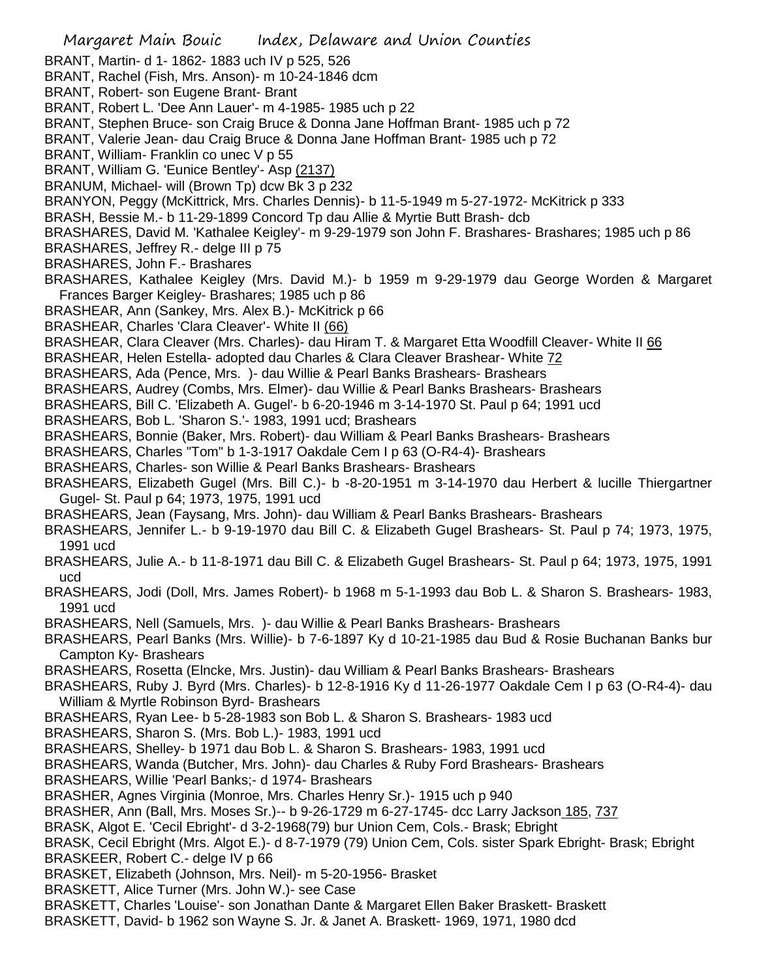Margaret Main Bouic Index, Delaware and Union Counties BRANT, Martin- d 1- 1862- 1883 uch IV p 525, 526 BRANT, Rachel (Fish, Mrs. Anson)- m 10-24-1846 dcm BRANT, Robert- son Eugene Brant- Brant BRANT, Robert L. 'Dee Ann Lauer'- m 4-1985- 1985 uch p 22 BRANT, Stephen Bruce- son Craig Bruce & Donna Jane Hoffman Brant- 1985 uch p 72 BRANT, Valerie Jean- dau Craig Bruce & Donna Jane Hoffman Brant- 1985 uch p 72 BRANT, William- Franklin co unec V p 55 BRANT, William G. 'Eunice Bentley'- Asp (2137) BRANUM, Michael- will (Brown Tp) dcw Bk 3 p 232 BRANYON, Peggy (McKittrick, Mrs. Charles Dennis)- b 11-5-1949 m 5-27-1972- McKitrick p 333 BRASH, Bessie M.- b 11-29-1899 Concord Tp dau Allie & Myrtie Butt Brash- dcb BRASHARES, David M. 'Kathalee Keigley'- m 9-29-1979 son John F. Brashares- Brashares; 1985 uch p 86 BRASHARES, Jeffrey R.- delge III p 75 BRASHARES, John F.- Brashares BRASHARES, Kathalee Keigley (Mrs. David M.)- b 1959 m 9-29-1979 dau George Worden & Margaret Frances Barger Keigley- Brashares; 1985 uch p 86 BRASHEAR, Ann (Sankey, Mrs. Alex B.)- McKitrick p 66 BRASHEAR, Charles 'Clara Cleaver'- White II (66) BRASHEAR, Clara Cleaver (Mrs. Charles)- dau Hiram T. & Margaret Etta Woodfill Cleaver- White II 66 BRASHEAR, Helen Estella- adopted dau Charles & Clara Cleaver Brashear- White 72 BRASHEARS, Ada (Pence, Mrs. )- dau Willie & Pearl Banks Brashears- Brashears BRASHEARS, Audrey (Combs, Mrs. Elmer)- dau Willie & Pearl Banks Brashears- Brashears BRASHEARS, Bill C. 'Elizabeth A. Gugel'- b 6-20-1946 m 3-14-1970 St. Paul p 64; 1991 ucd BRASHEARS, Bob L. 'Sharon S.'- 1983, 1991 ucd; Brashears BRASHEARS, Bonnie (Baker, Mrs. Robert)- dau William & Pearl Banks Brashears- Brashears BRASHEARS, Charles "Tom" b 1-3-1917 Oakdale Cem I p 63 (O-R4-4)- Brashears BRASHEARS, Charles- son Willie & Pearl Banks Brashears- Brashears BRASHEARS, Elizabeth Gugel (Mrs. Bill C.)- b -8-20-1951 m 3-14-1970 dau Herbert & lucille Thiergartner Gugel- St. Paul p 64; 1973, 1975, 1991 ucd BRASHEARS, Jean (Faysang, Mrs. John)- dau William & Pearl Banks Brashears- Brashears BRASHEARS, Jennifer L.- b 9-19-1970 dau Bill C. & Elizabeth Gugel Brashears- St. Paul p 74; 1973, 1975, 1991 ucd BRASHEARS, Julie A.- b 11-8-1971 dau Bill C. & Elizabeth Gugel Brashears- St. Paul p 64; 1973, 1975, 1991 ucd BRASHEARS, Jodi (Doll, Mrs. James Robert)- b 1968 m 5-1-1993 dau Bob L. & Sharon S. Brashears- 1983, 1991 ucd BRASHEARS, Nell (Samuels, Mrs. )- dau Willie & Pearl Banks Brashears- Brashears BRASHEARS, Pearl Banks (Mrs. Willie)- b 7-6-1897 Ky d 10-21-1985 dau Bud & Rosie Buchanan Banks bur Campton Ky- Brashears BRASHEARS, Rosetta (Elncke, Mrs. Justin)- dau William & Pearl Banks Brashears- Brashears BRASHEARS, Ruby J. Byrd (Mrs. Charles)- b 12-8-1916 Ky d 11-26-1977 Oakdale Cem I p 63 (O-R4-4)- dau William & Myrtle Robinson Byrd- Brashears BRASHEARS, Ryan Lee- b 5-28-1983 son Bob L. & Sharon S. Brashears- 1983 ucd BRASHEARS, Sharon S. (Mrs. Bob L.)- 1983, 1991 ucd BRASHEARS, Shelley- b 1971 dau Bob L. & Sharon S. Brashears- 1983, 1991 ucd BRASHEARS, Wanda (Butcher, Mrs. John)- dau Charles & Ruby Ford Brashears- Brashears BRASHEARS, Willie 'Pearl Banks;- d 1974- Brashears BRASHER, Agnes Virginia (Monroe, Mrs. Charles Henry Sr.)- 1915 uch p 940 BRASHER, Ann (Ball, Mrs. Moses Sr.)-- b 9-26-1729 m 6-27-1745- dcc Larry Jackson 185, 737 BRASK, Algot E. 'Cecil Ebright'- d 3-2-1968(79) bur Union Cem, Cols.- Brask; Ebright BRASK, Cecil Ebright (Mrs. Algot E.)- d 8-7-1979 (79) Union Cem, Cols. sister Spark Ebright- Brask; Ebright BRASKEER, Robert C.- delge IV p 66 BRASKET, Elizabeth (Johnson, Mrs. Neil)- m 5-20-1956- Brasket BRASKETT, Alice Turner (Mrs. John W.)- see Case BRASKETT, Charles 'Louise'- son Jonathan Dante & Margaret Ellen Baker Braskett- Braskett BRASKETT, David- b 1962 son Wayne S. Jr. & Janet A. Braskett- 1969, 1971, 1980 dcd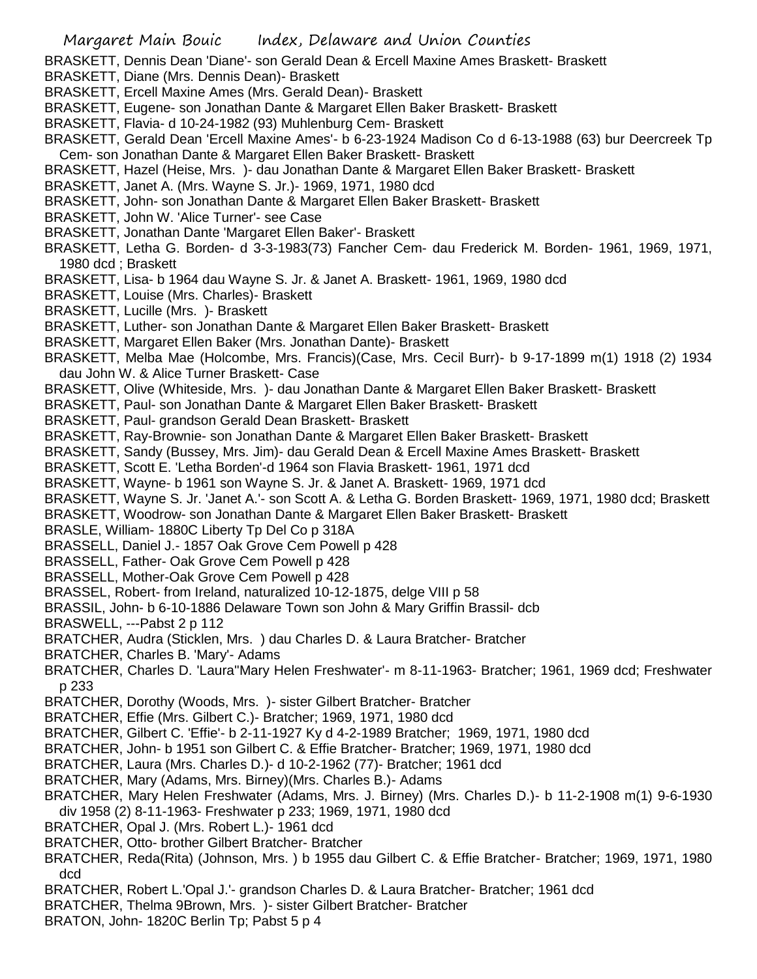BRASKETT, Dennis Dean 'Diane'- son Gerald Dean & Ercell Maxine Ames Braskett- Braskett

- BRASKETT, Diane (Mrs. Dennis Dean)- Braskett
- BRASKETT, Ercell Maxine Ames (Mrs. Gerald Dean)- Braskett
- BRASKETT, Eugene- son Jonathan Dante & Margaret Ellen Baker Braskett- Braskett
- BRASKETT, Flavia- d 10-24-1982 (93) Muhlenburg Cem- Braskett
- BRASKETT, Gerald Dean 'Ercell Maxine Ames'- b 6-23-1924 Madison Co d 6-13-1988 (63) bur Deercreek Tp Cem- son Jonathan Dante & Margaret Ellen Baker Braskett- Braskett
- BRASKETT, Hazel (Heise, Mrs. )- dau Jonathan Dante & Margaret Ellen Baker Braskett- Braskett
- BRASKETT, Janet A. (Mrs. Wayne S. Jr.)- 1969, 1971, 1980 dcd
- BRASKETT, John- son Jonathan Dante & Margaret Ellen Baker Braskett- Braskett
- BRASKETT, John W. 'Alice Turner'- see Case
- BRASKETT, Jonathan Dante 'Margaret Ellen Baker'- Braskett
- BRASKETT, Letha G. Borden- d 3-3-1983(73) Fancher Cem- dau Frederick M. Borden- 1961, 1969, 1971, 1980 dcd ; Braskett
- BRASKETT, Lisa- b 1964 dau Wayne S. Jr. & Janet A. Braskett- 1961, 1969, 1980 dcd
- BRASKETT, Louise (Mrs. Charles)- Braskett
- BRASKETT, Lucille (Mrs. )- Braskett
- BRASKETT, Luther- son Jonathan Dante & Margaret Ellen Baker Braskett- Braskett
- BRASKETT, Margaret Ellen Baker (Mrs. Jonathan Dante)- Braskett
- BRASKETT, Melba Mae (Holcombe, Mrs. Francis)(Case, Mrs. Cecil Burr)- b 9-17-1899 m(1) 1918 (2) 1934 dau John W. & Alice Turner Braskett- Case
- BRASKETT, Olive (Whiteside, Mrs. )- dau Jonathan Dante & Margaret Ellen Baker Braskett- Braskett
- BRASKETT, Paul- son Jonathan Dante & Margaret Ellen Baker Braskett- Braskett
- BRASKETT, Paul- grandson Gerald Dean Braskett- Braskett
- BRASKETT, Ray-Brownie- son Jonathan Dante & Margaret Ellen Baker Braskett- Braskett
- BRASKETT, Sandy (Bussey, Mrs. Jim)- dau Gerald Dean & Ercell Maxine Ames Braskett- Braskett
- BRASKETT, Scott E. 'Letha Borden'-d 1964 son Flavia Braskett- 1961, 1971 dcd
- BRASKETT, Wayne- b 1961 son Wayne S. Jr. & Janet A. Braskett- 1969, 1971 dcd
- BRASKETT, Wayne S. Jr. 'Janet A.'- son Scott A. & Letha G. Borden Braskett- 1969, 1971, 1980 dcd; Braskett
- BRASKETT, Woodrow- son Jonathan Dante & Margaret Ellen Baker Braskett- Braskett
- BRASLE, William- 1880C Liberty Tp Del Co p 318A
- BRASSELL, Daniel J.- 1857 Oak Grove Cem Powell p 428
- BRASSELL, Father- Oak Grove Cem Powell p 428
- BRASSELL, Mother-Oak Grove Cem Powell p 428
- BRASSEL, Robert- from Ireland, naturalized 10-12-1875, delge VIII p 58
- BRASSIL, John- b 6-10-1886 Delaware Town son John & Mary Griffin Brassil- dcb
- BRASWELL, ---Pabst 2 p 112
- BRATCHER, Audra (Sticklen, Mrs. ) dau Charles D. & Laura Bratcher- Bratcher
- BRATCHER, Charles B. 'Mary'- Adams
- BRATCHER, Charles D. 'Laura''Mary Helen Freshwater'- m 8-11-1963- Bratcher; 1961, 1969 dcd; Freshwater p 233
- BRATCHER, Dorothy (Woods, Mrs. )- sister Gilbert Bratcher- Bratcher
- BRATCHER, Effie (Mrs. Gilbert C.)- Bratcher; 1969, 1971, 1980 dcd
- BRATCHER, Gilbert C. 'Effie'- b 2-11-1927 Ky d 4-2-1989 Bratcher; 1969, 1971, 1980 dcd
- BRATCHER, John- b 1951 son Gilbert C. & Effie Bratcher- Bratcher; 1969, 1971, 1980 dcd
- BRATCHER, Laura (Mrs. Charles D.)- d 10-2-1962 (77)- Bratcher; 1961 dcd
- BRATCHER, Mary (Adams, Mrs. Birney)(Mrs. Charles B.)- Adams
- BRATCHER, Mary Helen Freshwater (Adams, Mrs. J. Birney) (Mrs. Charles D.)- b 11-2-1908 m(1) 9-6-1930 div 1958 (2) 8-11-1963- Freshwater p 233; 1969, 1971, 1980 dcd
- BRATCHER, Opal J. (Mrs. Robert L.)- 1961 dcd
- BRATCHER, Otto- brother Gilbert Bratcher- Bratcher
- BRATCHER, Reda(Rita) (Johnson, Mrs. ) b 1955 dau Gilbert C. & Effie Bratcher- Bratcher; 1969, 1971, 1980 dcd
- BRATCHER, Robert L.'Opal J.'- grandson Charles D. & Laura Bratcher- Bratcher; 1961 dcd
- BRATCHER, Thelma 9Brown, Mrs. )- sister Gilbert Bratcher- Bratcher
- BRATON, John- 1820C Berlin Tp; Pabst 5 p 4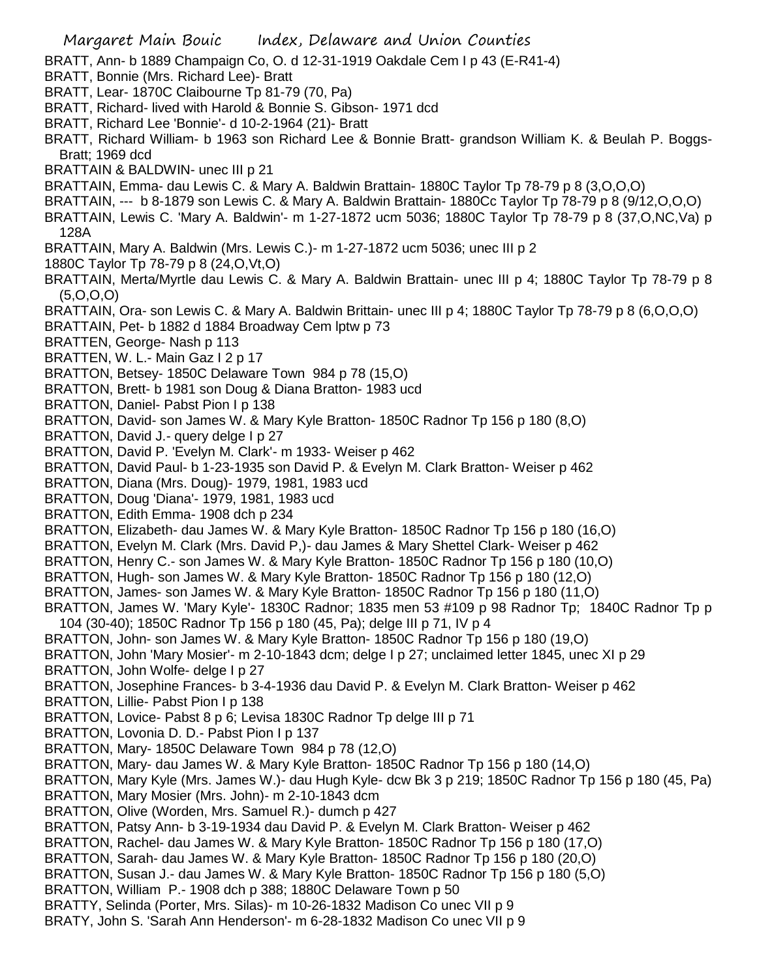Margaret Main Bouic Index, Delaware and Union Counties BRATT, Ann- b 1889 Champaign Co, O. d 12-31-1919 Oakdale Cem I p 43 (E-R41-4) BRATT, Bonnie (Mrs. Richard Lee)- Bratt BRATT, Lear- 1870C Claibourne Tp 81-79 (70, Pa) BRATT, Richard- lived with Harold & Bonnie S. Gibson- 1971 dcd BRATT, Richard Lee 'Bonnie'- d 10-2-1964 (21)- Bratt BRATT, Richard William- b 1963 son Richard Lee & Bonnie Bratt- grandson William K. & Beulah P. Boggs-Bratt; 1969 dcd BRATTAIN & BALDWIN- unec III p 21 BRATTAIN, Emma- dau Lewis C. & Mary A. Baldwin Brattain- 1880C Taylor Tp 78-79 p 8 (3,O,O,O) BRATTAIN, --- b 8-1879 son Lewis C. & Mary A. Baldwin Brattain- 1880Cc Taylor Tp 78-79 p 8 (9/12,O,O,O) BRATTAIN, Lewis C. 'Mary A. Baldwin'- m 1-27-1872 ucm 5036; 1880C Taylor Tp 78-79 p 8 (37,O,NC,Va) p 128A BRATTAIN, Mary A. Baldwin (Mrs. Lewis C.)- m 1-27-1872 ucm 5036; unec III p 2 1880C Taylor Tp 78-79 p 8 (24,O,Vt,O) BRATTAIN, Merta/Myrtle dau Lewis C. & Mary A. Baldwin Brattain- unec III p 4; 1880C Taylor Tp 78-79 p 8 (5,O,O,O) BRATTAIN, Ora- son Lewis C. & Mary A. Baldwin Brittain- unec III p 4; 1880C Taylor Tp 78-79 p 8 (6,O,O,O) BRATTAIN, Pet- b 1882 d 1884 Broadway Cem lptw p 73 BRATTEN, George- Nash p 113 BRATTEN, W. L.- Main Gaz I 2 p 17 BRATTON, Betsey- 1850C Delaware Town 984 p 78 (15,O) BRATTON, Brett- b 1981 son Doug & Diana Bratton- 1983 ucd BRATTON, Daniel- Pabst Pion I p 138 BRATTON, David- son James W. & Mary Kyle Bratton- 1850C Radnor Tp 156 p 180 (8,O) BRATTON, David J.- query delge I p 27 BRATTON, David P. 'Evelyn M. Clark'- m 1933- Weiser p 462 BRATTON, David Paul- b 1-23-1935 son David P. & Evelyn M. Clark Bratton- Weiser p 462 BRATTON, Diana (Mrs. Doug)- 1979, 1981, 1983 ucd BRATTON, Doug 'Diana'- 1979, 1981, 1983 ucd BRATTON, Edith Emma- 1908 dch p 234 BRATTON, Elizabeth- dau James W. & Mary Kyle Bratton- 1850C Radnor Tp 156 p 180 (16,O) BRATTON, Evelyn M. Clark (Mrs. David P,)- dau James & Mary Shettel Clark- Weiser p 462 BRATTON, Henry C.- son James W. & Mary Kyle Bratton- 1850C Radnor Tp 156 p 180 (10,O) BRATTON, Hugh- son James W. & Mary Kyle Bratton- 1850C Radnor Tp 156 p 180 (12,O) BRATTON, James- son James W. & Mary Kyle Bratton- 1850C Radnor Tp 156 p 180 (11,O) BRATTON, James W. 'Mary Kyle'- 1830C Radnor; 1835 men 53 #109 p 98 Radnor Tp; 1840C Radnor Tp p 104 (30-40); 1850C Radnor Tp 156 p 180 (45, Pa); delge III p 71, IV p 4 BRATTON, John- son James W. & Mary Kyle Bratton- 1850C Radnor Tp 156 p 180 (19,O) BRATTON, John 'Mary Mosier'- m 2-10-1843 dcm; delge I p 27; unclaimed letter 1845, unec XI p 29 BRATTON, John Wolfe- delge I p 27 BRATTON, Josephine Frances- b 3-4-1936 dau David P. & Evelyn M. Clark Bratton- Weiser p 462 BRATTON, Lillie- Pabst Pion I p 138 BRATTON, Lovice- Pabst 8 p 6; Levisa 1830C Radnor Tp delge III p 71 BRATTON, Lovonia D. D.- Pabst Pion I p 137 BRATTON, Mary- 1850C Delaware Town 984 p 78 (12,O) BRATTON, Mary- dau James W. & Mary Kyle Bratton- 1850C Radnor Tp 156 p 180 (14,O) BRATTON, Mary Kyle (Mrs. James W.)- dau Hugh Kyle- dcw Bk 3 p 219; 1850C Radnor Tp 156 p 180 (45, Pa) BRATTON, Mary Mosier (Mrs. John)- m 2-10-1843 dcm BRATTON, Olive (Worden, Mrs. Samuel R.)- dumch p 427 BRATTON, Patsy Ann- b 3-19-1934 dau David P. & Evelyn M. Clark Bratton- Weiser p 462 BRATTON, Rachel- dau James W. & Mary Kyle Bratton- 1850C Radnor Tp 156 p 180 (17,O) BRATTON, Sarah- dau James W. & Mary Kyle Bratton- 1850C Radnor Tp 156 p 180 (20,O) BRATTON, Susan J.- dau James W. & Mary Kyle Bratton- 1850C Radnor Tp 156 p 180 (5,O) BRATTON, William P.- 1908 dch p 388; 1880C Delaware Town p 50 BRATTY, Selinda (Porter, Mrs. Silas)- m 10-26-1832 Madison Co unec VII p 9 BRATY, John S. 'Sarah Ann Henderson'- m 6-28-1832 Madison Co unec VII p 9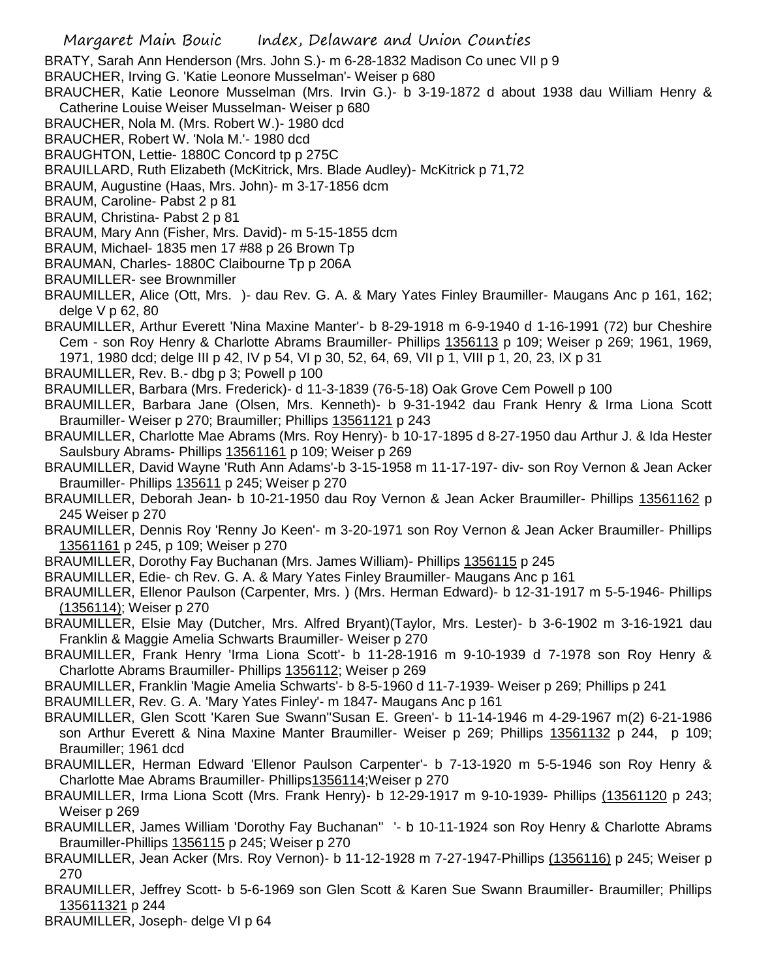BRATY, Sarah Ann Henderson (Mrs. John S.)- m 6-28-1832 Madison Co unec VII p 9

- BRAUCHER, Irving G. 'Katie Leonore Musselman'- Weiser p 680
- BRAUCHER, Katie Leonore Musselman (Mrs. Irvin G.)- b 3-19-1872 d about 1938 dau William Henry & Catherine Louise Weiser Musselman- Weiser p 680
- BRAUCHER, Nola M. (Mrs. Robert W.)- 1980 dcd
- BRAUCHER, Robert W. 'Nola M.'- 1980 dcd

BRAUGHTON, Lettie- 1880C Concord tp p 275C

- BRAUILLARD, Ruth Elizabeth (McKitrick, Mrs. Blade Audley)- McKitrick p 71,72
- BRAUM, Augustine (Haas, Mrs. John)- m 3-17-1856 dcm
- BRAUM, Caroline- Pabst 2 p 81
- BRAUM, Christina- Pabst 2 p 81
- BRAUM, Mary Ann (Fisher, Mrs. David)- m 5-15-1855 dcm
- BRAUM, Michael- 1835 men 17 #88 p 26 Brown Tp
- BRAUMAN, Charles- 1880C Claibourne Tp p 206A
- BRAUMILLER- see Brownmiller

BRAUMILLER, Alice (Ott, Mrs. )- dau Rev. G. A. & Mary Yates Finley Braumiller- Maugans Anc p 161, 162; delge V p 62, 80

- BRAUMILLER, Arthur Everett 'Nina Maxine Manter'- b 8-29-1918 m 6-9-1940 d 1-16-1991 (72) bur Cheshire Cem - son Roy Henry & Charlotte Abrams Braumiller- Phillips 1356113 p 109; Weiser p 269; 1961, 1969, 1971, 1980 dcd; delge III p 42, IV p 54, VI p 30, 52, 64, 69, VII p 1, VIII p 1, 20, 23, IX p 31
- BRAUMILLER, Rev. B.- dbg p 3; Powell p 100
- BRAUMILLER, Barbara (Mrs. Frederick)- d 11-3-1839 (76-5-18) Oak Grove Cem Powell p 100
- BRAUMILLER, Barbara Jane (Olsen, Mrs. Kenneth)- b 9-31-1942 dau Frank Henry & Irma Liona Scott Braumiller- Weiser p 270; Braumiller; Phillips 13561121 p 243
- BRAUMILLER, Charlotte Mae Abrams (Mrs. Roy Henry)- b 10-17-1895 d 8-27-1950 dau Arthur J. & Ida Hester Saulsbury Abrams- Phillips 13561161 p 109; Weiser p 269
- BRAUMILLER, David Wayne 'Ruth Ann Adams'-b 3-15-1958 m 11-17-197- div- son Roy Vernon & Jean Acker Braumiller- Phillips 135611 p 245; Weiser p 270
- BRAUMILLER, Deborah Jean- b 10-21-1950 dau Roy Vernon & Jean Acker Braumiller- Phillips 13561162 p 245 Weiser p 270
- BRAUMILLER, Dennis Roy 'Renny Jo Keen'- m 3-20-1971 son Roy Vernon & Jean Acker Braumiller- Phillips 13561161 p 245, p 109; Weiser p 270
- BRAUMILLER, Dorothy Fay Buchanan (Mrs. James William)- Phillips 1356115 p 245
- BRAUMILLER, Edie- ch Rev. G. A. & Mary Yates Finley Braumiller- Maugans Anc p 161
- BRAUMILLER, Ellenor Paulson (Carpenter, Mrs. ) (Mrs. Herman Edward)- b 12-31-1917 m 5-5-1946- Phillips (1356114); Weiser p 270
- BRAUMILLER, Elsie May (Dutcher, Mrs. Alfred Bryant)(Taylor, Mrs. Lester)- b 3-6-1902 m 3-16-1921 dau Franklin & Maggie Amelia Schwarts Braumiller- Weiser p 270
- BRAUMILLER, Frank Henry 'Irma Liona Scott'- b 11-28-1916 m 9-10-1939 d 7-1978 son Roy Henry & Charlotte Abrams Braumiller- Phillips 1356112; Weiser p 269
- BRAUMILLER, Franklin 'Magie Amelia Schwarts'- b 8-5-1960 d 11-7-1939- Weiser p 269; Phillips p 241

BRAUMILLER, Rev. G. A. 'Mary Yates Finley'- m 1847- Maugans Anc p 161

- BRAUMILLER, Glen Scott 'Karen Sue Swann''Susan E. Green'- b 11-14-1946 m 4-29-1967 m(2) 6-21-1986 son Arthur Everett & Nina Maxine Manter Braumiller- Weiser p 269; Phillips 13561132 p 244, p 109; Braumiller; 1961 dcd
- BRAUMILLER, Herman Edward 'Ellenor Paulson Carpenter'- b 7-13-1920 m 5-5-1946 son Roy Henry & Charlotte Mae Abrams Braumiller- Phillips1356114;Weiser p 270
- BRAUMILLER, Irma Liona Scott (Mrs. Frank Henry)- b 12-29-1917 m 9-10-1939- Phillips (13561120 p 243; Weiser p 269
- BRAUMILLER, James William 'Dorothy Fay Buchanan'' '- b 10-11-1924 son Roy Henry & Charlotte Abrams Braumiller-Phillips 1356115 p 245; Weiser p 270
- BRAUMILLER, Jean Acker (Mrs. Roy Vernon)- b 11-12-1928 m 7-27-1947-Phillips (1356116) p 245; Weiser p 270
- BRAUMILLER, Jeffrey Scott- b 5-6-1969 son Glen Scott & Karen Sue Swann Braumiller- Braumiller; Phillips 135611321 p 244
- BRAUMILLER, Joseph- delge VI p 64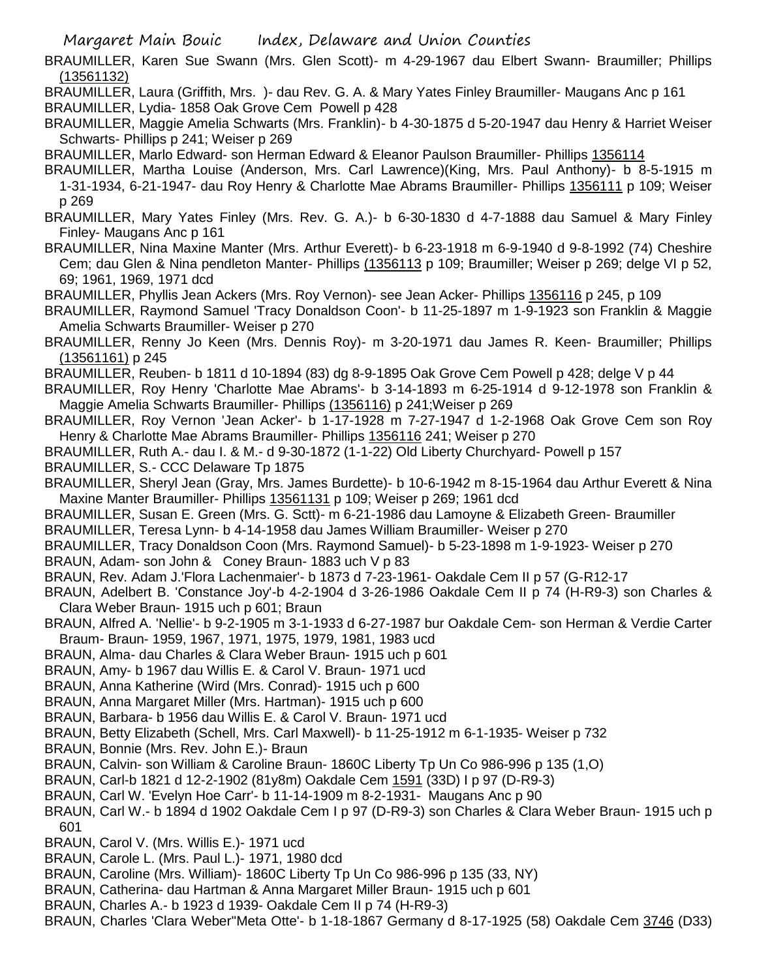BRAUMILLER, Karen Sue Swann (Mrs. Glen Scott)- m 4-29-1967 dau Elbert Swann- Braumiller; Phillips (13561132)

BRAUMILLER, Laura (Griffith, Mrs. )- dau Rev. G. A. & Mary Yates Finley Braumiller- Maugans Anc p 161 BRAUMILLER, Lydia- 1858 Oak Grove Cem Powell p 428

BRAUMILLER, Maggie Amelia Schwarts (Mrs. Franklin)- b 4-30-1875 d 5-20-1947 dau Henry & Harriet Weiser Schwarts- Phillips p 241; Weiser p 269

BRAUMILLER, Marlo Edward- son Herman Edward & Eleanor Paulson Braumiller- Phillips 1356114

BRAUMILLER, Martha Louise (Anderson, Mrs. Carl Lawrence)(King, Mrs. Paul Anthony)- b 8-5-1915 m 1-31-1934, 6-21-1947- dau Roy Henry & Charlotte Mae Abrams Braumiller- Phillips 1356111 p 109; Weiser p 269

BRAUMILLER, Mary Yates Finley (Mrs. Rev. G. A.)- b 6-30-1830 d 4-7-1888 dau Samuel & Mary Finley Finley- Maugans Anc p 161

- BRAUMILLER, Nina Maxine Manter (Mrs. Arthur Everett)- b 6-23-1918 m 6-9-1940 d 9-8-1992 (74) Cheshire Cem; dau Glen & Nina pendleton Manter- Phillips (1356113 p 109; Braumiller; Weiser p 269; delge VI p 52, 69; 1961, 1969, 1971 dcd
- BRAUMILLER, Phyllis Jean Ackers (Mrs. Roy Vernon)- see Jean Acker- Phillips 1356116 p 245, p 109

BRAUMILLER, Raymond Samuel 'Tracy Donaldson Coon'- b 11-25-1897 m 1-9-1923 son Franklin & Maggie Amelia Schwarts Braumiller- Weiser p 270

BRAUMILLER, Renny Jo Keen (Mrs. Dennis Roy)- m 3-20-1971 dau James R. Keen- Braumiller; Phillips (13561161) p 245

BRAUMILLER, Reuben- b 1811 d 10-1894 (83) dg 8-9-1895 Oak Grove Cem Powell p 428; delge V p 44

BRAUMILLER, Roy Henry 'Charlotte Mae Abrams'- b 3-14-1893 m 6-25-1914 d 9-12-1978 son Franklin & Maggie Amelia Schwarts Braumiller- Phillips (1356116) p 241;Weiser p 269

BRAUMILLER, Roy Vernon 'Jean Acker'- b 1-17-1928 m 7-27-1947 d 1-2-1968 Oak Grove Cem son Roy Henry & Charlotte Mae Abrams Braumiller- Phillips 1356116 241; Weiser p 270

BRAUMILLER, Ruth A.- dau I. & M.- d 9-30-1872 (1-1-22) Old Liberty Churchyard- Powell p 157

BRAUMILLER, S.- CCC Delaware Tp 1875

BRAUMILLER, Sheryl Jean (Gray, Mrs. James Burdette)- b 10-6-1942 m 8-15-1964 dau Arthur Everett & Nina Maxine Manter Braumiller- Phillips 13561131 p 109; Weiser p 269; 1961 dcd

BRAUMILLER, Susan E. Green (Mrs. G. Sctt)- m 6-21-1986 dau Lamoyne & Elizabeth Green- Braumiller BRAUMILLER, Teresa Lynn- b 4-14-1958 dau James William Braumiller- Weiser p 270

BRAUMILLER, Tracy Donaldson Coon (Mrs. Raymond Samuel)- b 5-23-1898 m 1-9-1923- Weiser p 270 BRAUN, Adam- son John & Coney Braun- 1883 uch V p 83

BRAUN, Rev. Adam J.'Flora Lachenmaier'- b 1873 d 7-23-1961- Oakdale Cem II p 57 (G-R12-17

- BRAUN, Adelbert B. 'Constance Joy'-b 4-2-1904 d 3-26-1986 Oakdale Cem II p 74 (H-R9-3) son Charles & Clara Weber Braun- 1915 uch p 601; Braun
- BRAUN, Alfred A. 'Nellie'- b 9-2-1905 m 3-1-1933 d 6-27-1987 bur Oakdale Cem- son Herman & Verdie Carter Braum- Braun- 1959, 1967, 1971, 1975, 1979, 1981, 1983 ucd
- BRAUN, Alma- dau Charles & Clara Weber Braun- 1915 uch p 601
- BRAUN, Amy- b 1967 dau Willis E. & Carol V. Braun- 1971 ucd

BRAUN, Anna Katherine (Wird (Mrs. Conrad)- 1915 uch p 600

BRAUN, Anna Margaret Miller (Mrs. Hartman)- 1915 uch p 600

BRAUN, Barbara- b 1956 dau Willis E. & Carol V. Braun- 1971 ucd

- BRAUN, Betty Elizabeth (Schell, Mrs. Carl Maxwell)- b 11-25-1912 m 6-1-1935- Weiser p 732
- BRAUN, Bonnie (Mrs. Rev. John E.)- Braun
- BRAUN, Calvin- son William & Caroline Braun- 1860C Liberty Tp Un Co 986-996 p 135 (1,O)
- BRAUN, Carl-b 1821 d 12-2-1902 (81y8m) Oakdale Cem 1591 (33D) I p 97 (D-R9-3)
- BRAUN, Carl W. 'Evelyn Hoe Carr'- b 11-14-1909 m 8-2-1931- Maugans Anc p 90
- BRAUN, Carl W.- b 1894 d 1902 Oakdale Cem I p 97 (D-R9-3) son Charles & Clara Weber Braun- 1915 uch p 601
- BRAUN, Carol V. (Mrs. Willis E.)- 1971 ucd
- BRAUN, Carole L. (Mrs. Paul L.)- 1971, 1980 dcd
- BRAUN, Caroline (Mrs. William)- 1860C Liberty Tp Un Co 986-996 p 135 (33, NY)
- BRAUN, Catherina- dau Hartman & Anna Margaret Miller Braun- 1915 uch p 601
- BRAUN, Charles A.- b 1923 d 1939- Oakdale Cem II p 74 (H-R9-3)
- BRAUN, Charles 'Clara Weber''Meta Otte'- b 1-18-1867 Germany d 8-17-1925 (58) Oakdale Cem 3746 (D33)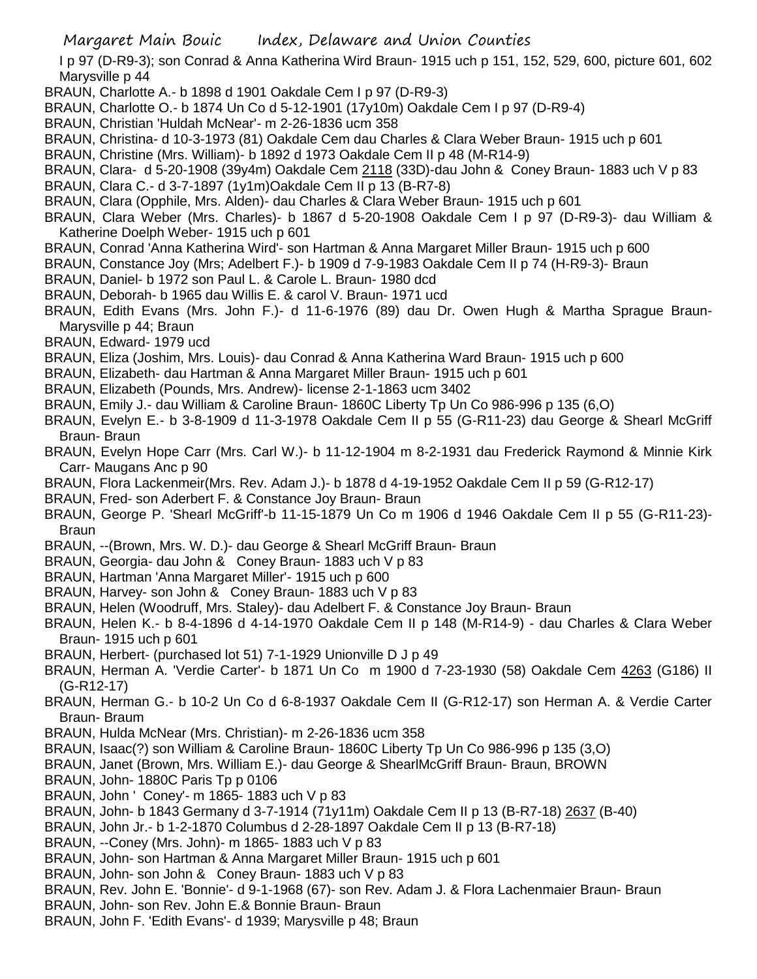I p 97 (D-R9-3); son Conrad & Anna Katherina Wird Braun- 1915 uch p 151, 152, 529, 600, picture 601, 602 Marysville p 44

- BRAUN, Charlotte A.- b 1898 d 1901 Oakdale Cem I p 97 (D-R9-3)
- BRAUN, Charlotte O.- b 1874 Un Co d 5-12-1901 (17y10m) Oakdale Cem I p 97 (D-R9-4)
- BRAUN, Christian 'Huldah McNear'- m 2-26-1836 ucm 358
- BRAUN, Christina- d 10-3-1973 (81) Oakdale Cem dau Charles & Clara Weber Braun- 1915 uch p 601
- BRAUN, Christine (Mrs. William)- b 1892 d 1973 Oakdale Cem II p 48 (M-R14-9)
- BRAUN, Clara- d 5-20-1908 (39y4m) Oakdale Cem 2118 (33D)-dau John & Coney Braun- 1883 uch V p 83
- BRAUN, Clara C.- d 3-7-1897 (1y1m)Oakdale Cem II p 13 (B-R7-8)
- BRAUN, Clara (Opphile, Mrs. Alden)- dau Charles & Clara Weber Braun- 1915 uch p 601
- BRAUN, Clara Weber (Mrs. Charles)- b 1867 d 5-20-1908 Oakdale Cem I p 97 (D-R9-3)- dau William & Katherine Doelph Weber- 1915 uch p 601
- BRAUN, Conrad 'Anna Katherina Wird'- son Hartman & Anna Margaret Miller Braun- 1915 uch p 600
- BRAUN, Constance Joy (Mrs; Adelbert F.)- b 1909 d 7-9-1983 Oakdale Cem II p 74 (H-R9-3)- Braun
- BRAUN, Daniel- b 1972 son Paul L. & Carole L. Braun- 1980 dcd
- BRAUN, Deborah- b 1965 dau Willis E. & carol V. Braun- 1971 ucd
- BRAUN, Edith Evans (Mrs. John F.)- d 11-6-1976 (89) dau Dr. Owen Hugh & Martha Sprague Braun-Marysville p 44; Braun
- BRAUN, Edward- 1979 ucd
- BRAUN, Eliza (Joshim, Mrs. Louis)- dau Conrad & Anna Katherina Ward Braun- 1915 uch p 600
- BRAUN, Elizabeth- dau Hartman & Anna Margaret Miller Braun- 1915 uch p 601
- BRAUN, Elizabeth (Pounds, Mrs. Andrew)- license 2-1-1863 ucm 3402
- BRAUN, Emily J.- dau William & Caroline Braun- 1860C Liberty Tp Un Co 986-996 p 135 (6,O)
- BRAUN, Evelyn E.- b 3-8-1909 d 11-3-1978 Oakdale Cem II p 55 (G-R11-23) dau George & Shearl McGriff Braun- Braun
- BRAUN, Evelyn Hope Carr (Mrs. Carl W.)- b 11-12-1904 m 8-2-1931 dau Frederick Raymond & Minnie Kirk Carr- Maugans Anc p 90
- BRAUN, Flora Lackenmeir(Mrs. Rev. Adam J.)- b 1878 d 4-19-1952 Oakdale Cem II p 59 (G-R12-17)
- BRAUN, Fred- son Aderbert F. & Constance Joy Braun- Braun
- BRAUN, George P. 'Shearl McGriff'-b 11-15-1879 Un Co m 1906 d 1946 Oakdale Cem II p 55 (G-R11-23)- Braun
- BRAUN, --(Brown, Mrs. W. D.)- dau George & Shearl McGriff Braun- Braun
- BRAUN, Georgia- dau John & Coney Braun- 1883 uch V p 83
- BRAUN, Hartman 'Anna Margaret Miller'- 1915 uch p 600
- BRAUN, Harvey- son John & Coney Braun- 1883 uch V p 83
- BRAUN, Helen (Woodruff, Mrs. Staley)- dau Adelbert F. & Constance Joy Braun- Braun
- BRAUN, Helen K.- b 8-4-1896 d 4-14-1970 Oakdale Cem II p 148 (M-R14-9) dau Charles & Clara Weber Braun- 1915 uch p 601
- BRAUN, Herbert- (purchased lot 51) 7-1-1929 Unionville D J p 49
- BRAUN, Herman A. 'Verdie Carter'- b 1871 Un Co m 1900 d 7-23-1930 (58) Oakdale Cem 4263 (G186) II (G-R12-17)
- BRAUN, Herman G.- b 10-2 Un Co d 6-8-1937 Oakdale Cem II (G-R12-17) son Herman A. & Verdie Carter Braun- Braum
- BRAUN, Hulda McNear (Mrs. Christian)- m 2-26-1836 ucm 358
- BRAUN, Isaac(?) son William & Caroline Braun- 1860C Liberty Tp Un Co 986-996 p 135 (3,O)
- BRAUN, Janet (Brown, Mrs. William E.)- dau George & ShearlMcGriff Braun- Braun, BROWN
- BRAUN, John- 1880C Paris Tp p 0106
- BRAUN, John ' Coney'- m 1865- 1883 uch V p 83
- BRAUN, John- b 1843 Germany d 3-7-1914 (71y11m) Oakdale Cem II p 13 (B-R7-18) 2637 (B-40)
- BRAUN, John Jr.- b 1-2-1870 Columbus d 2-28-1897 Oakdale Cem II p 13 (B-R7-18)
- BRAUN, --Coney (Mrs. John)- m 1865- 1883 uch V p 83
- BRAUN, John- son Hartman & Anna Margaret Miller Braun- 1915 uch p 601
- BRAUN, John- son John & Coney Braun- 1883 uch V p 83
- BRAUN, Rev. John E. 'Bonnie'- d 9-1-1968 (67)- son Rev. Adam J. & Flora Lachenmaier Braun- Braun
- BRAUN, John- son Rev. John E.& Bonnie Braun- Braun
- BRAUN, John F. 'Edith Evans'- d 1939; Marysville p 48; Braun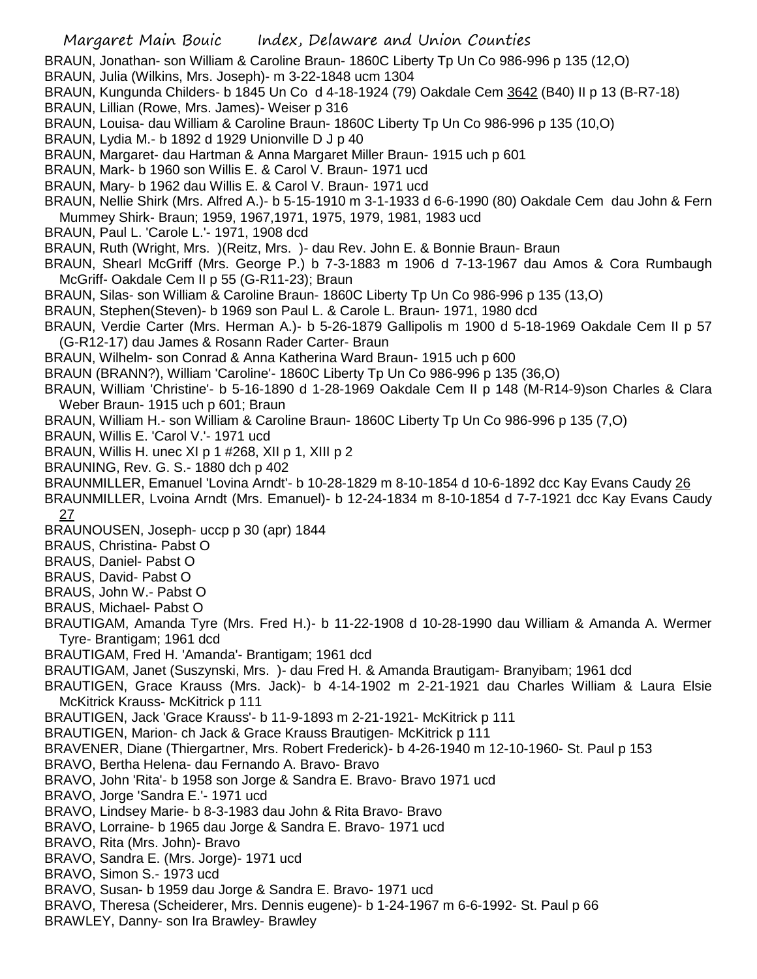BRAUN, Jonathan- son William & Caroline Braun- 1860C Liberty Tp Un Co 986-996 p 135 (12,O)

BRAUN, Julia (Wilkins, Mrs. Joseph)- m 3-22-1848 ucm 1304

BRAUN, Kungunda Childers- b 1845 Un Co d 4-18-1924 (79) Oakdale Cem 3642 (B40) II p 13 (B-R7-18)

- BRAUN, Lillian (Rowe, Mrs. James)- Weiser p 316
- BRAUN, Louisa- dau William & Caroline Braun- 1860C Liberty Tp Un Co 986-996 p 135 (10,O)
- BRAUN, Lydia M.- b 1892 d 1929 Unionville D J p 40
- BRAUN, Margaret- dau Hartman & Anna Margaret Miller Braun- 1915 uch p 601
- BRAUN, Mark- b 1960 son Willis E. & Carol V. Braun- 1971 ucd
- BRAUN, Mary- b 1962 dau Willis E. & Carol V. Braun- 1971 ucd
- BRAUN, Nellie Shirk (Mrs. Alfred A.)- b 5-15-1910 m 3-1-1933 d 6-6-1990 (80) Oakdale Cem dau John & Fern Mummey Shirk- Braun; 1959, 1967,1971, 1975, 1979, 1981, 1983 ucd
- BRAUN, Paul L. 'Carole L.'- 1971, 1908 dcd
- BRAUN, Ruth (Wright, Mrs. )(Reitz, Mrs. )- dau Rev. John E. & Bonnie Braun- Braun
- BRAUN, Shearl McGriff (Mrs. George P.) b 7-3-1883 m 1906 d 7-13-1967 dau Amos & Cora Rumbaugh McGriff- Oakdale Cem II p 55 (G-R11-23); Braun
- BRAUN, Silas- son William & Caroline Braun- 1860C Liberty Tp Un Co 986-996 p 135 (13,O)
- BRAUN, Stephen(Steven)- b 1969 son Paul L. & Carole L. Braun- 1971, 1980 dcd
- BRAUN, Verdie Carter (Mrs. Herman A.)- b 5-26-1879 Gallipolis m 1900 d 5-18-1969 Oakdale Cem II p 57 (G-R12-17) dau James & Rosann Rader Carter- Braun
- BRAUN, Wilhelm- son Conrad & Anna Katherina Ward Braun- 1915 uch p 600
- BRAUN (BRANN?), William 'Caroline'- 1860C Liberty Tp Un Co 986-996 p 135 (36,O)
- BRAUN, William 'Christine'- b 5-16-1890 d 1-28-1969 Oakdale Cem II p 148 (M-R14-9)son Charles & Clara Weber Braun- 1915 uch p 601; Braun
- BRAUN, William H.- son William & Caroline Braun- 1860C Liberty Tp Un Co 986-996 p 135 (7,O)
- BRAUN, Willis E. 'Carol V.'- 1971 ucd
- BRAUN, Willis H. unec XI p 1 #268, XII p 1, XIII p 2
- BRAUNING, Rev. G. S.- 1880 dch p 402
- BRAUNMILLER, Emanuel 'Lovina Arndt'- b 10-28-1829 m 8-10-1854 d 10-6-1892 dcc Kay Evans Caudy 26
- BRAUNMILLER, Lvoina Arndt (Mrs. Emanuel)- b 12-24-1834 m 8-10-1854 d 7-7-1921 dcc Kay Evans Caudy <u>27</u>
- BRAUNOUSEN, Joseph- uccp p 30 (apr) 1844
- BRAUS, Christina- Pabst O
- BRAUS, Daniel- Pabst O
- BRAUS, David- Pabst O
- BRAUS, John W.- Pabst O
- BRAUS, Michael- Pabst O
- BRAUTIGAM, Amanda Tyre (Mrs. Fred H.)- b 11-22-1908 d 10-28-1990 dau William & Amanda A. Wermer Tyre- Brantigam; 1961 dcd
- BRAUTIGAM, Fred H. 'Amanda'- Brantigam; 1961 dcd
- BRAUTIGAM, Janet (Suszynski, Mrs. )- dau Fred H. & Amanda Brautigam- Branyibam; 1961 dcd
- BRAUTIGEN, Grace Krauss (Mrs. Jack)- b 4-14-1902 m 2-21-1921 dau Charles William & Laura Elsie McKitrick Krauss- McKitrick p 111
- BRAUTIGEN, Jack 'Grace Krauss'- b 11-9-1893 m 2-21-1921- McKitrick p 111
- BRAUTIGEN, Marion- ch Jack & Grace Krauss Brautigen- McKitrick p 111
- BRAVENER, Diane (Thiergartner, Mrs. Robert Frederick)- b 4-26-1940 m 12-10-1960- St. Paul p 153
- BRAVO, Bertha Helena- dau Fernando A. Bravo- Bravo
- BRAVO, John 'Rita'- b 1958 son Jorge & Sandra E. Bravo- Bravo 1971 ucd
- BRAVO, Jorge 'Sandra E.'- 1971 ucd
- BRAVO, Lindsey Marie- b 8-3-1983 dau John & Rita Bravo- Bravo
- BRAVO, Lorraine- b 1965 dau Jorge & Sandra E. Bravo- 1971 ucd
- BRAVO, Rita (Mrs. John)- Bravo
- BRAVO, Sandra E. (Mrs. Jorge)- 1971 ucd
- BRAVO, Simon S.- 1973 ucd
- BRAVO, Susan- b 1959 dau Jorge & Sandra E. Bravo- 1971 ucd
- BRAVO, Theresa (Scheiderer, Mrs. Dennis eugene)- b 1-24-1967 m 6-6-1992- St. Paul p 66
- BRAWLEY, Danny- son Ira Brawley- Brawley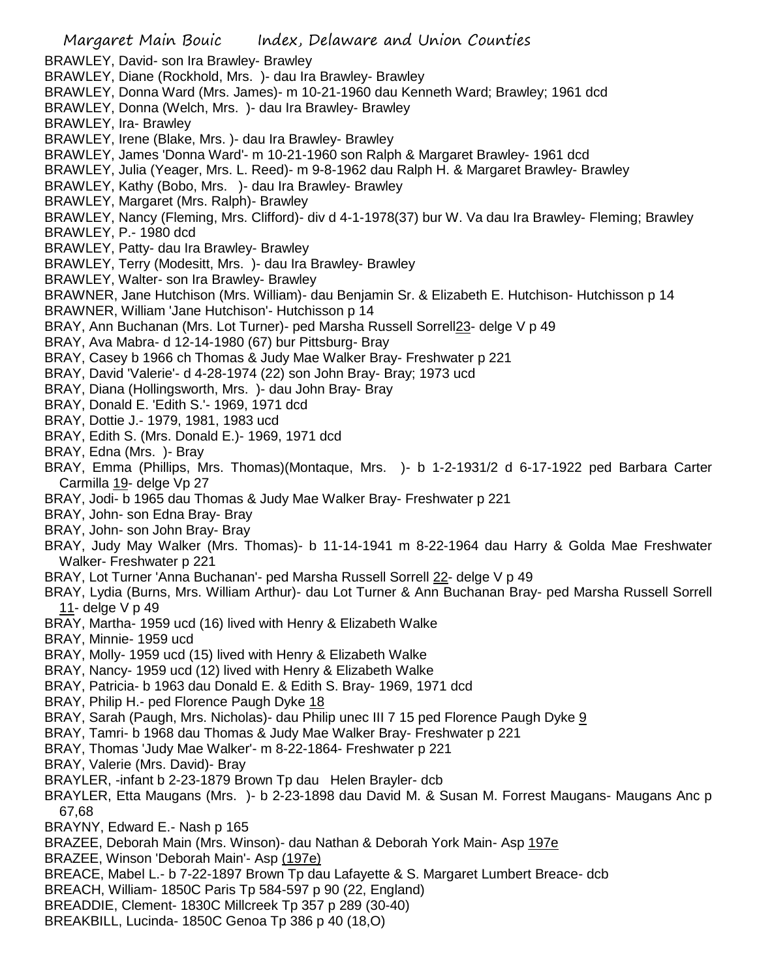Margaret Main Bouic Index, Delaware and Union Counties BRAWLEY, David- son Ira Brawley- Brawley BRAWLEY, Diane (Rockhold, Mrs. )- dau Ira Brawley- Brawley BRAWLEY, Donna Ward (Mrs. James)- m 10-21-1960 dau Kenneth Ward; Brawley; 1961 dcd BRAWLEY, Donna (Welch, Mrs. )- dau Ira Brawley- Brawley BRAWLEY, Ira- Brawley BRAWLEY, Irene (Blake, Mrs. )- dau Ira Brawley- Brawley BRAWLEY, James 'Donna Ward'- m 10-21-1960 son Ralph & Margaret Brawley- 1961 dcd BRAWLEY, Julia (Yeager, Mrs. L. Reed)- m 9-8-1962 dau Ralph H. & Margaret Brawley- Brawley BRAWLEY, Kathy (Bobo, Mrs. )- dau Ira Brawley- Brawley BRAWLEY, Margaret (Mrs. Ralph)- Brawley BRAWLEY, Nancy (Fleming, Mrs. Clifford)- div d 4-1-1978(37) bur W. Va dau Ira Brawley- Fleming; Brawley BRAWLEY, P.- 1980 dcd BRAWLEY, Patty- dau Ira Brawley- Brawley BRAWLEY, Terry (Modesitt, Mrs. )- dau Ira Brawley- Brawley BRAWLEY, Walter- son Ira Brawley- Brawley BRAWNER, Jane Hutchison (Mrs. William)- dau Benjamin Sr. & Elizabeth E. Hutchison- Hutchisson p 14 BRAWNER, William 'Jane Hutchison'- Hutchisson p 14 BRAY, Ann Buchanan (Mrs. Lot Turner)- ped Marsha Russell Sorrell23- delge V p 49 BRAY, Ava Mabra- d 12-14-1980 (67) bur Pittsburg- Bray BRAY, Casey b 1966 ch Thomas & Judy Mae Walker Bray- Freshwater p 221 BRAY, David 'Valerie'- d 4-28-1974 (22) son John Bray- Bray; 1973 ucd BRAY, Diana (Hollingsworth, Mrs. )- dau John Bray- Bray BRAY, Donald E. 'Edith S.'- 1969, 1971 dcd BRAY, Dottie J.- 1979, 1981, 1983 ucd BRAY, Edith S. (Mrs. Donald E.)- 1969, 1971 dcd BRAY, Edna (Mrs. )- Bray BRAY, Emma (Phillips, Mrs. Thomas)(Montaque, Mrs. )- b 1-2-1931/2 d 6-17-1922 ped Barbara Carter Carmilla 19- delge Vp 27 BRAY, Jodi- b 1965 dau Thomas & Judy Mae Walker Bray- Freshwater p 221 BRAY, John- son Edna Bray- Bray BRAY, John- son John Bray- Bray BRAY, Judy May Walker (Mrs. Thomas)- b 11-14-1941 m 8-22-1964 dau Harry & Golda Mae Freshwater Walker- Freshwater p 221 BRAY, Lot Turner 'Anna Buchanan'- ped Marsha Russell Sorrell 22- delge V p 49 BRAY, Lydia (Burns, Mrs. William Arthur)- dau Lot Turner & Ann Buchanan Bray- ped Marsha Russell Sorrell 11- delge V p 49 BRAY, Martha- 1959 ucd (16) lived with Henry & Elizabeth Walke BRAY, Minnie- 1959 ucd BRAY, Molly- 1959 ucd (15) lived with Henry & Elizabeth Walke BRAY, Nancy- 1959 ucd (12) lived with Henry & Elizabeth Walke BRAY, Patricia- b 1963 dau Donald E. & Edith S. Bray- 1969, 1971 dcd BRAY, Philip H.- ped Florence Paugh Dyke 18 BRAY, Sarah (Paugh, Mrs. Nicholas)- dau Philip unec III 7 15 ped Florence Paugh Dyke 9 BRAY, Tamri- b 1968 dau Thomas & Judy Mae Walker Bray- Freshwater p 221 BRAY, Thomas 'Judy Mae Walker'- m 8-22-1864- Freshwater p 221 BRAY, Valerie (Mrs. David)- Bray BRAYLER, -infant b 2-23-1879 Brown Tp dau Helen Brayler- dcb BRAYLER, Etta Maugans (Mrs. )- b 2-23-1898 dau David M. & Susan M. Forrest Maugans- Maugans Anc p 67,68 BRAYNY, Edward E.- Nash p 165 BRAZEE, Deborah Main (Mrs. Winson)- dau Nathan & Deborah York Main- Asp 197e BRAZEE, Winson 'Deborah Main'- Asp (197e) BREACE, Mabel L.- b 7-22-1897 Brown Tp dau Lafayette & S. Margaret Lumbert Breace- dcb BREACH, William- 1850C Paris Tp 584-597 p 90 (22, England) BREADDIE, Clement- 1830C Millcreek Tp 357 p 289 (30-40)

BREAKBILL, Lucinda- 1850C Genoa Tp 386 p 40 (18,O)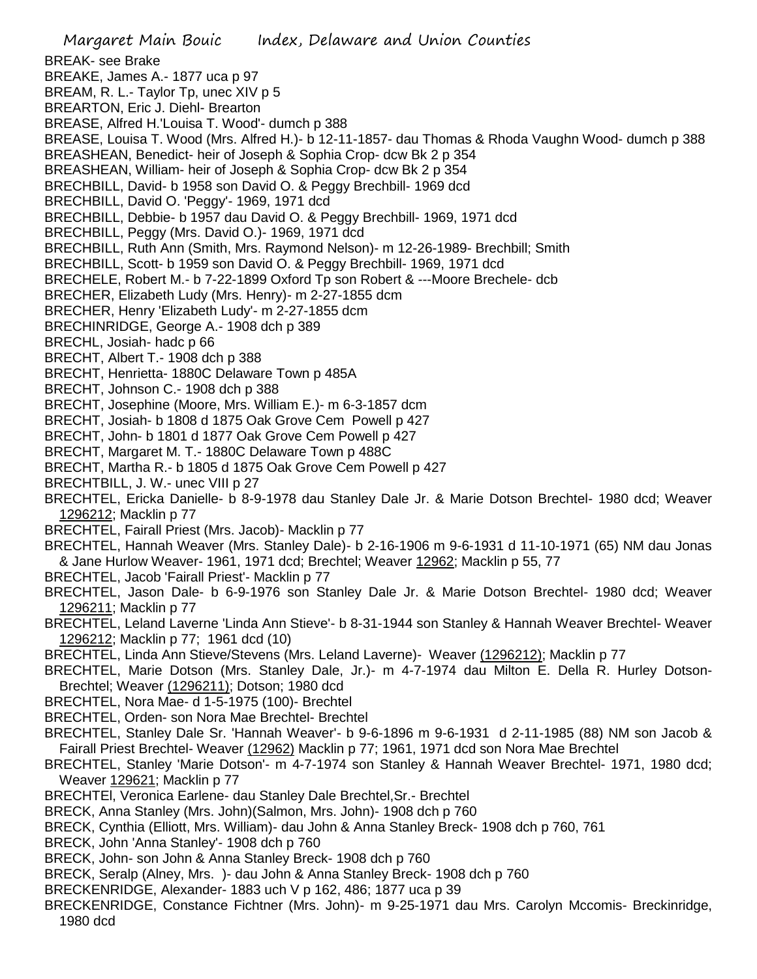Margaret Main Bouic Index, Delaware and Union Counties BREAK- see Brake BREAKE, James A.- 1877 uca p 97 BREAM, R. L.- Taylor Tp, unec XIV p 5 BREARTON, Eric J. Diehl- Brearton BREASE, Alfred H.'Louisa T. Wood'- dumch p 388 BREASE, Louisa T. Wood (Mrs. Alfred H.)- b 12-11-1857- dau Thomas & Rhoda Vaughn Wood- dumch p 388 BREASHEAN, Benedict- heir of Joseph & Sophia Crop- dcw Bk 2 p 354 BREASHEAN, William- heir of Joseph & Sophia Crop- dcw Bk 2 p 354 BRECHBILL, David- b 1958 son David O. & Peggy Brechbill- 1969 dcd BRECHBILL, David O. 'Peggy'- 1969, 1971 dcd BRECHBILL, Debbie- b 1957 dau David O. & Peggy Brechbill- 1969, 1971 dcd BRECHBILL, Peggy (Mrs. David O.)- 1969, 1971 dcd BRECHBILL, Ruth Ann (Smith, Mrs. Raymond Nelson)- m 12-26-1989- Brechbill; Smith BRECHBILL, Scott- b 1959 son David O. & Peggy Brechbill- 1969, 1971 dcd BRECHELE, Robert M.- b 7-22-1899 Oxford Tp son Robert & ---Moore Brechele- dcb BRECHER, Elizabeth Ludy (Mrs. Henry)- m 2-27-1855 dcm BRECHER, Henry 'Elizabeth Ludy'- m 2-27-1855 dcm BRECHINRIDGE, George A.- 1908 dch p 389 BRECHL, Josiah- hadc p 66 BRECHT, Albert T.- 1908 dch p 388 BRECHT, Henrietta- 1880C Delaware Town p 485A BRECHT, Johnson C.- 1908 dch p 388 BRECHT, Josephine (Moore, Mrs. William E.)- m 6-3-1857 dcm BRECHT, Josiah- b 1808 d 1875 Oak Grove Cem Powell p 427 BRECHT, John- b 1801 d 1877 Oak Grove Cem Powell p 427 BRECHT, Margaret M. T.- 1880C Delaware Town p 488C BRECHT, Martha R.- b 1805 d 1875 Oak Grove Cem Powell p 427 BRECHTBILL, J. W.- unec VIII p 27 BRECHTEL, Ericka Danielle- b 8-9-1978 dau Stanley Dale Jr. & Marie Dotson Brechtel- 1980 dcd; Weaver 1296212; Macklin p 77 BRECHTEL, Fairall Priest (Mrs. Jacob)- Macklin p 77 BRECHTEL, Hannah Weaver (Mrs. Stanley Dale)- b 2-16-1906 m 9-6-1931 d 11-10-1971 (65) NM dau Jonas & Jane Hurlow Weaver- 1961, 1971 dcd; Brechtel; Weaver 12962; Macklin p 55, 77 BRECHTEL, Jacob 'Fairall Priest'- Macklin p 77 BRECHTEL, Jason Dale- b 6-9-1976 son Stanley Dale Jr. & Marie Dotson Brechtel- 1980 dcd; Weaver 1296211; Macklin p 77 BRECHTEL, Leland Laverne 'Linda Ann Stieve'- b 8-31-1944 son Stanley & Hannah Weaver Brechtel- Weaver 1296212; Macklin p 77; 1961 dcd (10) BRECHTEL, Linda Ann Stieve/Stevens (Mrs. Leland Laverne)- Weaver (1296212); Macklin p 77 BRECHTEL, Marie Dotson (Mrs. Stanley Dale, Jr.)- m 4-7-1974 dau Milton E. Della R. Hurley Dotson-Brechtel; Weaver (1296211); Dotson; 1980 dcd BRECHTEL, Nora Mae- d 1-5-1975 (100)- Brechtel BRECHTEL, Orden- son Nora Mae Brechtel- Brechtel BRECHTEL, Stanley Dale Sr. 'Hannah Weaver'- b 9-6-1896 m 9-6-1931 d 2-11-1985 (88) NM son Jacob & Fairall Priest Brechtel- Weaver (12962) Macklin p 77; 1961, 1971 dcd son Nora Mae Brechtel BRECHTEL, Stanley 'Marie Dotson'- m 4-7-1974 son Stanley & Hannah Weaver Brechtel- 1971, 1980 dcd; Weaver 129621; Macklin p 77 BRECHTEl, Veronica Earlene- dau Stanley Dale Brechtel,Sr.- Brechtel BRECK, Anna Stanley (Mrs. John)(Salmon, Mrs. John)- 1908 dch p 760 BRECK, Cynthia (Elliott, Mrs. William)- dau John & Anna Stanley Breck- 1908 dch p 760, 761 BRECK, John 'Anna Stanley'- 1908 dch p 760 BRECK, John- son John & Anna Stanley Breck- 1908 dch p 760 BRECK, Seralp (Alney, Mrs. )- dau John & Anna Stanley Breck- 1908 dch p 760 BRECKENRIDGE, Alexander- 1883 uch V p 162, 486; 1877 uca p 39 BRECKENRIDGE, Constance Fichtner (Mrs. John)- m 9-25-1971 dau Mrs. Carolyn Mccomis- Breckinridge, 1980 dcd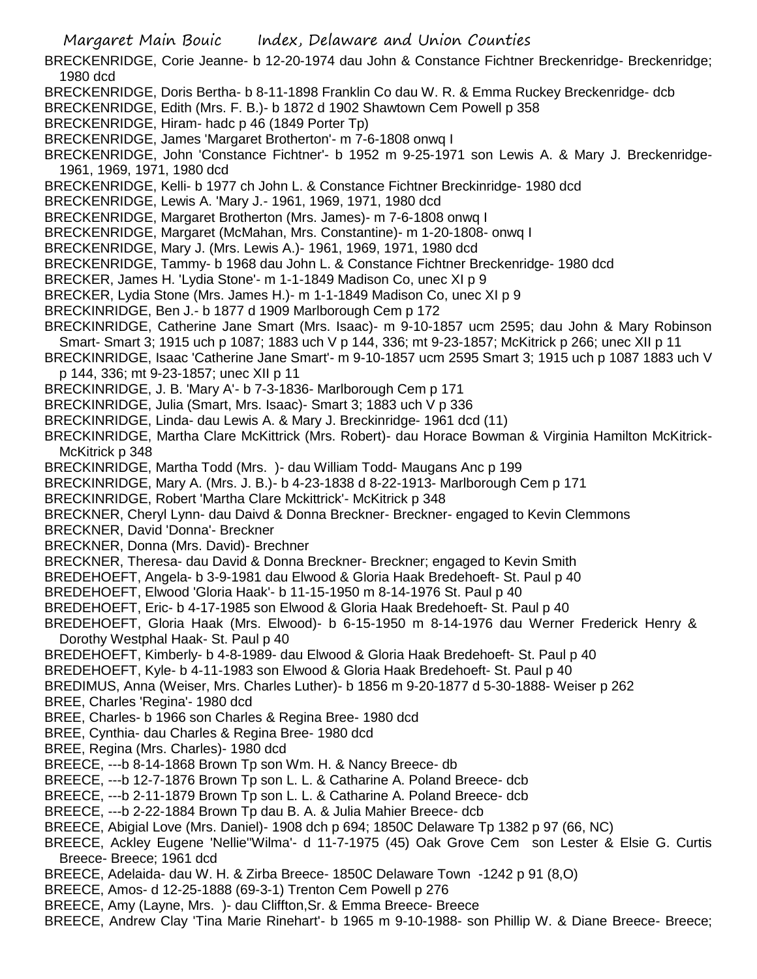- Margaret Main Bouic Index, Delaware and Union Counties
- BRECKENRIDGE, Corie Jeanne- b 12-20-1974 dau John & Constance Fichtner Breckenridge- Breckenridge; 1980 dcd
- BRECKENRIDGE, Doris Bertha- b 8-11-1898 Franklin Co dau W. R. & Emma Ruckey Breckenridge- dcb
- BRECKENRIDGE, Edith (Mrs. F. B.)- b 1872 d 1902 Shawtown Cem Powell p 358
- BRECKENRIDGE, Hiram- hadc p 46 (1849 Porter Tp)
- BRECKENRIDGE, James 'Margaret Brotherton'- m 7-6-1808 onwq I
- BRECKENRIDGE, John 'Constance Fichtner'- b 1952 m 9-25-1971 son Lewis A. & Mary J. Breckenridge-1961, 1969, 1971, 1980 dcd
- BRECKENRIDGE, Kelli- b 1977 ch John L. & Constance Fichtner Breckinridge- 1980 dcd
- BRECKENRIDGE, Lewis A. 'Mary J.- 1961, 1969, 1971, 1980 dcd
- BRECKENRIDGE, Margaret Brotherton (Mrs. James)- m 7-6-1808 onwq I
- BRECKENRIDGE, Margaret (McMahan, Mrs. Constantine)- m 1-20-1808- onwq I
- BRECKENRIDGE, Mary J. (Mrs. Lewis A.)- 1961, 1969, 1971, 1980 dcd
- BRECKENRIDGE, Tammy- b 1968 dau John L. & Constance Fichtner Breckenridge- 1980 dcd
- BRECKER, James H. 'Lydia Stone'- m 1-1-1849 Madison Co, unec XI p 9
- BRECKER, Lydia Stone (Mrs. James H.)- m 1-1-1849 Madison Co, unec XI p 9
- BRECKINRIDGE, Ben J.- b 1877 d 1909 Marlborough Cem p 172
- BRECKINRIDGE, Catherine Jane Smart (Mrs. Isaac)- m 9-10-1857 ucm 2595; dau John & Mary Robinson Smart- Smart 3; 1915 uch p 1087; 1883 uch V p 144, 336; mt 9-23-1857; McKitrick p 266; unec XII p 11
- BRECKINRIDGE, Isaac 'Catherine Jane Smart'- m 9-10-1857 ucm 2595 Smart 3; 1915 uch p 1087 1883 uch V p 144, 336; mt 9-23-1857; unec XII p 11
- BRECKINRIDGE, J. B. 'Mary A'- b 7-3-1836- Marlborough Cem p 171
- BRECKINRIDGE, Julia (Smart, Mrs. Isaac)- Smart 3; 1883 uch V p 336
- BRECKINRIDGE, Linda- dau Lewis A. & Mary J. Breckinridge- 1961 dcd (11)
- BRECKINRIDGE, Martha Clare McKittrick (Mrs. Robert)- dau Horace Bowman & Virginia Hamilton McKitrick-McKitrick p 348
- BRECKINRIDGE, Martha Todd (Mrs. )- dau William Todd- Maugans Anc p 199
- BRECKINRIDGE, Mary A. (Mrs. J. B.)- b 4-23-1838 d 8-22-1913- Marlborough Cem p 171
- BRECKINRIDGE, Robert 'Martha Clare Mckittrick'- McKitrick p 348
- BRECKNER, Cheryl Lynn- dau Daivd & Donna Breckner- Breckner- engaged to Kevin Clemmons
- BRECKNER, David 'Donna'- Breckner
- BRECKNER, Donna (Mrs. David)- Brechner
- BRECKNER, Theresa- dau David & Donna Breckner- Breckner; engaged to Kevin Smith
- BREDEHOEFT, Angela- b 3-9-1981 dau Elwood & Gloria Haak Bredehoeft- St. Paul p 40
- BREDEHOEFT, Elwood 'Gloria Haak'- b 11-15-1950 m 8-14-1976 St. Paul p 40
- BREDEHOEFT, Eric- b 4-17-1985 son Elwood & Gloria Haak Bredehoeft- St. Paul p 40
- BREDEHOEFT, Gloria Haak (Mrs. Elwood)- b 6-15-1950 m 8-14-1976 dau Werner Frederick Henry & Dorothy Westphal Haak- St. Paul p 40
- BREDEHOEFT, Kimberly- b 4-8-1989- dau Elwood & Gloria Haak Bredehoeft- St. Paul p 40
- BREDEHOEFT, Kyle- b 4-11-1983 son Elwood & Gloria Haak Bredehoeft- St. Paul p 40
- BREDIMUS, Anna (Weiser, Mrs. Charles Luther)- b 1856 m 9-20-1877 d 5-30-1888- Weiser p 262
- BREE, Charles 'Regina'- 1980 dcd
- BREE, Charles- b 1966 son Charles & Regina Bree- 1980 dcd
- BREE, Cynthia- dau Charles & Regina Bree- 1980 dcd
- BREE, Regina (Mrs. Charles)- 1980 dcd
- BREECE, ---b 8-14-1868 Brown Tp son Wm. H. & Nancy Breece- db
- BREECE, ---b 12-7-1876 Brown Tp son L. L. & Catharine A. Poland Breece- dcb
- BREECE, ---b 2-11-1879 Brown Tp son L. L. & Catharine A. Poland Breece- dcb
- BREECE, ---b 2-22-1884 Brown Tp dau B. A. & Julia Mahier Breece- dcb
- BREECE, Abigial Love (Mrs. Daniel)- 1908 dch p 694; 1850C Delaware Tp 1382 p 97 (66, NC)
- BREECE, Ackley Eugene 'Nellie''Wilma'- d 11-7-1975 (45) Oak Grove Cem son Lester & Elsie G. Curtis Breece- Breece; 1961 dcd
- BREECE, Adelaida- dau W. H. & Zirba Breece- 1850C Delaware Town -1242 p 91 (8,O)
- BREECE, Amos- d 12-25-1888 (69-3-1) Trenton Cem Powell p 276
- BREECE, Amy (Layne, Mrs. )- dau Cliffton,Sr. & Emma Breece- Breece
- BREECE, Andrew Clay 'Tina Marie Rinehart'- b 1965 m 9-10-1988- son Phillip W. & Diane Breece- Breece;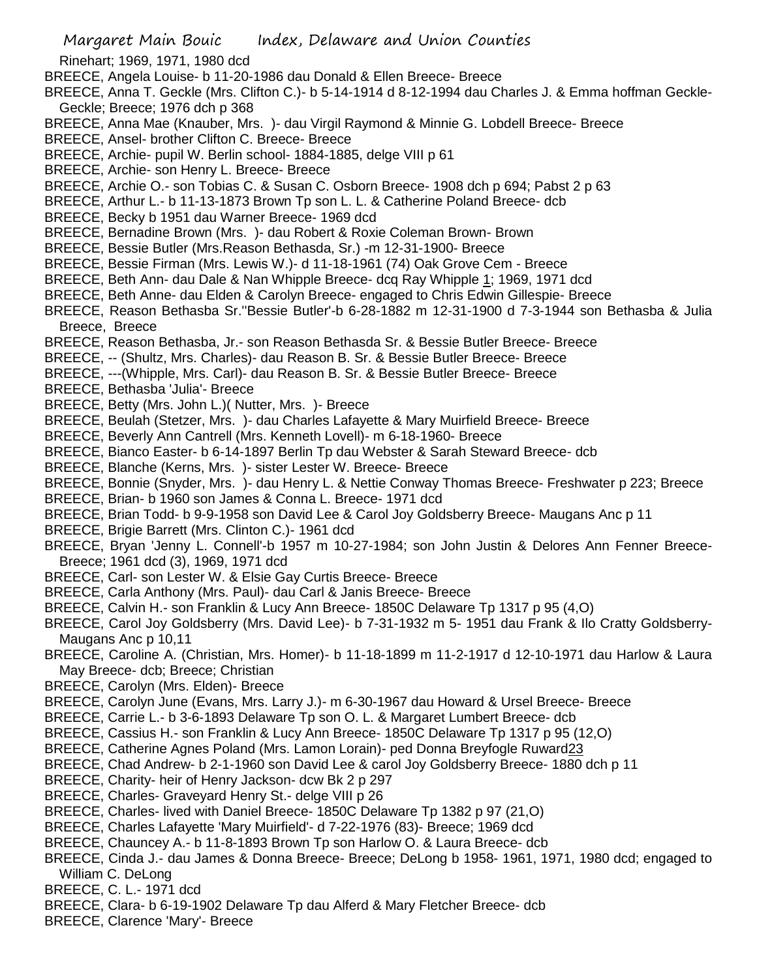- Rinehart; 1969, 1971, 1980 dcd
- BREECE, Angela Louise- b 11-20-1986 dau Donald & Ellen Breece- Breece
- BREECE, Anna T. Geckle (Mrs. Clifton C.)- b 5-14-1914 d 8-12-1994 dau Charles J. & Emma hoffman Geckle-Geckle; Breece; 1976 dch p 368
- BREECE, Anna Mae (Knauber, Mrs. )- dau Virgil Raymond & Minnie G. Lobdell Breece- Breece
- BREECE, Ansel- brother Clifton C. Breece- Breece
- BREECE, Archie- pupil W. Berlin school- 1884-1885, delge VIII p 61
- BREECE, Archie- son Henry L. Breece- Breece
- BREECE, Archie O.- son Tobias C. & Susan C. Osborn Breece- 1908 dch p 694; Pabst 2 p 63
- BREECE, Arthur L.- b 11-13-1873 Brown Tp son L. L. & Catherine Poland Breece- dcb
- BREECE, Becky b 1951 dau Warner Breece- 1969 dcd
- BREECE, Bernadine Brown (Mrs. )- dau Robert & Roxie Coleman Brown- Brown
- BREECE, Bessie Butler (Mrs.Reason Bethasda, Sr.) -m 12-31-1900- Breece
- BREECE, Bessie Firman (Mrs. Lewis W.)- d 11-18-1961 (74) Oak Grove Cem Breece
- BREECE, Beth Ann- dau Dale & Nan Whipple Breece- dcq Ray Whipple 1; 1969, 1971 dcd
- BREECE, Beth Anne- dau Elden & Carolyn Breece- engaged to Chris Edwin Gillespie- Breece
- BREECE, Reason Bethasba Sr.''Bessie Butler'-b 6-28-1882 m 12-31-1900 d 7-3-1944 son Bethasba & Julia Breece, Breece
- BREECE, Reason Bethasba, Jr.- son Reason Bethasda Sr. & Bessie Butler Breece- Breece
- BREECE, -- (Shultz, Mrs. Charles)- dau Reason B. Sr. & Bessie Butler Breece- Breece
- BREECE, ---(Whipple, Mrs. Carl)- dau Reason B. Sr. & Bessie Butler Breece- Breece
- BREECE, Bethasba 'Julia'- Breece
- BREECE, Betty (Mrs. John L.)( Nutter, Mrs. )- Breece
- BREECE, Beulah (Stetzer, Mrs. )- dau Charles Lafayette & Mary Muirfield Breece- Breece
- BREECE, Beverly Ann Cantrell (Mrs. Kenneth Lovell)- m 6-18-1960- Breece
- BREECE, Bianco Easter- b 6-14-1897 Berlin Tp dau Webster & Sarah Steward Breece- dcb
- BREECE, Blanche (Kerns, Mrs. )- sister Lester W. Breece- Breece
- BREECE, Bonnie (Snyder, Mrs. )- dau Henry L. & Nettie Conway Thomas Breece- Freshwater p 223; Breece BREECE, Brian- b 1960 son James & Conna L. Breece- 1971 dcd
- BREECE, Brian Todd- b 9-9-1958 son David Lee & Carol Joy Goldsberry Breece- Maugans Anc p 11
- BREECE, Brigie Barrett (Mrs. Clinton C.)- 1961 dcd
- BREECE, Bryan 'Jenny L. Connell'-b 1957 m 10-27-1984; son John Justin & Delores Ann Fenner Breece-Breece; 1961 dcd (3), 1969, 1971 dcd
- BREECE, Carl- son Lester W. & Elsie Gay Curtis Breece- Breece
- BREECE, Carla Anthony (Mrs. Paul)- dau Carl & Janis Breece- Breece
- BREECE, Calvin H.- son Franklin & Lucy Ann Breece- 1850C Delaware Tp 1317 p 95 (4,O)
- BREECE, Carol Joy Goldsberry (Mrs. David Lee)- b 7-31-1932 m 5- 1951 dau Frank & Ilo Cratty Goldsberry-Maugans Anc p 10,11
- BREECE, Caroline A. (Christian, Mrs. Homer)- b 11-18-1899 m 11-2-1917 d 12-10-1971 dau Harlow & Laura May Breece- dcb; Breece; Christian
- BREECE, Carolyn (Mrs. Elden)- Breece
- BREECE, Carolyn June (Evans, Mrs. Larry J.)- m 6-30-1967 dau Howard & Ursel Breece- Breece
- BREECE, Carrie L.- b 3-6-1893 Delaware Tp son O. L. & Margaret Lumbert Breece- dcb
- BREECE, Cassius H.- son Franklin & Lucy Ann Breece- 1850C Delaware Tp 1317 p 95 (12,O)
- BREECE, Catherine Agnes Poland (Mrs. Lamon Lorain)- ped Donna Breyfogle Ruward23
- BREECE, Chad Andrew- b 2-1-1960 son David Lee & carol Joy Goldsberry Breece- 1880 dch p 11
- BREECE, Charity- heir of Henry Jackson- dcw Bk 2 p 297
- BREECE, Charles- Graveyard Henry St.- delge VIII p 26
- BREECE, Charles- lived with Daniel Breece- 1850C Delaware Tp 1382 p 97 (21,O)
- BREECE, Charles Lafayette 'Mary Muirfield'- d 7-22-1976 (83)- Breece; 1969 dcd
- BREECE, Chauncey A.- b 11-8-1893 Brown Tp son Harlow O. & Laura Breece- dcb
- BREECE, Cinda J.- dau James & Donna Breece- Breece; DeLong b 1958- 1961, 1971, 1980 dcd; engaged to William C. DeLong
- BREECE, C. L.- 1971 dcd
- BREECE, Clara- b 6-19-1902 Delaware Tp dau Alferd & Mary Fletcher Breece- dcb
- BREECE, Clarence 'Mary'- Breece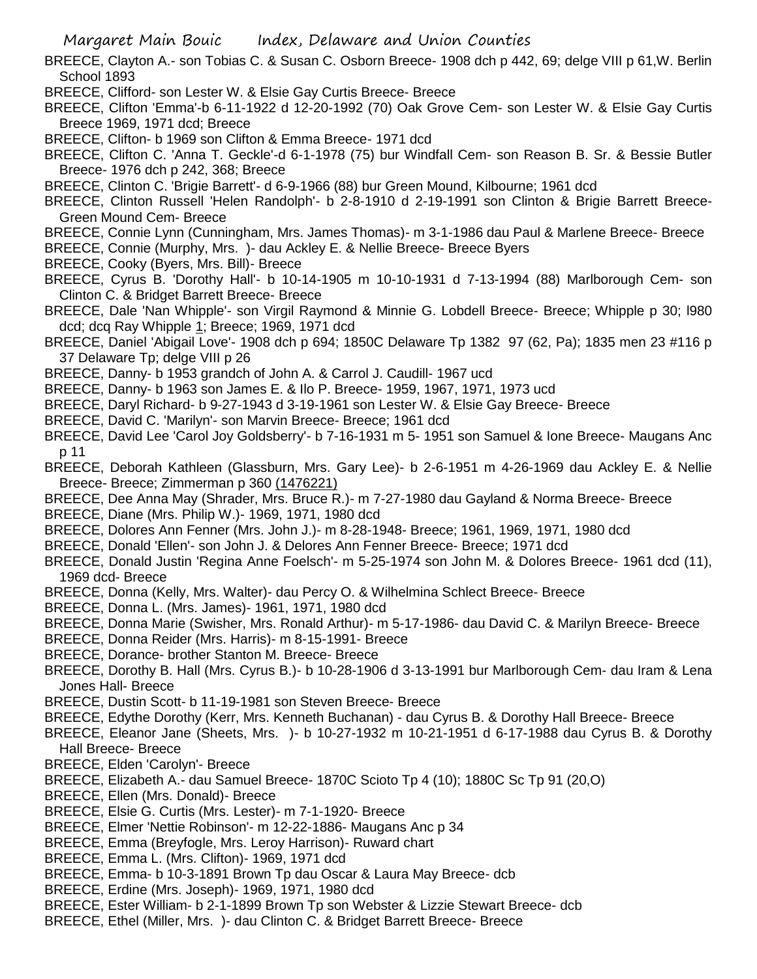- BREECE, Clayton A.- son Tobias C. & Susan C. Osborn Breece- 1908 dch p 442, 69; delge VIII p 61,W. Berlin School 1893
- BREECE, Clifford- son Lester W. & Elsie Gay Curtis Breece- Breece
- BREECE, Clifton 'Emma'-b 6-11-1922 d 12-20-1992 (70) Oak Grove Cem- son Lester W. & Elsie Gay Curtis Breece 1969, 1971 dcd; Breece
- BREECE, Clifton- b 1969 son Clifton & Emma Breece- 1971 dcd
- BREECE, Clifton C. 'Anna T. Geckle'-d 6-1-1978 (75) bur Windfall Cem- son Reason B. Sr. & Bessie Butler Breece- 1976 dch p 242, 368; Breece
- BREECE, Clinton C. 'Brigie Barrett'- d 6-9-1966 (88) bur Green Mound, Kilbourne; 1961 dcd
- BREECE, Clinton Russell 'Helen Randolph'- b 2-8-1910 d 2-19-1991 son Clinton & Brigie Barrett Breece-Green Mound Cem- Breece
- BREECE, Connie Lynn (Cunningham, Mrs. James Thomas)- m 3-1-1986 dau Paul & Marlene Breece- Breece
- BREECE, Connie (Murphy, Mrs. )- dau Ackley E. & Nellie Breece- Breece Byers
- BREECE, Cooky (Byers, Mrs. Bill)- Breece
- BREECE, Cyrus B. 'Dorothy Hall'- b 10-14-1905 m 10-10-1931 d 7-13-1994 (88) Marlborough Cem- son Clinton C. & Bridget Barrett Breece- Breece
- BREECE, Dale 'Nan Whipple'- son Virgil Raymond & Minnie G. Lobdell Breece- Breece; Whipple p 30; l980 dcd; dcq Ray Whipple 1; Breece; 1969, 1971 dcd
- BREECE, Daniel 'Abigail Love'- 1908 dch p 694; 1850C Delaware Tp 1382 97 (62, Pa); 1835 men 23 #116 p 37 Delaware Tp; delge VIII p 26
- BREECE, Danny- b 1953 grandch of John A. & Carrol J. Caudill- 1967 ucd
- BREECE, Danny- b 1963 son James E. & Ilo P. Breece- 1959, 1967, 1971, 1973 ucd
- BREECE, Daryl Richard- b 9-27-1943 d 3-19-1961 son Lester W. & Elsie Gay Breece- Breece
- BREECE, David C. 'Marilyn'- son Marvin Breece- Breece; 1961 dcd
- BREECE, David Lee 'Carol Joy Goldsberry'- b 7-16-1931 m 5- 1951 son Samuel & Ione Breece- Maugans Anc p 11
- BREECE, Deborah Kathleen (Glassburn, Mrs. Gary Lee)- b 2-6-1951 m 4-26-1969 dau Ackley E. & Nellie Breece- Breece; Zimmerman p 360 (1476221)
- BREECE, Dee Anna May (Shrader, Mrs. Bruce R.)- m 7-27-1980 dau Gayland & Norma Breece- Breece
- BREECE, Diane (Mrs. Philip W.)- 1969, 1971, 1980 dcd
- BREECE, Dolores Ann Fenner (Mrs. John J.)- m 8-28-1948- Breece; 1961, 1969, 1971, 1980 dcd
- BREECE, Donald 'Ellen'- son John J. & Delores Ann Fenner Breece- Breece; 1971 dcd
- BREECE, Donald Justin 'Regina Anne Foelsch'- m 5-25-1974 son John M. & Dolores Breece- 1961 dcd (11), 1969 dcd- Breece
- BREECE, Donna (Kelly, Mrs. Walter)- dau Percy O. & Wilhelmina Schlect Breece- Breece
- BREECE, Donna L. (Mrs. James)- 1961, 1971, 1980 dcd
- BREECE, Donna Marie (Swisher, Mrs. Ronald Arthur)- m 5-17-1986- dau David C. & Marilyn Breece- Breece
- BREECE, Donna Reider (Mrs. Harris)- m 8-15-1991- Breece
- BREECE, Dorance- brother Stanton M. Breece- Breece
- BREECE, Dorothy B. Hall (Mrs. Cyrus B.)- b 10-28-1906 d 3-13-1991 bur Marlborough Cem- dau Iram & Lena Jones Hall- Breece
- BREECE, Dustin Scott- b 11-19-1981 son Steven Breece- Breece
- BREECE, Edythe Dorothy (Kerr, Mrs. Kenneth Buchanan) dau Cyrus B. & Dorothy Hall Breece- Breece
- BREECE, Eleanor Jane (Sheets, Mrs. )- b 10-27-1932 m 10-21-1951 d 6-17-1988 dau Cyrus B. & Dorothy Hall Breece- Breece
- BREECE, Elden 'Carolyn'- Breece
- BREECE, Elizabeth A.- dau Samuel Breece- 1870C Scioto Tp 4 (10); 1880C Sc Tp 91 (20,O)
- BREECE, Ellen (Mrs. Donald)- Breece
- BREECE, Elsie G. Curtis (Mrs. Lester)- m 7-1-1920- Breece
- BREECE, Elmer 'Nettie Robinson'- m 12-22-1886- Maugans Anc p 34
- BREECE, Emma (Breyfogle, Mrs. Leroy Harrison)- Ruward chart
- BREECE, Emma L. (Mrs. Clifton)- 1969, 1971 dcd
- BREECE, Emma- b 10-3-1891 Brown Tp dau Oscar & Laura May Breece- dcb
- BREECE, Erdine (Mrs. Joseph)- 1969, 1971, 1980 dcd
- BREECE, Ester William- b 2-1-1899 Brown Tp son Webster & Lizzie Stewart Breece- dcb
- BREECE, Ethel (Miller, Mrs. )- dau Clinton C. & Bridget Barrett Breece- Breece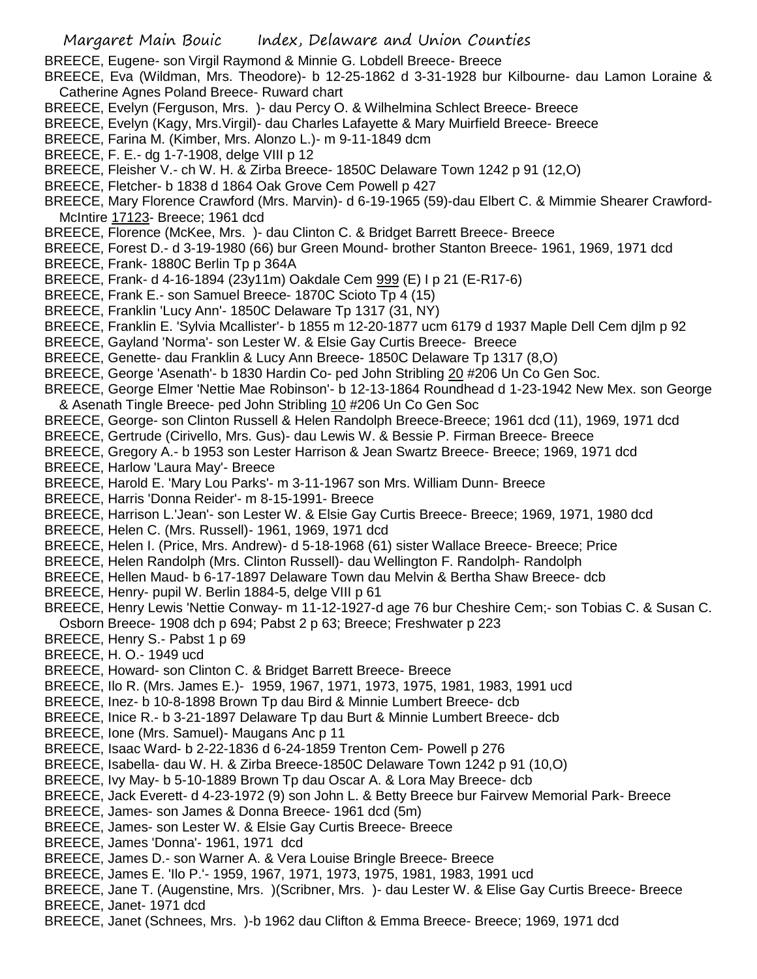BREECE, Eugene- son Virgil Raymond & Minnie G. Lobdell Breece- Breece

BREECE, Eva (Wildman, Mrs. Theodore)- b 12-25-1862 d 3-31-1928 bur Kilbourne- dau Lamon Loraine & Catherine Agnes Poland Breece- Ruward chart

- BREECE, Evelyn (Ferguson, Mrs. )- dau Percy O. & Wilhelmina Schlect Breece- Breece
- BREECE, Evelyn (Kagy, Mrs.Virgil)- dau Charles Lafayette & Mary Muirfield Breece- Breece
- BREECE, Farina M. (Kimber, Mrs. Alonzo L.)- m 9-11-1849 dcm
- BREECE, F. E.- dg 1-7-1908, delge VIII p 12
- BREECE, Fleisher V.- ch W. H. & Zirba Breece- 1850C Delaware Town 1242 p 91 (12,O)
- BREECE, Fletcher- b 1838 d 1864 Oak Grove Cem Powell p 427
- BREECE, Mary Florence Crawford (Mrs. Marvin)- d 6-19-1965 (59)-dau Elbert C. & Mimmie Shearer Crawford-McIntire 17123- Breece; 1961 dcd
- BREECE, Florence (McKee, Mrs. )- dau Clinton C. & Bridget Barrett Breece- Breece
- BREECE, Forest D.- d 3-19-1980 (66) bur Green Mound- brother Stanton Breece- 1961, 1969, 1971 dcd
- BREECE, Frank- 1880C Berlin Tp p 364A
- BREECE, Frank- d 4-16-1894 (23y11m) Oakdale Cem 999 (E) I p 21 (E-R17-6)
- BREECE, Frank E.- son Samuel Breece- 1870C Scioto Tp 4 (15)
- BREECE, Franklin 'Lucy Ann'- 1850C Delaware Tp 1317 (31, NY)
- BREECE, Franklin E. 'Sylvia Mcallister'- b 1855 m 12-20-1877 ucm 6179 d 1937 Maple Dell Cem djlm p 92
- BREECE, Gayland 'Norma'- son Lester W. & Elsie Gay Curtis Breece- Breece
- BREECE, Genette- dau Franklin & Lucy Ann Breece- 1850C Delaware Tp 1317 (8,O)
- BREECE, George 'Asenath'- b 1830 Hardin Co- ped John Stribling 20 #206 Un Co Gen Soc.
- BREECE, George Elmer 'Nettie Mae Robinson'- b 12-13-1864 Roundhead d 1-23-1942 New Mex. son George & Asenath Tingle Breece- ped John Stribling 10 #206 Un Co Gen Soc
- BREECE, George- son Clinton Russell & Helen Randolph Breece-Breece; 1961 dcd (11), 1969, 1971 dcd
- BREECE, Gertrude (Cirivello, Mrs. Gus)- dau Lewis W. & Bessie P. Firman Breece- Breece
- BREECE, Gregory A.- b 1953 son Lester Harrison & Jean Swartz Breece- Breece; 1969, 1971 dcd BREECE, Harlow 'Laura May'- Breece
- BREECE, Harold E. 'Mary Lou Parks'- m 3-11-1967 son Mrs. William Dunn- Breece
- BREECE, Harris 'Donna Reider'- m 8-15-1991- Breece
- BREECE, Harrison L.'Jean'- son Lester W. & Elsie Gay Curtis Breece- Breece; 1969, 1971, 1980 dcd
- BREECE, Helen C. (Mrs. Russell)- 1961, 1969, 1971 dcd
- BREECE, Helen I. (Price, Mrs. Andrew)- d 5-18-1968 (61) sister Wallace Breece- Breece; Price
- BREECE, Helen Randolph (Mrs. Clinton Russell)- dau Wellington F. Randolph- Randolph
- BREECE, Hellen Maud- b 6-17-1897 Delaware Town dau Melvin & Bertha Shaw Breece- dcb
- BREECE, Henry- pupil W. Berlin 1884-5, delge VIII p 61
- BREECE, Henry Lewis 'Nettie Conway- m 11-12-1927-d age 76 bur Cheshire Cem;- son Tobias C. & Susan C.
- Osborn Breece- 1908 dch p 694; Pabst 2 p 63; Breece; Freshwater p 223
- BREECE, Henry S.- Pabst 1 p 69
- BREECE, H. O.- 1949 ucd
- BREECE, Howard- son Clinton C. & Bridget Barrett Breece- Breece
- BREECE, Ilo R. (Mrs. James E.)- 1959, 1967, 1971, 1973, 1975, 1981, 1983, 1991 ucd
- BREECE, Inez- b 10-8-1898 Brown Tp dau Bird & Minnie Lumbert Breece- dcb
- BREECE, Inice R.- b 3-21-1897 Delaware Tp dau Burt & Minnie Lumbert Breece- dcb
- BREECE, Ione (Mrs. Samuel)- Maugans Anc p 11
- BREECE, Isaac Ward- b 2-22-1836 d 6-24-1859 Trenton Cem- Powell p 276
- BREECE, Isabella- dau W. H. & Zirba Breece-1850C Delaware Town 1242 p 91 (10,O)
- BREECE, Ivy May- b 5-10-1889 Brown Tp dau Oscar A. & Lora May Breece- dcb
- BREECE, Jack Everett- d 4-23-1972 (9) son John L. & Betty Breece bur Fairvew Memorial Park- Breece
- BREECE, James- son James & Donna Breece- 1961 dcd (5m)
- BREECE, James- son Lester W. & Elsie Gay Curtis Breece- Breece
- BREECE, James 'Donna'- 1961, 1971 dcd
- BREECE, James D.- son Warner A. & Vera Louise Bringle Breece- Breece
- BREECE, James E. 'Ilo P.'- 1959, 1967, 1971, 1973, 1975, 1981, 1983, 1991 ucd
- BREECE, Jane T. (Augenstine, Mrs. )(Scribner, Mrs. )- dau Lester W. & Elise Gay Curtis Breece- Breece BREECE, Janet- 1971 dcd
- BREECE, Janet (Schnees, Mrs. )-b 1962 dau Clifton & Emma Breece- Breece; 1969, 1971 dcd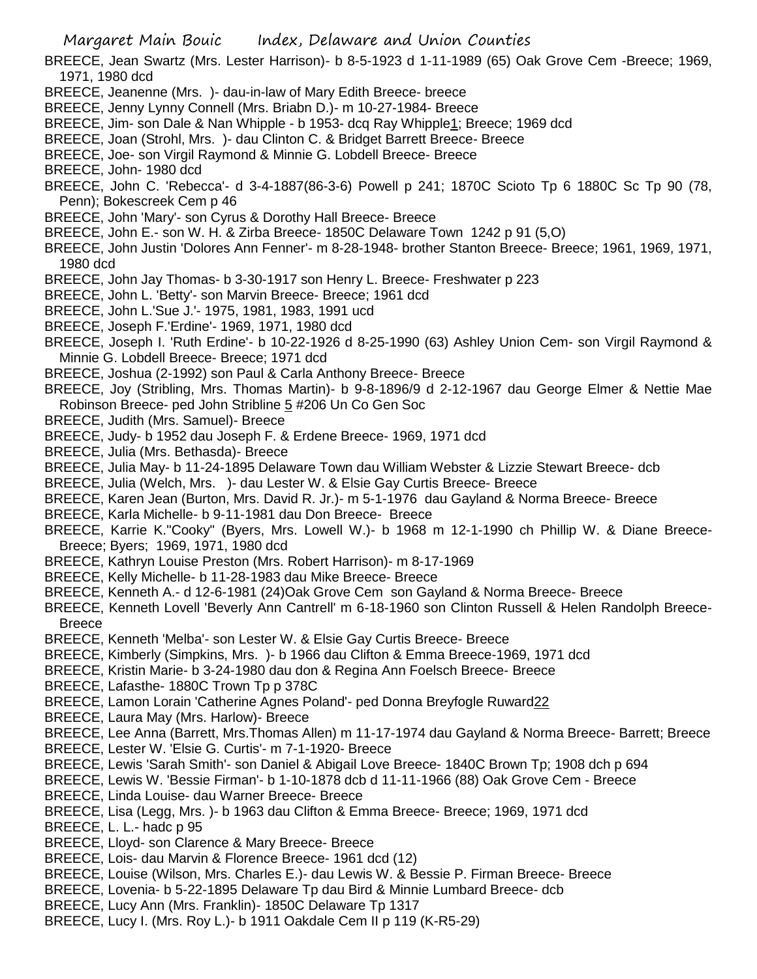BREECE, Jean Swartz (Mrs. Lester Harrison)- b 8-5-1923 d 1-11-1989 (65) Oak Grove Cem -Breece; 1969, 1971, 1980 dcd

- BREECE, Jeanenne (Mrs. )- dau-in-law of Mary Edith Breece- breece
- BREECE, Jenny Lynny Connell (Mrs. Briabn D.)- m 10-27-1984- Breece
- BREECE, Jim- son Dale & Nan Whipple b 1953- dcq Ray Whipple1; Breece; 1969 dcd
- BREECE, Joan (Strohl, Mrs. )- dau Clinton C. & Bridget Barrett Breece- Breece
- BREECE, Joe- son Virgil Raymond & Minnie G. Lobdell Breece- Breece
- BREECE, John- 1980 dcd
- BREECE, John C. 'Rebecca'- d 3-4-1887(86-3-6) Powell p 241; 1870C Scioto Tp 6 1880C Sc Tp 90 (78, Penn); Bokescreek Cem p 46
- BREECE, John 'Mary'- son Cyrus & Dorothy Hall Breece- Breece
- BREECE, John E.- son W. H. & Zirba Breece- 1850C Delaware Town 1242 p 91 (5,O)
- BREECE, John Justin 'Dolores Ann Fenner'- m 8-28-1948- brother Stanton Breece- Breece; 1961, 1969, 1971, 1980 dcd
- BREECE, John Jay Thomas- b 3-30-1917 son Henry L. Breece- Freshwater p 223
- BREECE, John L. 'Betty'- son Marvin Breece- Breece; 1961 dcd
- BREECE, John L.'Sue J.'- 1975, 1981, 1983, 1991 ucd
- BREECE, Joseph F.'Erdine'- 1969, 1971, 1980 dcd
- BREECE, Joseph I. 'Ruth Erdine'- b 10-22-1926 d 8-25-1990 (63) Ashley Union Cem- son Virgil Raymond & Minnie G. Lobdell Breece- Breece; 1971 dcd
- BREECE, Joshua (2-1992) son Paul & Carla Anthony Breece- Breece
- BREECE, Joy (Stribling, Mrs. Thomas Martin)- b 9-8-1896/9 d 2-12-1967 dau George Elmer & Nettie Mae Robinson Breece- ped John Stribline 5 #206 Un Co Gen Soc
- BREECE, Judith (Mrs. Samuel)- Breece
- BREECE, Judy- b 1952 dau Joseph F. & Erdene Breece- 1969, 1971 dcd
- BREECE, Julia (Mrs. Bethasda)- Breece
- BREECE, Julia May- b 11-24-1895 Delaware Town dau William Webster & Lizzie Stewart Breece- dcb
- BREECE, Julia (Welch, Mrs. )- dau Lester W. & Elsie Gay Curtis Breece- Breece
- BREECE, Karen Jean (Burton, Mrs. David R. Jr.)- m 5-1-1976 dau Gayland & Norma Breece- Breece
- BREECE, Karla Michelle- b 9-11-1981 dau Don Breece- Breece
- BREECE, Karrie K."Cooky" (Byers, Mrs. Lowell W.)- b 1968 m 12-1-1990 ch Phillip W. & Diane Breece-Breece; Byers; 1969, 1971, 1980 dcd
- BREECE, Kathryn Louise Preston (Mrs. Robert Harrison)- m 8-17-1969
- BREECE, Kelly Michelle- b 11-28-1983 dau Mike Breece- Breece
- BREECE, Kenneth A.- d 12-6-1981 (24)Oak Grove Cem son Gayland & Norma Breece- Breece
- BREECE, Kenneth Lovell 'Beverly Ann Cantrell' m 6-18-1960 son Clinton Russell & Helen Randolph Breece-**Breece**
- BREECE, Kenneth 'Melba'- son Lester W. & Elsie Gay Curtis Breece- Breece
- BREECE, Kimberly (Simpkins, Mrs. )- b 1966 dau Clifton & Emma Breece-1969, 1971 dcd
- BREECE, Kristin Marie- b 3-24-1980 dau don & Regina Ann Foelsch Breece- Breece
- BREECE, Lafasthe- 1880C Trown Tp p 378C
- BREECE, Lamon Lorain 'Catherine Agnes Poland'- ped Donna Breyfogle Ruward22
- BREECE, Laura May (Mrs. Harlow)- Breece
- BREECE, Lee Anna (Barrett, Mrs.Thomas Allen) m 11-17-1974 dau Gayland & Norma Breece- Barrett; Breece BREECE, Lester W. 'Elsie G. Curtis'- m 7-1-1920- Breece
- BREECE, Lewis 'Sarah Smith'- son Daniel & Abigail Love Breece- 1840C Brown Tp; 1908 dch p 694
- BREECE, Lewis W. 'Bessie Firman'- b 1-10-1878 dcb d 11-11-1966 (88) Oak Grove Cem Breece
- BREECE, Linda Louise- dau Warner Breece- Breece
- BREECE, Lisa (Legg, Mrs. )- b 1963 dau Clifton & Emma Breece- Breece; 1969, 1971 dcd
- BREECE, L. L.- hadc p 95
- BREECE, Lloyd- son Clarence & Mary Breece- Breece
- BREECE, Lois- dau Marvin & Florence Breece- 1961 dcd (12)
- BREECE, Louise (Wilson, Mrs. Charles E.)- dau Lewis W. & Bessie P. Firman Breece- Breece
- BREECE, Lovenia- b 5-22-1895 Delaware Tp dau Bird & Minnie Lumbard Breece- dcb
- BREECE, Lucy Ann (Mrs. Franklin)- 1850C Delaware Tp 1317
- BREECE, Lucy I. (Mrs. Roy L.)- b 1911 Oakdale Cem II p 119 (K-R5-29)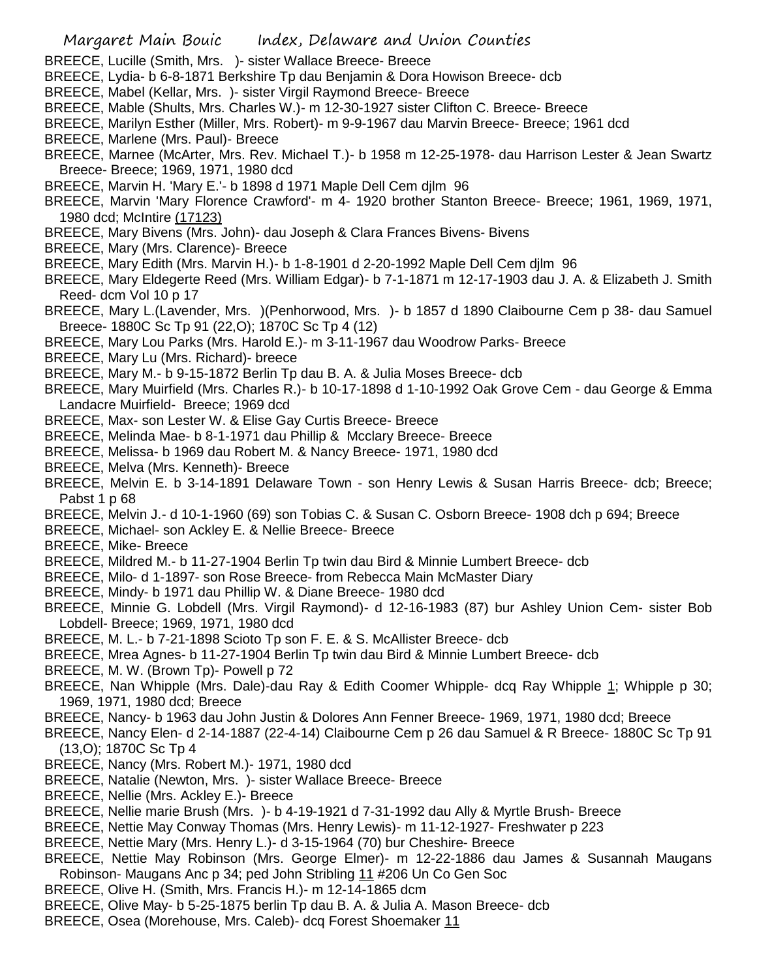- BREECE, Lucille (Smith, Mrs. )- sister Wallace Breece- Breece
- BREECE, Lydia- b 6-8-1871 Berkshire Tp dau Benjamin & Dora Howison Breece- dcb
- BREECE, Mabel (Kellar, Mrs. )- sister Virgil Raymond Breece- Breece
- BREECE, Mable (Shults, Mrs. Charles W.)- m 12-30-1927 sister Clifton C. Breece- Breece
- BREECE, Marilyn Esther (Miller, Mrs. Robert)- m 9-9-1967 dau Marvin Breece- Breece; 1961 dcd BREECE, Marlene (Mrs. Paul)- Breece
- BREECE, Marnee (McArter, Mrs. Rev. Michael T.)- b 1958 m 12-25-1978- dau Harrison Lester & Jean Swartz Breece- Breece; 1969, 1971, 1980 dcd
- BREECE, Marvin H. 'Mary E.'- b 1898 d 1971 Maple Dell Cem djlm 96
- BREECE, Marvin 'Mary Florence Crawford'- m 4- 1920 brother Stanton Breece- Breece; 1961, 1969, 1971, 1980 dcd; McIntire (17123)
- BREECE, Mary Bivens (Mrs. John)- dau Joseph & Clara Frances Bivens- Bivens
- BREECE, Mary (Mrs. Clarence)- Breece
- BREECE, Mary Edith (Mrs. Marvin H.)- b 1-8-1901 d 2-20-1992 Maple Dell Cem djlm 96
- BREECE, Mary Eldegerte Reed (Mrs. William Edgar)- b 7-1-1871 m 12-17-1903 dau J. A. & Elizabeth J. Smith Reed- dcm Vol 10 p 17
- BREECE, Mary L.(Lavender, Mrs. )(Penhorwood, Mrs. )- b 1857 d 1890 Claibourne Cem p 38- dau Samuel Breece- 1880C Sc Tp 91 (22,O); 1870C Sc Tp 4 (12)
- BREECE, Mary Lou Parks (Mrs. Harold E.)- m 3-11-1967 dau Woodrow Parks- Breece
- BREECE, Mary Lu (Mrs. Richard)- breece
- BREECE, Mary M.- b 9-15-1872 Berlin Tp dau B. A. & Julia Moses Breece- dcb
- BREECE, Mary Muirfield (Mrs. Charles R.)- b 10-17-1898 d 1-10-1992 Oak Grove Cem dau George & Emma Landacre Muirfield- Breece; 1969 dcd
- BREECE, Max- son Lester W. & Elise Gay Curtis Breece- Breece
- BREECE, Melinda Mae- b 8-1-1971 dau Phillip & Mcclary Breece- Breece
- BREECE, Melissa- b 1969 dau Robert M. & Nancy Breece- 1971, 1980 dcd
- BREECE, Melva (Mrs. Kenneth)- Breece
- BREECE, Melvin E. b 3-14-1891 Delaware Town son Henry Lewis & Susan Harris Breece- dcb; Breece; Pabst 1 p 68
- BREECE, Melvin J.- d 10-1-1960 (69) son Tobias C. & Susan C. Osborn Breece- 1908 dch p 694; Breece
- BREECE, Michael- son Ackley E. & Nellie Breece- Breece
- BREECE, Mike- Breece
- BREECE, Mildred M.- b 11-27-1904 Berlin Tp twin dau Bird & Minnie Lumbert Breece- dcb
- BREECE, Milo- d 1-1897- son Rose Breece- from Rebecca Main McMaster Diary
- BREECE, Mindy- b 1971 dau Phillip W. & Diane Breece- 1980 dcd
- BREECE, Minnie G. Lobdell (Mrs. Virgil Raymond)- d 12-16-1983 (87) bur Ashley Union Cem- sister Bob Lobdell- Breece; 1969, 1971, 1980 dcd
- BREECE, M. L.- b 7-21-1898 Scioto Tp son F. E. & S. McAllister Breece- dcb
- BREECE, Mrea Agnes- b 11-27-1904 Berlin Tp twin dau Bird & Minnie Lumbert Breece- dcb
- BREECE, M. W. (Brown Tp)- Powell p 72
- BREECE, Nan Whipple (Mrs. Dale)-dau Ray & Edith Coomer Whipple- dcq Ray Whipple 1; Whipple p 30; 1969, 1971, 1980 dcd; Breece
- BREECE, Nancy- b 1963 dau John Justin & Dolores Ann Fenner Breece- 1969, 1971, 1980 dcd; Breece
- BREECE, Nancy Elen- d 2-14-1887 (22-4-14) Claibourne Cem p 26 dau Samuel & R Breece- 1880C Sc Tp 91 (13,O); 1870C Sc Tp 4
- BREECE, Nancy (Mrs. Robert M.)- 1971, 1980 dcd
- BREECE, Natalie (Newton, Mrs. )- sister Wallace Breece- Breece
- BREECE, Nellie (Mrs. Ackley E.)- Breece
- BREECE, Nellie marie Brush (Mrs. )- b 4-19-1921 d 7-31-1992 dau Ally & Myrtle Brush- Breece
- BREECE, Nettie May Conway Thomas (Mrs. Henry Lewis)- m 11-12-1927- Freshwater p 223
- BREECE, Nettie Mary (Mrs. Henry L.)- d 3-15-1964 (70) bur Cheshire- Breece
- BREECE, Nettie May Robinson (Mrs. George Elmer)- m 12-22-1886 dau James & Susannah Maugans Robinson- Maugans Anc p 34; ped John Stribling 11 #206 Un Co Gen Soc
- BREECE, Olive H. (Smith, Mrs. Francis H.)- m 12-14-1865 dcm
- BREECE, Olive May- b 5-25-1875 berlin Tp dau B. A. & Julia A. Mason Breece- dcb
- BREECE, Osea (Morehouse, Mrs. Caleb)- dcq Forest Shoemaker 11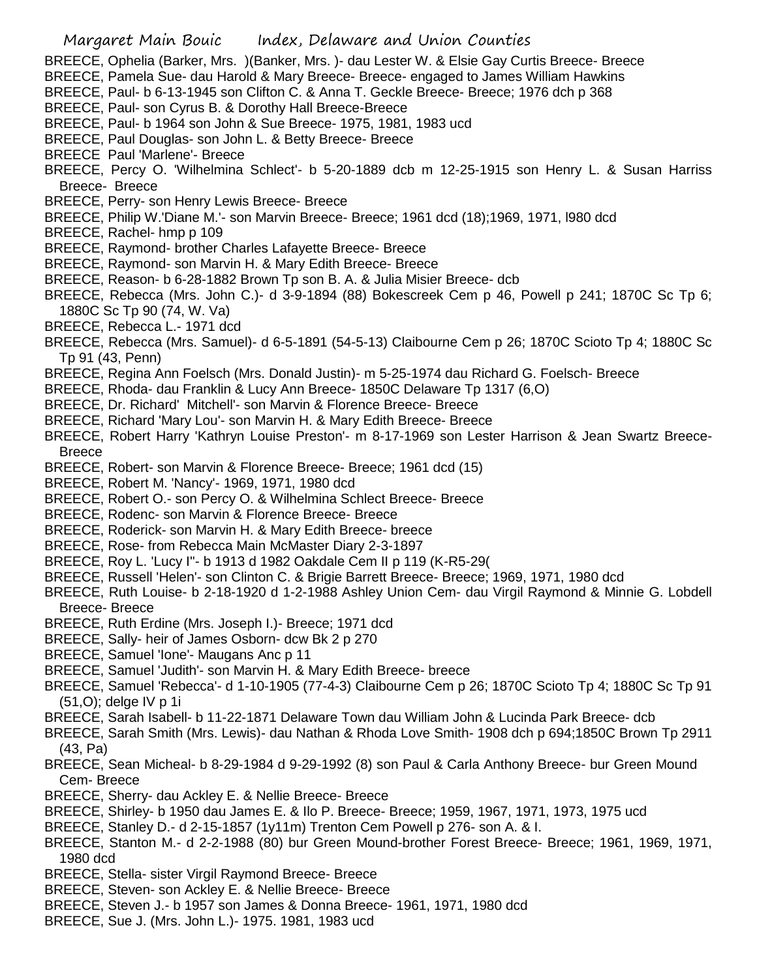- BREECE, Ophelia (Barker, Mrs. )(Banker, Mrs. )- dau Lester W. & Elsie Gay Curtis Breece- Breece
- BREECE, Pamela Sue- dau Harold & Mary Breece- Breece- engaged to James William Hawkins
- BREECE, Paul- b 6-13-1945 son Clifton C. & Anna T. Geckle Breece- Breece; 1976 dch p 368
- BREECE, Paul- son Cyrus B. & Dorothy Hall Breece-Breece
- BREECE, Paul- b 1964 son John & Sue Breece- 1975, 1981, 1983 ucd
- BREECE, Paul Douglas- son John L. & Betty Breece- Breece
- BREECE Paul 'Marlene'- Breece
- BREECE, Percy O. 'Wilhelmina Schlect'- b 5-20-1889 dcb m 12-25-1915 son Henry L. & Susan Harriss Breece- Breece
- BREECE, Perry- son Henry Lewis Breece- Breece
- BREECE, Philip W.'Diane M.'- son Marvin Breece- Breece; 1961 dcd (18);1969, 1971, l980 dcd
- BREECE, Rachel- hmp p 109
- BREECE, Raymond- brother Charles Lafayette Breece- Breece
- BREECE, Raymond- son Marvin H. & Mary Edith Breece- Breece
- BREECE, Reason- b 6-28-1882 Brown Tp son B. A. & Julia Misier Breece- dcb
- BREECE, Rebecca (Mrs. John C.)- d 3-9-1894 (88) Bokescreek Cem p 46, Powell p 241; 1870C Sc Tp 6; 1880C Sc Tp 90 (74, W. Va)
- BREECE, Rebecca L.- 1971 dcd
- BREECE, Rebecca (Mrs. Samuel)- d 6-5-1891 (54-5-13) Claibourne Cem p 26; 1870C Scioto Tp 4; 1880C Sc Tp 91 (43, Penn)
- BREECE, Regina Ann Foelsch (Mrs. Donald Justin)- m 5-25-1974 dau Richard G. Foelsch- Breece
- BREECE, Rhoda- dau Franklin & Lucy Ann Breece- 1850C Delaware Tp 1317 (6,O)
- BREECE, Dr. Richard' Mitchell'- son Marvin & Florence Breece- Breece
- BREECE, Richard 'Mary Lou'- son Marvin H. & Mary Edith Breece- Breece
- BREECE, Robert Harry 'Kathryn Louise Preston'- m 8-17-1969 son Lester Harrison & Jean Swartz Breece-Breece
- BREECE, Robert- son Marvin & Florence Breece- Breece; 1961 dcd (15)
- BREECE, Robert M. 'Nancy'- 1969, 1971, 1980 dcd
- BREECE, Robert O.- son Percy O. & Wilhelmina Schlect Breece- Breece
- BREECE, Rodenc- son Marvin & Florence Breece- Breece
- BREECE, Roderick- son Marvin H. & Mary Edith Breece- breece
- BREECE, Rose- from Rebecca Main McMaster Diary 2-3-1897
- BREECE, Roy L. 'Lucy I''- b 1913 d 1982 Oakdale Cem II p 119 (K-R5-29(
- BREECE, Russell 'Helen'- son Clinton C. & Brigie Barrett Breece- Breece; 1969, 1971, 1980 dcd
- BREECE, Ruth Louise- b 2-18-1920 d 1-2-1988 Ashley Union Cem- dau Virgil Raymond & Minnie G. Lobdell Breece- Breece
- BREECE, Ruth Erdine (Mrs. Joseph I.)- Breece; 1971 dcd
- BREECE, Sally- heir of James Osborn- dcw Bk 2 p 270
- BREECE, Samuel 'Ione'- Maugans Anc p 11
- BREECE, Samuel 'Judith'- son Marvin H. & Mary Edith Breece- breece
- BREECE, Samuel 'Rebecca'- d 1-10-1905 (77-4-3) Claibourne Cem p 26; 1870C Scioto Tp 4; 1880C Sc Tp 91 (51,O); delge IV p 1i
- BREECE, Sarah Isabell- b 11-22-1871 Delaware Town dau William John & Lucinda Park Breece- dcb
- BREECE, Sarah Smith (Mrs. Lewis)- dau Nathan & Rhoda Love Smith- 1908 dch p 694;1850C Brown Tp 2911 (43, Pa)
- BREECE, Sean Micheal- b 8-29-1984 d 9-29-1992 (8) son Paul & Carla Anthony Breece- bur Green Mound Cem- Breece
- BREECE, Sherry- dau Ackley E. & Nellie Breece- Breece
- BREECE, Shirley- b 1950 dau James E. & Ilo P. Breece- Breece; 1959, 1967, 1971, 1973, 1975 ucd
- BREECE, Stanley D.- d 2-15-1857 (1y11m) Trenton Cem Powell p 276- son A. & I.
- BREECE, Stanton M.- d 2-2-1988 (80) bur Green Mound-brother Forest Breece- Breece; 1961, 1969, 1971, 1980 dcd
- BREECE, Stella- sister Virgil Raymond Breece- Breece
- BREECE, Steven- son Ackley E. & Nellie Breece- Breece
- BREECE, Steven J.- b 1957 son James & Donna Breece- 1961, 1971, 1980 dcd
- BREECE, Sue J. (Mrs. John L.)- 1975. 1981, 1983 ucd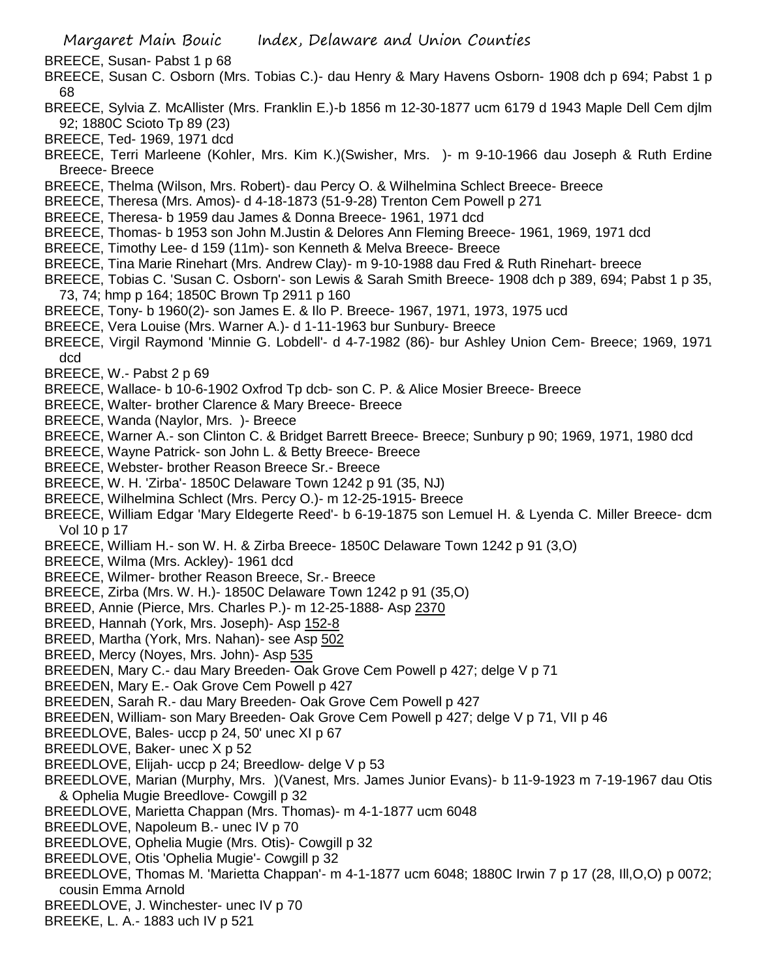- BREECE, Susan- Pabst 1 p 68
- BREECE, Susan C. Osborn (Mrs. Tobias C.)- dau Henry & Mary Havens Osborn- 1908 dch p 694; Pabst 1 p 68
- BREECE, Sylvia Z. McAllister (Mrs. Franklin E.)-b 1856 m 12-30-1877 ucm 6179 d 1943 Maple Dell Cem djlm 92; 1880C Scioto Tp 89 (23)
- BREECE, Ted- 1969, 1971 dcd
- BREECE, Terri Marleene (Kohler, Mrs. Kim K.)(Swisher, Mrs. )- m 9-10-1966 dau Joseph & Ruth Erdine Breece- Breece
- BREECE, Thelma (Wilson, Mrs. Robert)- dau Percy O. & Wilhelmina Schlect Breece- Breece
- BREECE, Theresa (Mrs. Amos)- d 4-18-1873 (51-9-28) Trenton Cem Powell p 271
- BREECE, Theresa- b 1959 dau James & Donna Breece- 1961, 1971 dcd
- BREECE, Thomas- b 1953 son John M.Justin & Delores Ann Fleming Breece- 1961, 1969, 1971 dcd
- BREECE, Timothy Lee- d 159 (11m)- son Kenneth & Melva Breece- Breece
- BREECE, Tina Marie Rinehart (Mrs. Andrew Clay)- m 9-10-1988 dau Fred & Ruth Rinehart- breece
- BREECE, Tobias C. 'Susan C. Osborn'- son Lewis & Sarah Smith Breece- 1908 dch p 389, 694; Pabst 1 p 35, 73, 74; hmp p 164; 1850C Brown Tp 2911 p 160
- BREECE, Tony- b 1960(2)- son James E. & Ilo P. Breece- 1967, 1971, 1973, 1975 ucd
- BREECE, Vera Louise (Mrs. Warner A.)- d 1-11-1963 bur Sunbury- Breece
- BREECE, Virgil Raymond 'Minnie G. Lobdell'- d 4-7-1982 (86)- bur Ashley Union Cem- Breece; 1969, 1971 dcd
- BREECE, W.- Pabst 2 p 69
- BREECE, Wallace- b 10-6-1902 Oxfrod Tp dcb- son C. P. & Alice Mosier Breece- Breece
- BREECE, Walter- brother Clarence & Mary Breece- Breece
- BREECE, Wanda (Naylor, Mrs. )- Breece
- BREECE, Warner A.- son Clinton C. & Bridget Barrett Breece- Breece; Sunbury p 90; 1969, 1971, 1980 dcd
- BREECE, Wayne Patrick- son John L. & Betty Breece- Breece
- BREECE, Webster- brother Reason Breece Sr.- Breece
- BREECE, W. H. 'Zirba'- 1850C Delaware Town 1242 p 91 (35, NJ)
- BREECE, Wilhelmina Schlect (Mrs. Percy O.)- m 12-25-1915- Breece
- BREECE, William Edgar 'Mary Eldegerte Reed'- b 6-19-1875 son Lemuel H. & Lyenda C. Miller Breece- dcm Vol 10 p 17
- BREECE, William H.- son W. H. & Zirba Breece- 1850C Delaware Town 1242 p 91 (3,O)
- BREECE, Wilma (Mrs. Ackley)- 1961 dcd
- BREECE, Wilmer- brother Reason Breece, Sr.- Breece
- BREECE, Zirba (Mrs. W. H.)- 1850C Delaware Town 1242 p 91 (35,O)
- BREED, Annie (Pierce, Mrs. Charles P.)- m 12-25-1888- Asp 2370
- BREED, Hannah (York, Mrs. Joseph)- Asp 152-8
- BREED, Martha (York, Mrs. Nahan)- see Asp 502
- BREED, Mercy (Noyes, Mrs. John)- Asp 535
- BREEDEN, Mary C.- dau Mary Breeden- Oak Grove Cem Powell p 427; delge V p 71
- BREEDEN, Mary E.- Oak Grove Cem Powell p 427
- BREEDEN, Sarah R.- dau Mary Breeden- Oak Grove Cem Powell p 427
- BREEDEN, William- son Mary Breeden- Oak Grove Cem Powell p 427; delge V p 71, VII p 46
- BREEDLOVE, Bales- uccp p 24, 50' unec XI p 67
- BREEDLOVE, Baker- unec X p 52
- BREEDLOVE, Elijah- uccp p 24; Breedlow- delge V p 53
- BREEDLOVE, Marian (Murphy, Mrs. )(Vanest, Mrs. James Junior Evans)- b 11-9-1923 m 7-19-1967 dau Otis & Ophelia Mugie Breedlove- Cowgill p 32
- BREEDLOVE, Marietta Chappan (Mrs. Thomas)- m 4-1-1877 ucm 6048
- BREEDLOVE, Napoleum B.- unec IV p 70
- BREEDLOVE, Ophelia Mugie (Mrs. Otis)- Cowgill p 32
- BREEDLOVE, Otis 'Ophelia Mugie'- Cowgill p 32
- BREEDLOVE, Thomas M. 'Marietta Chappan'- m 4-1-1877 ucm 6048; 1880C Irwin 7 p 17 (28, Ill,O,O) p 0072; cousin Emma Arnold
- BREEDLOVE, J. Winchester- unec IV p 70
- BREEKE, L. A.- 1883 uch IV p 521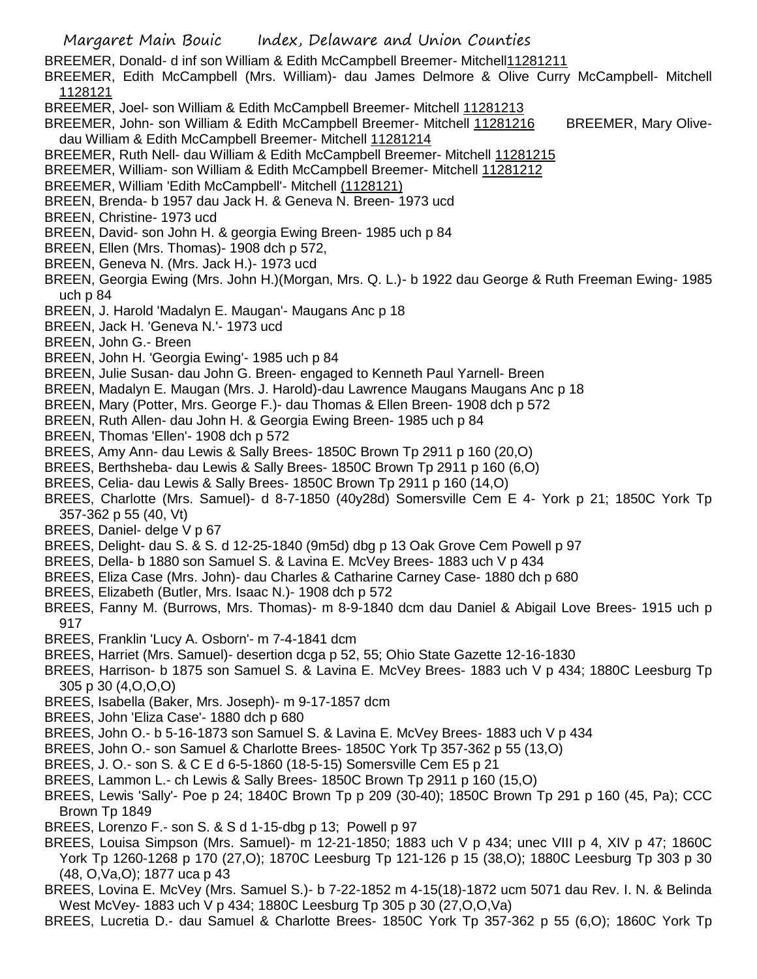BREEMER, Donald- d inf son William & Edith McCampbell Breemer- Mitchell11281211

BREEMER, Edith McCampbell (Mrs. William)- dau James Delmore & Olive Curry McCampbell- Mitchell 1128121

- BREEMER, Joel- son William & Edith McCampbell Breemer- Mitchell 11281213
- BREEMER, John- son William & Edith McCampbell Breemer- Mitchell 11281216 BREEMER, Mary Olivedau William & Edith McCampbell Breemer- Mitchell 11281214
- BREEMER, Ruth Nell- dau William & Edith McCampbell Breemer- Mitchell 11281215
- BREEMER, William- son William & Edith McCampbell Breemer- Mitchell 11281212
- BREEMER, William 'Edith McCampbell'- Mitchell (1128121)
- BREEN, Brenda- b 1957 dau Jack H. & Geneva N. Breen- 1973 ucd
- BREEN, Christine- 1973 ucd
- BREEN, David- son John H. & georgia Ewing Breen- 1985 uch p 84
- BREEN, Ellen (Mrs. Thomas)- 1908 dch p 572,
- BREEN, Geneva N. (Mrs. Jack H.)- 1973 ucd
- BREEN, Georgia Ewing (Mrs. John H.)(Morgan, Mrs. Q. L.)- b 1922 dau George & Ruth Freeman Ewing- 1985 uch p 84
- BREEN, J. Harold 'Madalyn E. Maugan'- Maugans Anc p 18
- BREEN, Jack H. 'Geneva N.'- 1973 ucd
- BREEN, John G.- Breen
- BREEN, John H. 'Georgia Ewing'- 1985 uch p 84
- BREEN, Julie Susan- dau John G. Breen- engaged to Kenneth Paul Yarnell- Breen
- BREEN, Madalyn E. Maugan (Mrs. J. Harold)-dau Lawrence Maugans Maugans Anc p 18
- BREEN, Mary (Potter, Mrs. George F.)- dau Thomas & Ellen Breen- 1908 dch p 572
- BREEN, Ruth Allen- dau John H. & Georgia Ewing Breen- 1985 uch p 84
- BREEN, Thomas 'Ellen'- 1908 dch p 572
- BREES, Amy Ann- dau Lewis & Sally Brees- 1850C Brown Tp 2911 p 160 (20,O)
- BREES, Berthsheba- dau Lewis & Sally Brees- 1850C Brown Tp 2911 p 160 (6,O)
- BREES, Celia- dau Lewis & Sally Brees- 1850C Brown Tp 2911 p 160 (14,O)
- BREES, Charlotte (Mrs. Samuel)- d 8-7-1850 (40y28d) Somersville Cem E 4- York p 21; 1850C York Tp 357-362 p 55 (40, Vt)
- BREES, Daniel- delge V p 67
- BREES, Delight- dau S. & S. d 12-25-1840 (9m5d) dbg p 13 Oak Grove Cem Powell p 97
- BREES, Della- b 1880 son Samuel S. & Lavina E. McVey Brees- 1883 uch V p 434
- BREES, Eliza Case (Mrs. John)- dau Charles & Catharine Carney Case- 1880 dch p 680
- BREES, Elizabeth (Butler, Mrs. Isaac N.)- 1908 dch p 572
- BREES, Fanny M. (Burrows, Mrs. Thomas)- m 8-9-1840 dcm dau Daniel & Abigail Love Brees- 1915 uch p 917
- BREES, Franklin 'Lucy A. Osborn'- m 7-4-1841 dcm
- BREES, Harriet (Mrs. Samuel)- desertion dcga p 52, 55; Ohio State Gazette 12-16-1830
- BREES, Harrison- b 1875 son Samuel S. & Lavina E. McVey Brees- 1883 uch V p 434; 1880C Leesburg Tp 305 p 30 (4,O,O,O)
- BREES, Isabella (Baker, Mrs. Joseph)- m 9-17-1857 dcm
- BREES, John 'Eliza Case'- 1880 dch p 680
- BREES, John O.- b 5-16-1873 son Samuel S. & Lavina E. McVey Brees- 1883 uch V p 434
- BREES, John O.- son Samuel & Charlotte Brees- 1850C York Tp 357-362 p 55 (13,O)
- BREES, J. O.- son S. & C E d 6-5-1860 (18-5-15) Somersville Cem E5 p 21
- BREES, Lammon L.- ch Lewis & Sally Brees- 1850C Brown Tp 2911 p 160 (15,O)
- BREES, Lewis 'Sally'- Poe p 24; 1840C Brown Tp p 209 (30-40); 1850C Brown Tp 291 p 160 (45, Pa); CCC Brown Tp 1849
- BREES, Lorenzo F.- son S. & S d 1-15-dbg p 13; Powell p 97
- BREES, Louisa Simpson (Mrs. Samuel)- m 12-21-1850; 1883 uch V p 434; unec VIII p 4, XIV p 47; 1860C York Tp 1260-1268 p 170 (27,O); 1870C Leesburg Tp 121-126 p 15 (38,O); 1880C Leesburg Tp 303 p 30 (48, O,Va,O); 1877 uca p 43
- BREES, Lovina E. McVey (Mrs. Samuel S.)- b 7-22-1852 m 4-15(18)-1872 ucm 5071 dau Rev. I. N. & Belinda West McVey- 1883 uch V p 434; 1880C Leesburg Tp 305 p 30 (27,O,O,Va)
- BREES, Lucretia D.- dau Samuel & Charlotte Brees- 1850C York Tp 357-362 p 55 (6,O); 1860C York Tp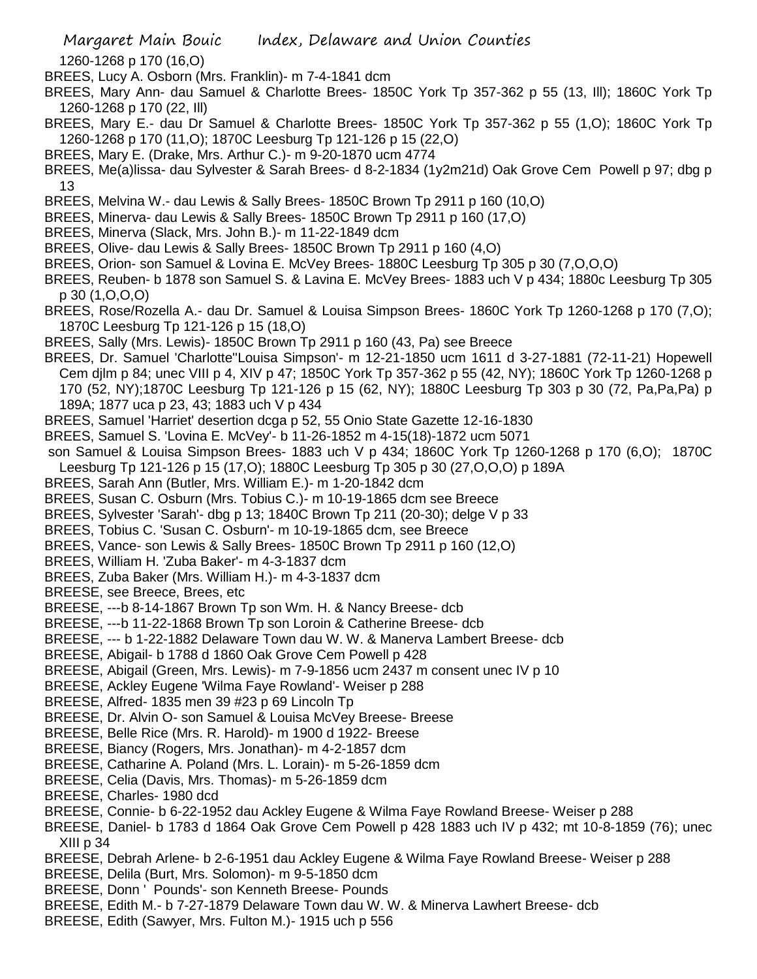1260-1268 p 170 (16,O)

- BREES, Lucy A. Osborn (Mrs. Franklin)- m 7-4-1841 dcm
- BREES, Mary Ann- dau Samuel & Charlotte Brees- 1850C York Tp 357-362 p 55 (13, Ill); 1860C York Tp 1260-1268 p 170 (22, Ill)
- BREES, Mary E.- dau Dr Samuel & Charlotte Brees- 1850C York Tp 357-362 p 55 (1,O); 1860C York Tp 1260-1268 p 170 (11,O); 1870C Leesburg Tp 121-126 p 15 (22,O)
- BREES, Mary E. (Drake, Mrs. Arthur C.)- m 9-20-1870 ucm 4774
- BREES, Me(a)lissa- dau Sylvester & Sarah Brees- d 8-2-1834 (1y2m21d) Oak Grove Cem Powell p 97; dbg p 13
- BREES, Melvina W.- dau Lewis & Sally Brees- 1850C Brown Tp 2911 p 160 (10,O)
- BREES, Minerva- dau Lewis & Sally Brees- 1850C Brown Tp 2911 p 160 (17,O)
- BREES, Minerva (Slack, Mrs. John B.)- m 11-22-1849 dcm
- BREES, Olive- dau Lewis & Sally Brees- 1850C Brown Tp 2911 p 160 (4,O)
- BREES, Orion- son Samuel & Lovina E. McVey Brees- 1880C Leesburg Tp 305 p 30 (7,O,O,O)
- BREES, Reuben- b 1878 son Samuel S. & Lavina E. McVey Brees- 1883 uch V p 434; 1880c Leesburg Tp 305 p 30 (1,O,O,O)
- BREES, Rose/Rozella A.- dau Dr. Samuel & Louisa Simpson Brees- 1860C York Tp 1260-1268 p 170 (7,O); 1870C Leesburg Tp 121-126 p 15 (18,O)
- BREES, Sally (Mrs. Lewis)- 1850C Brown Tp 2911 p 160 (43, Pa) see Breece
- BREES, Dr. Samuel 'Charlotte''Louisa Simpson'- m 12-21-1850 ucm 1611 d 3-27-1881 (72-11-21) Hopewell Cem djlm p 84; unec VIII p 4, XIV p 47; 1850C York Tp 357-362 p 55 (42, NY); 1860C York Tp 1260-1268 p 170 (52, NY);1870C Leesburg Tp 121-126 p 15 (62, NY); 1880C Leesburg Tp 303 p 30 (72, Pa,Pa,Pa) p 189A; 1877 uca p 23, 43; 1883 uch V p 434
- BREES, Samuel 'Harriet' desertion dcga p 52, 55 Onio State Gazette 12-16-1830
- BREES, Samuel S. 'Lovina E. McVey'- b 11-26-1852 m 4-15(18)-1872 ucm 5071
- son Samuel & Louisa Simpson Brees- 1883 uch V p 434; 1860C York Tp 1260-1268 p 170 (6,O); 1870C Leesburg Tp 121-126 p 15 (17,O); 1880C Leesburg Tp 305 p 30 (27,O,O,O) p 189A
- BREES, Sarah Ann (Butler, Mrs. William E.)- m 1-20-1842 dcm
- BREES, Susan C. Osburn (Mrs. Tobius C.)- m 10-19-1865 dcm see Breece
- BREES, Sylvester 'Sarah'- dbg p 13; 1840C Brown Tp 211 (20-30); delge V p 33
- BREES, Tobius C. 'Susan C. Osburn'- m 10-19-1865 dcm, see Breece
- BREES, Vance- son Lewis & Sally Brees- 1850C Brown Tp 2911 p 160 (12,O)
- BREES, William H. 'Zuba Baker'- m 4-3-1837 dcm
- BREES, Zuba Baker (Mrs. William H.)- m 4-3-1837 dcm
- BREESE, see Breece, Brees, etc
- BREESE, ---b 8-14-1867 Brown Tp son Wm. H. & Nancy Breese- dcb
- BREESE, ---b 11-22-1868 Brown Tp son Loroin & Catherine Breese- dcb
- BREESE, --- b 1-22-1882 Delaware Town dau W. W. & Manerva Lambert Breese- dcb
- BREESE, Abigail- b 1788 d 1860 Oak Grove Cem Powell p 428
- BREESE, Abigail (Green, Mrs. Lewis)- m 7-9-1856 ucm 2437 m consent unec IV p 10
- BREESE, Ackley Eugene 'Wilma Faye Rowland'- Weiser p 288
- BREESE, Alfred- 1835 men 39 #23 p 69 Lincoln Tp
- BREESE, Dr. Alvin O- son Samuel & Louisa McVey Breese- Breese
- BREESE, Belle Rice (Mrs. R. Harold)- m 1900 d 1922- Breese
- BREESE, Biancy (Rogers, Mrs. Jonathan)- m 4-2-1857 dcm
- BREESE, Catharine A. Poland (Mrs. L. Lorain)- m 5-26-1859 dcm
- BREESE, Celia (Davis, Mrs. Thomas)- m 5-26-1859 dcm
- BREESE, Charles- 1980 dcd
- BREESE, Connie- b 6-22-1952 dau Ackley Eugene & Wilma Faye Rowland Breese- Weiser p 288
- BREESE, Daniel- b 1783 d 1864 Oak Grove Cem Powell p 428 1883 uch IV p 432; mt 10-8-1859 (76); unec XIII p 34
- BREESE, Debrah Arlene- b 2-6-1951 dau Ackley Eugene & Wilma Faye Rowland Breese- Weiser p 288
- BREESE, Delila (Burt, Mrs. Solomon)- m 9-5-1850 dcm
- BREESE, Donn ' Pounds'- son Kenneth Breese- Pounds
- BREESE, Edith M.- b 7-27-1879 Delaware Town dau W. W. & Minerva Lawhert Breese- dcb
- BREESE, Edith (Sawyer, Mrs. Fulton M.)- 1915 uch p 556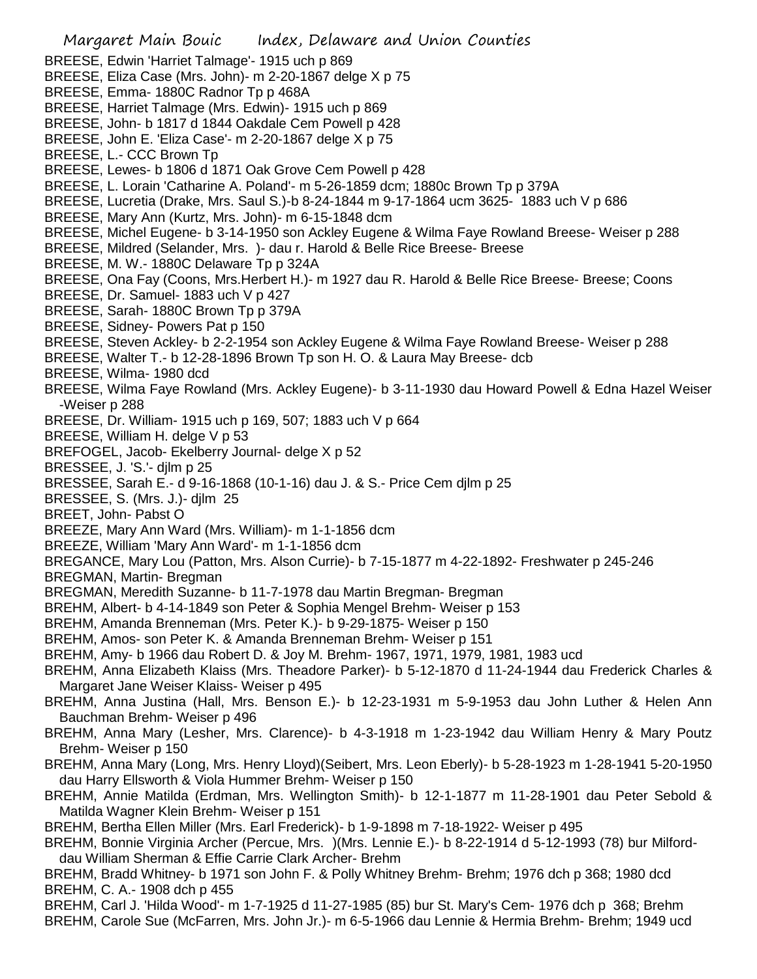Margaret Main Bouic Index, Delaware and Union Counties BREESE, Edwin 'Harriet Talmage'- 1915 uch p 869 BREESE, Eliza Case (Mrs. John)- m 2-20-1867 delge X p 75 BREESE, Emma- 1880C Radnor Tp p 468A BREESE, Harriet Talmage (Mrs. Edwin)- 1915 uch p 869 BREESE, John- b 1817 d 1844 Oakdale Cem Powell p 428 BREESE, John E. 'Eliza Case'- m 2-20-1867 delge X p 75 BREESE, L.- CCC Brown Tp BREESE, Lewes- b 1806 d 1871 Oak Grove Cem Powell p 428 BREESE, L. Lorain 'Catharine A. Poland'- m 5-26-1859 dcm; 1880c Brown Tp p 379A BREESE, Lucretia (Drake, Mrs. Saul S.)-b 8-24-1844 m 9-17-1864 ucm 3625- 1883 uch V p 686 BREESE, Mary Ann (Kurtz, Mrs. John)- m 6-15-1848 dcm BREESE, Michel Eugene- b 3-14-1950 son Ackley Eugene & Wilma Faye Rowland Breese- Weiser p 288 BREESE, Mildred (Selander, Mrs. )- dau r. Harold & Belle Rice Breese- Breese BREESE, M. W.- 1880C Delaware Tp p 324A BREESE, Ona Fay (Coons, Mrs.Herbert H.)- m 1927 dau R. Harold & Belle Rice Breese- Breese; Coons BREESE, Dr. Samuel- 1883 uch V p 427 BREESE, Sarah- 1880C Brown Tp p 379A BREESE, Sidney- Powers Pat p 150 BREESE, Steven Ackley- b 2-2-1954 son Ackley Eugene & Wilma Faye Rowland Breese- Weiser p 288 BREESE, Walter T.- b 12-28-1896 Brown Tp son H. O. & Laura May Breese- dcb BREESE, Wilma- 1980 dcd BREESE, Wilma Faye Rowland (Mrs. Ackley Eugene)- b 3-11-1930 dau Howard Powell & Edna Hazel Weiser -Weiser p 288 BREESE, Dr. William- 1915 uch p 169, 507; 1883 uch V p 664 BREESE, William H. delge V p 53 BREFOGEL, Jacob- Ekelberry Journal- delge X p 52 BRESSEE, J. 'S.'- djlm p 25 BRESSEE, Sarah E.- d 9-16-1868 (10-1-16) dau J. & S.- Price Cem djlm p 25 BRESSEE, S. (Mrs. J.)- djlm 25 BREET, John- Pabst O BREEZE, Mary Ann Ward (Mrs. William)- m 1-1-1856 dcm BREEZE, William 'Mary Ann Ward'- m 1-1-1856 dcm BREGANCE, Mary Lou (Patton, Mrs. Alson Currie)- b 7-15-1877 m 4-22-1892- Freshwater p 245-246 BREGMAN, Martin- Bregman BREGMAN, Meredith Suzanne- b 11-7-1978 dau Martin Bregman- Bregman BREHM, Albert- b 4-14-1849 son Peter & Sophia Mengel Brehm- Weiser p 153 BREHM, Amanda Brenneman (Mrs. Peter K.)- b 9-29-1875- Weiser p 150 BREHM, Amos- son Peter K. & Amanda Brenneman Brehm- Weiser p 151 BREHM, Amy- b 1966 dau Robert D. & Joy M. Brehm- 1967, 1971, 1979, 1981, 1983 ucd BREHM, Anna Elizabeth Klaiss (Mrs. Theadore Parker)- b 5-12-1870 d 11-24-1944 dau Frederick Charles & Margaret Jane Weiser Klaiss- Weiser p 495 BREHM, Anna Justina (Hall, Mrs. Benson E.)- b 12-23-1931 m 5-9-1953 dau John Luther & Helen Ann Bauchman Brehm- Weiser p 496 BREHM, Anna Mary (Lesher, Mrs. Clarence)- b 4-3-1918 m 1-23-1942 dau William Henry & Mary Poutz Brehm- Weiser p 150 BREHM, Anna Mary (Long, Mrs. Henry Lloyd)(Seibert, Mrs. Leon Eberly)- b 5-28-1923 m 1-28-1941 5-20-1950 dau Harry Ellsworth & Viola Hummer Brehm- Weiser p 150 BREHM, Annie Matilda (Erdman, Mrs. Wellington Smith)- b 12-1-1877 m 11-28-1901 dau Peter Sebold & Matilda Wagner Klein Brehm- Weiser p 151 BREHM, Bertha Ellen Miller (Mrs. Earl Frederick)- b 1-9-1898 m 7-18-1922- Weiser p 495 BREHM, Bonnie Virginia Archer (Percue, Mrs. )(Mrs. Lennie E.)- b 8-22-1914 d 5-12-1993 (78) bur Milforddau William Sherman & Effie Carrie Clark Archer- Brehm BREHM, Bradd Whitney- b 1971 son John F. & Polly Whitney Brehm- Brehm; 1976 dch p 368; 1980 dcd BREHM, C. A.- 1908 dch p 455 BREHM, Carl J. 'Hilda Wood'- m 1-7-1925 d 11-27-1985 (85) bur St. Mary's Cem- 1976 dch p 368; Brehm BREHM, Carole Sue (McFarren, Mrs. John Jr.)- m 6-5-1966 dau Lennie & Hermia Brehm- Brehm; 1949 ucd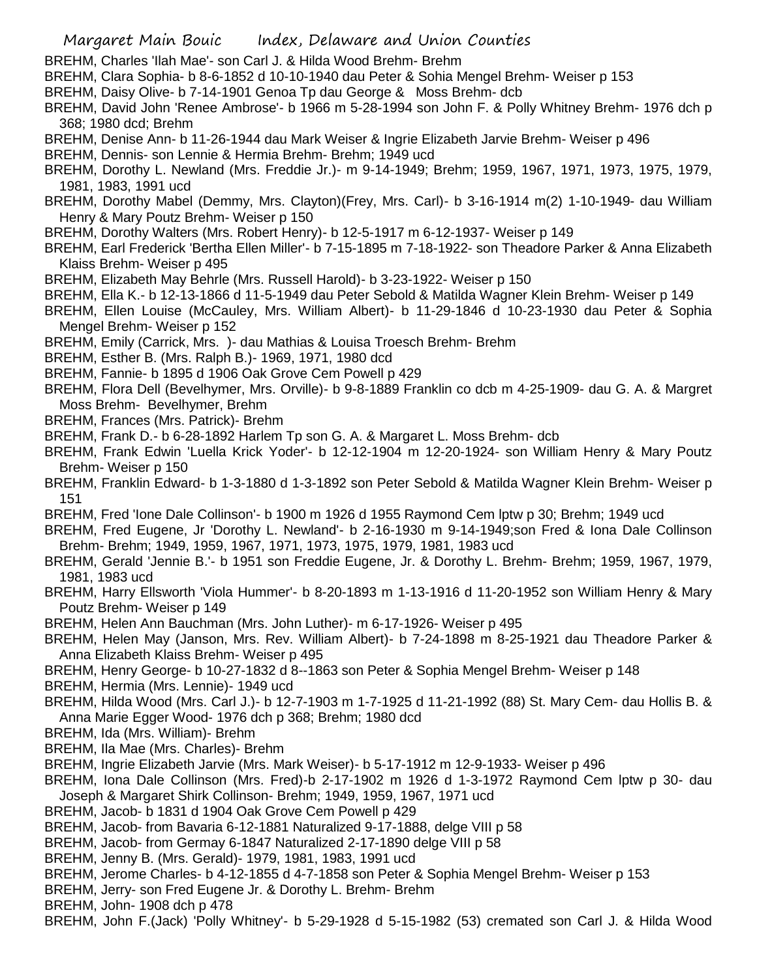- BREHM, Charles 'Ilah Mae'- son Carl J. & Hilda Wood Brehm- Brehm
- BREHM, Clara Sophia- b 8-6-1852 d 10-10-1940 dau Peter & Sohia Mengel Brehm- Weiser p 153
- BREHM, Daisy Olive- b 7-14-1901 Genoa Tp dau George & Moss Brehm- dcb
- BREHM, David John 'Renee Ambrose'- b 1966 m 5-28-1994 son John F. & Polly Whitney Brehm- 1976 dch p 368; 1980 dcd; Brehm
- BREHM, Denise Ann- b 11-26-1944 dau Mark Weiser & Ingrie Elizabeth Jarvie Brehm- Weiser p 496
- BREHM, Dennis- son Lennie & Hermia Brehm- Brehm; 1949 ucd
- BREHM, Dorothy L. Newland (Mrs. Freddie Jr.)- m 9-14-1949; Brehm; 1959, 1967, 1971, 1973, 1975, 1979, 1981, 1983, 1991 ucd
- BREHM, Dorothy Mabel (Demmy, Mrs. Clayton)(Frey, Mrs. Carl)- b 3-16-1914 m(2) 1-10-1949- dau William Henry & Mary Poutz Brehm- Weiser p 150
- BREHM, Dorothy Walters (Mrs. Robert Henry)- b 12-5-1917 m 6-12-1937- Weiser p 149
- BREHM, Earl Frederick 'Bertha Ellen Miller'- b 7-15-1895 m 7-18-1922- son Theadore Parker & Anna Elizabeth Klaiss Brehm- Weiser p 495
- BREHM, Elizabeth May Behrle (Mrs. Russell Harold)- b 3-23-1922- Weiser p 150
- BREHM, Ella K.- b 12-13-1866 d 11-5-1949 dau Peter Sebold & Matilda Wagner Klein Brehm- Weiser p 149
- BREHM, Ellen Louise (McCauley, Mrs. William Albert)- b 11-29-1846 d 10-23-1930 dau Peter & Sophia Mengel Brehm- Weiser p 152
- BREHM, Emily (Carrick, Mrs. )- dau Mathias & Louisa Troesch Brehm- Brehm
- BREHM, Esther B. (Mrs. Ralph B.)- 1969, 1971, 1980 dcd
- BREHM, Fannie- b 1895 d 1906 Oak Grove Cem Powell p 429
- BREHM, Flora Dell (Bevelhymer, Mrs. Orville)- b 9-8-1889 Franklin co dcb m 4-25-1909- dau G. A. & Margret Moss Brehm- Bevelhymer, Brehm
- BREHM, Frances (Mrs. Patrick)- Brehm
- BREHM, Frank D.- b 6-28-1892 Harlem Tp son G. A. & Margaret L. Moss Brehm- dcb
- BREHM, Frank Edwin 'Luella Krick Yoder'- b 12-12-1904 m 12-20-1924- son William Henry & Mary Poutz Brehm- Weiser p 150
- BREHM, Franklin Edward- b 1-3-1880 d 1-3-1892 son Peter Sebold & Matilda Wagner Klein Brehm- Weiser p 151
- BREHM, Fred 'Ione Dale Collinson'- b 1900 m 1926 d 1955 Raymond Cem lptw p 30; Brehm; 1949 ucd
- BREHM, Fred Eugene, Jr 'Dorothy L. Newland'- b 2-16-1930 m 9-14-1949;son Fred & Iona Dale Collinson Brehm- Brehm; 1949, 1959, 1967, 1971, 1973, 1975, 1979, 1981, 1983 ucd
- BREHM, Gerald 'Jennie B.'- b 1951 son Freddie Eugene, Jr. & Dorothy L. Brehm- Brehm; 1959, 1967, 1979, 1981, 1983 ucd
- BREHM, Harry Ellsworth 'Viola Hummer'- b 8-20-1893 m 1-13-1916 d 11-20-1952 son William Henry & Mary Poutz Brehm- Weiser p 149
- BREHM, Helen Ann Bauchman (Mrs. John Luther)- m 6-17-1926- Weiser p 495
- BREHM, Helen May (Janson, Mrs. Rev. William Albert)- b 7-24-1898 m 8-25-1921 dau Theadore Parker & Anna Elizabeth Klaiss Brehm- Weiser p 495
- BREHM, Henry George- b 10-27-1832 d 8--1863 son Peter & Sophia Mengel Brehm- Weiser p 148
- BREHM, Hermia (Mrs. Lennie)- 1949 ucd
- BREHM, Hilda Wood (Mrs. Carl J.)- b 12-7-1903 m 1-7-1925 d 11-21-1992 (88) St. Mary Cem- dau Hollis B. & Anna Marie Egger Wood- 1976 dch p 368; Brehm; 1980 dcd
- BREHM, Ida (Mrs. William)- Brehm
- BREHM, Ila Mae (Mrs. Charles)- Brehm
- BREHM, Ingrie Elizabeth Jarvie (Mrs. Mark Weiser)- b 5-17-1912 m 12-9-1933- Weiser p 496
- BREHM, Iona Dale Collinson (Mrs. Fred)-b 2-17-1902 m 1926 d 1-3-1972 Raymond Cem lptw p 30- dau Joseph & Margaret Shirk Collinson- Brehm; 1949, 1959, 1967, 1971 ucd
- BREHM, Jacob- b 1831 d 1904 Oak Grove Cem Powell p 429
- BREHM, Jacob- from Bavaria 6-12-1881 Naturalized 9-17-1888, delge VIII p 58
- BREHM, Jacob- from Germay 6-1847 Naturalized 2-17-1890 delge VIII p 58
- BREHM, Jenny B. (Mrs. Gerald)- 1979, 1981, 1983, 1991 ucd
- BREHM, Jerome Charles- b 4-12-1855 d 4-7-1858 son Peter & Sophia Mengel Brehm- Weiser p 153
- BREHM, Jerry- son Fred Eugene Jr. & Dorothy L. Brehm- Brehm
- BREHM, John- 1908 dch p 478
- BREHM, John F.(Jack) 'Polly Whitney'- b 5-29-1928 d 5-15-1982 (53) cremated son Carl J. & Hilda Wood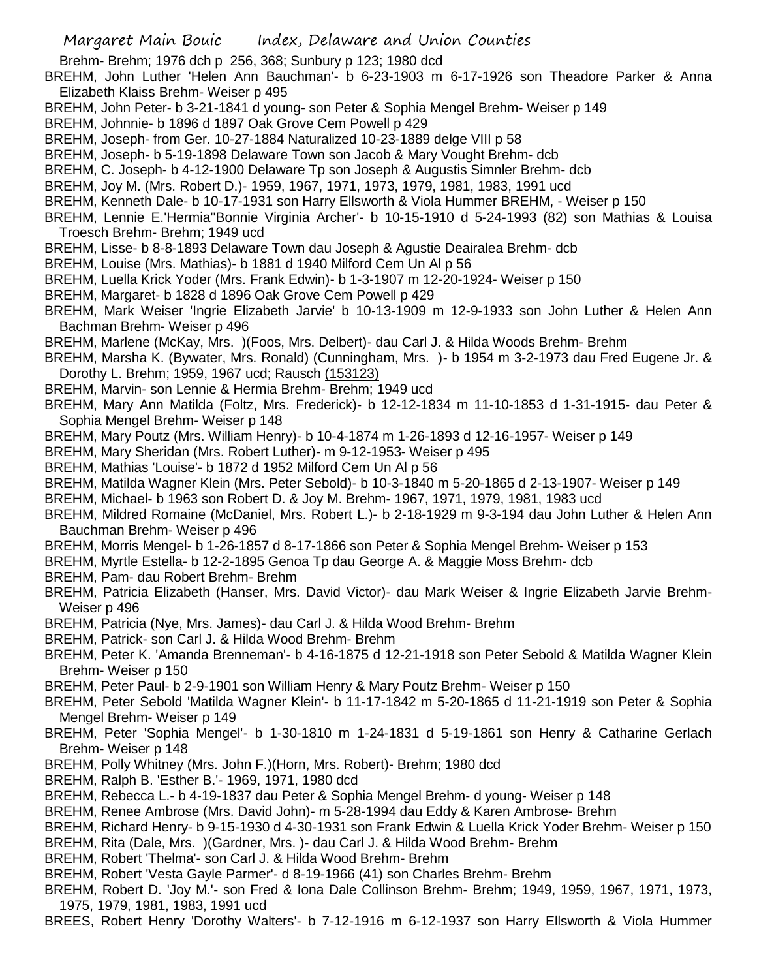Brehm- Brehm; 1976 dch p 256, 368; Sunbury p 123; 1980 dcd

- BREHM, John Luther 'Helen Ann Bauchman'- b 6-23-1903 m 6-17-1926 son Theadore Parker & Anna Elizabeth Klaiss Brehm- Weiser p 495
- BREHM, John Peter- b 3-21-1841 d young- son Peter & Sophia Mengel Brehm- Weiser p 149
- BREHM, Johnnie- b 1896 d 1897 Oak Grove Cem Powell p 429
- BREHM, Joseph- from Ger. 10-27-1884 Naturalized 10-23-1889 delge VIII p 58
- BREHM, Joseph- b 5-19-1898 Delaware Town son Jacob & Mary Vought Brehm- dcb
- BREHM, C. Joseph- b 4-12-1900 Delaware Tp son Joseph & Augustis Simnler Brehm- dcb
- BREHM, Joy M. (Mrs. Robert D.)- 1959, 1967, 1971, 1973, 1979, 1981, 1983, 1991 ucd
- BREHM, Kenneth Dale- b 10-17-1931 son Harry Ellsworth & Viola Hummer BREHM, Weiser p 150
- BREHM, Lennie E.'Hermia''Bonnie Virginia Archer'- b 10-15-1910 d 5-24-1993 (82) son Mathias & Louisa Troesch Brehm- Brehm; 1949 ucd
- BREHM, Lisse- b 8-8-1893 Delaware Town dau Joseph & Agustie Deairalea Brehm- dcb
- BREHM, Louise (Mrs. Mathias)- b 1881 d 1940 Milford Cem Un Al p 56
- BREHM, Luella Krick Yoder (Mrs. Frank Edwin)- b 1-3-1907 m 12-20-1924- Weiser p 150
- BREHM, Margaret- b 1828 d 1896 Oak Grove Cem Powell p 429
- BREHM, Mark Weiser 'Ingrie Elizabeth Jarvie' b 10-13-1909 m 12-9-1933 son John Luther & Helen Ann Bachman Brehm- Weiser p 496
- BREHM, Marlene (McKay, Mrs. )(Foos, Mrs. Delbert)- dau Carl J. & Hilda Woods Brehm- Brehm
- BREHM, Marsha K. (Bywater, Mrs. Ronald) (Cunningham, Mrs. )- b 1954 m 3-2-1973 dau Fred Eugene Jr. & Dorothy L. Brehm; 1959, 1967 ucd; Rausch (153123)
- BREHM, Marvin- son Lennie & Hermia Brehm- Brehm; 1949 ucd
- BREHM, Mary Ann Matilda (Foltz, Mrs. Frederick)- b 12-12-1834 m 11-10-1853 d 1-31-1915- dau Peter & Sophia Mengel Brehm- Weiser p 148
- BREHM, Mary Poutz (Mrs. William Henry)- b 10-4-1874 m 1-26-1893 d 12-16-1957- Weiser p 149
- BREHM, Mary Sheridan (Mrs. Robert Luther)- m 9-12-1953- Weiser p 495
- BREHM, Mathias 'Louise'- b 1872 d 1952 Milford Cem Un Al p 56
- BREHM, Matilda Wagner Klein (Mrs. Peter Sebold)- b 10-3-1840 m 5-20-1865 d 2-13-1907- Weiser p 149
- BREHM, Michael- b 1963 son Robert D. & Joy M. Brehm- 1967, 1971, 1979, 1981, 1983 ucd
- BREHM, Mildred Romaine (McDaniel, Mrs. Robert L.)- b 2-18-1929 m 9-3-194 dau John Luther & Helen Ann Bauchman Brehm- Weiser p 496
- BREHM, Morris Mengel- b 1-26-1857 d 8-17-1866 son Peter & Sophia Mengel Brehm- Weiser p 153
- BREHM, Myrtle Estella- b 12-2-1895 Genoa Tp dau George A. & Maggie Moss Brehm- dcb
- BREHM, Pam- dau Robert Brehm- Brehm
- BREHM, Patricia Elizabeth (Hanser, Mrs. David Victor)- dau Mark Weiser & Ingrie Elizabeth Jarvie Brehm-Weiser p 496
- BREHM, Patricia (Nye, Mrs. James)- dau Carl J. & Hilda Wood Brehm- Brehm
- BREHM, Patrick- son Carl J. & Hilda Wood Brehm- Brehm
- BREHM, Peter K. 'Amanda Brenneman'- b 4-16-1875 d 12-21-1918 son Peter Sebold & Matilda Wagner Klein Brehm- Weiser p 150
- BREHM, Peter Paul- b 2-9-1901 son William Henry & Mary Poutz Brehm- Weiser p 150
- BREHM, Peter Sebold 'Matilda Wagner Klein'- b 11-17-1842 m 5-20-1865 d 11-21-1919 son Peter & Sophia Mengel Brehm- Weiser p 149
- BREHM, Peter 'Sophia Mengel'- b 1-30-1810 m 1-24-1831 d 5-19-1861 son Henry & Catharine Gerlach Brehm- Weiser p 148
- BREHM, Polly Whitney (Mrs. John F.)(Horn, Mrs. Robert)- Brehm; 1980 dcd
- BREHM, Ralph B. 'Esther B.'- 1969, 1971, 1980 dcd
- BREHM, Rebecca L.- b 4-19-1837 dau Peter & Sophia Mengel Brehm- d young- Weiser p 148
- BREHM, Renee Ambrose (Mrs. David John)- m 5-28-1994 dau Eddy & Karen Ambrose- Brehm
- BREHM, Richard Henry- b 9-15-1930 d 4-30-1931 son Frank Edwin & Luella Krick Yoder Brehm- Weiser p 150
- BREHM, Rita (Dale, Mrs. )(Gardner, Mrs. )- dau Carl J. & Hilda Wood Brehm- Brehm
- BREHM, Robert 'Thelma'- son Carl J. & Hilda Wood Brehm- Brehm
- BREHM, Robert 'Vesta Gayle Parmer'- d 8-19-1966 (41) son Charles Brehm- Brehm
- BREHM, Robert D. 'Joy M.'- son Fred & Iona Dale Collinson Brehm- Brehm; 1949, 1959, 1967, 1971, 1973, 1975, 1979, 1981, 1983, 1991 ucd
- BREES, Robert Henry 'Dorothy Walters'- b 7-12-1916 m 6-12-1937 son Harry Ellsworth & Viola Hummer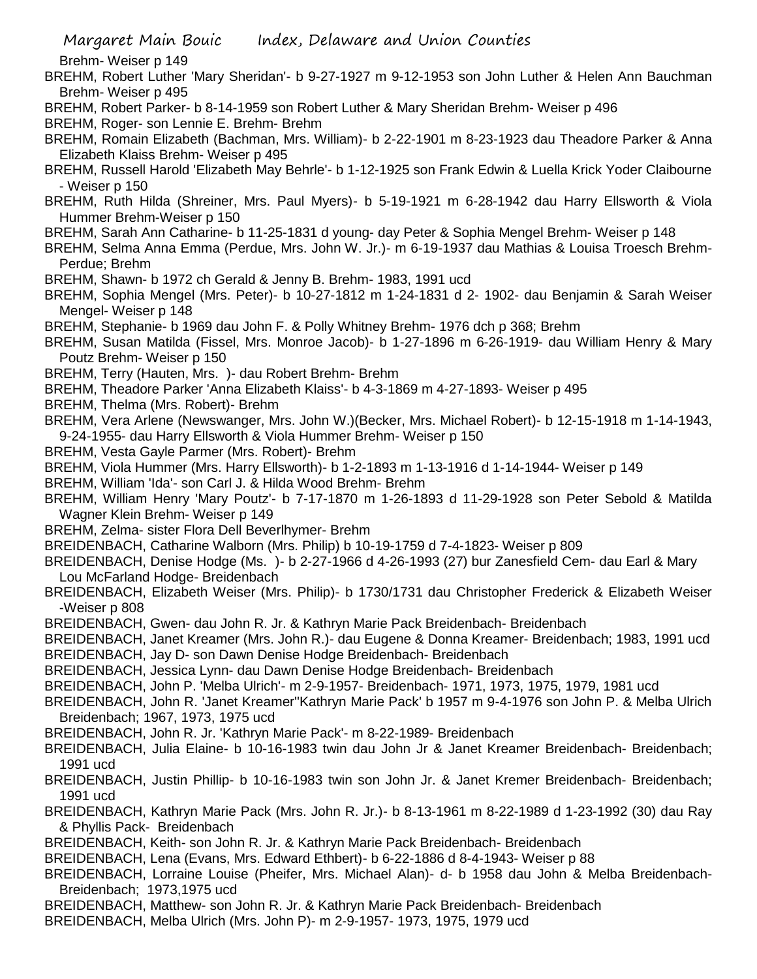Brehm- Weiser p 149

BREHM, Robert Luther 'Mary Sheridan'- b 9-27-1927 m 9-12-1953 son John Luther & Helen Ann Bauchman Brehm- Weiser p 495

BREHM, Robert Parker- b 8-14-1959 son Robert Luther & Mary Sheridan Brehm- Weiser p 496

BREHM, Roger- son Lennie E. Brehm- Brehm

BREHM, Romain Elizabeth (Bachman, Mrs. William)- b 2-22-1901 m 8-23-1923 dau Theadore Parker & Anna Elizabeth Klaiss Brehm- Weiser p 495

BREHM, Russell Harold 'Elizabeth May Behrle'- b 1-12-1925 son Frank Edwin & Luella Krick Yoder Claibourne - Weiser p 150

BREHM, Ruth Hilda (Shreiner, Mrs. Paul Myers)- b 5-19-1921 m 6-28-1942 dau Harry Ellsworth & Viola Hummer Brehm-Weiser p 150

- BREHM, Sarah Ann Catharine- b 11-25-1831 d young- day Peter & Sophia Mengel Brehm- Weiser p 148
- BREHM, Selma Anna Emma (Perdue, Mrs. John W. Jr.)- m 6-19-1937 dau Mathias & Louisa Troesch Brehm-Perdue; Brehm
- BREHM, Shawn- b 1972 ch Gerald & Jenny B. Brehm- 1983, 1991 ucd
- BREHM, Sophia Mengel (Mrs. Peter)- b 10-27-1812 m 1-24-1831 d 2- 1902- dau Benjamin & Sarah Weiser Mengel- Weiser p 148
- BREHM, Stephanie- b 1969 dau John F. & Polly Whitney Brehm- 1976 dch p 368; Brehm

BREHM, Susan Matilda (Fissel, Mrs. Monroe Jacob)- b 1-27-1896 m 6-26-1919- dau William Henry & Mary Poutz Brehm- Weiser p 150

- BREHM, Terry (Hauten, Mrs. )- dau Robert Brehm- Brehm
- BREHM, Theadore Parker 'Anna Elizabeth Klaiss'- b 4-3-1869 m 4-27-1893- Weiser p 495
- BREHM, Thelma (Mrs. Robert)- Brehm
- BREHM, Vera Arlene (Newswanger, Mrs. John W.)(Becker, Mrs. Michael Robert)- b 12-15-1918 m 1-14-1943, 9-24-1955- dau Harry Ellsworth & Viola Hummer Brehm- Weiser p 150
- BREHM, Vesta Gayle Parmer (Mrs. Robert)- Brehm
- BREHM, Viola Hummer (Mrs. Harry Ellsworth)- b 1-2-1893 m 1-13-1916 d 1-14-1944- Weiser p 149
- BREHM, William 'Ida'- son Carl J. & Hilda Wood Brehm- Brehm
- BREHM, William Henry 'Mary Poutz'- b 7-17-1870 m 1-26-1893 d 11-29-1928 son Peter Sebold & Matilda Wagner Klein Brehm- Weiser p 149
- BREHM, Zelma- sister Flora Dell Beverlhymer- Brehm
- BREIDENBACH, Catharine Walborn (Mrs. Philip) b 10-19-1759 d 7-4-1823- Weiser p 809
- BREIDENBACH, Denise Hodge (Ms. )- b 2-27-1966 d 4-26-1993 (27) bur Zanesfield Cem- dau Earl & Mary Lou McFarland Hodge- Breidenbach
- BREIDENBACH, Elizabeth Weiser (Mrs. Philip)- b 1730/1731 dau Christopher Frederick & Elizabeth Weiser -Weiser p 808
- BREIDENBACH, Gwen- dau John R. Jr. & Kathryn Marie Pack Breidenbach- Breidenbach

BREIDENBACH, Janet Kreamer (Mrs. John R.)- dau Eugene & Donna Kreamer- Breidenbach; 1983, 1991 ucd

- BREIDENBACH, Jay D- son Dawn Denise Hodge Breidenbach- Breidenbach
- BREIDENBACH, Jessica Lynn- dau Dawn Denise Hodge Breidenbach- Breidenbach

BREIDENBACH, John P. 'Melba Ulrich'- m 2-9-1957- Breidenbach- 1971, 1973, 1975, 1979, 1981 ucd

BREIDENBACH, John R. 'Janet Kreamer''Kathryn Marie Pack' b 1957 m 9-4-1976 son John P. & Melba Ulrich Breidenbach; 1967, 1973, 1975 ucd

- BREIDENBACH, John R. Jr. 'Kathryn Marie Pack'- m 8-22-1989- Breidenbach
- BREIDENBACH, Julia Elaine- b 10-16-1983 twin dau John Jr & Janet Kreamer Breidenbach- Breidenbach; 1991 ucd
- BREIDENBACH, Justin Phillip- b 10-16-1983 twin son John Jr. & Janet Kremer Breidenbach- Breidenbach; 1991 ucd
- BREIDENBACH, Kathryn Marie Pack (Mrs. John R. Jr.)- b 8-13-1961 m 8-22-1989 d 1-23-1992 (30) dau Ray & Phyllis Pack- Breidenbach
- BREIDENBACH, Keith- son John R. Jr. & Kathryn Marie Pack Breidenbach- Breidenbach
- BREIDENBACH, Lena (Evans, Mrs. Edward Ethbert)- b 6-22-1886 d 8-4-1943- Weiser p 88
- BREIDENBACH, Lorraine Louise (Pheifer, Mrs. Michael Alan)- d- b 1958 dau John & Melba Breidenbach-Breidenbach; 1973,1975 ucd
- BREIDENBACH, Matthew- son John R. Jr. & Kathryn Marie Pack Breidenbach- Breidenbach
- BREIDENBACH, Melba Ulrich (Mrs. John P)- m 2-9-1957- 1973, 1975, 1979 ucd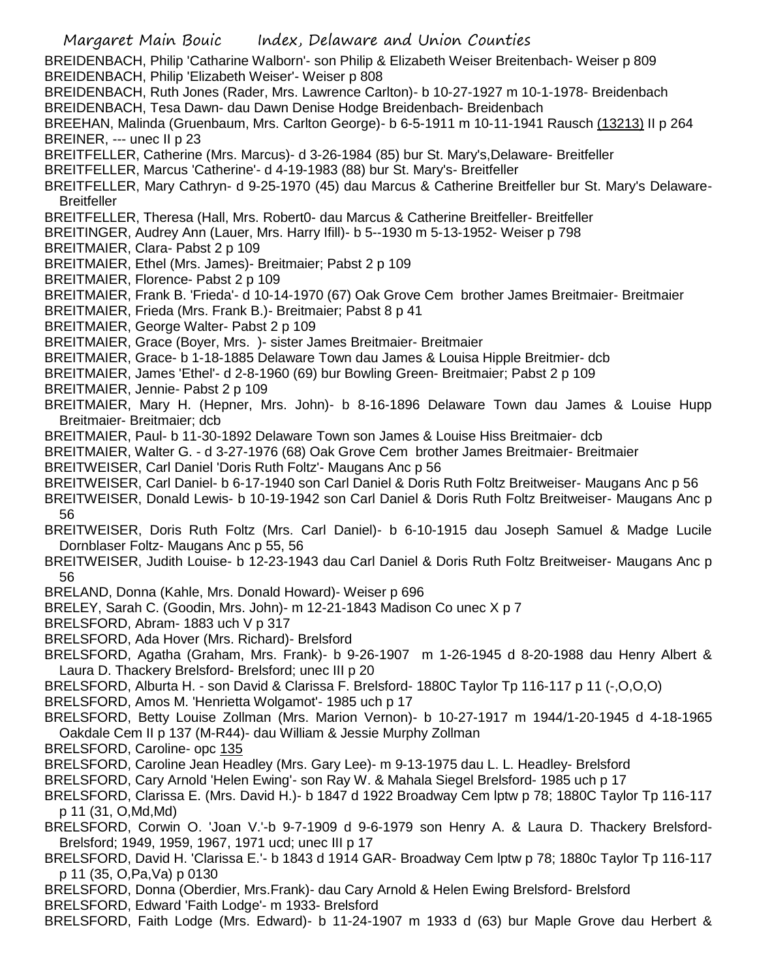Margaret Main Bouic Index, Delaware and Union Counties BREIDENBACH, Philip 'Catharine Walborn'- son Philip & Elizabeth Weiser Breitenbach- Weiser p 809 BREIDENBACH, Philip 'Elizabeth Weiser'- Weiser p 808 BREIDENBACH, Ruth Jones (Rader, Mrs. Lawrence Carlton)- b 10-27-1927 m 10-1-1978- Breidenbach BREIDENBACH, Tesa Dawn- dau Dawn Denise Hodge Breidenbach- Breidenbach BREEHAN, Malinda (Gruenbaum, Mrs. Carlton George)- b 6-5-1911 m 10-11-1941 Rausch (13213) II p 264 BREINER, --- unec II p 23 BREITFELLER, Catherine (Mrs. Marcus)- d 3-26-1984 (85) bur St. Mary's,Delaware- Breitfeller BREITFELLER, Marcus 'Catherine'- d 4-19-1983 (88) bur St. Mary's- Breitfeller BREITFELLER, Mary Cathryn- d 9-25-1970 (45) dau Marcus & Catherine Breitfeller bur St. Mary's Delaware-**Breitfeller** BREITFELLER, Theresa (Hall, Mrs. Robert0- dau Marcus & Catherine Breitfeller- Breitfeller BREITINGER, Audrey Ann (Lauer, Mrs. Harry Ifill)- b 5--1930 m 5-13-1952- Weiser p 798 BREITMAIER, Clara- Pabst 2 p 109 BREITMAIER, Ethel (Mrs. James)- Breitmaier; Pabst 2 p 109 BREITMAIER, Florence- Pabst 2 p 109 BREITMAIER, Frank B. 'Frieda'- d 10-14-1970 (67) Oak Grove Cem brother James Breitmaier- Breitmaier BREITMAIER, Frieda (Mrs. Frank B.)- Breitmaier; Pabst 8 p 41 BREITMAIER, George Walter- Pabst 2 p 109 BREITMAIER, Grace (Boyer, Mrs. )- sister James Breitmaier- Breitmaier BREITMAIER, Grace- b 1-18-1885 Delaware Town dau James & Louisa Hipple Breitmier- dcb BREITMAIER, James 'Ethel'- d 2-8-1960 (69) bur Bowling Green- Breitmaier; Pabst 2 p 109 BREITMAIER, Jennie- Pabst 2 p 109 BREITMAIER, Mary H. (Hepner, Mrs. John)- b 8-16-1896 Delaware Town dau James & Louise Hupp Breitmaier- Breitmaier; dcb BREITMAIER, Paul- b 11-30-1892 Delaware Town son James & Louise Hiss Breitmaier- dcb BREITMAIER, Walter G. - d 3-27-1976 (68) Oak Grove Cem brother James Breitmaier- Breitmaier BREITWEISER, Carl Daniel 'Doris Ruth Foltz'- Maugans Anc p 56 BREITWEISER, Carl Daniel- b 6-17-1940 son Carl Daniel & Doris Ruth Foltz Breitweiser- Maugans Anc p 56 BREITWEISER, Donald Lewis- b 10-19-1942 son Carl Daniel & Doris Ruth Foltz Breitweiser- Maugans Anc p 56 BREITWEISER, Doris Ruth Foltz (Mrs. Carl Daniel)- b 6-10-1915 dau Joseph Samuel & Madge Lucile Dornblaser Foltz- Maugans Anc p 55, 56 BREITWEISER, Judith Louise- b 12-23-1943 dau Carl Daniel & Doris Ruth Foltz Breitweiser- Maugans Anc p 56 BRELAND, Donna (Kahle, Mrs. Donald Howard)- Weiser p 696 BRELEY, Sarah C. (Goodin, Mrs. John)- m 12-21-1843 Madison Co unec X p 7 BRELSFORD, Abram- 1883 uch V p 317 BRELSFORD, Ada Hover (Mrs. Richard)- Brelsford BRELSFORD, Agatha (Graham, Mrs. Frank)- b 9-26-1907 m 1-26-1945 d 8-20-1988 dau Henry Albert & Laura D. Thackery Brelsford- Brelsford; unec III p 20 BRELSFORD, Alburta H. - son David & Clarissa F. Brelsford- 1880C Taylor Tp 116-117 p 11 (-,O,O,O) BRELSFORD, Amos M. 'Henrietta Wolgamot'- 1985 uch p 17 BRELSFORD, Betty Louise Zollman (Mrs. Marion Vernon)- b 10-27-1917 m 1944/1-20-1945 d 4-18-1965 Oakdale Cem II p 137 (M-R44)- dau William & Jessie Murphy Zollman BRELSFORD, Caroline- opc 135 BRELSFORD, Caroline Jean Headley (Mrs. Gary Lee)- m 9-13-1975 dau L. L. Headley- Brelsford BRELSFORD, Cary Arnold 'Helen Ewing'- son Ray W. & Mahala Siegel Brelsford- 1985 uch p 17 BRELSFORD, Clarissa E. (Mrs. David H.)- b 1847 d 1922 Broadway Cem lptw p 78; 1880C Taylor Tp 116-117 p 11 (31, O,Md,Md) BRELSFORD, Corwin O. 'Joan V.'-b 9-7-1909 d 9-6-1979 son Henry A. & Laura D. Thackery Brelsford-Brelsford; 1949, 1959, 1967, 1971 ucd; unec III p 17 BRELSFORD, David H. 'Clarissa E.'- b 1843 d 1914 GAR- Broadway Cem lptw p 78; 1880c Taylor Tp 116-117 p 11 (35, O,Pa,Va) p 0130 BRELSFORD, Donna (Oberdier, Mrs.Frank)- dau Cary Arnold & Helen Ewing Brelsford- Brelsford BRELSFORD, Edward 'Faith Lodge'- m 1933- Brelsford BRELSFORD, Faith Lodge (Mrs. Edward)- b 11-24-1907 m 1933 d (63) bur Maple Grove dau Herbert &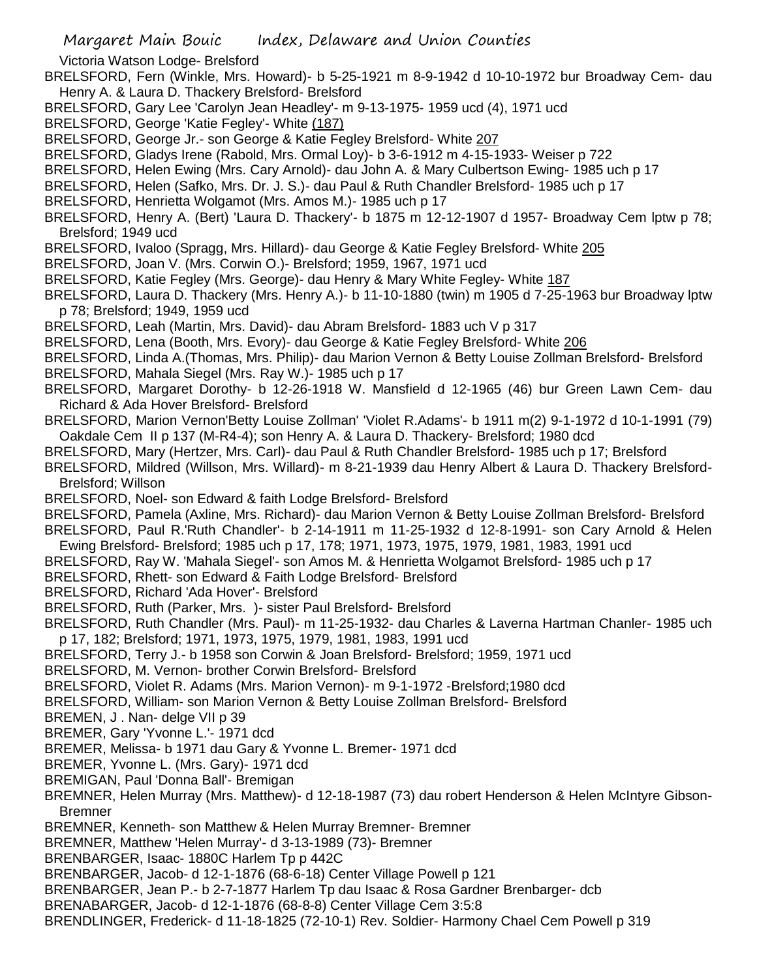Victoria Watson Lodge- Brelsford

- BRELSFORD, Fern (Winkle, Mrs. Howard)- b 5-25-1921 m 8-9-1942 d 10-10-1972 bur Broadway Cem- dau Henry A. & Laura D. Thackery Brelsford- Brelsford
- BRELSFORD, Gary Lee 'Carolyn Jean Headley'- m 9-13-1975- 1959 ucd (4), 1971 ucd
- BRELSFORD, George 'Katie Fegley'- White (187)
- BRELSFORD, George Jr.- son George & Katie Fegley Brelsford- White 207
- BRELSFORD, Gladys Irene (Rabold, Mrs. Ormal Loy)- b 3-6-1912 m 4-15-1933- Weiser p 722
- BRELSFORD, Helen Ewing (Mrs. Cary Arnold)- dau John A. & Mary Culbertson Ewing- 1985 uch p 17
- BRELSFORD, Helen (Safko, Mrs. Dr. J. S.)- dau Paul & Ruth Chandler Brelsford- 1985 uch p 17
- BRELSFORD, Henrietta Wolgamot (Mrs. Amos M.)- 1985 uch p 17
- BRELSFORD, Henry A. (Bert) 'Laura D. Thackery'- b 1875 m 12-12-1907 d 1957- Broadway Cem lptw p 78; Brelsford; 1949 ucd
- BRELSFORD, Ivaloo (Spragg, Mrs. Hillard)- dau George & Katie Fegley Brelsford- White 205
- BRELSFORD, Joan V. (Mrs. Corwin O.)- Brelsford; 1959, 1967, 1971 ucd
- BRELSFORD, Katie Fegley (Mrs. George)- dau Henry & Mary White Fegley- White 187
- BRELSFORD, Laura D. Thackery (Mrs. Henry A.)- b 11-10-1880 (twin) m 1905 d 7-25-1963 bur Broadway lptw p 78; Brelsford; 1949, 1959 ucd
- BRELSFORD, Leah (Martin, Mrs. David)- dau Abram Brelsford- 1883 uch V p 317
- BRELSFORD, Lena (Booth, Mrs. Evory)- dau George & Katie Fegley Brelsford- White 206
- BRELSFORD, Linda A.(Thomas, Mrs. Philip)- dau Marion Vernon & Betty Louise Zollman Brelsford- Brelsford BRELSFORD, Mahala Siegel (Mrs. Ray W.)- 1985 uch p 17
- BRELSFORD, Margaret Dorothy- b 12-26-1918 W. Mansfield d 12-1965 (46) bur Green Lawn Cem- dau Richard & Ada Hover Brelsford- Brelsford
- BRELSFORD, Marion Vernon'Betty Louise Zollman' 'Violet R.Adams'- b 1911 m(2) 9-1-1972 d 10-1-1991 (79) Oakdale Cem II p 137 (M-R4-4); son Henry A. & Laura D. Thackery- Brelsford; 1980 dcd
- BRELSFORD, Mary (Hertzer, Mrs. Carl)- dau Paul & Ruth Chandler Brelsford- 1985 uch p 17; Brelsford
- BRELSFORD, Mildred (Willson, Mrs. Willard)- m 8-21-1939 dau Henry Albert & Laura D. Thackery Brelsford-Brelsford; Willson
- BRELSFORD, Noel- son Edward & faith Lodge Brelsford- Brelsford
- BRELSFORD, Pamela (Axline, Mrs. Richard)- dau Marion Vernon & Betty Louise Zollman Brelsford- Brelsford BRELSFORD, Paul R.'Ruth Chandler'- b 2-14-1911 m 11-25-1932 d 12-8-1991- son Cary Arnold & Helen
- Ewing Brelsford- Brelsford; 1985 uch p 17, 178; 1971, 1973, 1975, 1979, 1981, 1983, 1991 ucd
- BRELSFORD, Ray W. 'Mahala Siegel'- son Amos M. & Henrietta Wolgamot Brelsford- 1985 uch p 17
- BRELSFORD, Rhett- son Edward & Faith Lodge Brelsford- Brelsford
- BRELSFORD, Richard 'Ada Hover'- Brelsford
- BRELSFORD, Ruth (Parker, Mrs. )- sister Paul Brelsford- Brelsford
- BRELSFORD, Ruth Chandler (Mrs. Paul)- m 11-25-1932- dau Charles & Laverna Hartman Chanler- 1985 uch p 17, 182; Brelsford; 1971, 1973, 1975, 1979, 1981, 1983, 1991 ucd
- BRELSFORD, Terry J.- b 1958 son Corwin & Joan Brelsford- Brelsford; 1959, 1971 ucd
- BRELSFORD, M. Vernon- brother Corwin Brelsford- Brelsford
- BRELSFORD, Violet R. Adams (Mrs. Marion Vernon)- m 9-1-1972 -Brelsford;1980 dcd
- BRELSFORD, William- son Marion Vernon & Betty Louise Zollman Brelsford- Brelsford

BREMEN, J . Nan- delge VII p 39

- BREMER, Gary 'Yvonne L.'- 1971 dcd
- BREMER, Melissa- b 1971 dau Gary & Yvonne L. Bremer- 1971 dcd
- BREMER, Yvonne L. (Mrs. Gary)- 1971 dcd
- BREMIGAN, Paul 'Donna Ball'- Bremigan
- BREMNER, Helen Murray (Mrs. Matthew)- d 12-18-1987 (73) dau robert Henderson & Helen McIntyre Gibson-Bremner
- BREMNER, Kenneth- son Matthew & Helen Murray Bremner- Bremner
- BREMNER, Matthew 'Helen Murray'- d 3-13-1989 (73)- Bremner
- BRENBARGER, Isaac- 1880C Harlem Tp p 442C
- BRENBARGER, Jacob- d 12-1-1876 (68-6-18) Center Village Powell p 121
- BRENBARGER, Jean P.- b 2-7-1877 Harlem Tp dau Isaac & Rosa Gardner Brenbarger- dcb
- BRENABARGER, Jacob- d 12-1-1876 (68-8-8) Center Village Cem 3:5:8
- BRENDLINGER, Frederick- d 11-18-1825 (72-10-1) Rev. Soldier- Harmony Chael Cem Powell p 319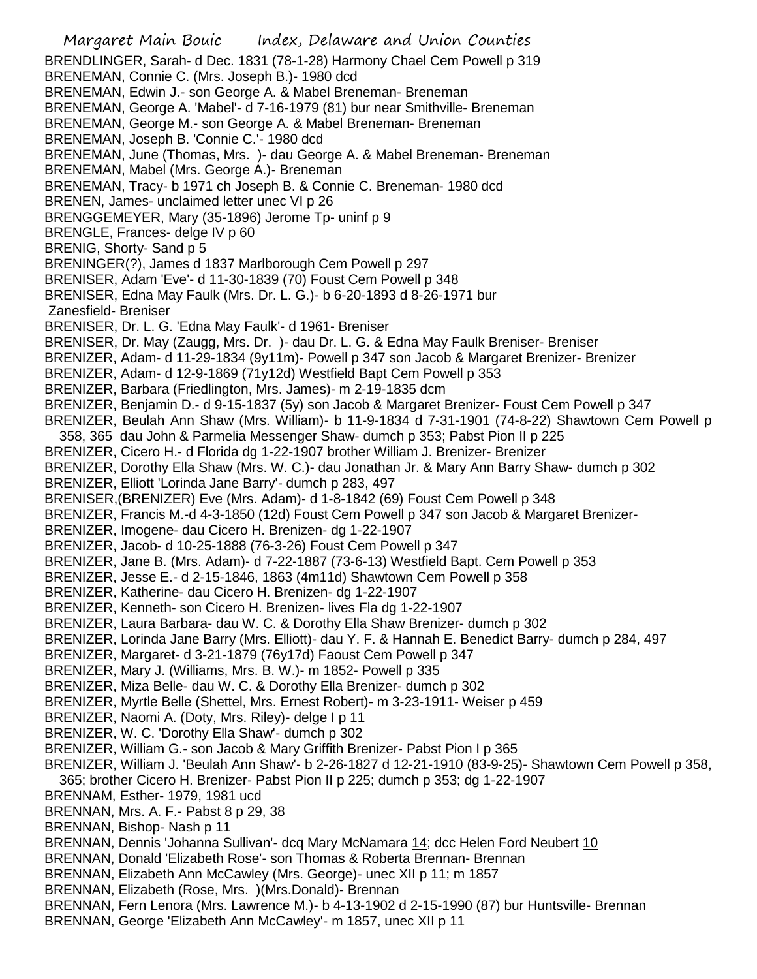Margaret Main Bouic Index, Delaware and Union Counties BRENDLINGER, Sarah- d Dec. 1831 (78-1-28) Harmony Chael Cem Powell p 319 BRENEMAN, Connie C. (Mrs. Joseph B.)- 1980 dcd BRENEMAN, Edwin J.- son George A. & Mabel Breneman- Breneman BRENEMAN, George A. 'Mabel'- d 7-16-1979 (81) bur near Smithville- Breneman BRENEMAN, George M.- son George A. & Mabel Breneman- Breneman BRENEMAN, Joseph B. 'Connie C.'- 1980 dcd BRENEMAN, June (Thomas, Mrs. )- dau George A. & Mabel Breneman- Breneman BRENEMAN, Mabel (Mrs. George A.)- Breneman BRENEMAN, Tracy- b 1971 ch Joseph B. & Connie C. Breneman- 1980 dcd BRENEN, James- unclaimed letter unec VI p 26 BRENGGEMEYER, Mary (35-1896) Jerome Tp- uninf p 9 BRENGLE, Frances- delge IV p 60 BRENIG, Shorty- Sand p 5 BRENINGER(?), James d 1837 Marlborough Cem Powell p 297 BRENISER, Adam 'Eve'- d 11-30-1839 (70) Foust Cem Powell p 348 BRENISER, Edna May Faulk (Mrs. Dr. L. G.)- b 6-20-1893 d 8-26-1971 bur Zanesfield- Breniser BRENISER, Dr. L. G. 'Edna May Faulk'- d 1961- Breniser BRENISER, Dr. May (Zaugg, Mrs. Dr. )- dau Dr. L. G. & Edna May Faulk Breniser- Breniser BRENIZER, Adam- d 11-29-1834 (9y11m)- Powell p 347 son Jacob & Margaret Brenizer- Brenizer BRENIZER, Adam- d 12-9-1869 (71y12d) Westfield Bapt Cem Powell p 353 BRENIZER, Barbara (Friedlington, Mrs. James)- m 2-19-1835 dcm BRENIZER, Benjamin D.- d 9-15-1837 (5y) son Jacob & Margaret Brenizer- Foust Cem Powell p 347 BRENIZER, Beulah Ann Shaw (Mrs. William)- b 11-9-1834 d 7-31-1901 (74-8-22) Shawtown Cem Powell p 358, 365 dau John & Parmelia Messenger Shaw- dumch p 353; Pabst Pion II p 225 BRENIZER, Cicero H.- d Florida dg 1-22-1907 brother William J. Brenizer- Brenizer BRENIZER, Dorothy Ella Shaw (Mrs. W. C.)- dau Jonathan Jr. & Mary Ann Barry Shaw- dumch p 302 BRENIZER, Elliott 'Lorinda Jane Barry'- dumch p 283, 497 BRENISER,(BRENIZER) Eve (Mrs. Adam)- d 1-8-1842 (69) Foust Cem Powell p 348 BRENIZER, Francis M.-d 4-3-1850 (12d) Foust Cem Powell p 347 son Jacob & Margaret Brenizer-BRENIZER, Imogene- dau Cicero H. Brenizen- dg 1-22-1907 BRENIZER, Jacob- d 10-25-1888 (76-3-26) Foust Cem Powell p 347 BRENIZER, Jane B. (Mrs. Adam)- d 7-22-1887 (73-6-13) Westfield Bapt. Cem Powell p 353 BRENIZER, Jesse E.- d 2-15-1846, 1863 (4m11d) Shawtown Cem Powell p 358 BRENIZER, Katherine- dau Cicero H. Brenizen- dg 1-22-1907 BRENIZER, Kenneth- son Cicero H. Brenizen- lives Fla dg 1-22-1907 BRENIZER, Laura Barbara- dau W. C. & Dorothy Ella Shaw Brenizer- dumch p 302 BRENIZER, Lorinda Jane Barry (Mrs. Elliott)- dau Y. F. & Hannah E. Benedict Barry- dumch p 284, 497 BRENIZER, Margaret- d 3-21-1879 (76y17d) Faoust Cem Powell p 347 BRENIZER, Mary J. (Williams, Mrs. B. W.)- m 1852- Powell p 335 BRENIZER, Miza Belle- dau W. C. & Dorothy Ella Brenizer- dumch p 302 BRENIZER, Myrtle Belle (Shettel, Mrs. Ernest Robert)- m 3-23-1911- Weiser p 459 BRENIZER, Naomi A. (Doty, Mrs. Riley)- delge I p 11 BRENIZER, W. C. 'Dorothy Ella Shaw'- dumch p 302 BRENIZER, William G.- son Jacob & Mary Griffith Brenizer- Pabst Pion I p 365 BRENIZER, William J. 'Beulah Ann Shaw'- b 2-26-1827 d 12-21-1910 (83-9-25)- Shawtown Cem Powell p 358, 365; brother Cicero H. Brenizer- Pabst Pion II p 225; dumch p 353; dg 1-22-1907 BRENNAM, Esther- 1979, 1981 ucd BRENNAN, Mrs. A. F.- Pabst 8 p 29, 38 BRENNAN, Bishop- Nash p 11 BRENNAN, Dennis 'Johanna Sullivan'- dcq Mary McNamara 14; dcc Helen Ford Neubert 10 BRENNAN, Donald 'Elizabeth Rose'- son Thomas & Roberta Brennan- Brennan BRENNAN, Elizabeth Ann McCawley (Mrs. George)- unec XII p 11; m 1857 BRENNAN, Elizabeth (Rose, Mrs. )(Mrs.Donald)- Brennan BRENNAN, Fern Lenora (Mrs. Lawrence M.)- b 4-13-1902 d 2-15-1990 (87) bur Huntsville- Brennan BRENNAN, George 'Elizabeth Ann McCawley'- m 1857, unec XII p 11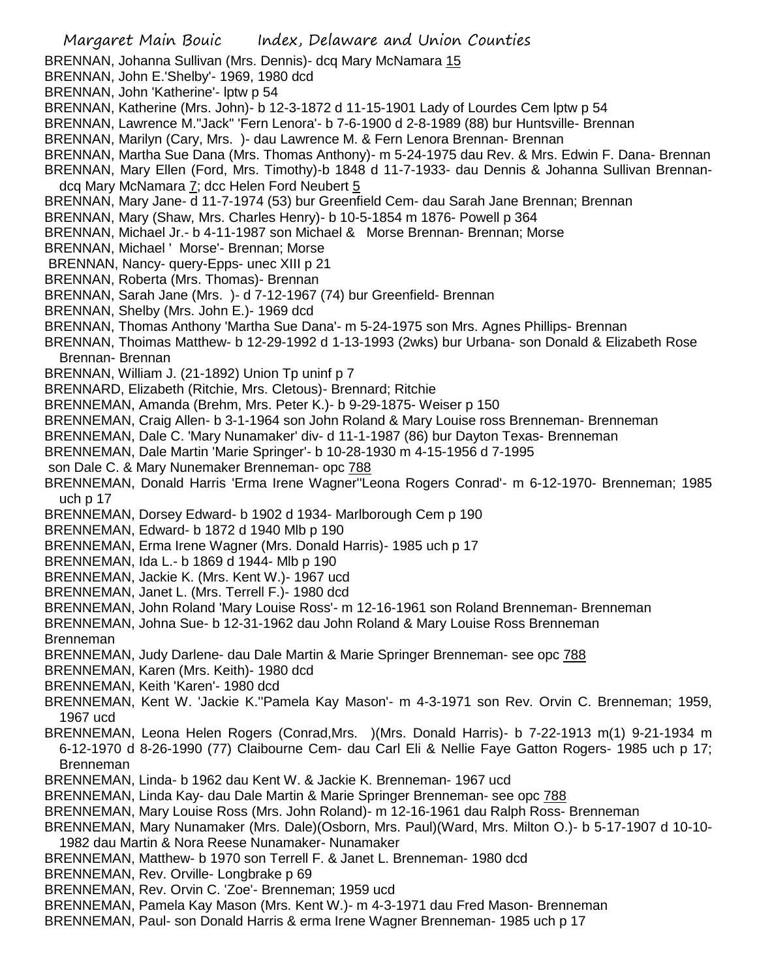- BRENNAN, Johanna Sullivan (Mrs. Dennis)- dcq Mary McNamara 15
- BRENNAN, John E.'Shelby'- 1969, 1980 dcd
- BRENNAN, John 'Katherine'- lptw p 54
- BRENNAN, Katherine (Mrs. John)- b 12-3-1872 d 11-15-1901 Lady of Lourdes Cem lptw p 54
- BRENNAN, Lawrence M."Jack" 'Fern Lenora'- b 7-6-1900 d 2-8-1989 (88) bur Huntsville- Brennan
- BRENNAN, Marilyn (Cary, Mrs. )- dau Lawrence M. & Fern Lenora Brennan- Brennan
- BRENNAN, Martha Sue Dana (Mrs. Thomas Anthony)- m 5-24-1975 dau Rev. & Mrs. Edwin F. Dana- Brennan
- BRENNAN, Mary Ellen (Ford, Mrs. Timothy)-b 1848 d 11-7-1933- dau Dennis & Johanna Sullivan Brennandcq Mary McNamara 7; dcc Helen Ford Neubert 5
- BRENNAN, Mary Jane- d 11-7-1974 (53) bur Greenfield Cem- dau Sarah Jane Brennan; Brennan
- BRENNAN, Mary (Shaw, Mrs. Charles Henry)- b 10-5-1854 m 1876- Powell p 364
- BRENNAN, Michael Jr.- b 4-11-1987 son Michael & Morse Brennan- Brennan; Morse
- BRENNAN, Michael ' Morse'- Brennan; Morse
- BRENNAN, Nancy- query-Epps- unec XIII p 21
- BRENNAN, Roberta (Mrs. Thomas)- Brennan
- BRENNAN, Sarah Jane (Mrs. )- d 7-12-1967 (74) bur Greenfield- Brennan
- BRENNAN, Shelby (Mrs. John E.)- 1969 dcd
- BRENNAN, Thomas Anthony 'Martha Sue Dana'- m 5-24-1975 son Mrs. Agnes Phillips- Brennan
- BRENNAN, Thoimas Matthew- b 12-29-1992 d 1-13-1993 (2wks) bur Urbana- son Donald & Elizabeth Rose Brennan- Brennan
- BRENNAN, William J. (21-1892) Union Tp uninf p 7
- BRENNARD, Elizabeth (Ritchie, Mrs. Cletous)- Brennard; Ritchie
- BRENNEMAN, Amanda (Brehm, Mrs. Peter K.)- b 9-29-1875- Weiser p 150
- BRENNEMAN, Craig Allen- b 3-1-1964 son John Roland & Mary Louise ross Brenneman- Brenneman
- BRENNEMAN, Dale C. 'Mary Nunamaker' div- d 11-1-1987 (86) bur Dayton Texas- Brenneman
- BRENNEMAN, Dale Martin 'Marie Springer'- b 10-28-1930 m 4-15-1956 d 7-1995
- son Dale C. & Mary Nunemaker Brenneman- opc 788
- BRENNEMAN, Donald Harris 'Erma Irene Wagner''Leona Rogers Conrad'- m 6-12-1970- Brenneman; 1985 uch p 17
- BRENNEMAN, Dorsey Edward- b 1902 d 1934- Marlborough Cem p 190
- BRENNEMAN, Edward- b 1872 d 1940 Mlb p 190
- BRENNEMAN, Erma Irene Wagner (Mrs. Donald Harris)- 1985 uch p 17
- BRENNEMAN, Ida L.- b 1869 d 1944- Mlb p 190
- BRENNEMAN, Jackie K. (Mrs. Kent W.)- 1967 ucd
- BRENNEMAN, Janet L. (Mrs. Terrell F.)- 1980 dcd
- BRENNEMAN, John Roland 'Mary Louise Ross'- m 12-16-1961 son Roland Brenneman- Brenneman
- BRENNEMAN, Johna Sue- b 12-31-1962 dau John Roland & Mary Louise Ross Brenneman Brenneman
- BRENNEMAN, Judy Darlene- dau Dale Martin & Marie Springer Brenneman- see opc 788
- BRENNEMAN, Karen (Mrs. Keith)- 1980 dcd
- BRENNEMAN, Keith 'Karen'- 1980 dcd
- BRENNEMAN, Kent W. 'Jackie K.''Pamela Kay Mason'- m 4-3-1971 son Rev. Orvin C. Brenneman; 1959, 1967 ucd
- BRENNEMAN, Leona Helen Rogers (Conrad,Mrs. )(Mrs. Donald Harris)- b 7-22-1913 m(1) 9-21-1934 m 6-12-1970 d 8-26-1990 (77) Claibourne Cem- dau Carl Eli & Nellie Faye Gatton Rogers- 1985 uch p 17; Brenneman
- BRENNEMAN, Linda- b 1962 dau Kent W. & Jackie K. Brenneman- 1967 ucd
- BRENNEMAN, Linda Kay- dau Dale Martin & Marie Springer Brenneman- see opc 788
- BRENNEMAN, Mary Louise Ross (Mrs. John Roland)- m 12-16-1961 dau Ralph Ross- Brenneman
- BRENNEMAN, Mary Nunamaker (Mrs. Dale)(Osborn, Mrs. Paul)(Ward, Mrs. Milton O.)- b 5-17-1907 d 10-10- 1982 dau Martin & Nora Reese Nunamaker- Nunamaker
- BRENNEMAN, Matthew- b 1970 son Terrell F. & Janet L. Brenneman- 1980 dcd
- BRENNEMAN, Rev. Orville- Longbrake p 69
- BRENNEMAN, Rev. Orvin C. 'Zoe'- Brenneman; 1959 ucd
- BRENNEMAN, Pamela Kay Mason (Mrs. Kent W.)- m 4-3-1971 dau Fred Mason- Brenneman
- BRENNEMAN, Paul- son Donald Harris & erma Irene Wagner Brenneman- 1985 uch p 17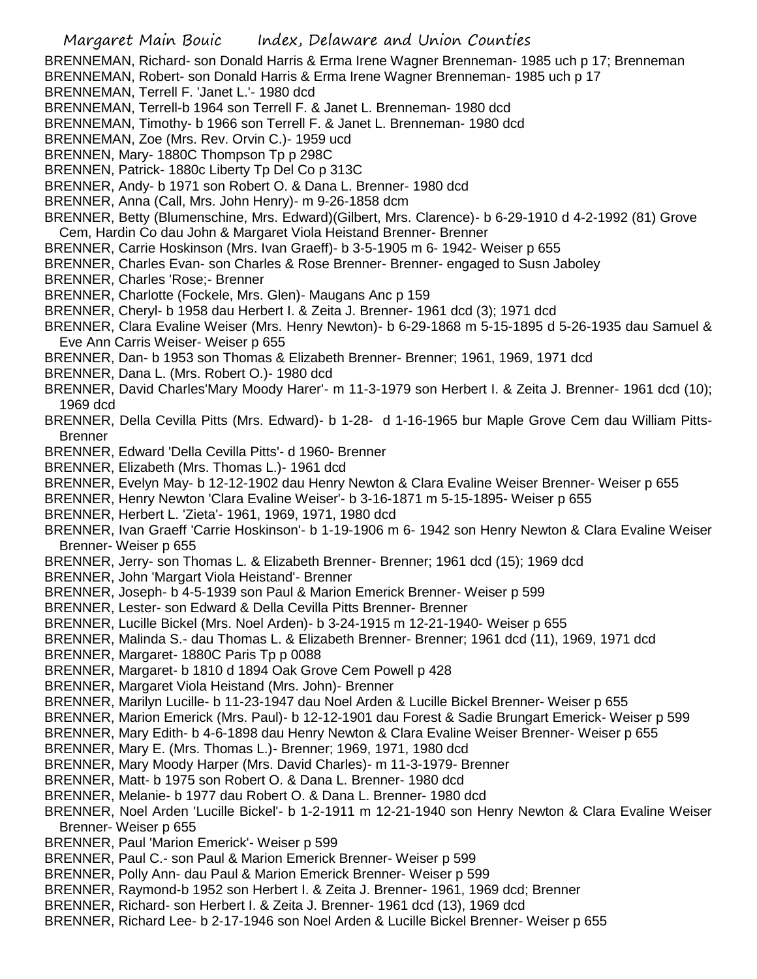- BRENNEMAN, Richard- son Donald Harris & Erma Irene Wagner Brenneman- 1985 uch p 17; Brenneman
- BRENNEMAN, Robert- son Donald Harris & Erma Irene Wagner Brenneman- 1985 uch p 17
- BRENNEMAN, Terrell F. 'Janet L.'- 1980 dcd
- BRENNEMAN, Terrell-b 1964 son Terrell F. & Janet L. Brenneman- 1980 dcd
- BRENNEMAN, Timothy- b 1966 son Terrell F. & Janet L. Brenneman- 1980 dcd
- BRENNEMAN, Zoe (Mrs. Rev. Orvin C.)- 1959 ucd
- BRENNEN, Mary- 1880C Thompson Tp p 298C
- BRENNEN, Patrick- 1880c Liberty Tp Del Co p 313C
- BRENNER, Andy- b 1971 son Robert O. & Dana L. Brenner- 1980 dcd
- BRENNER, Anna (Call, Mrs. John Henry)- m 9-26-1858 dcm
- BRENNER, Betty (Blumenschine, Mrs. Edward)(Gilbert, Mrs. Clarence)- b 6-29-1910 d 4-2-1992 (81) Grove Cem, Hardin Co dau John & Margaret Viola Heistand Brenner- Brenner
- BRENNER, Carrie Hoskinson (Mrs. Ivan Graeff)- b 3-5-1905 m 6- 1942- Weiser p 655
- BRENNER, Charles Evan- son Charles & Rose Brenner- Brenner- engaged to Susn Jaboley
- BRENNER, Charles 'Rose;- Brenner
- BRENNER, Charlotte (Fockele, Mrs. Glen)- Maugans Anc p 159
- BRENNER, Cheryl- b 1958 dau Herbert I. & Zeita J. Brenner- 1961 dcd (3); 1971 dcd
- BRENNER, Clara Evaline Weiser (Mrs. Henry Newton)- b 6-29-1868 m 5-15-1895 d 5-26-1935 dau Samuel & Eve Ann Carris Weiser- Weiser p 655
- BRENNER, Dan- b 1953 son Thomas & Elizabeth Brenner- Brenner; 1961, 1969, 1971 dcd
- BRENNER, Dana L. (Mrs. Robert O.)- 1980 dcd
- BRENNER, David Charles'Mary Moody Harer'- m 11-3-1979 son Herbert I. & Zeita J. Brenner- 1961 dcd (10); 1969 dcd
- BRENNER, Della Cevilla Pitts (Mrs. Edward)- b 1-28- d 1-16-1965 bur Maple Grove Cem dau William Pitts-**Brenner**
- BRENNER, Edward 'Della Cevilla Pitts'- d 1960- Brenner
- BRENNER, Elizabeth (Mrs. Thomas L.)- 1961 dcd
- BRENNER, Evelyn May- b 12-12-1902 dau Henry Newton & Clara Evaline Weiser Brenner- Weiser p 655
- BRENNER, Henry Newton 'Clara Evaline Weiser'- b 3-16-1871 m 5-15-1895- Weiser p 655
- BRENNER, Herbert L. 'Zieta'- 1961, 1969, 1971, 1980 dcd
- BRENNER, Ivan Graeff 'Carrie Hoskinson'- b 1-19-1906 m 6- 1942 son Henry Newton & Clara Evaline Weiser Brenner- Weiser p 655
- BRENNER, Jerry- son Thomas L. & Elizabeth Brenner- Brenner; 1961 dcd (15); 1969 dcd
- BRENNER, John 'Margart Viola Heistand'- Brenner
- BRENNER, Joseph- b 4-5-1939 son Paul & Marion Emerick Brenner- Weiser p 599
- BRENNER, Lester- son Edward & Della Cevilla Pitts Brenner- Brenner
- BRENNER, Lucille Bickel (Mrs. Noel Arden)- b 3-24-1915 m 12-21-1940- Weiser p 655
- BRENNER, Malinda S.- dau Thomas L. & Elizabeth Brenner- Brenner; 1961 dcd (11), 1969, 1971 dcd
- BRENNER, Margaret- 1880C Paris Tp p 0088
- BRENNER, Margaret- b 1810 d 1894 Oak Grove Cem Powell p 428
- BRENNER, Margaret Viola Heistand (Mrs. John)- Brenner
- BRENNER, Marilyn Lucille- b 11-23-1947 dau Noel Arden & Lucille Bickel Brenner- Weiser p 655
- BRENNER, Marion Emerick (Mrs. Paul)- b 12-12-1901 dau Forest & Sadie Brungart Emerick- Weiser p 599
- BRENNER, Mary Edith- b 4-6-1898 dau Henry Newton & Clara Evaline Weiser Brenner- Weiser p 655
- BRENNER, Mary E. (Mrs. Thomas L.)- Brenner; 1969, 1971, 1980 dcd
- BRENNER, Mary Moody Harper (Mrs. David Charles)- m 11-3-1979- Brenner
- BRENNER, Matt- b 1975 son Robert O. & Dana L. Brenner- 1980 dcd
- BRENNER, Melanie- b 1977 dau Robert O. & Dana L. Brenner- 1980 dcd
- BRENNER, Noel Arden 'Lucille Bickel'- b 1-2-1911 m 12-21-1940 son Henry Newton & Clara Evaline Weiser Brenner- Weiser p 655
- BRENNER, Paul 'Marion Emerick'- Weiser p 599
- BRENNER, Paul C.- son Paul & Marion Emerick Brenner- Weiser p 599
- BRENNER, Polly Ann- dau Paul & Marion Emerick Brenner- Weiser p 599
- BRENNER, Raymond-b 1952 son Herbert I. & Zeita J. Brenner- 1961, 1969 dcd; Brenner
- BRENNER, Richard- son Herbert I. & Zeita J. Brenner- 1961 dcd (13), 1969 dcd
- BRENNER, Richard Lee- b 2-17-1946 son Noel Arden & Lucille Bickel Brenner- Weiser p 655